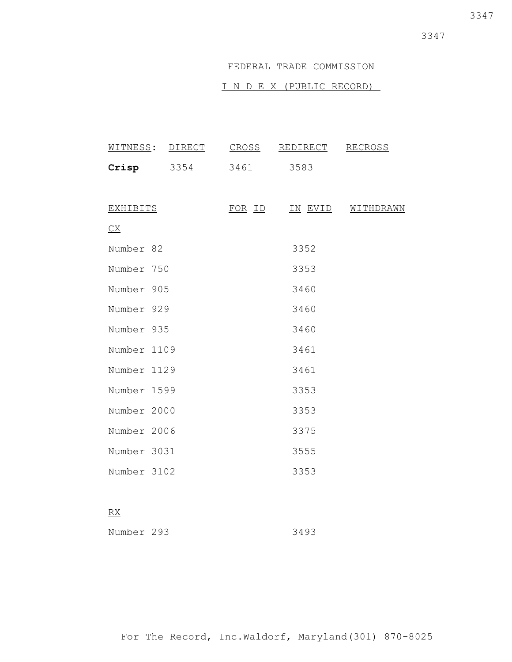3347

# FEDERAL TRADE COMMISSION

# I N D E X (PUBLIC RECORD)

|                 | WITNESS: DIRECT | <u>CROSS</u>  | REDIRECT | <b>RECROSS</b>    |
|-----------------|-----------------|---------------|----------|-------------------|
|                 | $Crisp$ $3354$  | 3461          | 3583     |                   |
|                 |                 |               |          |                   |
| <u>EXHIBITS</u> |                 | <u>FOR ID</u> |          | IN EVID WITHDRAWN |
| C X             |                 |               |          |                   |
| Number 82       |                 |               | 3352     |                   |
| Number 750      |                 |               | 3353     |                   |
| Number 905      |                 |               | 3460     |                   |
| Number 929      |                 |               | 3460     |                   |
| Number 935      |                 |               | 3460     |                   |
| Number 1109     |                 |               | 3461     |                   |
| Number 1129     |                 |               | 3461     |                   |
| Number 1599     |                 |               | 3353     |                   |
| Number 2000     |                 |               | 3353     |                   |
| Number 2006     |                 |               | 3375     |                   |
| Number 3031     |                 |               | 3555     |                   |
| Number 3102     |                 |               | 3353     |                   |
|                 |                 |               |          |                   |

# RX

| Number 293 | 3493 |
|------------|------|
|------------|------|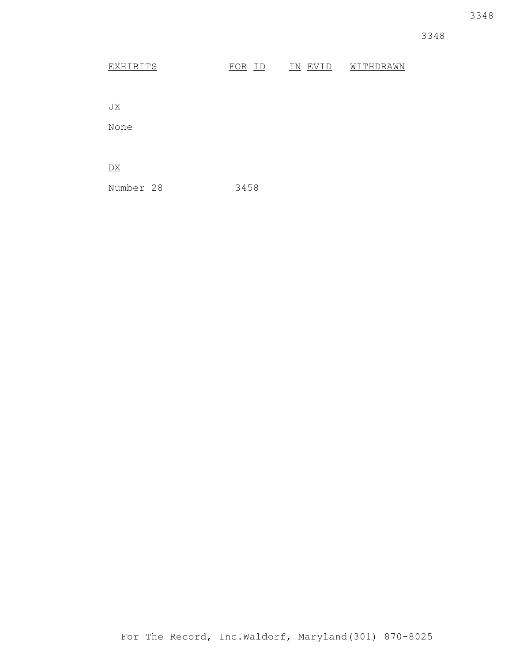# EXHIBITS FOR ID IN EVID WITHDRAWN

JX

None

 $\overline{DX}$ 

Number 28 3458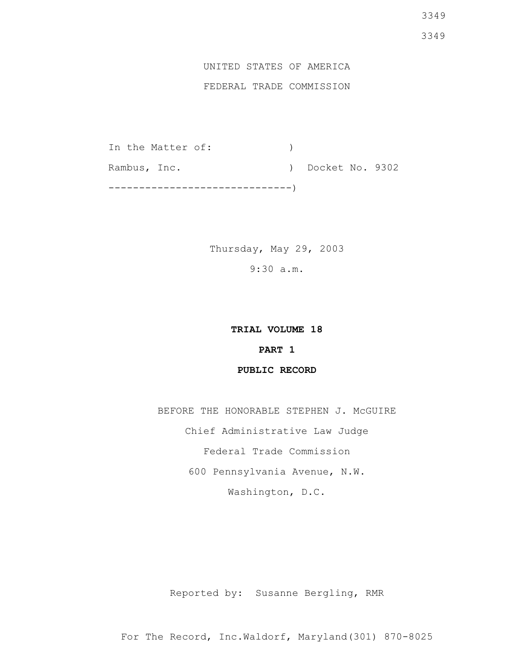# UNITED STATES OF AMERICA FEDERAL TRADE COMMISSION

In the Matter of:  $)$ Rambus, Inc. (a) Docket No. 9302 ------------------------------)

> Thursday, May 29, 2003 9:30 a.m.

> > **TRIAL VOLUME 18**

# **PART 1**

# **PUBLIC RECORD**

BEFORE THE HONORABLE STEPHEN J. MCGUIRE Chief Administrative Law Judge Federal Trade Commission 600 Pennsylvania Avenue, N.W. Washington, D.C.

Reported by: Susanne Bergling, RMR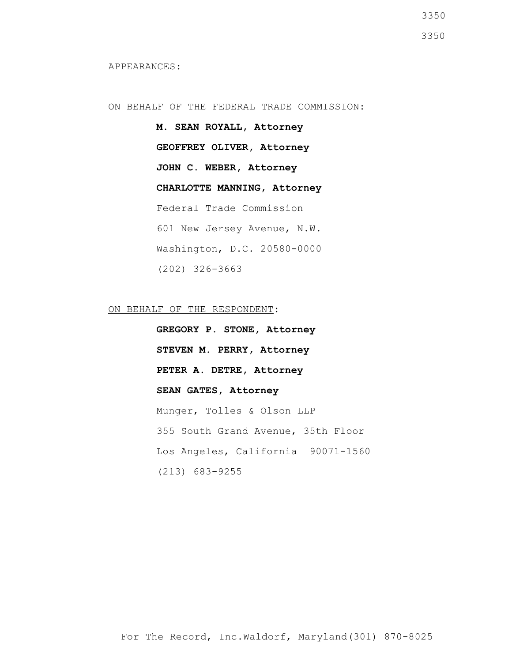APPEARANCES:

### ON BEHALF OF THE FEDERAL TRADE COMMISSION:

**M. SEAN ROYALL, Attorney GEOFFREY OLIVER, Attorney JOHN C. WEBER, Attorney CHARLOTTE MANNING, Attorney** Federal Trade Commission 601 New Jersey Avenue, N.W. Washington, D.C. 20580-0000 (202) 326-3663

ON BEHALF OF THE RESPONDENT:

**GREGORY P. STONE, Attorney STEVEN M. PERRY, Attorney PETER A. DETRE, Attorney SEAN GATES, Attorney** Munger, Tolles & Olson LLP 355 South Grand Avenue, 35th Floor Los Angeles, California 90071-1560 (213) 683-9255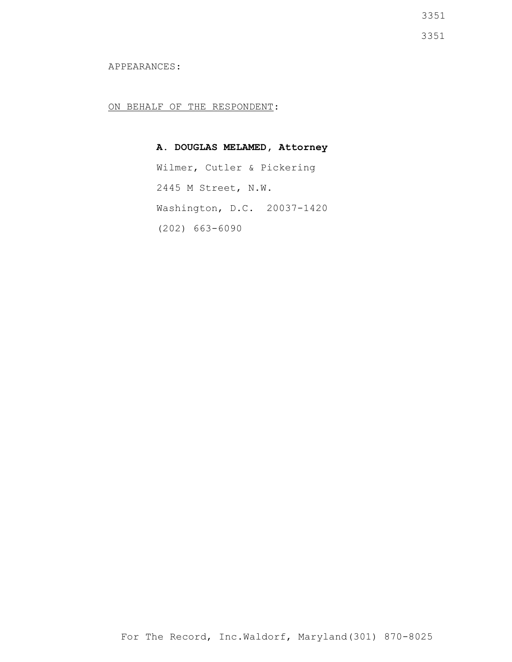3351

3351

### APPEARANCES:

ON BEHALF OF THE RESPONDENT:

# **A. DOUGLAS MELAMED, Attorney**

Wilmer, Cutler & Pickering 2445 M Street, N.W. Washington, D.C. 20037-1420 (202) 663-6090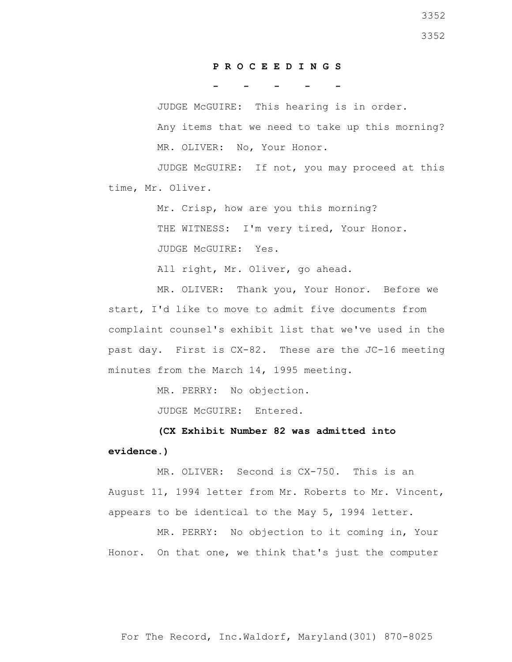### **P R O C E E D I N G S**

**- - - - -**

 JUDGE McGUIRE: This hearing is in order. Any items that we need to take up this morning? MR. OLIVER: No, Your Honor.

 JUDGE McGUIRE: If not, you may proceed at this time, Mr. Oliver.

> Mr. Crisp, how are you this morning? THE WITNESS: I'm very tired, Your Honor. JUDGE McGUIRE: Yes.

All right, Mr. Oliver, go ahead.

 MR. OLIVER: Thank you, Your Honor. Before we start, I'd like to move to admit five documents from complaint counsel's exhibit list that we've used in the past day. First is CX-82. These are the JC-16 meeting minutes from the March 14, 1995 meeting.

MR. PERRY: No objection.

JUDGE McGUIRE: Entered.

 **(CX Exhibit Number 82 was admitted into evidence.)**

 MR. OLIVER: Second is CX-750. This is an August 11, 1994 letter from Mr. Roberts to Mr. Vincent, appears to be identical to the May 5, 1994 letter.

 MR. PERRY: No objection to it coming in, Your Honor. On that one, we think that's just the computer

For The Record, Inc.Waldorf, Maryland(301) 870-8025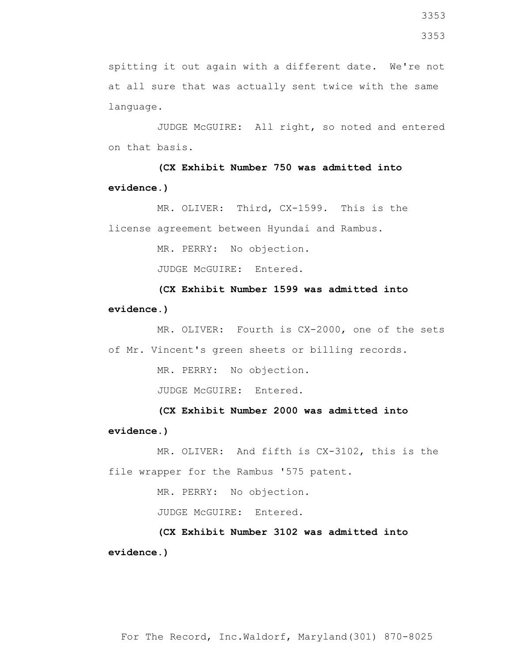spitting it out again with a different date. We're not at all sure that was actually sent twice with the same language.

 JUDGE McGUIRE: All right, so noted and entered on that basis.

 **(CX Exhibit Number 750 was admitted into evidence.)**

 MR. OLIVER: Third, CX-1599. This is the license agreement between Hyundai and Rambus.

MR. PERRY: No objection.

JUDGE McGUIRE: Entered.

 **(CX Exhibit Number 1599 was admitted into evidence.)**

 MR. OLIVER: Fourth is CX-2000, one of the sets of Mr. Vincent's green sheets or billing records.

MR. PERRY: No objection.

JUDGE McGUIRE: Entered.

 **(CX Exhibit Number 2000 was admitted into evidence.)**

 MR. OLIVER: And fifth is CX-3102, this is the file wrapper for the Rambus '575 patent.

MR. PERRY: No objection.

JUDGE McGUIRE: Entered.

 **(CX Exhibit Number 3102 was admitted into evidence.)**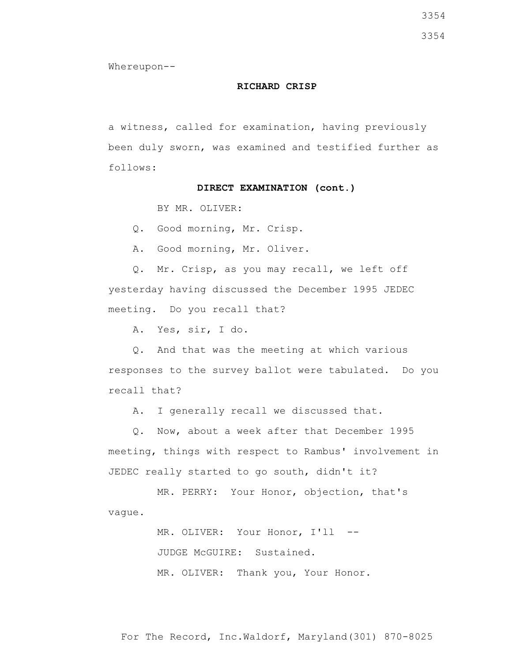3354

Whereupon--

#### **RICHARD CRISP**

a witness, called for examination, having previously been duly sworn, was examined and testified further as follows:

#### **DIRECT EXAMINATION (cont.)**

BY MR. OLIVER:

Q. Good morning, Mr. Crisp.

A. Good morning, Mr. Oliver.

 Q. Mr. Crisp, as you may recall, we left off yesterday having discussed the December 1995 JEDEC meeting. Do you recall that?

A. Yes, sir, I do.

 Q. And that was the meeting at which various responses to the survey ballot were tabulated. Do you recall that?

A. I generally recall we discussed that.

 Q. Now, about a week after that December 1995 meeting, things with respect to Rambus' involvement in JEDEC really started to go south, didn't it?

 MR. PERRY: Your Honor, objection, that's vague.

> MR. OLIVER: Your Honor, I'll -- JUDGE McGUIRE: Sustained. MR. OLIVER: Thank you, Your Honor.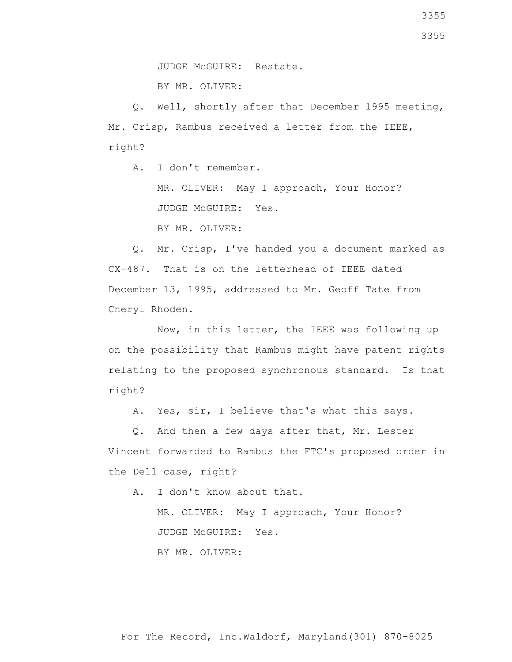BY MR. OLIVER:

 Q. Well, shortly after that December 1995 meeting, Mr. Crisp, Rambus received a letter from the IEEE, right?

A. I don't remember.

 MR. OLIVER: May I approach, Your Honor? JUDGE McGUIRE: Yes.

BY MR. OLIVER:

 Q. Mr. Crisp, I've handed you a document marked as CX-487. That is on the letterhead of IEEE dated December 13, 1995, addressed to Mr. Geoff Tate from Cheryl Rhoden.

 Now, in this letter, the IEEE was following up on the possibility that Rambus might have patent rights relating to the proposed synchronous standard. Is that right?

A. Yes, sir, I believe that's what this says.

 Q. And then a few days after that, Mr. Lester Vincent forwarded to Rambus the FTC's proposed order in the Dell case, right?

A. I don't know about that.

 MR. OLIVER: May I approach, Your Honor? JUDGE McGUIRE: Yes. BY MR. OLIVER: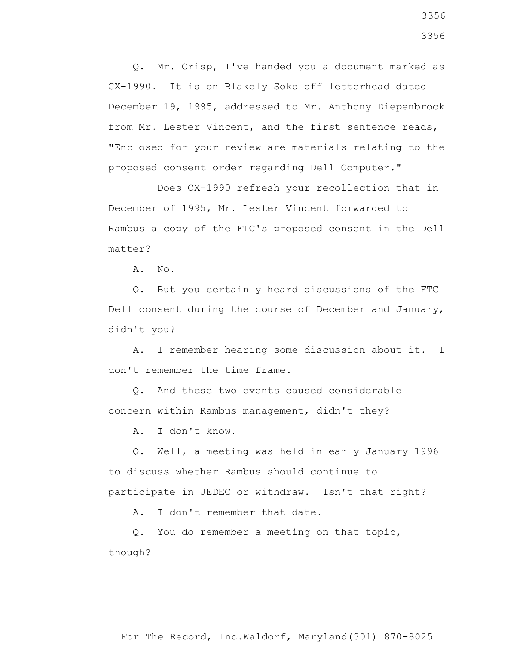Q. Mr. Crisp, I've handed you a document marked as CX-1990. It is on Blakely Sokoloff letterhead dated December 19, 1995, addressed to Mr. Anthony Diepenbrock from Mr. Lester Vincent, and the first sentence reads, "Enclosed for your review are materials relating to the proposed consent order regarding Dell Computer."

 Does CX-1990 refresh your recollection that in December of 1995, Mr. Lester Vincent forwarded to Rambus a copy of the FTC's proposed consent in the Dell matter?

A. No.

 Q. But you certainly heard discussions of the FTC Dell consent during the course of December and January, didn't you?

 A. I remember hearing some discussion about it. I don't remember the time frame.

 Q. And these two events caused considerable concern within Rambus management, didn't they?

A. I don't know.

 Q. Well, a meeting was held in early January 1996 to discuss whether Rambus should continue to participate in JEDEC or withdraw. Isn't that right?

A. I don't remember that date.

 Q. You do remember a meeting on that topic, though?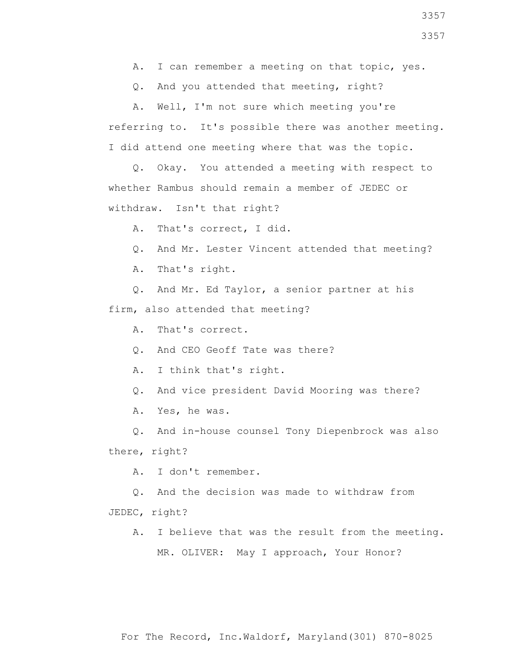- A. I can remember a meeting on that topic, yes.
- Q. And you attended that meeting, right?

 A. Well, I'm not sure which meeting you're referring to. It's possible there was another meeting. I did attend one meeting where that was the topic.

 Q. Okay. You attended a meeting with respect to whether Rambus should remain a member of JEDEC or withdraw. Isn't that right?

A. That's correct, I did.

- Q. And Mr. Lester Vincent attended that meeting?
- A. That's right.

 Q. And Mr. Ed Taylor, a senior partner at his firm, also attended that meeting?

A. That's correct.

Q. And CEO Geoff Tate was there?

A. I think that's right.

Q. And vice president David Mooring was there?

A. Yes, he was.

 Q. And in-house counsel Tony Diepenbrock was also there, right?

A. I don't remember.

Q. And the decision was made to withdraw from

JEDEC, right?

 A. I believe that was the result from the meeting. MR. OLIVER: May I approach, Your Honor?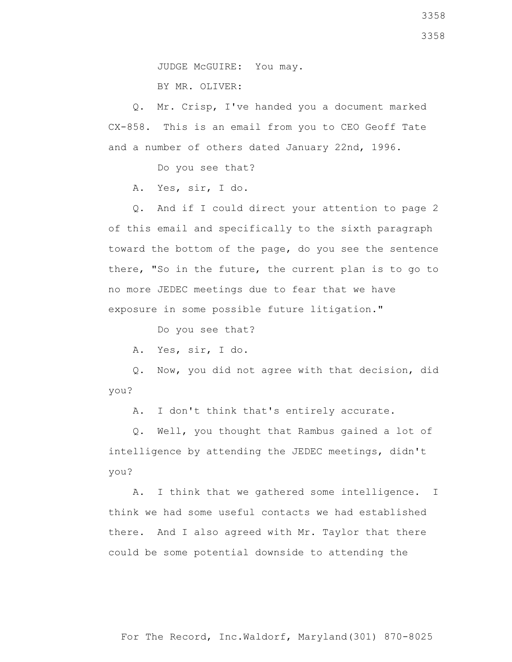JUDGE McGUIRE: You may. BY MR. OLIVER:

 Q. Mr. Crisp, I've handed you a document marked CX-858. This is an email from you to CEO Geoff Tate and a number of others dated January 22nd, 1996.

Do you see that?

A. Yes, sir, I do.

 Q. And if I could direct your attention to page 2 of this email and specifically to the sixth paragraph toward the bottom of the page, do you see the sentence there, "So in the future, the current plan is to go to no more JEDEC meetings due to fear that we have exposure in some possible future litigation."

Do you see that?

A. Yes, sir, I do.

 Q. Now, you did not agree with that decision, did you?

A. I don't think that's entirely accurate.

 Q. Well, you thought that Rambus gained a lot of intelligence by attending the JEDEC meetings, didn't you?

 A. I think that we gathered some intelligence. I think we had some useful contacts we had established there. And I also agreed with Mr. Taylor that there could be some potential downside to attending the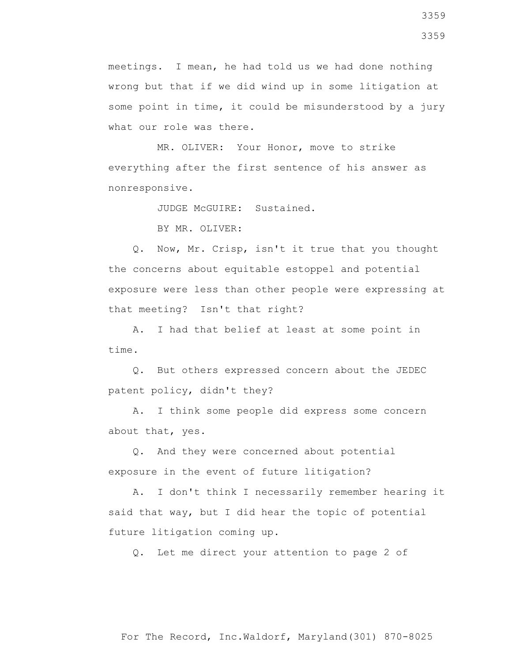meetings. I mean, he had told us we had done nothing wrong but that if we did wind up in some litigation at some point in time, it could be misunderstood by a jury what our role was there.

 MR. OLIVER: Your Honor, move to strike everything after the first sentence of his answer as nonresponsive.

JUDGE McGUIRE: Sustained.

BY MR. OLIVER:

 Q. Now, Mr. Crisp, isn't it true that you thought the concerns about equitable estoppel and potential exposure were less than other people were expressing at that meeting? Isn't that right?

 A. I had that belief at least at some point in time.

 Q. But others expressed concern about the JEDEC patent policy, didn't they?

 A. I think some people did express some concern about that, yes.

 Q. And they were concerned about potential exposure in the event of future litigation?

 A. I don't think I necessarily remember hearing it said that way, but I did hear the topic of potential future litigation coming up.

Q. Let me direct your attention to page 2 of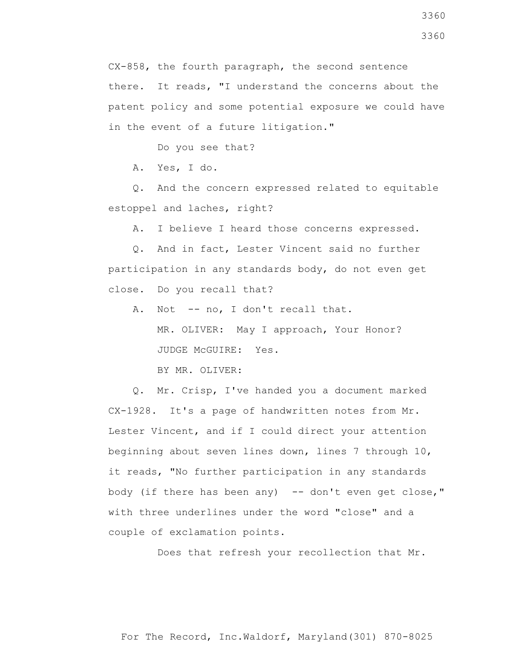CX-858, the fourth paragraph, the second sentence there. It reads, "I understand the concerns about the patent policy and some potential exposure we could have in the event of a future litigation."

Do you see that?

A. Yes, I do.

 Q. And the concern expressed related to equitable estoppel and laches, right?

A. I believe I heard those concerns expressed.

 Q. And in fact, Lester Vincent said no further participation in any standards body, do not even get close. Do you recall that?

 A. Not -- no, I don't recall that. MR. OLIVER: May I approach, Your Honor? JUDGE McGUIRE: Yes. BY MR. OLIVER:

 Q. Mr. Crisp, I've handed you a document marked CX-1928. It's a page of handwritten notes from Mr. Lester Vincent, and if I could direct your attention beginning about seven lines down, lines 7 through 10, it reads, "No further participation in any standards body (if there has been any) -- don't even get close," with three underlines under the word "close" and a couple of exclamation points.

Does that refresh your recollection that Mr.

3360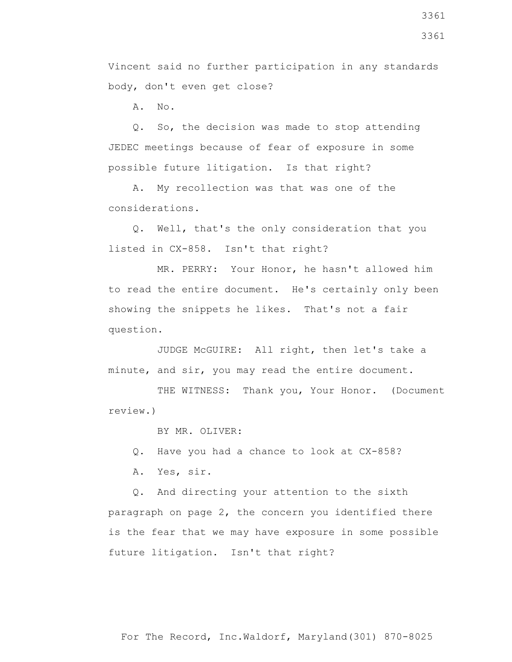Vincent said no further participation in any standards body, don't even get close?

A. No.

 Q. So, the decision was made to stop attending JEDEC meetings because of fear of exposure in some possible future litigation. Is that right?

 A. My recollection was that was one of the considerations.

 Q. Well, that's the only consideration that you listed in CX-858. Isn't that right?

 MR. PERRY: Your Honor, he hasn't allowed him to read the entire document. He's certainly only been showing the snippets he likes. That's not a fair question.

 JUDGE McGUIRE: All right, then let's take a minute, and sir, you may read the entire document.

THE WITNESS: Thank you, Your Honor. (Document review.)

BY MR. OLIVER:

Q. Have you had a chance to look at CX-858?

A. Yes, sir.

 Q. And directing your attention to the sixth paragraph on page 2, the concern you identified there is the fear that we may have exposure in some possible future litigation. Isn't that right?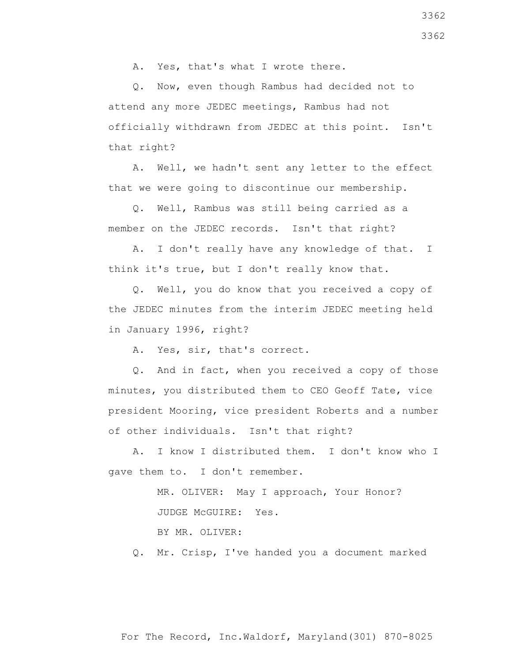A. Yes, that's what I wrote there.

 Q. Now, even though Rambus had decided not to attend any more JEDEC meetings, Rambus had not officially withdrawn from JEDEC at this point. Isn't that right?

 A. Well, we hadn't sent any letter to the effect that we were going to discontinue our membership.

 Q. Well, Rambus was still being carried as a member on the JEDEC records. Isn't that right?

 A. I don't really have any knowledge of that. I think it's true, but I don't really know that.

 Q. Well, you do know that you received a copy of the JEDEC minutes from the interim JEDEC meeting held in January 1996, right?

A. Yes, sir, that's correct.

 Q. And in fact, when you received a copy of those minutes, you distributed them to CEO Geoff Tate, vice president Mooring, vice president Roberts and a number of other individuals. Isn't that right?

 A. I know I distributed them. I don't know who I gave them to. I don't remember.

> MR. OLIVER: May I approach, Your Honor? JUDGE McGUIRE: Yes.

BY MR. OLIVER:

Q. Mr. Crisp, I've handed you a document marked

3362 3362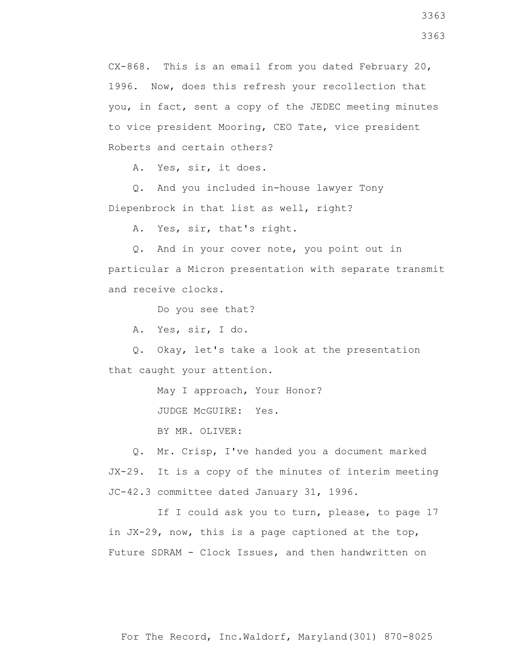CX-868. This is an email from you dated February 20, 1996. Now, does this refresh your recollection that you, in fact, sent a copy of the JEDEC meeting minutes to vice president Mooring, CEO Tate, vice president Roberts and certain others?

A. Yes, sir, it does.

 Q. And you included in-house lawyer Tony Diepenbrock in that list as well, right?

A. Yes, sir, that's right.

 Q. And in your cover note, you point out in particular a Micron presentation with separate transmit and receive clocks.

Do you see that?

A. Yes, sir, I do.

 Q. Okay, let's take a look at the presentation that caught your attention.

May I approach, Your Honor?

JUDGE McGUIRE: Yes.

BY MR. OLIVER:

 Q. Mr. Crisp, I've handed you a document marked JX-29. It is a copy of the minutes of interim meeting JC-42.3 committee dated January 31, 1996.

If I could ask you to turn, please, to page 17 in JX-29, now, this is a page captioned at the top, Future SDRAM - Clock Issues, and then handwritten on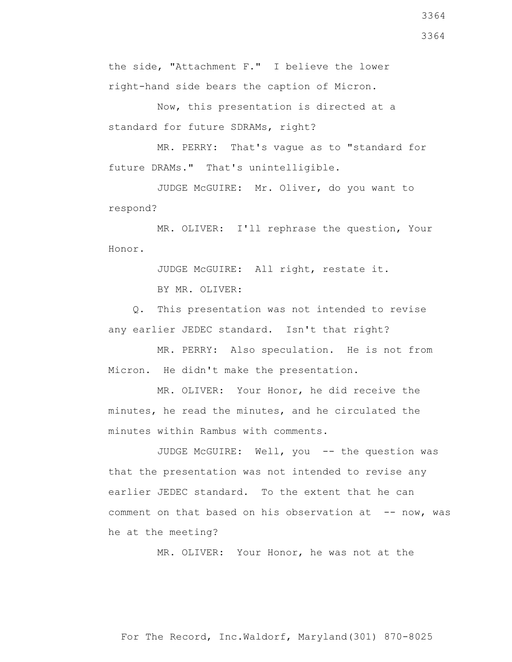the side, "Attachment F." I believe the lower right-hand side bears the caption of Micron.

 Now, this presentation is directed at a standard for future SDRAMs, right?

 MR. PERRY: That's vague as to "standard for future DRAMs." That's unintelligible.

 JUDGE McGUIRE: Mr. Oliver, do you want to respond?

 MR. OLIVER: I'll rephrase the question, Your Honor.

JUDGE McGUIRE: All right, restate it.

BY MR. OLIVER:

 Q. This presentation was not intended to revise any earlier JEDEC standard. Isn't that right?

 MR. PERRY: Also speculation. He is not from Micron. He didn't make the presentation.

 MR. OLIVER: Your Honor, he did receive the minutes, he read the minutes, and he circulated the minutes within Rambus with comments.

JUDGE McGUIRE: Well, you -- the question was that the presentation was not intended to revise any earlier JEDEC standard. To the extent that he can comment on that based on his observation at -- now, was he at the meeting?

MR. OLIVER: Your Honor, he was not at the

3364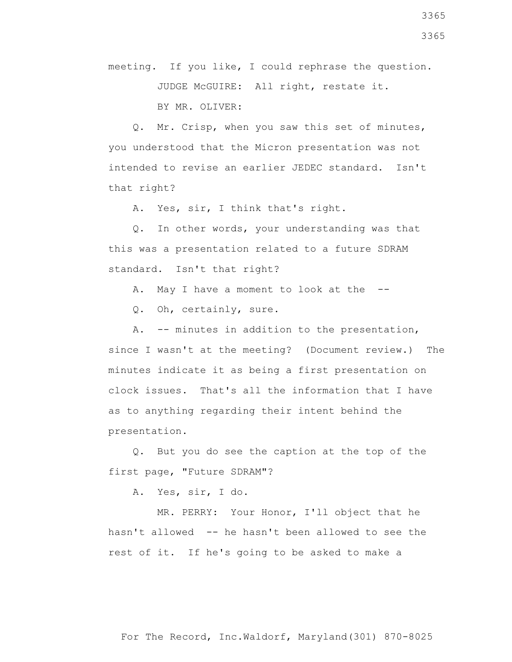3365

3365

meeting. If you like, I could rephrase the question. JUDGE McGUIRE: All right, restate it.

BY MR. OLIVER:

 Q. Mr. Crisp, when you saw this set of minutes, you understood that the Micron presentation was not intended to revise an earlier JEDEC standard. Isn't that right?

A. Yes, sir, I think that's right.

 Q. In other words, your understanding was that this was a presentation related to a future SDRAM standard. Isn't that right?

A. May I have a moment to look at the --

Q. Oh, certainly, sure.

 A. -- minutes in addition to the presentation, since I wasn't at the meeting? (Document review.) The minutes indicate it as being a first presentation on clock issues. That's all the information that I have as to anything regarding their intent behind the presentation.

 Q. But you do see the caption at the top of the first page, "Future SDRAM"?

A. Yes, sir, I do.

 MR. PERRY: Your Honor, I'll object that he hasn't allowed -- he hasn't been allowed to see the rest of it. If he's going to be asked to make a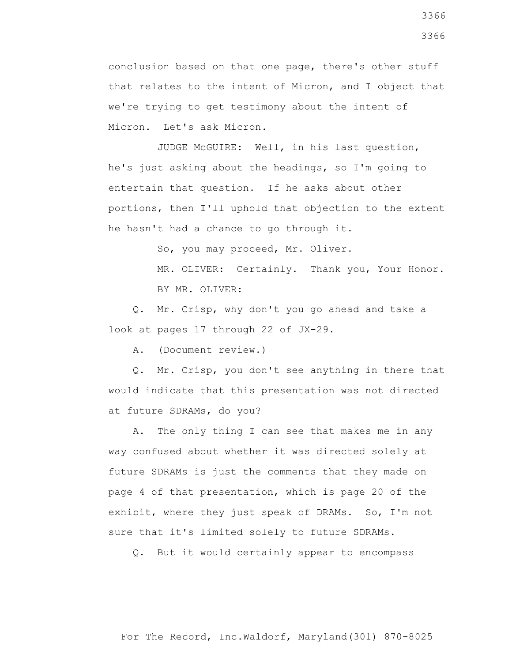conclusion based on that one page, there's other stuff that relates to the intent of Micron, and I object that we're trying to get testimony about the intent of Micron. Let's ask Micron.

 JUDGE McGUIRE: Well, in his last question, he's just asking about the headings, so I'm going to entertain that question. If he asks about other portions, then I'll uphold that objection to the extent he hasn't had a chance to go through it.

So, you may proceed, Mr. Oliver.

MR. OLIVER: Certainly. Thank you, Your Honor. BY MR. OLIVER:

 Q. Mr. Crisp, why don't you go ahead and take a look at pages 17 through 22 of JX-29.

A. (Document review.)

 Q. Mr. Crisp, you don't see anything in there that would indicate that this presentation was not directed at future SDRAMs, do you?

 A. The only thing I can see that makes me in any way confused about whether it was directed solely at future SDRAMs is just the comments that they made on page 4 of that presentation, which is page 20 of the exhibit, where they just speak of DRAMs. So, I'm not sure that it's limited solely to future SDRAMs.

Q. But it would certainly appear to encompass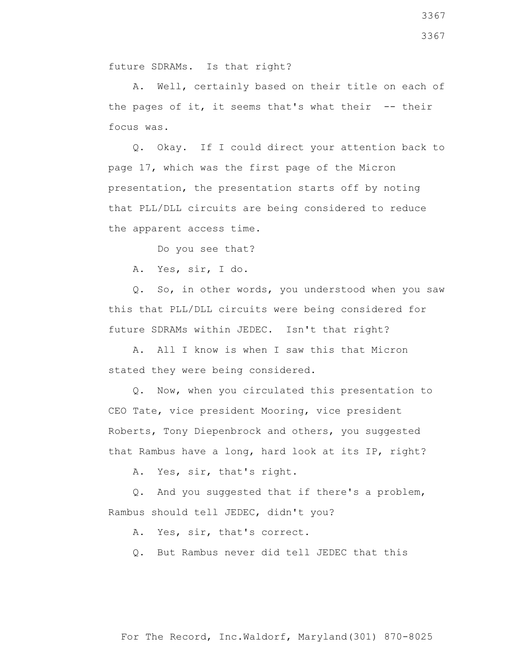A. Well, certainly based on their title on each of the pages of it, it seems that's what their  $-$ - their focus was.

 Q. Okay. If I could direct your attention back to page 17, which was the first page of the Micron presentation, the presentation starts off by noting that PLL/DLL circuits are being considered to reduce the apparent access time.

Do you see that?

future SDRAMs. Is that right?

A. Yes, sir, I do.

 Q. So, in other words, you understood when you saw this that PLL/DLL circuits were being considered for future SDRAMs within JEDEC. Isn't that right?

 A. All I know is when I saw this that Micron stated they were being considered.

 Q. Now, when you circulated this presentation to CEO Tate, vice president Mooring, vice president Roberts, Tony Diepenbrock and others, you suggested that Rambus have a long, hard look at its IP, right?

A. Yes, sir, that's right.

 Q. And you suggested that if there's a problem, Rambus should tell JEDEC, didn't you?

A. Yes, sir, that's correct.

Q. But Rambus never did tell JEDEC that this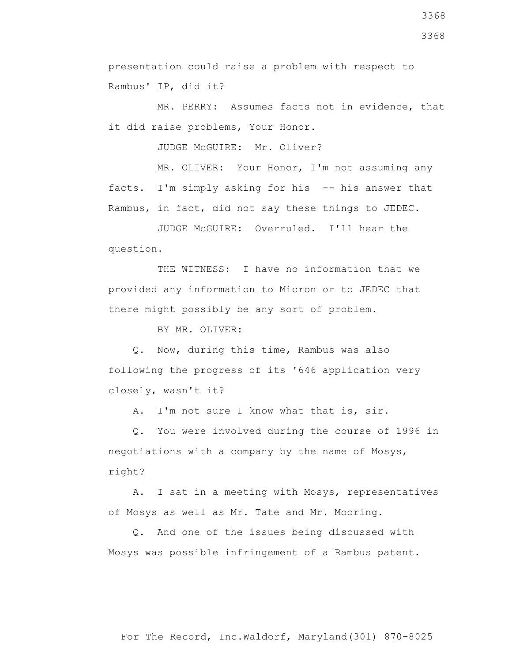presentation could raise a problem with respect to Rambus' IP, did it?

 MR. PERRY: Assumes facts not in evidence, that it did raise problems, Your Honor.

JUDGE McGUIRE: Mr. Oliver?

 MR. OLIVER: Your Honor, I'm not assuming any facts. I'm simply asking for his -- his answer that Rambus, in fact, did not say these things to JEDEC.

 JUDGE McGUIRE: Overruled. I'll hear the question.

THE WITNESS: I have no information that we provided any information to Micron or to JEDEC that there might possibly be any sort of problem.

BY MR. OLIVER:

 Q. Now, during this time, Rambus was also following the progress of its '646 application very closely, wasn't it?

A. I'm not sure I know what that is, sir.

 Q. You were involved during the course of 1996 in negotiations with a company by the name of Mosys, right?

 A. I sat in a meeting with Mosys, representatives of Mosys as well as Mr. Tate and Mr. Mooring.

 Q. And one of the issues being discussed with Mosys was possible infringement of a Rambus patent.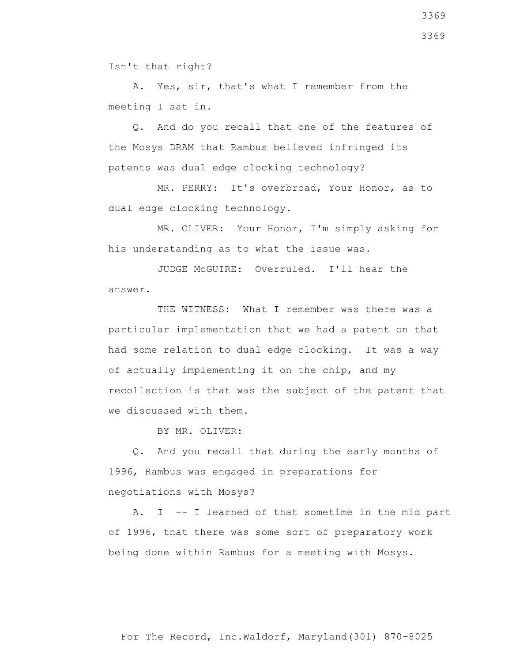Isn't that right?

 A. Yes, sir, that's what I remember from the meeting I sat in.

 Q. And do you recall that one of the features of the Mosys DRAM that Rambus believed infringed its patents was dual edge clocking technology?

 MR. PERRY: It's overbroad, Your Honor, as to dual edge clocking technology.

 MR. OLIVER: Your Honor, I'm simply asking for his understanding as to what the issue was.

 JUDGE McGUIRE: Overruled. I'll hear the answer.

THE WITNESS: What I remember was there was a particular implementation that we had a patent on that had some relation to dual edge clocking. It was a way of actually implementing it on the chip, and my recollection is that was the subject of the patent that we discussed with them.

BY MR. OLIVER:

 Q. And you recall that during the early months of 1996, Rambus was engaged in preparations for negotiations with Mosys?

 A. I -- I learned of that sometime in the mid part of 1996, that there was some sort of preparatory work being done within Rambus for a meeting with Mosys.

3369 3369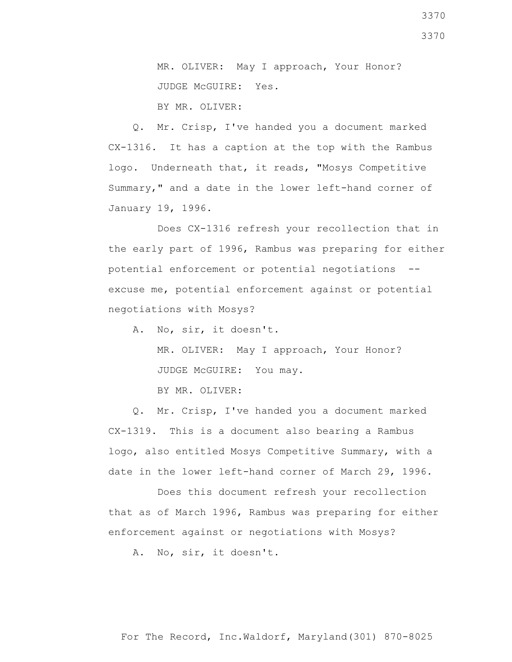MR. OLIVER: May I approach, Your Honor? JUDGE McGUIRE: Yes. BY MR. OLIVER:

 Q. Mr. Crisp, I've handed you a document marked CX-1316. It has a caption at the top with the Rambus logo. Underneath that, it reads, "Mosys Competitive Summary," and a date in the lower left-hand corner of January 19, 1996.

 Does CX-1316 refresh your recollection that in the early part of 1996, Rambus was preparing for either potential enforcement or potential negotiations - excuse me, potential enforcement against or potential negotiations with Mosys?

A. No, sir, it doesn't.

 MR. OLIVER: May I approach, Your Honor? JUDGE McGUIRE: You may.

BY MR. OLIVER:

 Q. Mr. Crisp, I've handed you a document marked CX-1319. This is a document also bearing a Rambus logo, also entitled Mosys Competitive Summary, with a date in the lower left-hand corner of March 29, 1996.

 Does this document refresh your recollection that as of March 1996, Rambus was preparing for either enforcement against or negotiations with Mosys?

A. No, sir, it doesn't.

3370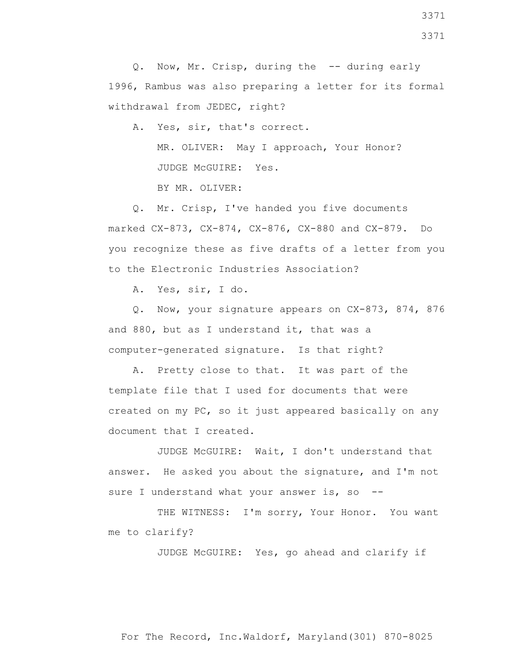Q. Now, Mr. Crisp, during the -- during early 1996, Rambus was also preparing a letter for its formal withdrawal from JEDEC, right?

A. Yes, sir, that's correct.

 MR. OLIVER: May I approach, Your Honor? JUDGE McGUIRE: Yes.

BY MR. OLIVER:

 Q. Mr. Crisp, I've handed you five documents marked CX-873, CX-874, CX-876, CX-880 and CX-879. Do you recognize these as five drafts of a letter from you to the Electronic Industries Association?

A. Yes, sir, I do.

 Q. Now, your signature appears on CX-873, 874, 876 and 880, but as I understand it, that was a computer-generated signature. Is that right?

 A. Pretty close to that. It was part of the template file that I used for documents that were created on my PC, so it just appeared basically on any document that I created.

 JUDGE McGUIRE: Wait, I don't understand that answer. He asked you about the signature, and I'm not sure I understand what your answer is, so --

THE WITNESS: I'm sorry, Your Honor. You want me to clarify?

JUDGE McGUIRE: Yes, go ahead and clarify if

For The Record, Inc.Waldorf, Maryland(301) 870-8025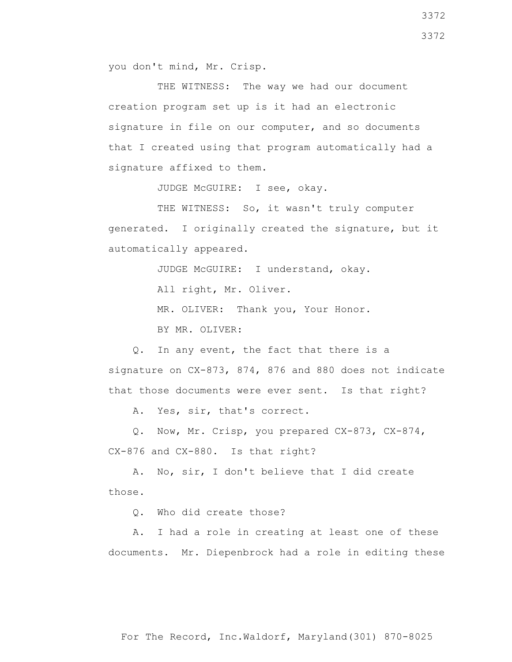THE WITNESS: The way we had our document creation program set up is it had an electronic signature in file on our computer, and so documents that I created using that program automatically had a signature affixed to them.

JUDGE McGUIRE: I see, okay.

THE WITNESS: So, it wasn't truly computer generated. I originally created the signature, but it automatically appeared.

JUDGE McGUIRE: I understand, okay.

All right, Mr. Oliver.

MR. OLIVER: Thank you, Your Honor.

BY MR. OLIVER:

 Q. In any event, the fact that there is a signature on CX-873, 874, 876 and 880 does not indicate that those documents were ever sent. Is that right?

A. Yes, sir, that's correct.

 Q. Now, Mr. Crisp, you prepared CX-873, CX-874, CX-876 and CX-880. Is that right?

 A. No, sir, I don't believe that I did create those.

Q. Who did create those?

 A. I had a role in creating at least one of these documents. Mr. Diepenbrock had a role in editing these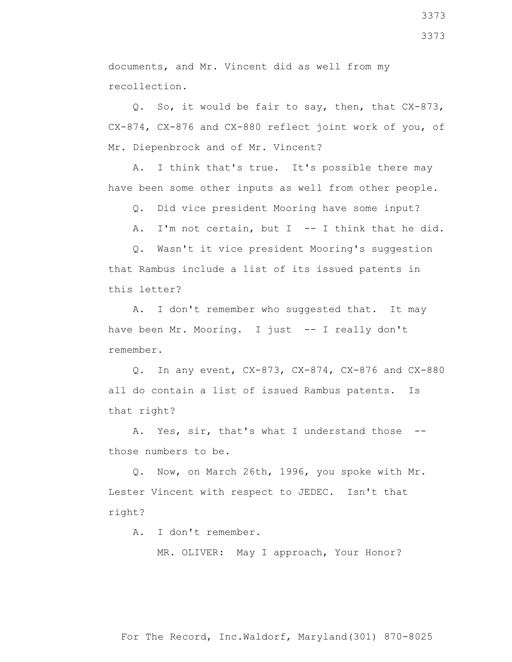documents, and Mr. Vincent did as well from my recollection.

 Q. So, it would be fair to say, then, that CX-873, CX-874, CX-876 and CX-880 reflect joint work of you, of Mr. Diepenbrock and of Mr. Vincent?

 A. I think that's true. It's possible there may have been some other inputs as well from other people.

Q. Did vice president Mooring have some input?

A. I'm not certain, but I -- I think that he did.

 Q. Wasn't it vice president Mooring's suggestion that Rambus include a list of its issued patents in this letter?

 A. I don't remember who suggested that. It may have been Mr. Mooring. I just -- I really don't remember.

 Q. In any event, CX-873, CX-874, CX-876 and CX-880 all do contain a list of issued Rambus patents. Is that right?

A. Yes, sir, that's what I understand those -those numbers to be.

 Q. Now, on March 26th, 1996, you spoke with Mr. Lester Vincent with respect to JEDEC. Isn't that right?

A. I don't remember.

MR. OLIVER: May I approach, Your Honor?

3373 3373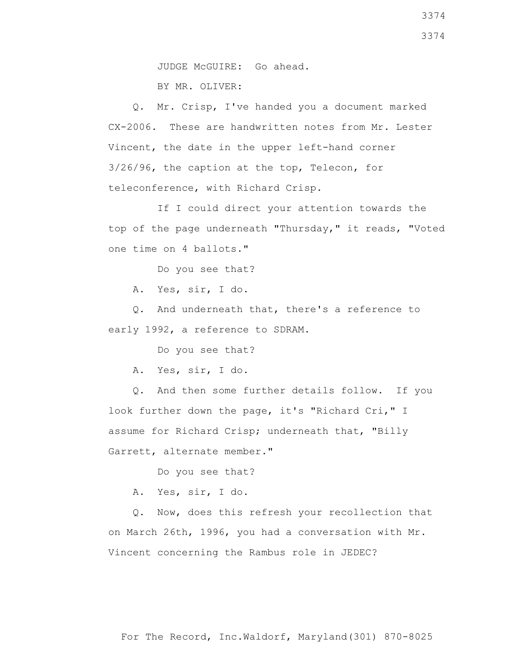Q. Mr. Crisp, I've handed you a document marked CX-2006. These are handwritten notes from Mr. Lester Vincent, the date in the upper left-hand corner 3/26/96, the caption at the top, Telecon, for teleconference, with Richard Crisp.

 If I could direct your attention towards the top of the page underneath "Thursday," it reads, "Voted one time on 4 ballots."

Do you see that?

A. Yes, sir, I do.

 Q. And underneath that, there's a reference to early 1992, a reference to SDRAM.

Do you see that?

A. Yes, sir, I do.

 Q. And then some further details follow. If you look further down the page, it's "Richard Cri," I assume for Richard Crisp; underneath that, "Billy Garrett, alternate member."

Do you see that?

A. Yes, sir, I do.

 Q. Now, does this refresh your recollection that on March 26th, 1996, you had a conversation with Mr. Vincent concerning the Rambus role in JEDEC?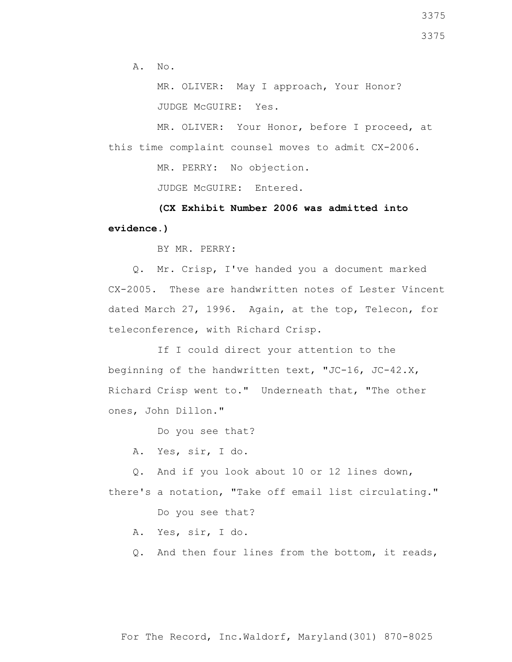A. No.

 MR. OLIVER: May I approach, Your Honor? JUDGE McGUIRE: Yes.

 MR. OLIVER: Your Honor, before I proceed, at this time complaint counsel moves to admit CX-2006.

MR. PERRY: No objection.

JUDGE McGUIRE: Entered.

 **(CX Exhibit Number 2006 was admitted into evidence.)**

BY MR. PERRY:

 Q. Mr. Crisp, I've handed you a document marked CX-2005. These are handwritten notes of Lester Vincent dated March 27, 1996. Again, at the top, Telecon, for teleconference, with Richard Crisp.

 If I could direct your attention to the beginning of the handwritten text, "JC-16, JC-42.X, Richard Crisp went to." Underneath that, "The other ones, John Dillon."

Do you see that?

A. Yes, sir, I do.

 Q. And if you look about 10 or 12 lines down, there's a notation, "Take off email list circulating."

Do you see that?

- A. Yes, sir, I do.
- Q. And then four lines from the bottom, it reads,

For The Record, Inc.Waldorf, Maryland(301) 870-8025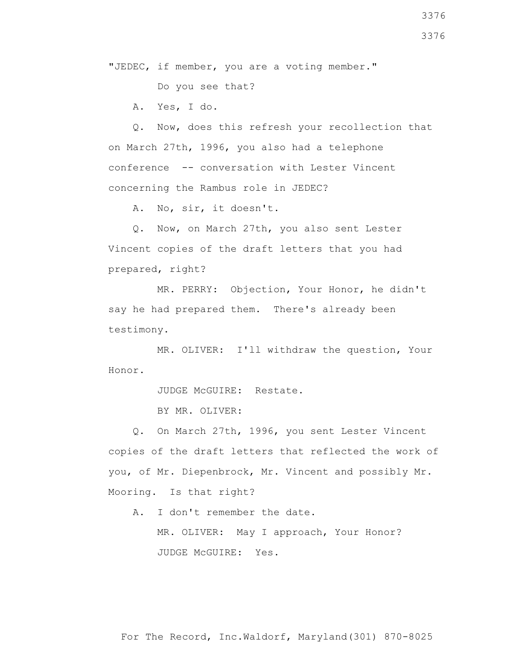"JEDEC, if member, you are a voting member."

Do you see that?

A. Yes, I do.

 Q. Now, does this refresh your recollection that on March 27th, 1996, you also had a telephone conference -- conversation with Lester Vincent concerning the Rambus role in JEDEC?

A. No, sir, it doesn't.

 Q. Now, on March 27th, you also sent Lester Vincent copies of the draft letters that you had prepared, right?

 MR. PERRY: Objection, Your Honor, he didn't say he had prepared them. There's already been testimony.

 MR. OLIVER: I'll withdraw the question, Your Honor.

JUDGE McGUIRE: Restate.

BY MR. OLIVER:

 Q. On March 27th, 1996, you sent Lester Vincent copies of the draft letters that reflected the work of you, of Mr. Diepenbrock, Mr. Vincent and possibly Mr. Mooring. Is that right?

A. I don't remember the date.

 MR. OLIVER: May I approach, Your Honor? JUDGE McGUIRE: Yes.

3376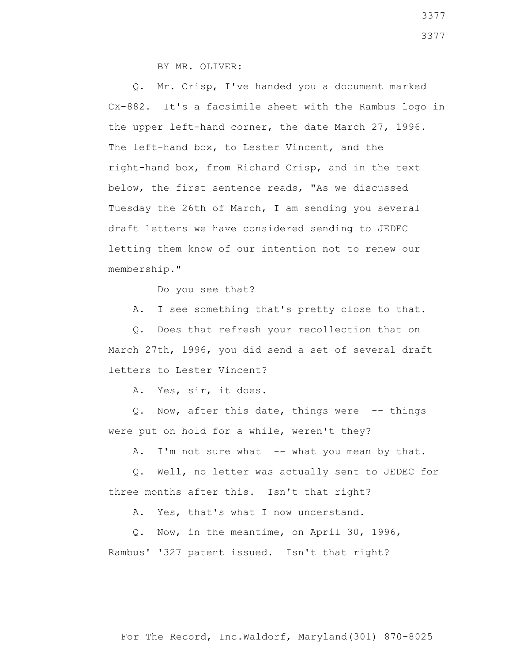BY MR. OLIVER:

 Q. Mr. Crisp, I've handed you a document marked CX-882. It's a facsimile sheet with the Rambus logo in the upper left-hand corner, the date March 27, 1996. The left-hand box, to Lester Vincent, and the right-hand box, from Richard Crisp, and in the text below, the first sentence reads, "As we discussed Tuesday the 26th of March, I am sending you several draft letters we have considered sending to JEDEC letting them know of our intention not to renew our membership."

Do you see that?

A. I see something that's pretty close to that.

 Q. Does that refresh your recollection that on March 27th, 1996, you did send a set of several draft letters to Lester Vincent?

A. Yes, sir, it does.

 Q. Now, after this date, things were -- things were put on hold for a while, weren't they?

A. I'm not sure what -- what you mean by that.

 Q. Well, no letter was actually sent to JEDEC for three months after this. Isn't that right?

A. Yes, that's what I now understand.

 Q. Now, in the meantime, on April 30, 1996, Rambus' '327 patent issued. Isn't that right?

For The Record, Inc.Waldorf, Maryland(301) 870-8025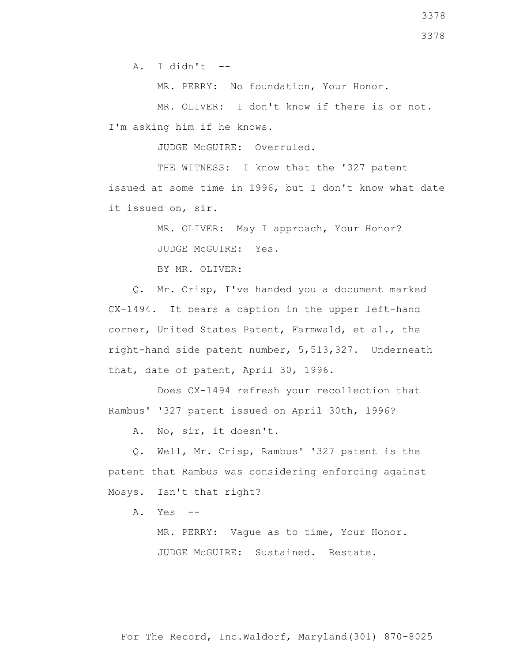$A.$  I didn't  $-$ 

MR. PERRY: No foundation, Your Honor.

 MR. OLIVER: I don't know if there is or not. I'm asking him if he knows.

JUDGE McGUIRE: Overruled.

THE WITNESS: I know that the '327 patent issued at some time in 1996, but I don't know what date it issued on, sir.

MR. OLIVER: May I approach, Your Honor?

JUDGE McGUIRE: Yes.

BY MR. OLIVER:

 Q. Mr. Crisp, I've handed you a document marked CX-1494. It bears a caption in the upper left-hand corner, United States Patent, Farmwald, et al., the right-hand side patent number, 5,513,327. Underneath that, date of patent, April 30, 1996.

 Does CX-1494 refresh your recollection that Rambus' '327 patent issued on April 30th, 1996?

A. No, sir, it doesn't.

 Q. Well, Mr. Crisp, Rambus' '327 patent is the patent that Rambus was considering enforcing against Mosys. Isn't that right?

A. Yes --

 MR. PERRY: Vague as to time, Your Honor. JUDGE McGUIRE: Sustained. Restate.

3378

3378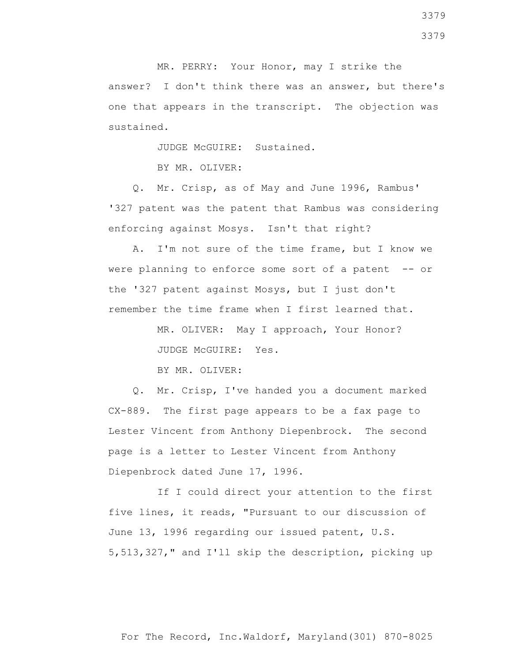MR. PERRY: Your Honor, may I strike the answer? I don't think there was an answer, but there's one that appears in the transcript. The objection was sustained.

JUDGE McGUIRE: Sustained.

BY MR. OLIVER:

 Q. Mr. Crisp, as of May and June 1996, Rambus' '327 patent was the patent that Rambus was considering enforcing against Mosys. Isn't that right?

 A. I'm not sure of the time frame, but I know we were planning to enforce some sort of a patent -- or the '327 patent against Mosys, but I just don't remember the time frame when I first learned that.

> MR. OLIVER: May I approach, Your Honor? JUDGE McGUIRE: Yes.

BY MR. OLIVER:

 Q. Mr. Crisp, I've handed you a document marked CX-889. The first page appears to be a fax page to Lester Vincent from Anthony Diepenbrock. The second page is a letter to Lester Vincent from Anthony Diepenbrock dated June 17, 1996.

 If I could direct your attention to the first five lines, it reads, "Pursuant to our discussion of June 13, 1996 regarding our issued patent, U.S. 5,513,327," and I'll skip the description, picking up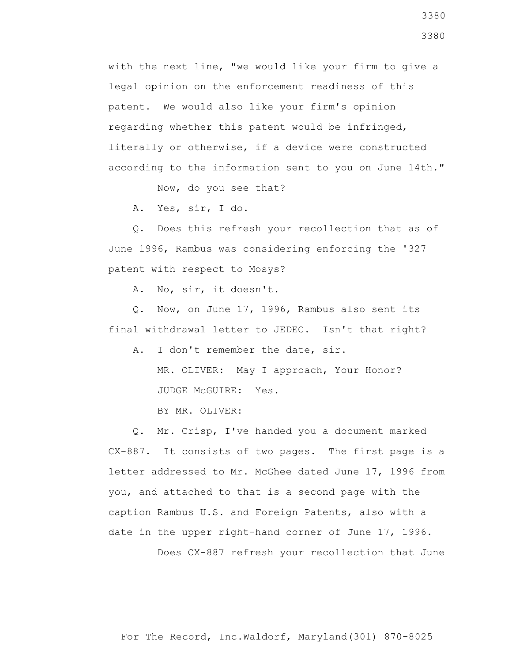with the next line, "we would like your firm to give a legal opinion on the enforcement readiness of this patent. We would also like your firm's opinion regarding whether this patent would be infringed, literally or otherwise, if a device were constructed according to the information sent to you on June 14th."

Now, do you see that?

A. Yes, sir, I do.

 Q. Does this refresh your recollection that as of June 1996, Rambus was considering enforcing the '327 patent with respect to Mosys?

A. No, sir, it doesn't.

 Q. Now, on June 17, 1996, Rambus also sent its final withdrawal letter to JEDEC. Isn't that right?

A. I don't remember the date, sir.

 MR. OLIVER: May I approach, Your Honor? JUDGE McGUIRE: Yes.

BY MR. OLIVER:

 Q. Mr. Crisp, I've handed you a document marked CX-887. It consists of two pages. The first page is a letter addressed to Mr. McGhee dated June 17, 1996 from you, and attached to that is a second page with the caption Rambus U.S. and Foreign Patents, also with a date in the upper right-hand corner of June 17, 1996.

Does CX-887 refresh your recollection that June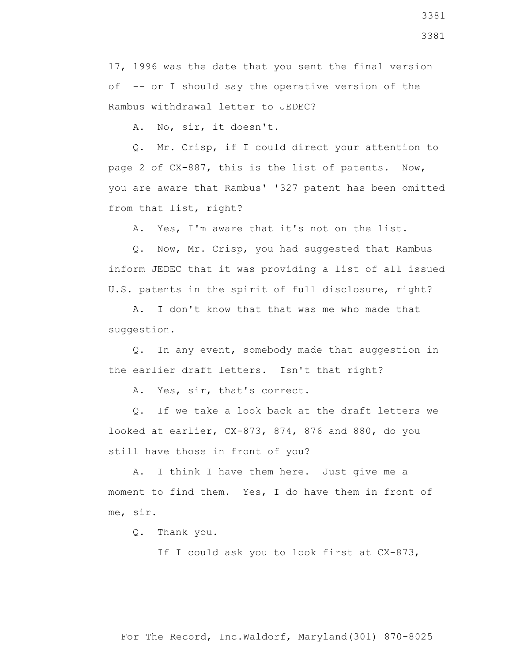17, 1996 was the date that you sent the final version of -- or I should say the operative version of the Rambus withdrawal letter to JEDEC?

A. No, sir, it doesn't.

 Q. Mr. Crisp, if I could direct your attention to page 2 of CX-887, this is the list of patents. Now, you are aware that Rambus' '327 patent has been omitted from that list, right?

A. Yes, I'm aware that it's not on the list.

 Q. Now, Mr. Crisp, you had suggested that Rambus inform JEDEC that it was providing a list of all issued U.S. patents in the spirit of full disclosure, right?

 A. I don't know that that was me who made that suggestion.

 Q. In any event, somebody made that suggestion in the earlier draft letters. Isn't that right?

A. Yes, sir, that's correct.

 Q. If we take a look back at the draft letters we looked at earlier, CX-873, 874, 876 and 880, do you still have those in front of you?

 A. I think I have them here. Just give me a moment to find them. Yes, I do have them in front of me, sir.

Q. Thank you.

If I could ask you to look first at CX-873,

For The Record, Inc.Waldorf, Maryland(301) 870-8025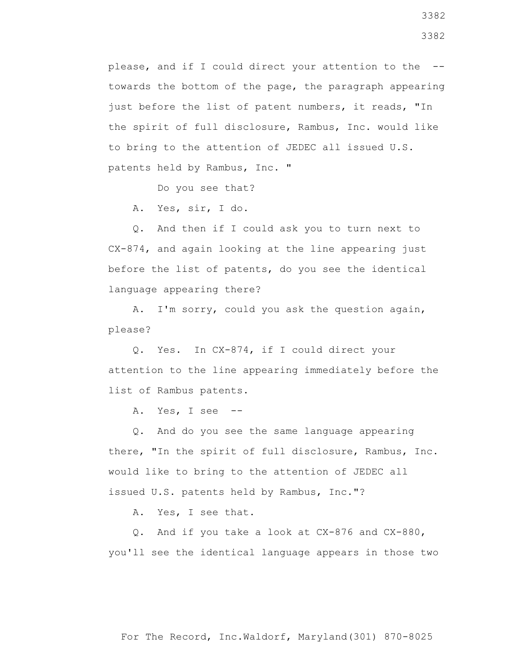please, and if I could direct your attention to the - towards the bottom of the page, the paragraph appearing just before the list of patent numbers, it reads, "In the spirit of full disclosure, Rambus, Inc. would like to bring to the attention of JEDEC all issued U.S. patents held by Rambus, Inc. "

Do you see that?

A. Yes, sir, I do.

 Q. And then if I could ask you to turn next to CX-874, and again looking at the line appearing just before the list of patents, do you see the identical language appearing there?

 A. I'm sorry, could you ask the question again, please?

 Q. Yes. In CX-874, if I could direct your attention to the line appearing immediately before the list of Rambus patents.

A. Yes, I see --

 Q. And do you see the same language appearing there, "In the spirit of full disclosure, Rambus, Inc. would like to bring to the attention of JEDEC all issued U.S. patents held by Rambus, Inc."?

A. Yes, I see that.

 Q. And if you take a look at CX-876 and CX-880, you'll see the identical language appears in those two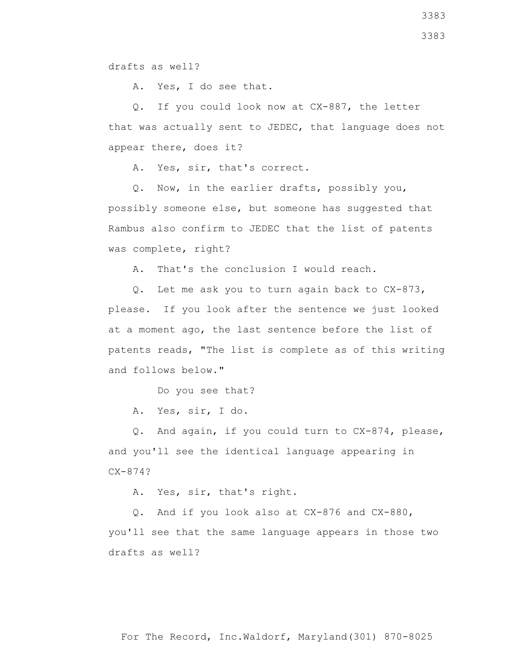drafts as well?

A. Yes, I do see that.

 Q. If you could look now at CX-887, the letter that was actually sent to JEDEC, that language does not appear there, does it?

A. Yes, sir, that's correct.

Q. Now, in the earlier drafts, possibly you,

possibly someone else, but someone has suggested that Rambus also confirm to JEDEC that the list of patents was complete, right?

A. That's the conclusion I would reach.

 Q. Let me ask you to turn again back to CX-873, please. If you look after the sentence we just looked at a moment ago, the last sentence before the list of patents reads, "The list is complete as of this writing and follows below."

Do you see that?

A. Yes, sir, I do.

 Q. And again, if you could turn to CX-874, please, and you'll see the identical language appearing in CX-874?

A. Yes, sir, that's right.

 Q. And if you look also at CX-876 and CX-880, you'll see that the same language appears in those two drafts as well?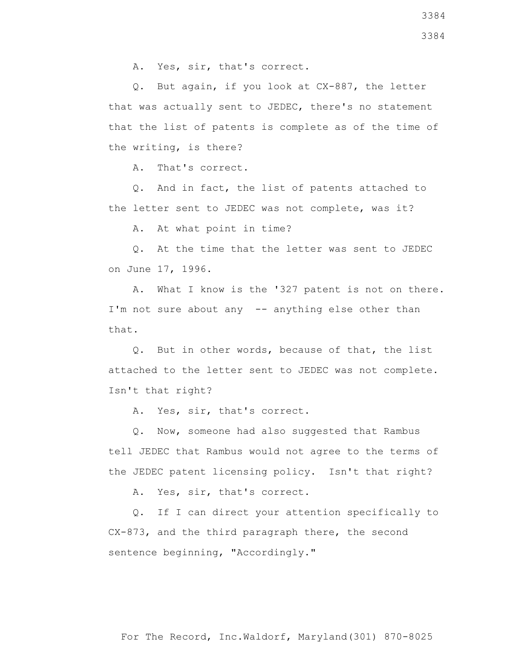Q. But again, if you look at CX-887, the letter that was actually sent to JEDEC, there's no statement that the list of patents is complete as of the time of the writing, is there?

A. That's correct.

 Q. And in fact, the list of patents attached to the letter sent to JEDEC was not complete, was it?

A. At what point in time?

 Q. At the time that the letter was sent to JEDEC on June 17, 1996.

 A. What I know is the '327 patent is not on there. I'm not sure about any -- anything else other than that.

 Q. But in other words, because of that, the list attached to the letter sent to JEDEC was not complete. Isn't that right?

A. Yes, sir, that's correct.

 Q. Now, someone had also suggested that Rambus tell JEDEC that Rambus would not agree to the terms of the JEDEC patent licensing policy. Isn't that right?

A. Yes, sir, that's correct.

 Q. If I can direct your attention specifically to CX-873, and the third paragraph there, the second sentence beginning, "Accordingly."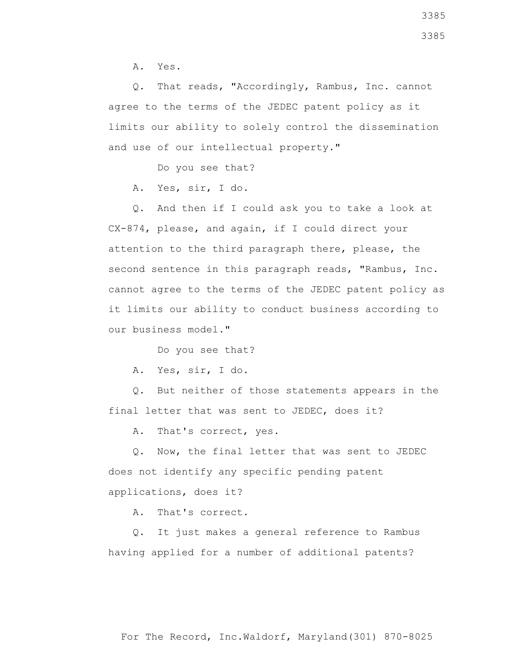A. Yes.

 Q. That reads, "Accordingly, Rambus, Inc. cannot agree to the terms of the JEDEC patent policy as it limits our ability to solely control the dissemination and use of our intellectual property."

Do you see that?

A. Yes, sir, I do.

 Q. And then if I could ask you to take a look at CX-874, please, and again, if I could direct your attention to the third paragraph there, please, the second sentence in this paragraph reads, "Rambus, Inc. cannot agree to the terms of the JEDEC patent policy as it limits our ability to conduct business according to our business model."

Do you see that?

A. Yes, sir, I do.

 Q. But neither of those statements appears in the final letter that was sent to JEDEC, does it?

A. That's correct, yes.

 Q. Now, the final letter that was sent to JEDEC does not identify any specific pending patent applications, does it?

A. That's correct.

 Q. It just makes a general reference to Rambus having applied for a number of additional patents?

For The Record, Inc.Waldorf, Maryland(301) 870-8025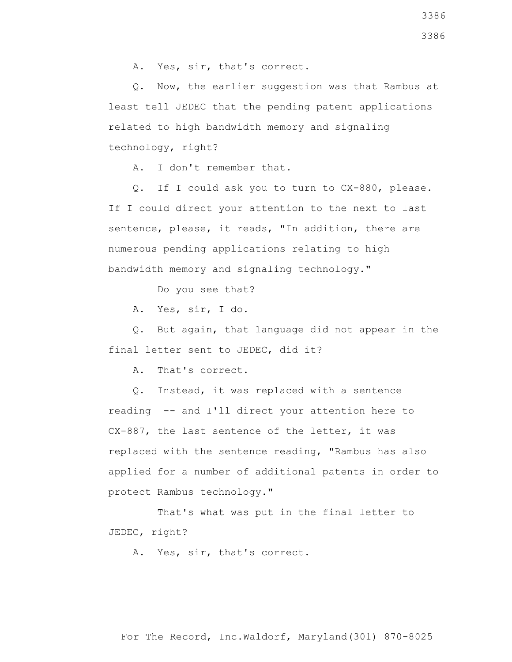A. Yes, sir, that's correct.

 Q. Now, the earlier suggestion was that Rambus at least tell JEDEC that the pending patent applications related to high bandwidth memory and signaling technology, right?

A. I don't remember that.

 Q. If I could ask you to turn to CX-880, please. If I could direct your attention to the next to last sentence, please, it reads, "In addition, there are numerous pending applications relating to high bandwidth memory and signaling technology."

Do you see that?

A. Yes, sir, I do.

 Q. But again, that language did not appear in the final letter sent to JEDEC, did it?

A. That's correct.

 Q. Instead, it was replaced with a sentence reading -- and I'll direct your attention here to CX-887, the last sentence of the letter, it was replaced with the sentence reading, "Rambus has also applied for a number of additional patents in order to protect Rambus technology."

 That's what was put in the final letter to JEDEC, right?

A. Yes, sir, that's correct.

For The Record, Inc.Waldorf, Maryland(301) 870-8025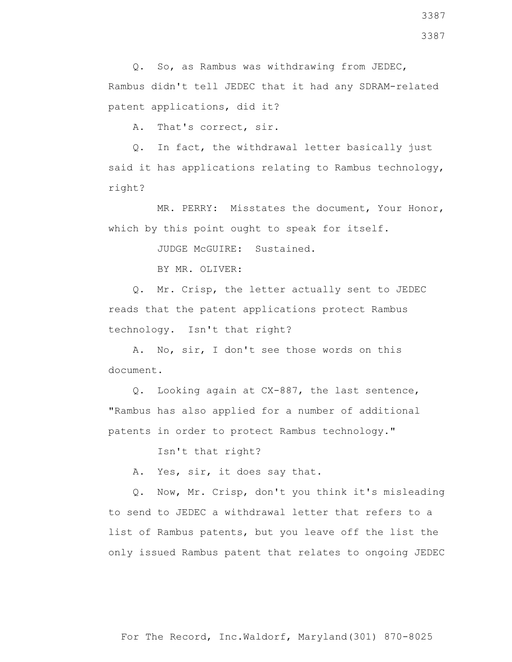A. That's correct, sir.

 Q. In fact, the withdrawal letter basically just said it has applications relating to Rambus technology, right?

 MR. PERRY: Misstates the document, Your Honor, which by this point ought to speak for itself.

JUDGE McGUIRE: Sustained.

BY MR. OLIVER:

 Q. Mr. Crisp, the letter actually sent to JEDEC reads that the patent applications protect Rambus technology. Isn't that right?

 A. No, sir, I don't see those words on this document.

 Q. Looking again at CX-887, the last sentence, "Rambus has also applied for a number of additional patents in order to protect Rambus technology."

Isn't that right?

A. Yes, sir, it does say that.

 Q. Now, Mr. Crisp, don't you think it's misleading to send to JEDEC a withdrawal letter that refers to a list of Rambus patents, but you leave off the list the only issued Rambus patent that relates to ongoing JEDEC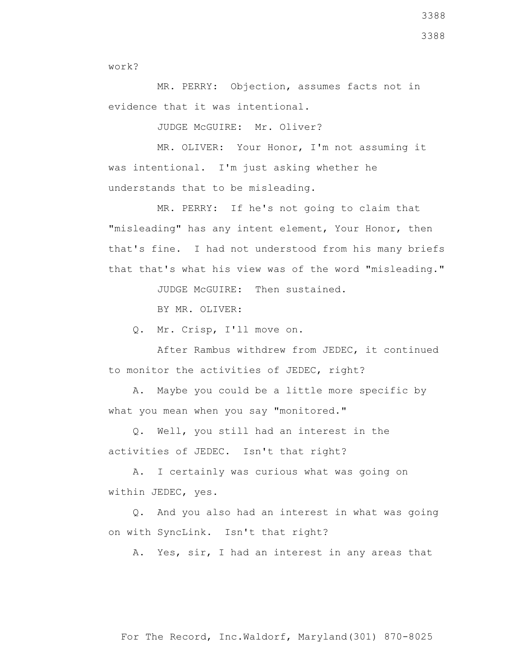work?

 MR. PERRY: Objection, assumes facts not in evidence that it was intentional.

JUDGE McGUIRE: Mr. Oliver?

 MR. OLIVER: Your Honor, I'm not assuming it was intentional. I'm just asking whether he understands that to be misleading.

 MR. PERRY: If he's not going to claim that "misleading" has any intent element, Your Honor, then that's fine. I had not understood from his many briefs that that's what his view was of the word "misleading."

JUDGE McGUIRE: Then sustained.

BY MR. OLIVER:

Q. Mr. Crisp, I'll move on.

 After Rambus withdrew from JEDEC, it continued to monitor the activities of JEDEC, right?

 A. Maybe you could be a little more specific by what you mean when you say "monitored."

 Q. Well, you still had an interest in the activities of JEDEC. Isn't that right?

 A. I certainly was curious what was going on within JEDEC, yes.

 Q. And you also had an interest in what was going on with SyncLink. Isn't that right?

A. Yes, sir, I had an interest in any areas that

3388 3388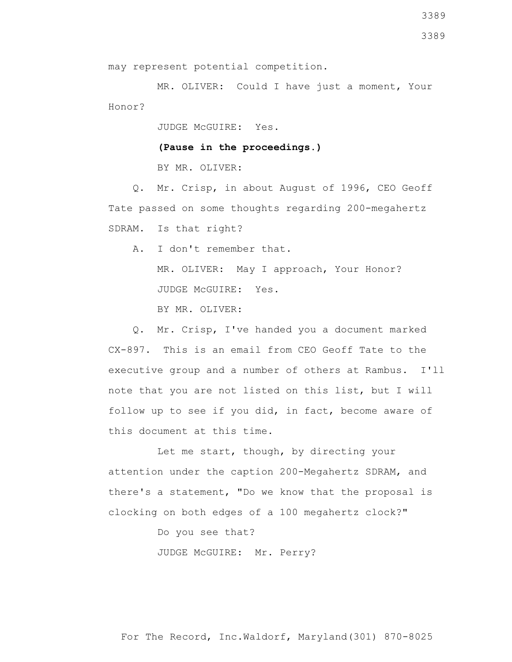may represent potential competition.

 MR. OLIVER: Could I have just a moment, Your Honor?

JUDGE McGUIRE: Yes.

**(Pause in the proceedings.)**

BY MR. OLIVER:

 Q. Mr. Crisp, in about August of 1996, CEO Geoff Tate passed on some thoughts regarding 200-megahertz SDRAM. Is that right?

 A. I don't remember that. MR. OLIVER: May I approach, Your Honor? JUDGE McGUIRE: Yes.

BY MR. OLIVER:

 Q. Mr. Crisp, I've handed you a document marked CX-897. This is an email from CEO Geoff Tate to the executive group and a number of others at Rambus. I'll note that you are not listed on this list, but I will follow up to see if you did, in fact, become aware of this document at this time.

 Let me start, though, by directing your attention under the caption 200-Megahertz SDRAM, and there's a statement, "Do we know that the proposal is clocking on both edges of a 100 megahertz clock?"

Do you see that?

JUDGE McGUIRE: Mr. Perry?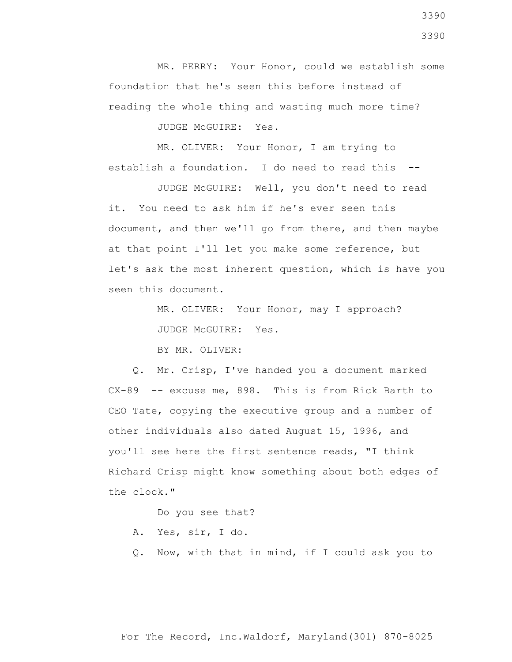MR. PERRY: Your Honor, could we establish some foundation that he's seen this before instead of reading the whole thing and wasting much more time?

JUDGE McGUIRE: Yes.

 MR. OLIVER: Your Honor, I am trying to establish a foundation. I do need to read this --

 JUDGE McGUIRE: Well, you don't need to read it. You need to ask him if he's ever seen this document, and then we'll go from there, and then maybe at that point I'll let you make some reference, but let's ask the most inherent question, which is have you seen this document.

> MR. OLIVER: Your Honor, may I approach? JUDGE McGUIRE: Yes.

BY MR. OLIVER:

 Q. Mr. Crisp, I've handed you a document marked CX-89 -- excuse me, 898. This is from Rick Barth to CEO Tate, copying the executive group and a number of other individuals also dated August 15, 1996, and you'll see here the first sentence reads, "I think Richard Crisp might know something about both edges of the clock."

Do you see that?

- A. Yes, sir, I do.
- Q. Now, with that in mind, if I could ask you to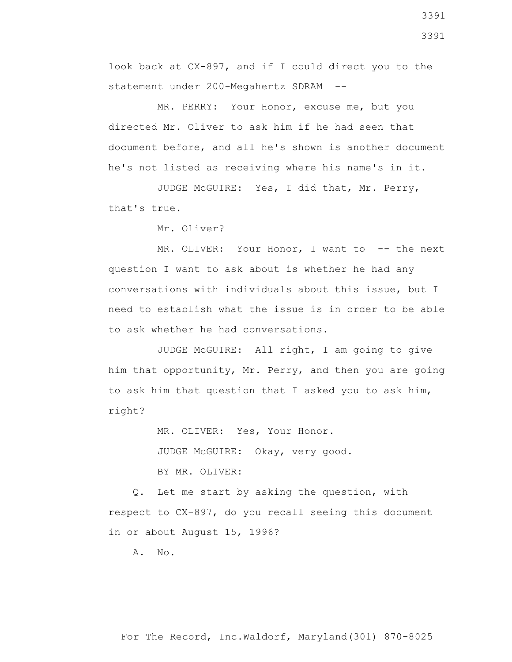look back at CX-897, and if I could direct you to the statement under 200-Megahertz SDRAM --

 MR. PERRY: Your Honor, excuse me, but you directed Mr. Oliver to ask him if he had seen that document before, and all he's shown is another document he's not listed as receiving where his name's in it.

 JUDGE McGUIRE: Yes, I did that, Mr. Perry, that's true.

Mr. Oliver?

MR. OLIVER: Your Honor, I want to -- the next question I want to ask about is whether he had any conversations with individuals about this issue, but I need to establish what the issue is in order to be able to ask whether he had conversations.

 JUDGE McGUIRE: All right, I am going to give him that opportunity, Mr. Perry, and then you are going to ask him that question that I asked you to ask him, right?

> MR. OLIVER: Yes, Your Honor. JUDGE McGUIRE: Okay, very good. BY MR. OLIVER:

 Q. Let me start by asking the question, with respect to CX-897, do you recall seeing this document in or about August 15, 1996?

A. No.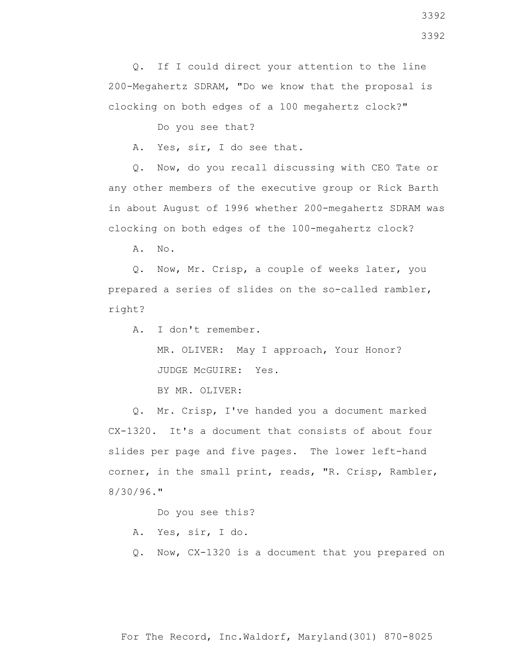clocking on both edges of a 100 megahertz clock?"

Do you see that?

A. Yes, sir, I do see that.

 Q. Now, do you recall discussing with CEO Tate or any other members of the executive group or Rick Barth in about August of 1996 whether 200-megahertz SDRAM was clocking on both edges of the 100-megahertz clock?

A. No.

 Q. Now, Mr. Crisp, a couple of weeks later, you prepared a series of slides on the so-called rambler, right?

A. I don't remember.

 MR. OLIVER: May I approach, Your Honor? JUDGE McGUIRE: Yes.

BY MR. OLIVER:

 Q. Mr. Crisp, I've handed you a document marked CX-1320. It's a document that consists of about four slides per page and five pages. The lower left-hand corner, in the small print, reads, "R. Crisp, Rambler, 8/30/96."

Do you see this?

A. Yes, sir, I do.

Q. Now, CX-1320 is a document that you prepared on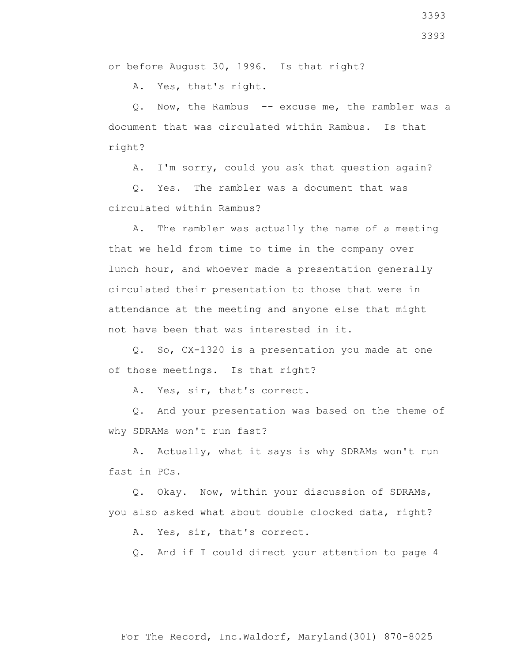or before August 30, 1996. Is that right?

A. Yes, that's right.

Q. Now, the Rambus -- excuse me, the rambler was a document that was circulated within Rambus. Is that right?

A. I'm sorry, could you ask that question again?

 Q. Yes. The rambler was a document that was circulated within Rambus?

 A. The rambler was actually the name of a meeting that we held from time to time in the company over lunch hour, and whoever made a presentation generally circulated their presentation to those that were in attendance at the meeting and anyone else that might not have been that was interested in it.

 Q. So, CX-1320 is a presentation you made at one of those meetings. Is that right?

A. Yes, sir, that's correct.

 Q. And your presentation was based on the theme of why SDRAMs won't run fast?

 A. Actually, what it says is why SDRAMs won't run fast in PCs.

 Q. Okay. Now, within your discussion of SDRAMs, you also asked what about double clocked data, right?

A. Yes, sir, that's correct.

Q. And if I could direct your attention to page 4

3393 3393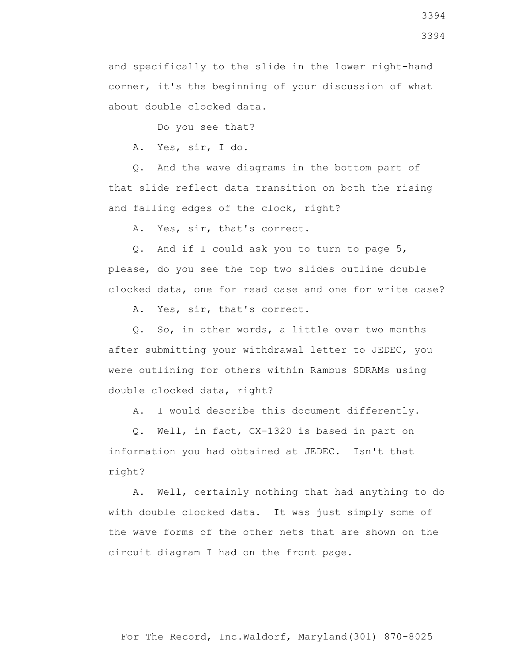and specifically to the slide in the lower right-hand corner, it's the beginning of your discussion of what about double clocked data.

Do you see that?

A. Yes, sir, I do.

 Q. And the wave diagrams in the bottom part of that slide reflect data transition on both the rising and falling edges of the clock, right?

A. Yes, sir, that's correct.

 Q. And if I could ask you to turn to page 5, please, do you see the top two slides outline double clocked data, one for read case and one for write case?

A. Yes, sir, that's correct.

 Q. So, in other words, a little over two months after submitting your withdrawal letter to JEDEC, you were outlining for others within Rambus SDRAMs using double clocked data, right?

A. I would describe this document differently.

 Q. Well, in fact, CX-1320 is based in part on information you had obtained at JEDEC. Isn't that right?

 A. Well, certainly nothing that had anything to do with double clocked data. It was just simply some of the wave forms of the other nets that are shown on the circuit diagram I had on the front page.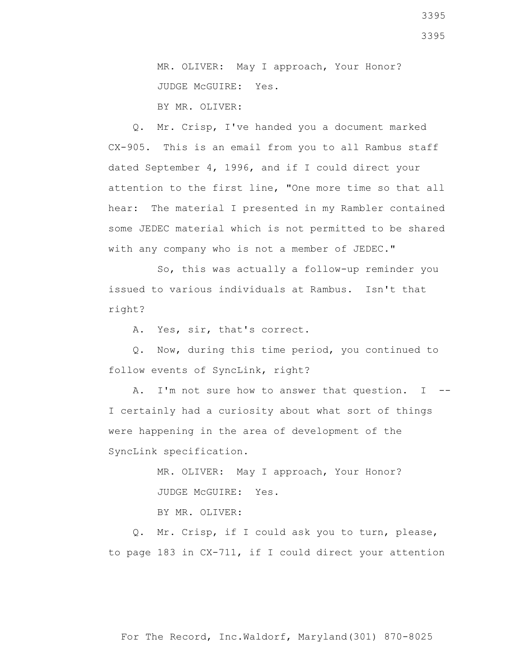MR. OLIVER: May I approach, Your Honor? JUDGE McGUIRE: Yes. BY MR. OLIVER:

 Q. Mr. Crisp, I've handed you a document marked CX-905. This is an email from you to all Rambus staff dated September 4, 1996, and if I could direct your attention to the first line, "One more time so that all hear: The material I presented in my Rambler contained some JEDEC material which is not permitted to be shared with any company who is not a member of JEDEC."

 So, this was actually a follow-up reminder you issued to various individuals at Rambus. Isn't that right?

A. Yes, sir, that's correct.

 Q. Now, during this time period, you continued to follow events of SyncLink, right?

A. I'm not sure how to answer that question. I --I certainly had a curiosity about what sort of things were happening in the area of development of the SyncLink specification.

> MR. OLIVER: May I approach, Your Honor? JUDGE McGUIRE: Yes.

BY MR. OLIVER:

 Q. Mr. Crisp, if I could ask you to turn, please, to page 183 in CX-711, if I could direct your attention

3395

3395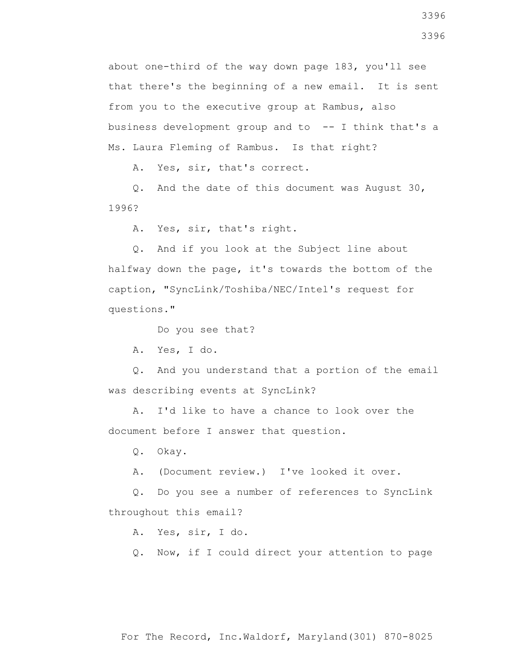about one-third of the way down page 183, you'll see that there's the beginning of a new email. It is sent from you to the executive group at Rambus, also business development group and to  $-$ - I think that's a Ms. Laura Fleming of Rambus. Is that right?

A. Yes, sir, that's correct.

 Q. And the date of this document was August 30, 1996?

A. Yes, sir, that's right.

 Q. And if you look at the Subject line about halfway down the page, it's towards the bottom of the caption, "SyncLink/Toshiba/NEC/Intel's request for questions."

Do you see that?

A. Yes, I do.

 Q. And you understand that a portion of the email was describing events at SyncLink?

 A. I'd like to have a chance to look over the document before I answer that question.

Q. Okay.

A. (Document review.) I've looked it over.

 Q. Do you see a number of references to SyncLink throughout this email?

A. Yes, sir, I do.

Q. Now, if I could direct your attention to page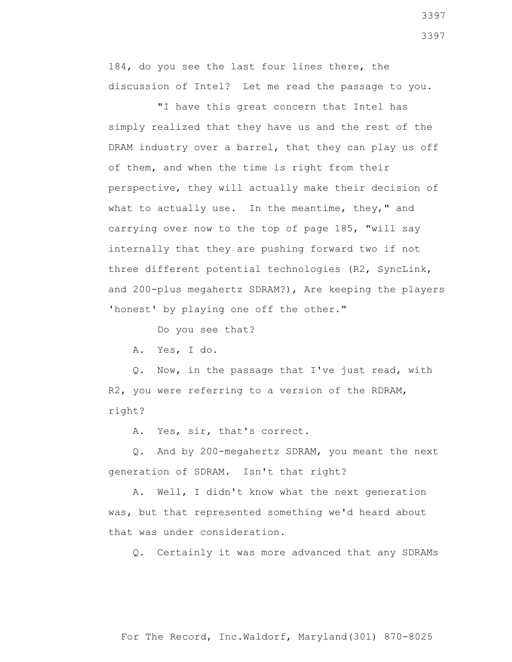184, do you see the last four lines there, the discussion of Intel? Let me read the passage to you.

 "I have this great concern that Intel has simply realized that they have us and the rest of the DRAM industry over a barrel, that they can play us off of them, and when the time is right from their perspective, they will actually make their decision of what to actually use. In the meantime, they," and carrying over now to the top of page 185, "will say internally that they are pushing forward two if not three different potential technologies (R2, SyncLink, and 200-plus megahertz SDRAM?), Are keeping the players 'honest' by playing one off the other."

Do you see that?

A. Yes, I do.

 Q. Now, in the passage that I've just read, with R2, you were referring to a version of the RDRAM, right?

A. Yes, sir, that's correct.

 Q. And by 200-megahertz SDRAM, you meant the next generation of SDRAM. Isn't that right?

 A. Well, I didn't know what the next generation was, but that represented something we'd heard about that was under consideration.

Q. Certainly it was more advanced that any SDRAMs

For The Record, Inc.Waldorf, Maryland(301) 870-8025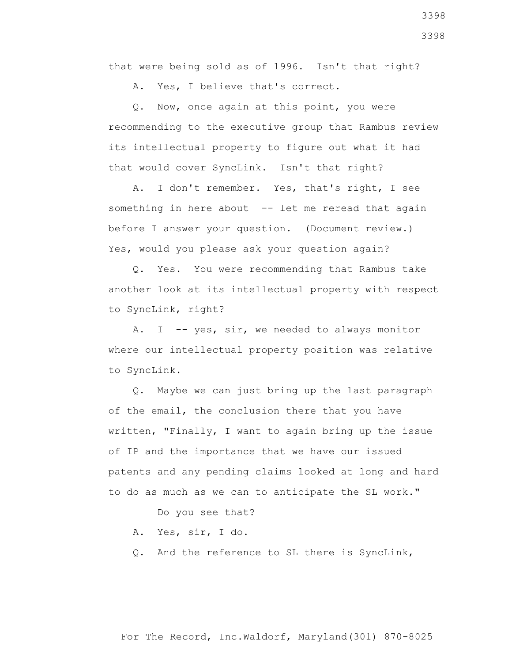that were being sold as of 1996. Isn't that right?

A. Yes, I believe that's correct.

 Q. Now, once again at this point, you were recommending to the executive group that Rambus review its intellectual property to figure out what it had that would cover SyncLink. Isn't that right?

 A. I don't remember. Yes, that's right, I see something in here about -- let me reread that again before I answer your question. (Document review.) Yes, would you please ask your question again?

 Q. Yes. You were recommending that Rambus take another look at its intellectual property with respect to SyncLink, right?

A. I -- yes, sir, we needed to always monitor where our intellectual property position was relative to SyncLink.

 Q. Maybe we can just bring up the last paragraph of the email, the conclusion there that you have written, "Finally, I want to again bring up the issue of IP and the importance that we have our issued patents and any pending claims looked at long and hard to do as much as we can to anticipate the SL work."

Do you see that?

- A. Yes, sir, I do.
- Q. And the reference to SL there is SyncLink,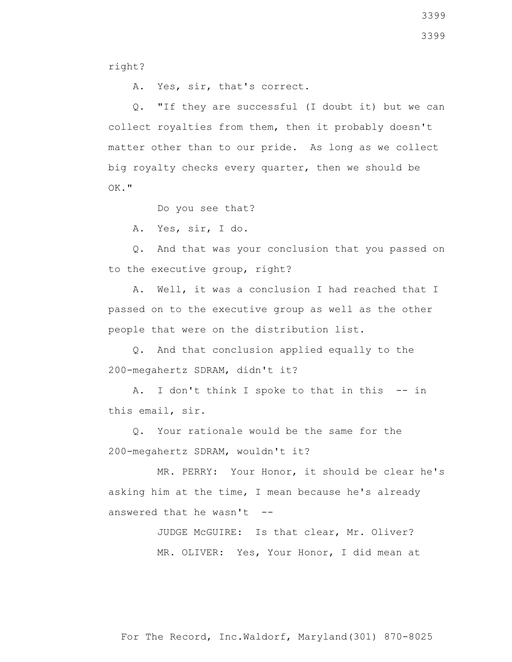right?

A. Yes, sir, that's correct.

 Q. "If they are successful (I doubt it) but we can collect royalties from them, then it probably doesn't matter other than to our pride. As long as we collect big royalty checks every quarter, then we should be OK."

Do you see that?

A. Yes, sir, I do.

 Q. And that was your conclusion that you passed on to the executive group, right?

 A. Well, it was a conclusion I had reached that I passed on to the executive group as well as the other people that were on the distribution list.

 Q. And that conclusion applied equally to the 200-megahertz SDRAM, didn't it?

 A. I don't think I spoke to that in this -- in this email, sir.

 Q. Your rationale would be the same for the 200-megahertz SDRAM, wouldn't it?

 MR. PERRY: Your Honor, it should be clear he's asking him at the time, I mean because he's already answered that he wasn't  $-$ -

> JUDGE McGUIRE: Is that clear, Mr. Oliver? MR. OLIVER: Yes, Your Honor, I did mean at

3399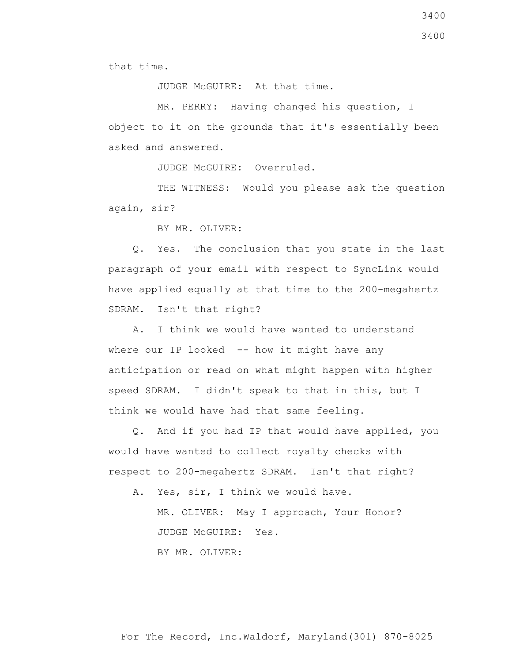that time.

JUDGE McGUIRE: At that time.

 MR. PERRY: Having changed his question, I object to it on the grounds that it's essentially been asked and answered.

JUDGE McGUIRE: Overruled.

 THE WITNESS: Would you please ask the question again, sir?

BY MR. OLIVER:

 Q. Yes. The conclusion that you state in the last paragraph of your email with respect to SyncLink would have applied equally at that time to the 200-megahertz SDRAM. Isn't that right?

 A. I think we would have wanted to understand where our IP looked  $-$ - how it might have any anticipation or read on what might happen with higher speed SDRAM. I didn't speak to that in this, but I think we would have had that same feeling.

 Q. And if you had IP that would have applied, you would have wanted to collect royalty checks with respect to 200-megahertz SDRAM. Isn't that right?

A. Yes, sir, I think we would have.

 MR. OLIVER: May I approach, Your Honor? JUDGE McGUIRE: Yes.

BY MR. OLIVER: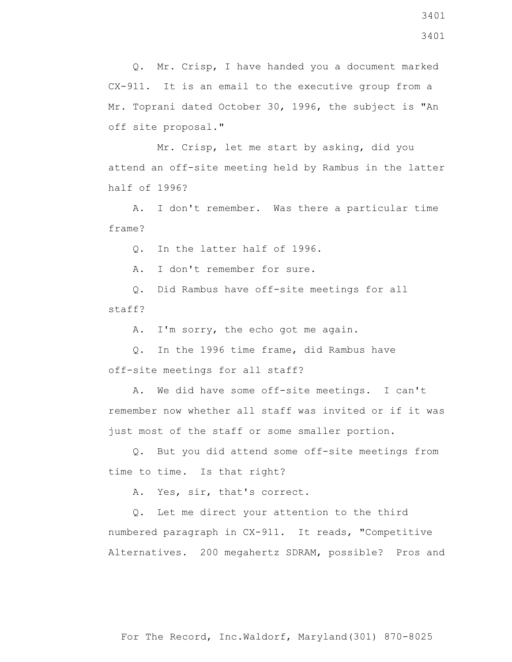Q. Mr. Crisp, I have handed you a document marked CX-911. It is an email to the executive group from a Mr. Toprani dated October 30, 1996, the subject is "An off site proposal."

 Mr. Crisp, let me start by asking, did you attend an off-site meeting held by Rambus in the latter half of 1996?

 A. I don't remember. Was there a particular time frame?

Q. In the latter half of 1996.

A. I don't remember for sure.

 Q. Did Rambus have off-site meetings for all staff?

A. I'm sorry, the echo got me again.

 Q. In the 1996 time frame, did Rambus have off-site meetings for all staff?

 A. We did have some off-site meetings. I can't remember now whether all staff was invited or if it was just most of the staff or some smaller portion.

 Q. But you did attend some off-site meetings from time to time. Is that right?

A. Yes, sir, that's correct.

 Q. Let me direct your attention to the third numbered paragraph in CX-911. It reads, "Competitive Alternatives. 200 megahertz SDRAM, possible? Pros and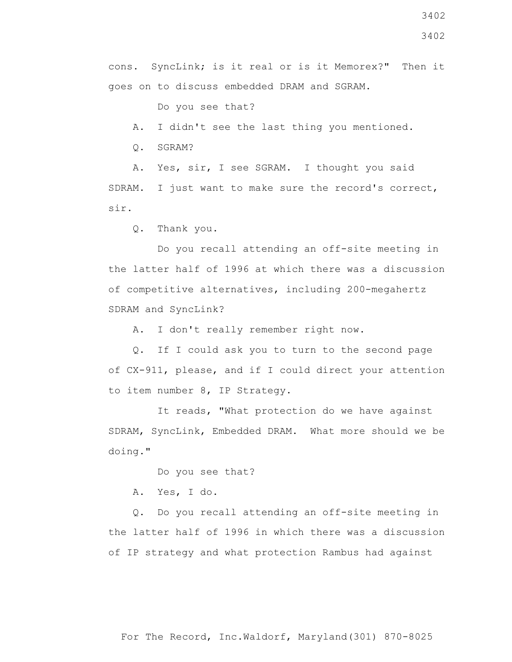3402

cons. SyncLink; is it real or is it Memorex?" Then it goes on to discuss embedded DRAM and SGRAM.

Do you see that?

A. I didn't see the last thing you mentioned.

Q. SGRAM?

 A. Yes, sir, I see SGRAM. I thought you said SDRAM. I just want to make sure the record's correct, sir.

Q. Thank you.

 Do you recall attending an off-site meeting in the latter half of 1996 at which there was a discussion of competitive alternatives, including 200-megahertz SDRAM and SyncLink?

A. I don't really remember right now.

 Q. If I could ask you to turn to the second page of CX-911, please, and if I could direct your attention to item number 8, IP Strategy.

 It reads, "What protection do we have against SDRAM, SyncLink, Embedded DRAM. What more should we be doing."

Do you see that?

A. Yes, I do.

 Q. Do you recall attending an off-site meeting in the latter half of 1996 in which there was a discussion of IP strategy and what protection Rambus had against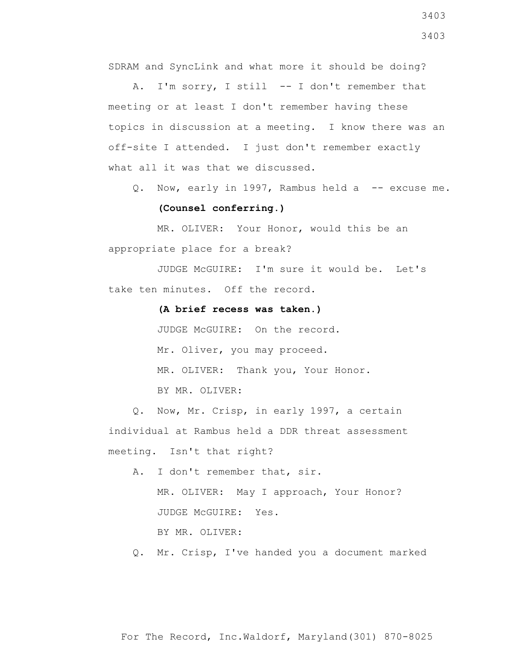SDRAM and SyncLink and what more it should be doing?

 A. I'm sorry, I still -- I don't remember that meeting or at least I don't remember having these topics in discussion at a meeting. I know there was an off-site I attended. I just don't remember exactly what all it was that we discussed.

Q. Now, early in 1997, Rambus held a -- excuse me.

## **(Counsel conferring.)**

 MR. OLIVER: Your Honor, would this be an appropriate place for a break?

 JUDGE McGUIRE: I'm sure it would be. Let's take ten minutes. Off the record.

## **(A brief recess was taken.)**

 JUDGE McGUIRE: On the record. Mr. Oliver, you may proceed. MR. OLIVER: Thank you, Your Honor. BY MR. OLIVER:

 Q. Now, Mr. Crisp, in early 1997, a certain individual at Rambus held a DDR threat assessment meeting. Isn't that right?

- A. I don't remember that, sir. MR. OLIVER: May I approach, Your Honor? JUDGE McGUIRE: Yes. BY MR. OLIVER:
- Q. Mr. Crisp, I've handed you a document marked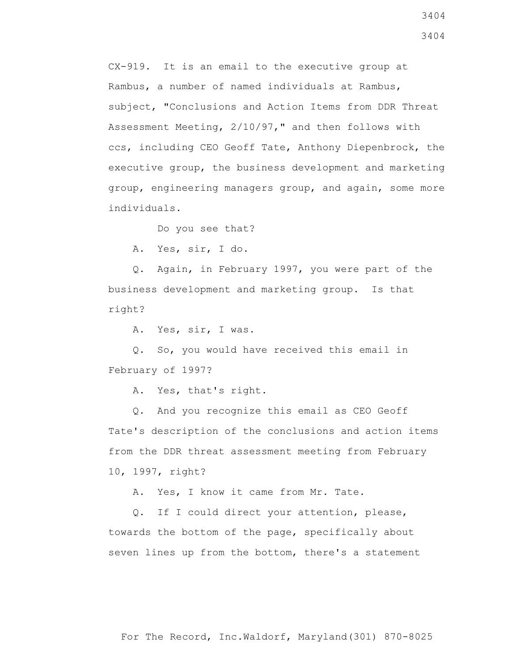CX-919. It is an email to the executive group at Rambus, a number of named individuals at Rambus, subject, "Conclusions and Action Items from DDR Threat Assessment Meeting, 2/10/97," and then follows with ccs, including CEO Geoff Tate, Anthony Diepenbrock, the executive group, the business development and marketing group, engineering managers group, and again, some more individuals.

Do you see that?

A. Yes, sir, I do.

 Q. Again, in February 1997, you were part of the business development and marketing group. Is that right?

A. Yes, sir, I was.

 Q. So, you would have received this email in February of 1997?

A. Yes, that's right.

 Q. And you recognize this email as CEO Geoff Tate's description of the conclusions and action items from the DDR threat assessment meeting from February 10, 1997, right?

A. Yes, I know it came from Mr. Tate.

 Q. If I could direct your attention, please, towards the bottom of the page, specifically about seven lines up from the bottom, there's a statement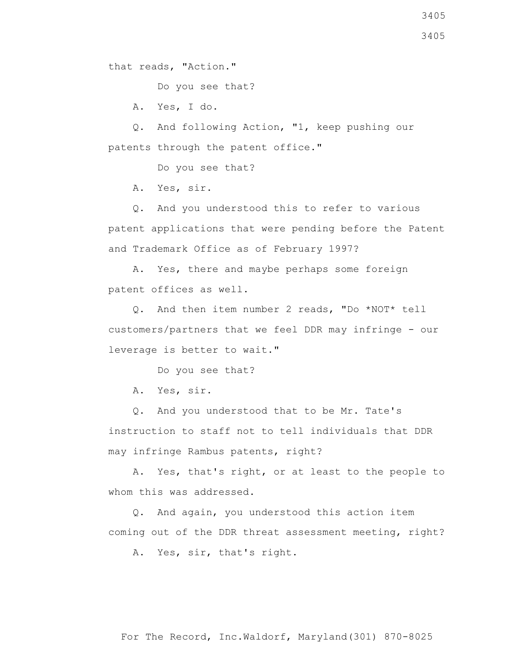that reads, "Action."

Do you see that?

A. Yes, I do.

 Q. And following Action, "1, keep pushing our patents through the patent office."

Do you see that?

A. Yes, sir.

 Q. And you understood this to refer to various patent applications that were pending before the Patent and Trademark Office as of February 1997?

 A. Yes, there and maybe perhaps some foreign patent offices as well.

 Q. And then item number 2 reads, "Do \*NOT\* tell customers/partners that we feel DDR may infringe - our leverage is better to wait."

Do you see that?

A. Yes, sir.

 Q. And you understood that to be Mr. Tate's instruction to staff not to tell individuals that DDR may infringe Rambus patents, right?

 A. Yes, that's right, or at least to the people to whom this was addressed.

 Q. And again, you understood this action item coming out of the DDR threat assessment meeting, right?

A. Yes, sir, that's right.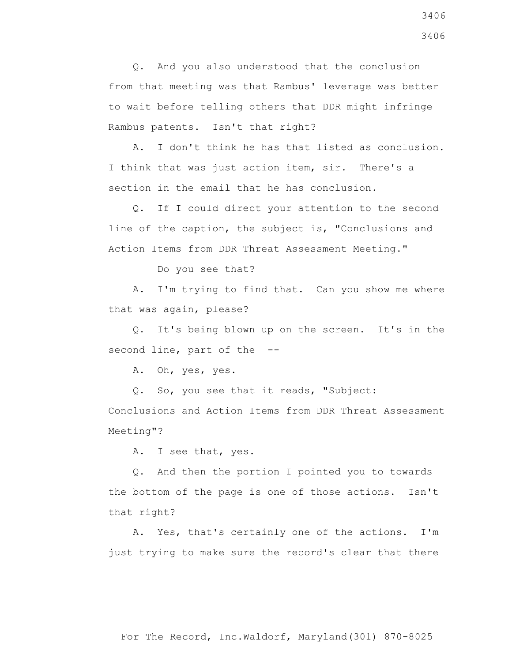Q. And you also understood that the conclusion from that meeting was that Rambus' leverage was better to wait before telling others that DDR might infringe Rambus patents. Isn't that right?

 A. I don't think he has that listed as conclusion. I think that was just action item, sir. There's a section in the email that he has conclusion.

 Q. If I could direct your attention to the second line of the caption, the subject is, "Conclusions and Action Items from DDR Threat Assessment Meeting."

Do you see that?

 A. I'm trying to find that. Can you show me where that was again, please?

 Q. It's being blown up on the screen. It's in the second line, part of the --

A. Oh, yes, yes.

Q. So, you see that it reads, "Subject:

Conclusions and Action Items from DDR Threat Assessment Meeting"?

A. I see that, yes.

 Q. And then the portion I pointed you to towards the bottom of the page is one of those actions. Isn't that right?

 A. Yes, that's certainly one of the actions. I'm just trying to make sure the record's clear that there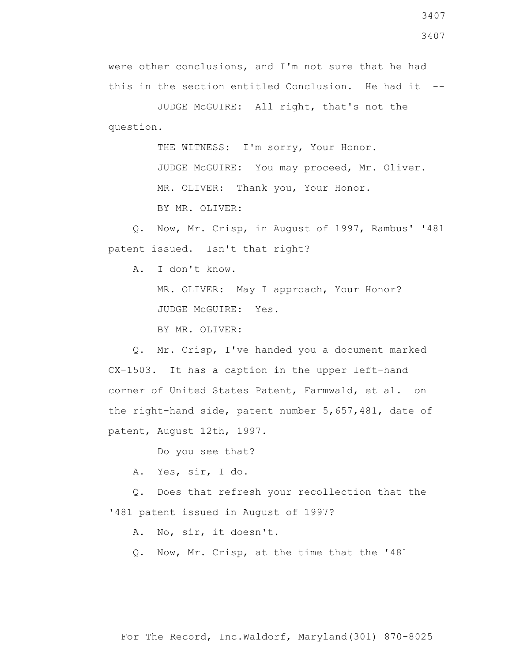3407

were other conclusions, and I'm not sure that he had this in the section entitled Conclusion. He had it --

 JUDGE McGUIRE: All right, that's not the question.

THE WITNESS: I'm sorry, Your Honor.

 JUDGE McGUIRE: You may proceed, Mr. Oliver. MR. OLIVER: Thank you, Your Honor.

BY MR. OLIVER:

 Q. Now, Mr. Crisp, in August of 1997, Rambus' '481 patent issued. Isn't that right?

A. I don't know.

 MR. OLIVER: May I approach, Your Honor? JUDGE McGUIRE: Yes.

BY MR. OLIVER:

 Q. Mr. Crisp, I've handed you a document marked CX-1503. It has a caption in the upper left-hand corner of United States Patent, Farmwald, et al. on the right-hand side, patent number 5,657,481, date of patent, August 12th, 1997.

Do you see that?

A. Yes, sir, I do.

 Q. Does that refresh your recollection that the '481 patent issued in August of 1997?

A. No, sir, it doesn't.

Q. Now, Mr. Crisp, at the time that the '481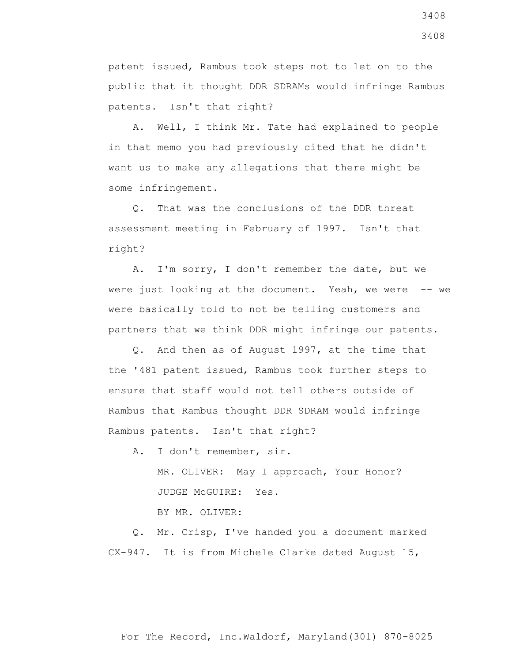patent issued, Rambus took steps not to let on to the public that it thought DDR SDRAMs would infringe Rambus patents. Isn't that right?

 A. Well, I think Mr. Tate had explained to people in that memo you had previously cited that he didn't want us to make any allegations that there might be some infringement.

 Q. That was the conclusions of the DDR threat assessment meeting in February of 1997. Isn't that right?

 A. I'm sorry, I don't remember the date, but we were just looking at the document. Yeah, we were -- we were basically told to not be telling customers and partners that we think DDR might infringe our patents.

 Q. And then as of August 1997, at the time that the '481 patent issued, Rambus took further steps to ensure that staff would not tell others outside of Rambus that Rambus thought DDR SDRAM would infringe Rambus patents. Isn't that right?

A. I don't remember, sir.

 MR. OLIVER: May I approach, Your Honor? JUDGE McGUIRE: Yes.

BY MR. OLIVER:

 Q. Mr. Crisp, I've handed you a document marked CX-947. It is from Michele Clarke dated August 15,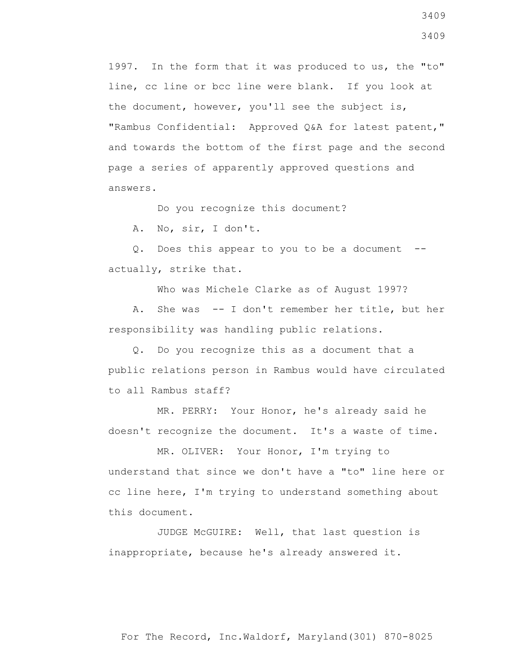1997. In the form that it was produced to us, the "to" line, cc line or bcc line were blank. If you look at the document, however, you'll see the subject is, "Rambus Confidential: Approved Q&A for latest patent," and towards the bottom of the first page and the second page a series of apparently approved questions and answers.

Do you recognize this document?

A. No, sir, I don't.

 Q. Does this appear to you to be a document - actually, strike that.

Who was Michele Clarke as of August 1997?

 A. She was -- I don't remember her title, but her responsibility was handling public relations.

 Q. Do you recognize this as a document that a public relations person in Rambus would have circulated to all Rambus staff?

 MR. PERRY: Your Honor, he's already said he doesn't recognize the document. It's a waste of time.

 MR. OLIVER: Your Honor, I'm trying to understand that since we don't have a "to" line here or cc line here, I'm trying to understand something about this document.

 JUDGE McGUIRE: Well, that last question is inappropriate, because he's already answered it.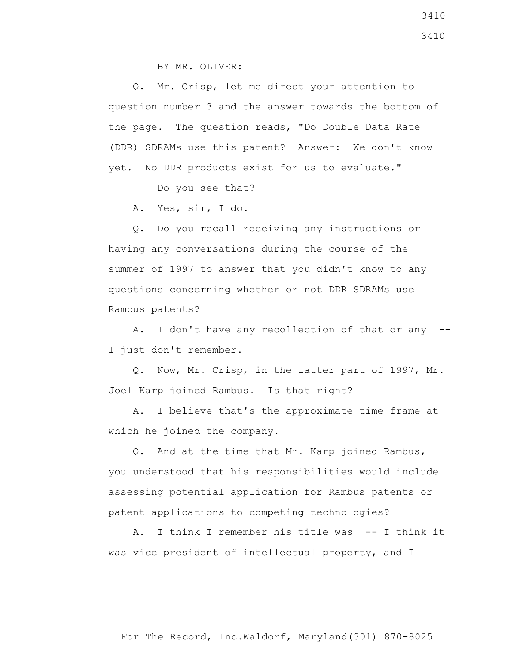BY MR. OLIVER:

 Q. Mr. Crisp, let me direct your attention to question number 3 and the answer towards the bottom of the page. The question reads, "Do Double Data Rate (DDR) SDRAMs use this patent? Answer: We don't know yet. No DDR products exist for us to evaluate."

Do you see that?

A. Yes, sir, I do.

 Q. Do you recall receiving any instructions or having any conversations during the course of the summer of 1997 to answer that you didn't know to any questions concerning whether or not DDR SDRAMs use Rambus patents?

 A. I don't have any recollection of that or any -- I just don't remember.

 Q. Now, Mr. Crisp, in the latter part of 1997, Mr. Joel Karp joined Rambus. Is that right?

 A. I believe that's the approximate time frame at which he joined the company.

 Q. And at the time that Mr. Karp joined Rambus, you understood that his responsibilities would include assessing potential application for Rambus patents or patent applications to competing technologies?

A. I think I remember his title was -- I think it was vice president of intellectual property, and I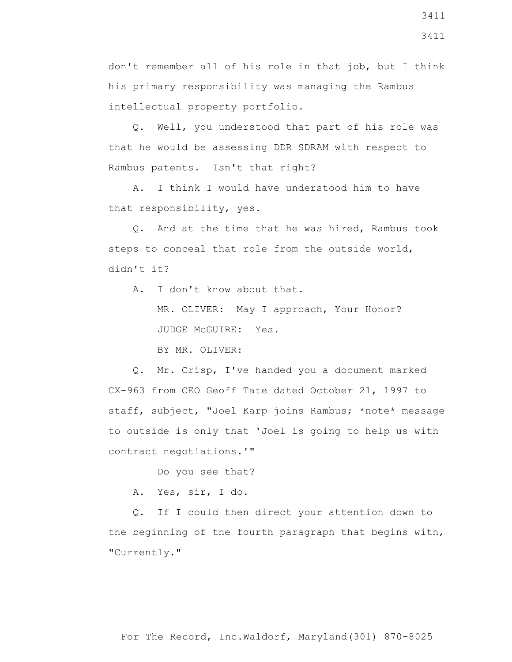don't remember all of his role in that job, but I think his primary responsibility was managing the Rambus intellectual property portfolio.

 Q. Well, you understood that part of his role was that he would be assessing DDR SDRAM with respect to Rambus patents. Isn't that right?

 A. I think I would have understood him to have that responsibility, yes.

 Q. And at the time that he was hired, Rambus took steps to conceal that role from the outside world, didn't it?

 A. I don't know about that. MR. OLIVER: May I approach, Your Honor? JUDGE McGUIRE: Yes. BY MR. OLIVER:

 Q. Mr. Crisp, I've handed you a document marked CX-963 from CEO Geoff Tate dated October 21, 1997 to staff, subject, "Joel Karp joins Rambus; \*note\* message to outside is only that 'Joel is going to help us with contract negotiations.'"

Do you see that?

A. Yes, sir, I do.

 Q. If I could then direct your attention down to the beginning of the fourth paragraph that begins with, "Currently."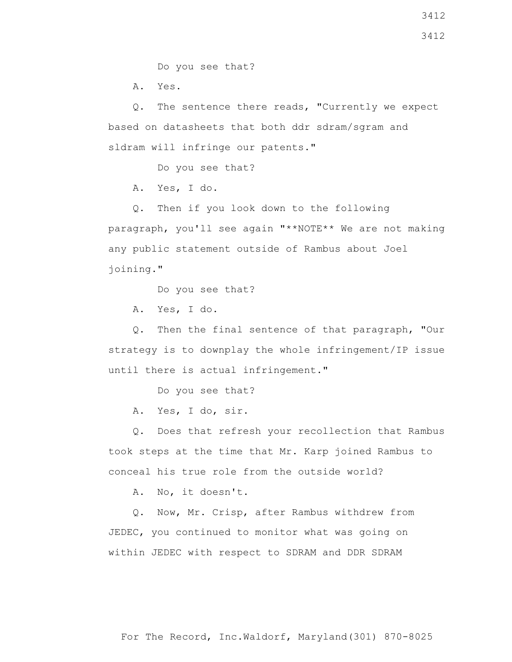Do you see that?

A. Yes.

 Q. The sentence there reads, "Currently we expect based on datasheets that both ddr sdram/sgram and sldram will infringe our patents."

Do you see that?

A. Yes, I do.

 Q. Then if you look down to the following paragraph, you'll see again "\*\*NOTE\*\* We are not making any public statement outside of Rambus about Joel joining."

Do you see that?

A. Yes, I do.

 Q. Then the final sentence of that paragraph, "Our strategy is to downplay the whole infringement/IP issue until there is actual infringement."

Do you see that?

A. Yes, I do, sir.

 Q. Does that refresh your recollection that Rambus took steps at the time that Mr. Karp joined Rambus to conceal his true role from the outside world?

A. No, it doesn't.

 Q. Now, Mr. Crisp, after Rambus withdrew from JEDEC, you continued to monitor what was going on within JEDEC with respect to SDRAM and DDR SDRAM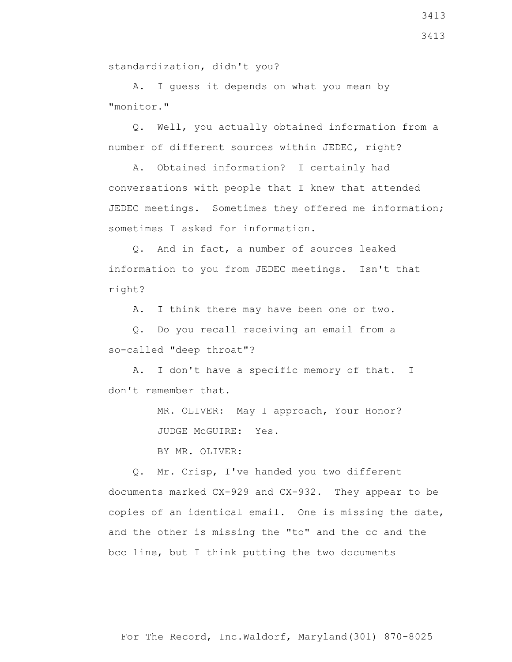For The Record, Inc.Waldorf, Maryland(301) 870-8025

standardization, didn't you?

 A. I guess it depends on what you mean by "monitor."

 Q. Well, you actually obtained information from a number of different sources within JEDEC, right?

 A. Obtained information? I certainly had conversations with people that I knew that attended JEDEC meetings. Sometimes they offered me information; sometimes I asked for information.

 Q. And in fact, a number of sources leaked information to you from JEDEC meetings. Isn't that right?

A. I think there may have been one or two.

 Q. Do you recall receiving an email from a so-called "deep throat"?

 A. I don't have a specific memory of that. I don't remember that.

> MR. OLIVER: May I approach, Your Honor? JUDGE McGUIRE: Yes.

BY MR. OLIVER:

 Q. Mr. Crisp, I've handed you two different documents marked CX-929 and CX-932. They appear to be copies of an identical email. One is missing the date, and the other is missing the "to" and the cc and the bcc line, but I think putting the two documents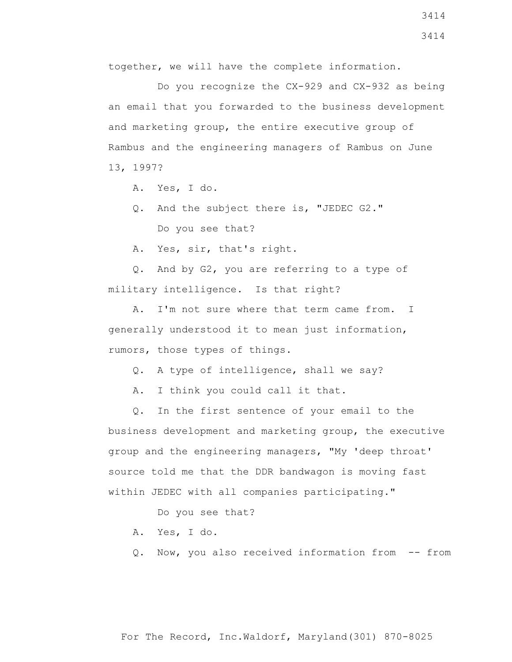together, we will have the complete information.

 Do you recognize the CX-929 and CX-932 as being an email that you forwarded to the business development and marketing group, the entire executive group of Rambus and the engineering managers of Rambus on June 13, 1997?

- A. Yes, I do.
- Q. And the subject there is, "JEDEC G2." Do you see that?

A. Yes, sir, that's right.

 Q. And by G2, you are referring to a type of military intelligence. Is that right?

 A. I'm not sure where that term came from. I generally understood it to mean just information, rumors, those types of things.

Q. A type of intelligence, shall we say?

A. I think you could call it that.

 Q. In the first sentence of your email to the business development and marketing group, the executive group and the engineering managers, "My 'deep throat' source told me that the DDR bandwagon is moving fast within JEDEC with all companies participating."

Do you see that?

- A. Yes, I do.
- Q. Now, you also received information from -- from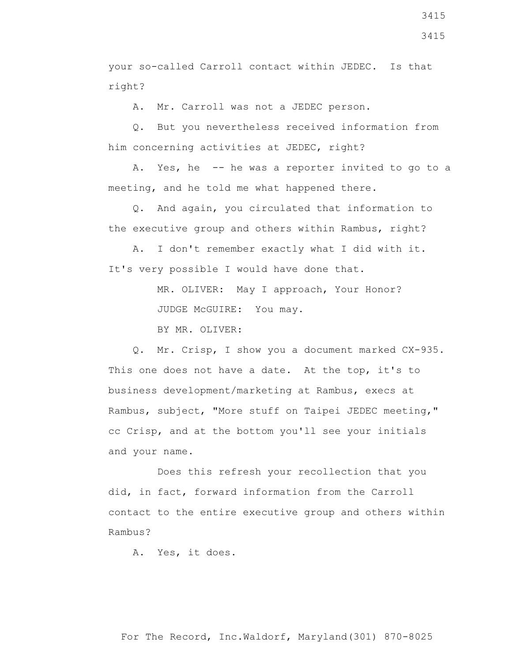your so-called Carroll contact within JEDEC. Is that right?

A. Mr. Carroll was not a JEDEC person.

 Q. But you nevertheless received information from him concerning activities at JEDEC, right?

 A. Yes, he -- he was a reporter invited to go to a meeting, and he told me what happened there.

 Q. And again, you circulated that information to the executive group and others within Rambus, right?

 A. I don't remember exactly what I did with it. It's very possible I would have done that.

> MR. OLIVER: May I approach, Your Honor? JUDGE McGUIRE: You may.

BY MR. OLIVER:

 Q. Mr. Crisp, I show you a document marked CX-935. This one does not have a date. At the top, it's to business development/marketing at Rambus, execs at Rambus, subject, "More stuff on Taipei JEDEC meeting," cc Crisp, and at the bottom you'll see your initials and your name.

 Does this refresh your recollection that you did, in fact, forward information from the Carroll contact to the entire executive group and others within Rambus?

A. Yes, it does.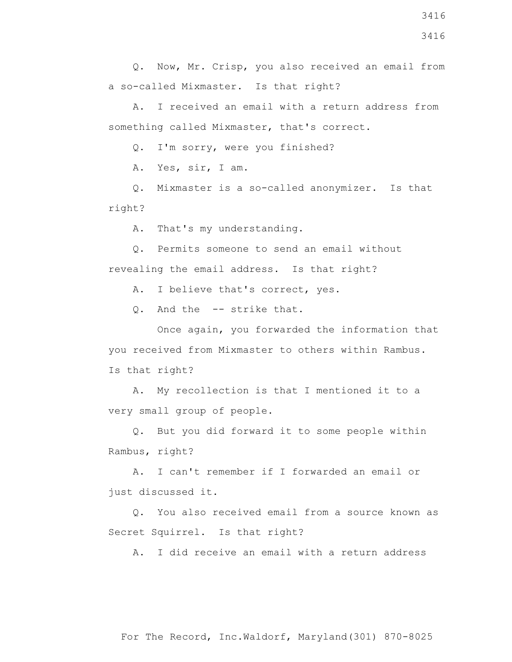Q. Now, Mr. Crisp, you also received an email from a so-called Mixmaster. Is that right?

 A. I received an email with a return address from something called Mixmaster, that's correct.

Q. I'm sorry, were you finished?

A. Yes, sir, I am.

 Q. Mixmaster is a so-called anonymizer. Is that right?

A. That's my understanding.

 Q. Permits someone to send an email without revealing the email address. Is that right?

A. I believe that's correct, yes.

Q. And the -- strike that.

 Once again, you forwarded the information that you received from Mixmaster to others within Rambus. Is that right?

 A. My recollection is that I mentioned it to a very small group of people.

 Q. But you did forward it to some people within Rambus, right?

 A. I can't remember if I forwarded an email or just discussed it.

 Q. You also received email from a source known as Secret Squirrel. Is that right?

A. I did receive an email with a return address

For The Record, Inc.Waldorf, Maryland(301) 870-8025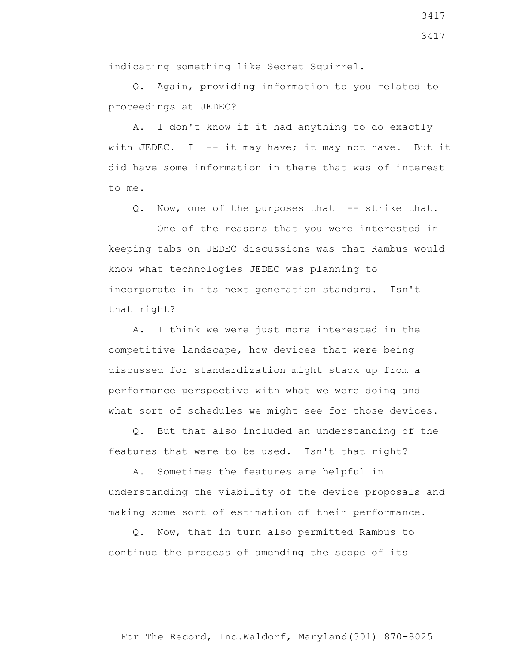Q. Again, providing information to you related to proceedings at JEDEC?

 A. I don't know if it had anything to do exactly with JEDEC. I  $-$  it may have; it may not have. But it did have some information in there that was of interest to me.

Q. Now, one of the purposes that -- strike that.

 One of the reasons that you were interested in keeping tabs on JEDEC discussions was that Rambus would know what technologies JEDEC was planning to incorporate in its next generation standard. Isn't that right?

 A. I think we were just more interested in the competitive landscape, how devices that were being discussed for standardization might stack up from a performance perspective with what we were doing and what sort of schedules we might see for those devices.

 Q. But that also included an understanding of the features that were to be used. Isn't that right?

 A. Sometimes the features are helpful in understanding the viability of the device proposals and making some sort of estimation of their performance.

 Q. Now, that in turn also permitted Rambus to continue the process of amending the scope of its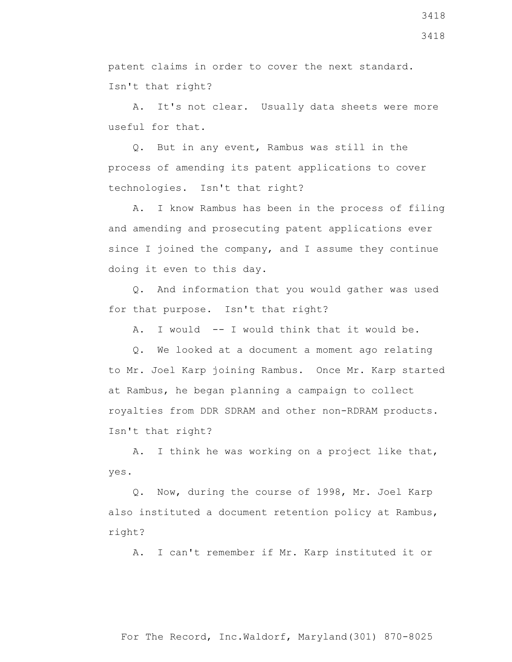patent claims in order to cover the next standard. Isn't that right?

 A. It's not clear. Usually data sheets were more useful for that.

 Q. But in any event, Rambus was still in the process of amending its patent applications to cover technologies. Isn't that right?

 A. I know Rambus has been in the process of filing and amending and prosecuting patent applications ever since I joined the company, and I assume they continue doing it even to this day.

 Q. And information that you would gather was used for that purpose. Isn't that right?

A. I would -- I would think that it would be.

 Q. We looked at a document a moment ago relating to Mr. Joel Karp joining Rambus. Once Mr. Karp started at Rambus, he began planning a campaign to collect royalties from DDR SDRAM and other non-RDRAM products. Isn't that right?

 A. I think he was working on a project like that, yes.

 Q. Now, during the course of 1998, Mr. Joel Karp also instituted a document retention policy at Rambus, right?

A. I can't remember if Mr. Karp instituted it or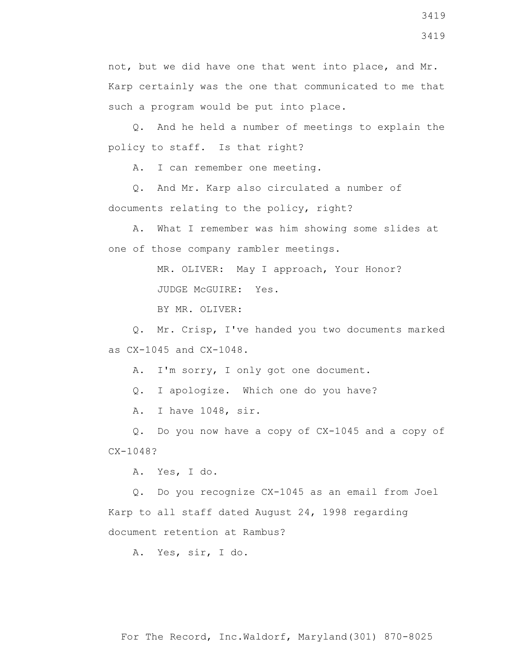not, but we did have one that went into place, and Mr. Karp certainly was the one that communicated to me that such a program would be put into place.

 Q. And he held a number of meetings to explain the policy to staff. Is that right?

A. I can remember one meeting.

 Q. And Mr. Karp also circulated a number of documents relating to the policy, right?

 A. What I remember was him showing some slides at one of those company rambler meetings.

MR. OLIVER: May I approach, Your Honor?

JUDGE McGUIRE: Yes.

BY MR. OLIVER:

 Q. Mr. Crisp, I've handed you two documents marked as CX-1045 and CX-1048.

A. I'm sorry, I only got one document.

Q. I apologize. Which one do you have?

A. I have 1048, sir.

 Q. Do you now have a copy of CX-1045 and a copy of CX-1048?

A. Yes, I do.

 Q. Do you recognize CX-1045 as an email from Joel Karp to all staff dated August 24, 1998 regarding document retention at Rambus?

A. Yes, sir, I do.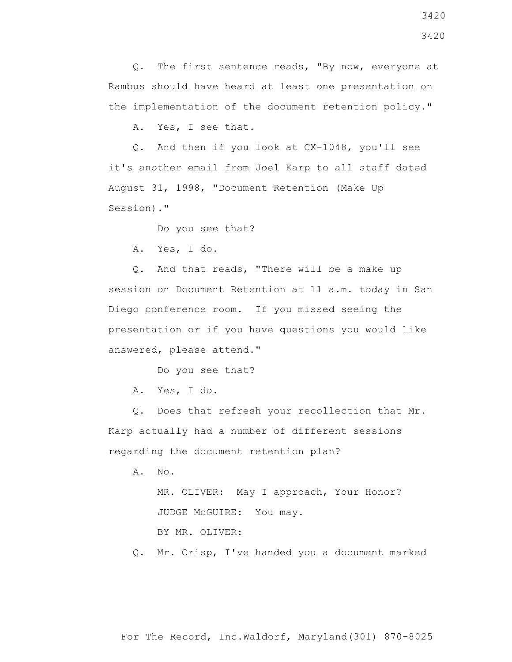Q. The first sentence reads, "By now, everyone at Rambus should have heard at least one presentation on the implementation of the document retention policy."

A. Yes, I see that.

 Q. And then if you look at CX-1048, you'll see it's another email from Joel Karp to all staff dated August 31, 1998, "Document Retention (Make Up Session)."

Do you see that?

A. Yes, I do.

 Q. And that reads, "There will be a make up session on Document Retention at 11 a.m. today in San Diego conference room. If you missed seeing the presentation or if you have questions you would like answered, please attend."

Do you see that?

A. Yes, I do.

 Q. Does that refresh your recollection that Mr. Karp actually had a number of different sessions regarding the document retention plan?

A. No.

 MR. OLIVER: May I approach, Your Honor? JUDGE McGUIRE: You may.

BY MR. OLIVER:

Q. Mr. Crisp, I've handed you a document marked

For The Record, Inc.Waldorf, Maryland(301) 870-8025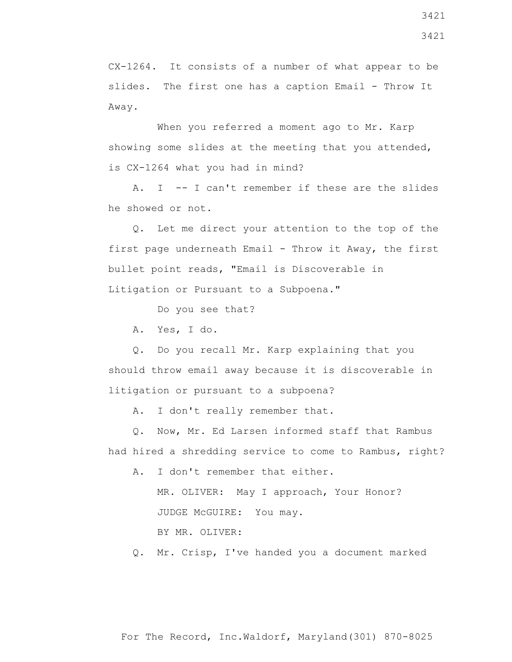CX-1264. It consists of a number of what appear to be slides. The first one has a caption Email - Throw It Away.

When you referred a moment ago to Mr. Karp showing some slides at the meeting that you attended, is CX-1264 what you had in mind?

 A. I -- I can't remember if these are the slides he showed or not.

 Q. Let me direct your attention to the top of the first page underneath Email - Throw it Away, the first bullet point reads, "Email is Discoverable in Litigation or Pursuant to a Subpoena."

Do you see that?

A. Yes, I do.

 Q. Do you recall Mr. Karp explaining that you should throw email away because it is discoverable in litigation or pursuant to a subpoena?

A. I don't really remember that.

 Q. Now, Mr. Ed Larsen informed staff that Rambus had hired a shredding service to come to Rambus, right?

A. I don't remember that either.

 MR. OLIVER: May I approach, Your Honor? JUDGE McGUIRE: You may.

BY MR. OLIVER:

Q. Mr. Crisp, I've handed you a document marked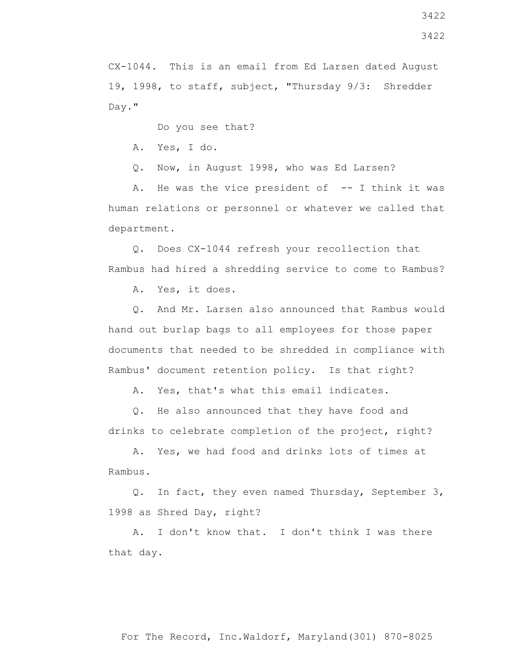CX-1044. This is an email from Ed Larsen dated August 19, 1998, to staff, subject, "Thursday 9/3: Shredder Day."

Do you see that?

A. Yes, I do.

Q. Now, in August 1998, who was Ed Larsen?

A. He was the vice president of  $-$ - I think it was human relations or personnel or whatever we called that department.

 Q. Does CX-1044 refresh your recollection that Rambus had hired a shredding service to come to Rambus?

A. Yes, it does.

 Q. And Mr. Larsen also announced that Rambus would hand out burlap bags to all employees for those paper documents that needed to be shredded in compliance with Rambus' document retention policy. Is that right?

A. Yes, that's what this email indicates.

 Q. He also announced that they have food and drinks to celebrate completion of the project, right?

 A. Yes, we had food and drinks lots of times at Rambus.

 Q. In fact, they even named Thursday, September 3, 1998 as Shred Day, right?

 A. I don't know that. I don't think I was there that day.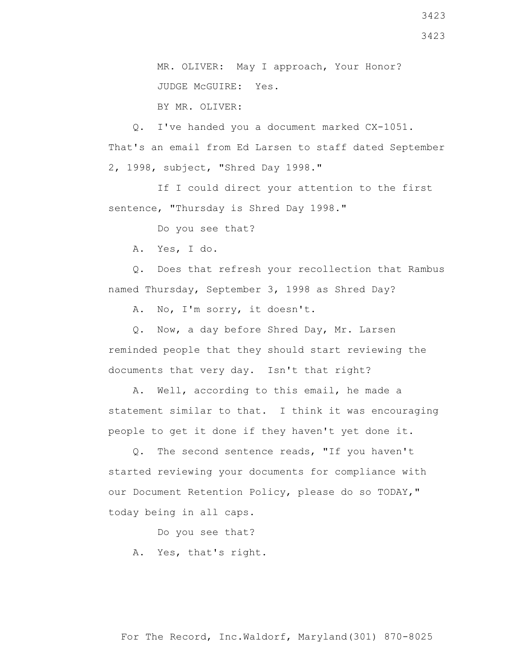3423

3423

 MR. OLIVER: May I approach, Your Honor? JUDGE McGUIRE: Yes.

BY MR. OLIVER:

 Q. I've handed you a document marked CX-1051. That's an email from Ed Larsen to staff dated September 2, 1998, subject, "Shred Day 1998."

 If I could direct your attention to the first sentence, "Thursday is Shred Day 1998."

Do you see that?

A. Yes, I do.

 Q. Does that refresh your recollection that Rambus named Thursday, September 3, 1998 as Shred Day?

A. No, I'm sorry, it doesn't.

 Q. Now, a day before Shred Day, Mr. Larsen reminded people that they should start reviewing the documents that very day. Isn't that right?

 A. Well, according to this email, he made a statement similar to that. I think it was encouraging people to get it done if they haven't yet done it.

 Q. The second sentence reads, "If you haven't started reviewing your documents for compliance with our Document Retention Policy, please do so TODAY," today being in all caps.

Do you see that?

A. Yes, that's right.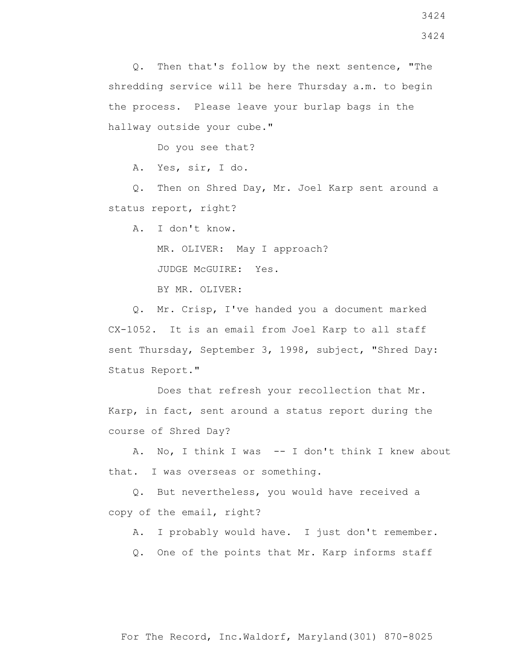Q. Then that's follow by the next sentence, "The shredding service will be here Thursday a.m. to begin the process. Please leave your burlap bags in the hallway outside your cube."

Do you see that?

A. Yes, sir, I do.

 Q. Then on Shred Day, Mr. Joel Karp sent around a status report, right?

A. I don't know.

MR. OLIVER: May I approach?

JUDGE McGUIRE: Yes.

BY MR. OLIVER:

 Q. Mr. Crisp, I've handed you a document marked CX-1052. It is an email from Joel Karp to all staff sent Thursday, September 3, 1998, subject, "Shred Day: Status Report."

 Does that refresh your recollection that Mr. Karp, in fact, sent around a status report during the course of Shred Day?

 A. No, I think I was -- I don't think I knew about that. I was overseas or something.

 Q. But nevertheless, you would have received a copy of the email, right?

A. I probably would have. I just don't remember.

Q. One of the points that Mr. Karp informs staff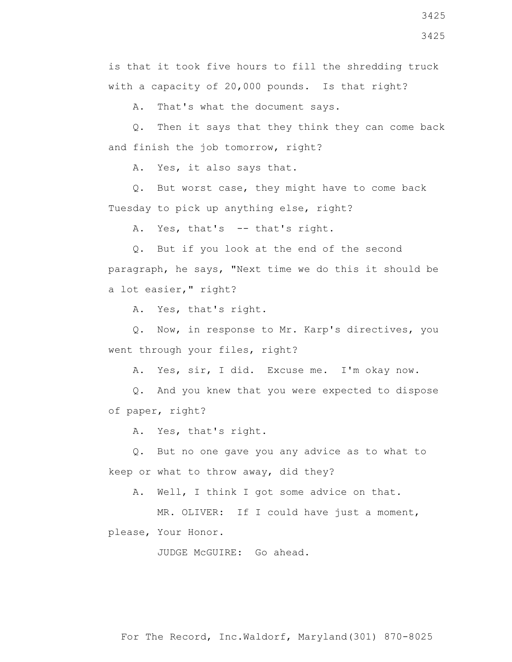3425

is that it took five hours to fill the shredding truck with a capacity of 20,000 pounds. Is that right?

A. That's what the document says.

 Q. Then it says that they think they can come back and finish the job tomorrow, right?

A. Yes, it also says that.

 Q. But worst case, they might have to come back Tuesday to pick up anything else, right?

A. Yes, that's -- that's right.

 Q. But if you look at the end of the second paragraph, he says, "Next time we do this it should be a lot easier," right?

A. Yes, that's right.

 Q. Now, in response to Mr. Karp's directives, you went through your files, right?

A. Yes, sir, I did. Excuse me. I'm okay now.

 Q. And you knew that you were expected to dispose of paper, right?

A. Yes, that's right.

 Q. But no one gave you any advice as to what to keep or what to throw away, did they?

A. Well, I think I got some advice on that.

 MR. OLIVER: If I could have just a moment, please, Your Honor.

JUDGE McGUIRE: Go ahead.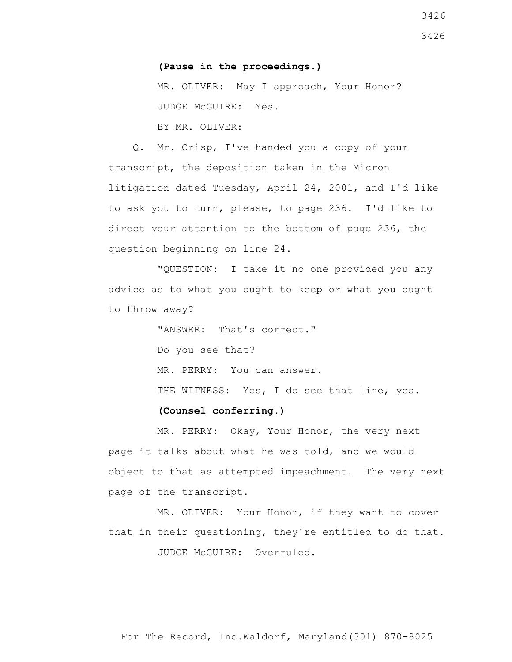## **(Pause in the proceedings.)**

 MR. OLIVER: May I approach, Your Honor? JUDGE McGUIRE: Yes.

BY MR. OLIVER:

 Q. Mr. Crisp, I've handed you a copy of your transcript, the deposition taken in the Micron litigation dated Tuesday, April 24, 2001, and I'd like to ask you to turn, please, to page 236. I'd like to direct your attention to the bottom of page 236, the question beginning on line 24.

 "QUESTION: I take it no one provided you any advice as to what you ought to keep or what you ought to throw away?

> "ANSWER: That's correct." Do you see that? MR. PERRY: You can answer. THE WITNESS: Yes, I do see that line, yes. **(Counsel conferring.)**

 MR. PERRY: Okay, Your Honor, the very next page it talks about what he was told, and we would object to that as attempted impeachment. The very next page of the transcript.

 MR. OLIVER: Your Honor, if they want to cover that in their questioning, they're entitled to do that. JUDGE McGUIRE: Overruled.

For The Record, Inc.Waldorf, Maryland(301) 870-8025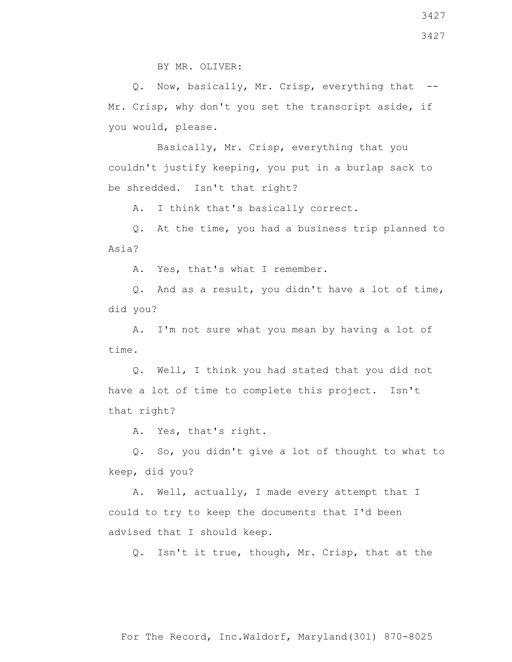Q. Now, basically, Mr. Crisp, everything that -- Mr. Crisp, why don't you set the transcript aside, if you would, please.

 Basically, Mr. Crisp, everything that you couldn't justify keeping, you put in a burlap sack to be shredded. Isn't that right?

A. I think that's basically correct.

 Q. At the time, you had a business trip planned to Asia?

A. Yes, that's what I remember.

 Q. And as a result, you didn't have a lot of time, did you?

 A. I'm not sure what you mean by having a lot of time.

 Q. Well, I think you had stated that you did not have a lot of time to complete this project. Isn't that right?

A. Yes, that's right.

 Q. So, you didn't give a lot of thought to what to keep, did you?

 A. Well, actually, I made every attempt that I could to try to keep the documents that I'd been advised that I should keep.

Q. Isn't it true, though, Mr. Crisp, that at the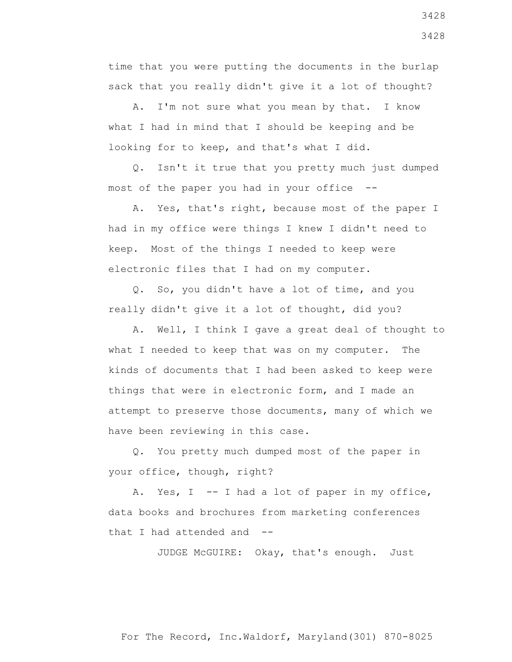time that you were putting the documents in the burlap sack that you really didn't give it a lot of thought?

 A. I'm not sure what you mean by that. I know what I had in mind that I should be keeping and be looking for to keep, and that's what I did.

 Q. Isn't it true that you pretty much just dumped most of the paper you had in your office --

 A. Yes, that's right, because most of the paper I had in my office were things I knew I didn't need to keep. Most of the things I needed to keep were electronic files that I had on my computer.

 Q. So, you didn't have a lot of time, and you really didn't give it a lot of thought, did you?

 A. Well, I think I gave a great deal of thought to what I needed to keep that was on my computer. The kinds of documents that I had been asked to keep were things that were in electronic form, and I made an attempt to preserve those documents, many of which we have been reviewing in this case.

 Q. You pretty much dumped most of the paper in your office, though, right?

A. Yes, I -- I had a lot of paper in my office, data books and brochures from marketing conferences that I had attended and --

JUDGE McGUIRE: Okay, that's enough. Just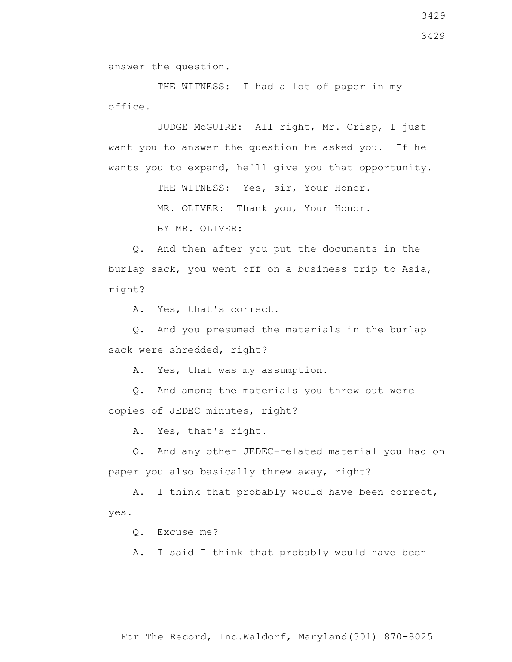answer the question.

THE WITNESS: I had a lot of paper in my office.

 JUDGE McGUIRE: All right, Mr. Crisp, I just want you to answer the question he asked you. If he wants you to expand, he'll give you that opportunity.

THE WITNESS: Yes, sir, Your Honor.

MR. OLIVER: Thank you, Your Honor.

BY MR. OLIVER:

 Q. And then after you put the documents in the burlap sack, you went off on a business trip to Asia, right?

A. Yes, that's correct.

 Q. And you presumed the materials in the burlap sack were shredded, right?

A. Yes, that was my assumption.

 Q. And among the materials you threw out were copies of JEDEC minutes, right?

A. Yes, that's right.

 Q. And any other JEDEC-related material you had on paper you also basically threw away, right?

 A. I think that probably would have been correct, yes.

Q. Excuse me?

A. I said I think that probably would have been

3429

3429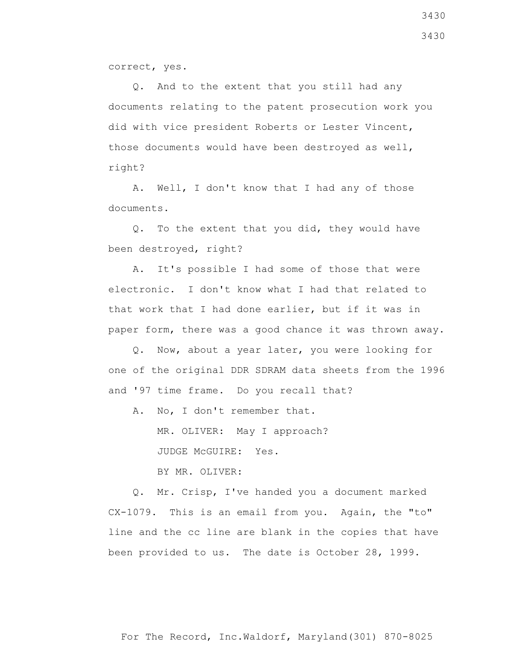correct, yes.

 Q. And to the extent that you still had any documents relating to the patent prosecution work you did with vice president Roberts or Lester Vincent, those documents would have been destroyed as well, right?

 A. Well, I don't know that I had any of those documents.

 Q. To the extent that you did, they would have been destroyed, right?

 A. It's possible I had some of those that were electronic. I don't know what I had that related to that work that I had done earlier, but if it was in paper form, there was a good chance it was thrown away.

 Q. Now, about a year later, you were looking for one of the original DDR SDRAM data sheets from the 1996 and '97 time frame. Do you recall that?

A. No, I don't remember that.

MR. OLIVER: May I approach?

JUDGE McGUIRE: Yes.

BY MR. OLIVER:

 Q. Mr. Crisp, I've handed you a document marked CX-1079. This is an email from you. Again, the "to" line and the cc line are blank in the copies that have been provided to us. The date is October 28, 1999.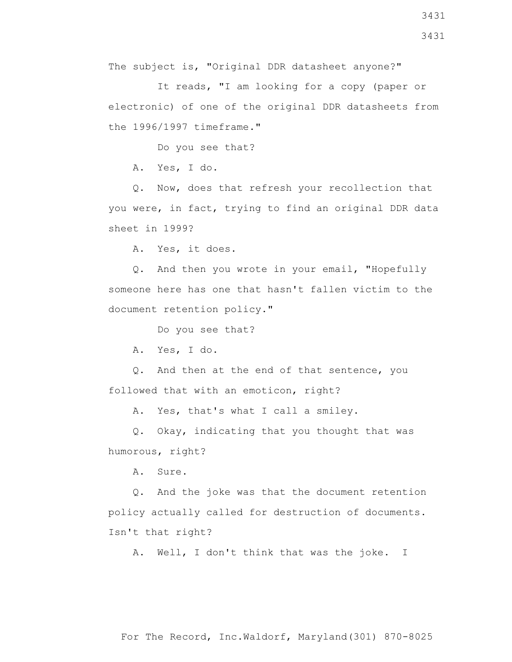The subject is, "Original DDR datasheet anyone?"

 It reads, "I am looking for a copy (paper or electronic) of one of the original DDR datasheets from the 1996/1997 timeframe."

Do you see that?

A. Yes, I do.

 Q. Now, does that refresh your recollection that you were, in fact, trying to find an original DDR data sheet in 1999?

A. Yes, it does.

 Q. And then you wrote in your email, "Hopefully someone here has one that hasn't fallen victim to the document retention policy."

Do you see that?

A. Yes, I do.

 Q. And then at the end of that sentence, you followed that with an emoticon, right?

A. Yes, that's what I call a smiley.

 Q. Okay, indicating that you thought that was humorous, right?

A. Sure.

 Q. And the joke was that the document retention policy actually called for destruction of documents. Isn't that right?

A. Well, I don't think that was the joke. I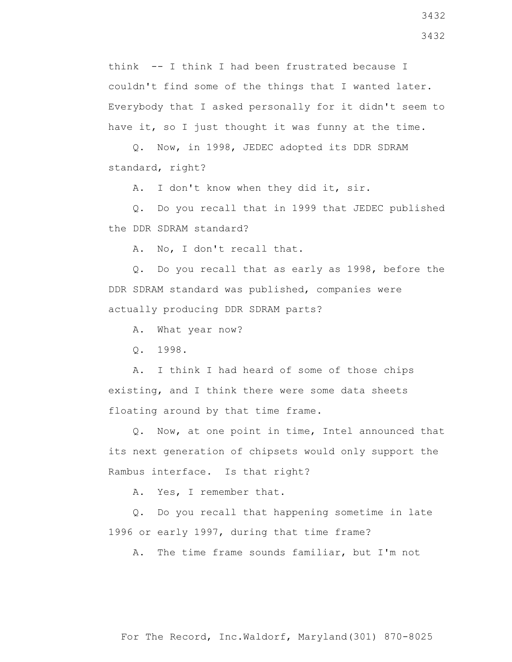think -- I think I had been frustrated because I couldn't find some of the things that I wanted later. Everybody that I asked personally for it didn't seem to have it, so I just thought it was funny at the time.

 Q. Now, in 1998, JEDEC adopted its DDR SDRAM standard, right?

A. I don't know when they did it, sir.

 Q. Do you recall that in 1999 that JEDEC published the DDR SDRAM standard?

A. No, I don't recall that.

 Q. Do you recall that as early as 1998, before the DDR SDRAM standard was published, companies were actually producing DDR SDRAM parts?

A. What year now?

Q. 1998.

 A. I think I had heard of some of those chips existing, and I think there were some data sheets floating around by that time frame.

 Q. Now, at one point in time, Intel announced that its next generation of chipsets would only support the Rambus interface. Is that right?

A. Yes, I remember that.

 Q. Do you recall that happening sometime in late 1996 or early 1997, during that time frame?

A. The time frame sounds familiar, but I'm not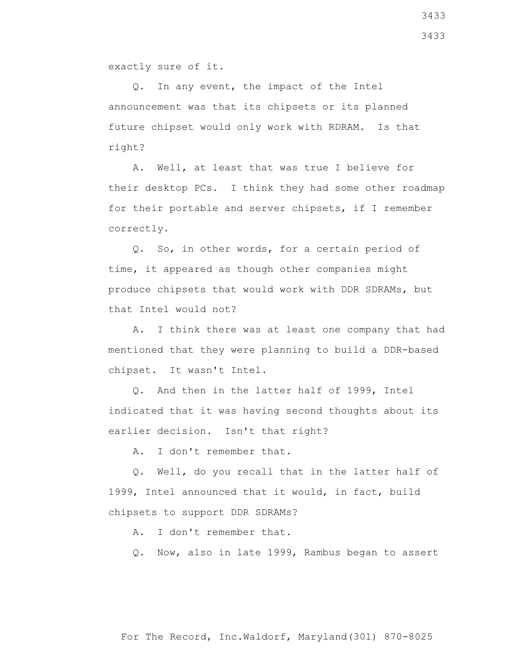exactly sure of it.

 Q. In any event, the impact of the Intel announcement was that its chipsets or its planned future chipset would only work with RDRAM. Is that right?

 A. Well, at least that was true I believe for their desktop PCs. I think they had some other roadmap for their portable and server chipsets, if I remember correctly.

 Q. So, in other words, for a certain period of time, it appeared as though other companies might produce chipsets that would work with DDR SDRAMs, but that Intel would not?

 A. I think there was at least one company that had mentioned that they were planning to build a DDR-based chipset. It wasn't Intel.

 Q. And then in the latter half of 1999, Intel indicated that it was having second thoughts about its earlier decision. Isn't that right?

A. I don't remember that.

 Q. Well, do you recall that in the latter half of 1999, Intel announced that it would, in fact, build chipsets to support DDR SDRAMs?

A. I don't remember that.

Q. Now, also in late 1999, Rambus began to assert

3433

3433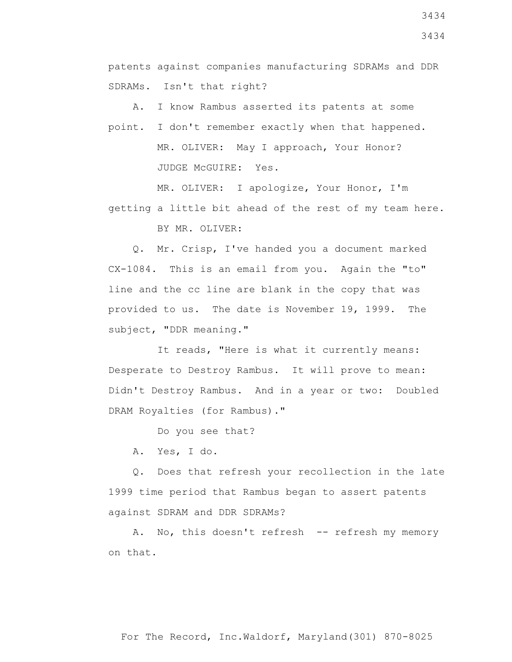patents against companies manufacturing SDRAMs and DDR SDRAMs. Isn't that right?

 A. I know Rambus asserted its patents at some point. I don't remember exactly when that happened. MR. OLIVER: May I approach, Your Honor? JUDGE McGUIRE: Yes.

 MR. OLIVER: I apologize, Your Honor, I'm getting a little bit ahead of the rest of my team here. BY MR. OLIVER:

 Q. Mr. Crisp, I've handed you a document marked CX-1084. This is an email from you. Again the "to" line and the cc line are blank in the copy that was provided to us. The date is November 19, 1999. The subject, "DDR meaning."

 It reads, "Here is what it currently means: Desperate to Destroy Rambus. It will prove to mean: Didn't Destroy Rambus. And in a year or two: Doubled DRAM Royalties (for Rambus)."

Do you see that?

A. Yes, I do.

 Q. Does that refresh your recollection in the late 1999 time period that Rambus began to assert patents against SDRAM and DDR SDRAMs?

A. No, this doesn't refresh -- refresh my memory on that.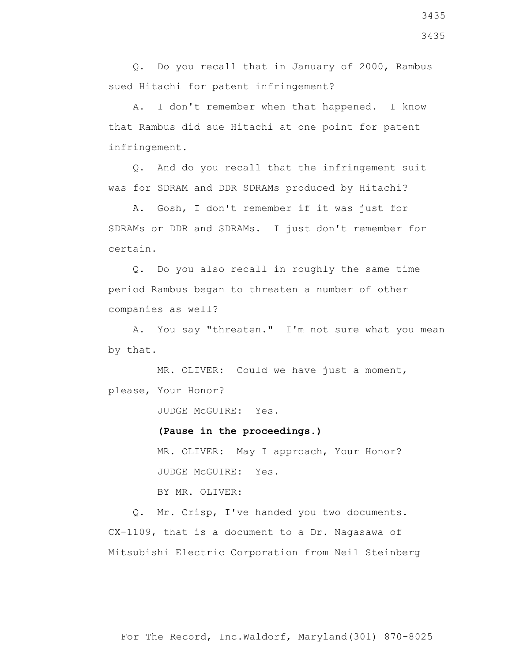Q. Do you recall that in January of 2000, Rambus sued Hitachi for patent infringement?

 A. I don't remember when that happened. I know that Rambus did sue Hitachi at one point for patent infringement.

 Q. And do you recall that the infringement suit was for SDRAM and DDR SDRAMs produced by Hitachi?

 A. Gosh, I don't remember if it was just for SDRAMs or DDR and SDRAMs. I just don't remember for certain.

 Q. Do you also recall in roughly the same time period Rambus began to threaten a number of other companies as well?

 A. You say "threaten." I'm not sure what you mean by that.

 MR. OLIVER: Could we have just a moment, please, Your Honor?

JUDGE McGUIRE: Yes.

**(Pause in the proceedings.)**

 MR. OLIVER: May I approach, Your Honor? JUDGE McGUIRE: Yes.

BY MR. OLIVER:

 Q. Mr. Crisp, I've handed you two documents. CX-1109, that is a document to a Dr. Nagasawa of Mitsubishi Electric Corporation from Neil Steinberg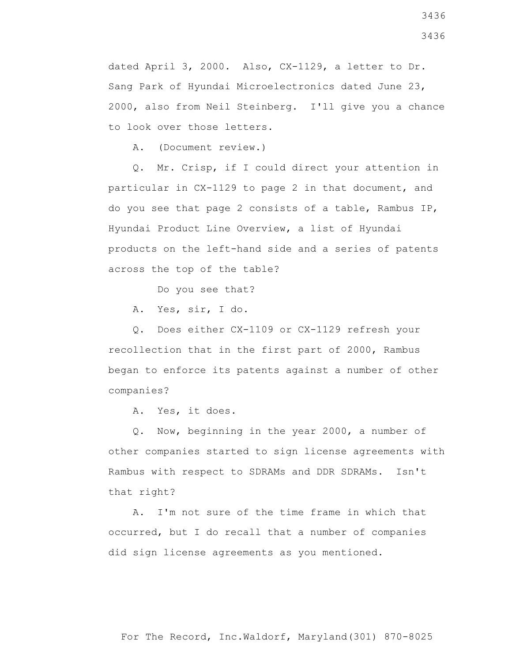dated April 3, 2000. Also, CX-1129, a letter to Dr. Sang Park of Hyundai Microelectronics dated June 23, 2000, also from Neil Steinberg. I'll give you a chance to look over those letters.

A. (Document review.)

 Q. Mr. Crisp, if I could direct your attention in particular in CX-1129 to page 2 in that document, and do you see that page 2 consists of a table, Rambus IP, Hyundai Product Line Overview, a list of Hyundai products on the left-hand side and a series of patents across the top of the table?

Do you see that?

A. Yes, sir, I do.

 Q. Does either CX-1109 or CX-1129 refresh your recollection that in the first part of 2000, Rambus began to enforce its patents against a number of other companies?

A. Yes, it does.

 Q. Now, beginning in the year 2000, a number of other companies started to sign license agreements with Rambus with respect to SDRAMs and DDR SDRAMs. Isn't that right?

 A. I'm not sure of the time frame in which that occurred, but I do recall that a number of companies did sign license agreements as you mentioned.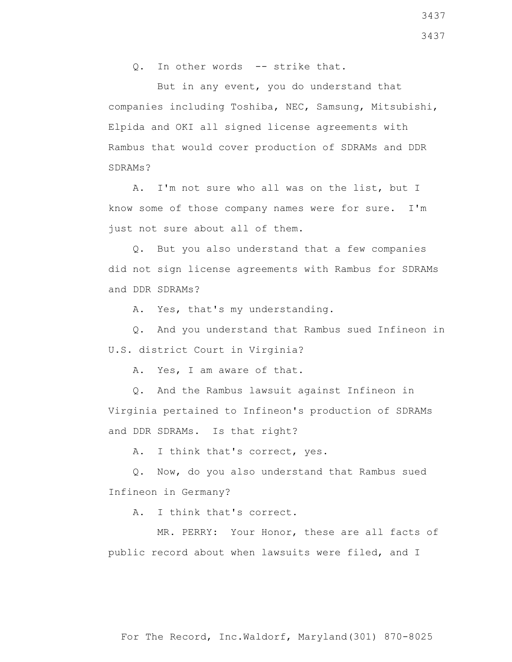Q. In other words -- strike that.

 But in any event, you do understand that companies including Toshiba, NEC, Samsung, Mitsubishi, Elpida and OKI all signed license agreements with Rambus that would cover production of SDRAMs and DDR SDRAMs?

 A. I'm not sure who all was on the list, but I know some of those company names were for sure. I'm just not sure about all of them.

 Q. But you also understand that a few companies did not sign license agreements with Rambus for SDRAMs and DDR SDRAMs?

A. Yes, that's my understanding.

 Q. And you understand that Rambus sued Infineon in U.S. district Court in Virginia?

A. Yes, I am aware of that.

 Q. And the Rambus lawsuit against Infineon in Virginia pertained to Infineon's production of SDRAMs and DDR SDRAMs. Is that right?

A. I think that's correct, yes.

 Q. Now, do you also understand that Rambus sued Infineon in Germany?

A. I think that's correct.

 MR. PERRY: Your Honor, these are all facts of public record about when lawsuits were filed, and I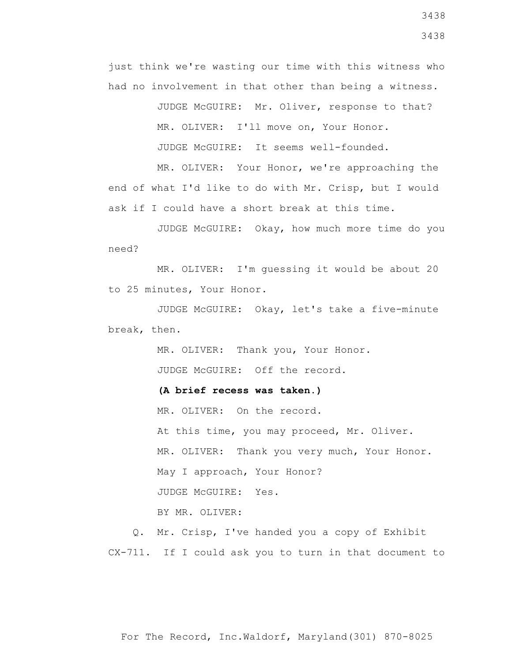just think we're wasting our time with this witness who had no involvement in that other than being a witness.

> JUDGE McGUIRE: Mr. Oliver, response to that? MR. OLIVER: I'll move on, Your Honor.

JUDGE McGUIRE: It seems well-founded.

 MR. OLIVER: Your Honor, we're approaching the end of what I'd like to do with Mr. Crisp, but I would ask if I could have a short break at this time.

 JUDGE McGUIRE: Okay, how much more time do you need?

 MR. OLIVER: I'm guessing it would be about 20 to 25 minutes, Your Honor.

 JUDGE McGUIRE: Okay, let's take a five-minute break, then.

> MR. OLIVER: Thank you, Your Honor. JUDGE McGUIRE: Off the record.

 **(A brief recess was taken.)**

MR. OLIVER: On the record.

 At this time, you may proceed, Mr. Oliver. MR. OLIVER: Thank you very much, Your Honor. May I approach, Your Honor? JUDGE McGUIRE: Yes. BY MR. OLIVER:

 Q. Mr. Crisp, I've handed you a copy of Exhibit CX-711. If I could ask you to turn in that document to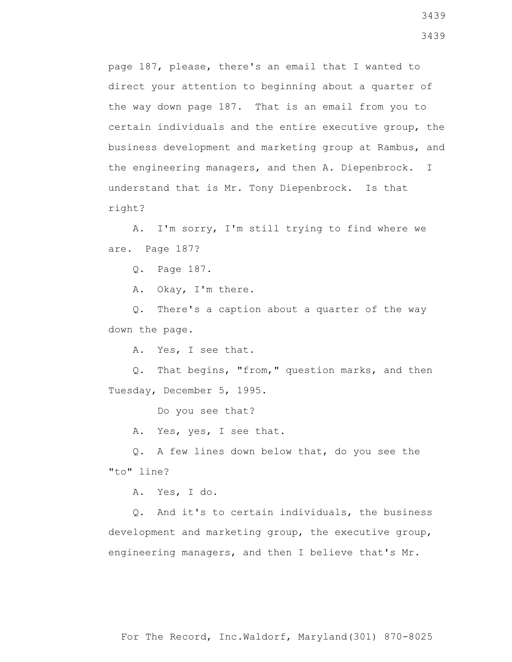page 187, please, there's an email that I wanted to direct your attention to beginning about a quarter of the way down page 187. That is an email from you to certain individuals and the entire executive group, the business development and marketing group at Rambus, and the engineering managers, and then A. Diepenbrock. I understand that is Mr. Tony Diepenbrock. Is that right?

 A. I'm sorry, I'm still trying to find where we are. Page 187?

Q. Page 187.

A. Okay, I'm there.

 Q. There's a caption about a quarter of the way down the page.

A. Yes, I see that.

 Q. That begins, "from," question marks, and then Tuesday, December 5, 1995.

Do you see that?

A. Yes, yes, I see that.

 Q. A few lines down below that, do you see the "to" line?

A. Yes, I do.

 Q. And it's to certain individuals, the business development and marketing group, the executive group, engineering managers, and then I believe that's Mr.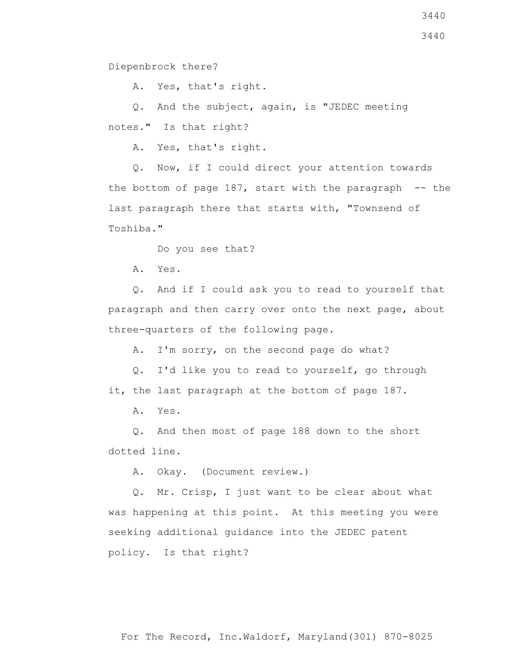Diepenbrock there?

A. Yes, that's right.

 Q. And the subject, again, is "JEDEC meeting notes." Is that right?

A. Yes, that's right.

 Q. Now, if I could direct your attention towards the bottom of page  $187$ , start with the paragraph  $-$  the last paragraph there that starts with, "Townsend of Toshiba."

Do you see that?

A. Yes.

 Q. And if I could ask you to read to yourself that paragraph and then carry over onto the next page, about three-quarters of the following page.

A. I'm sorry, on the second page do what?

 Q. I'd like you to read to yourself, go through it, the last paragraph at the bottom of page 187.

A. Yes.

 Q. And then most of page 188 down to the short dotted line.

A. Okay. (Document review.)

 Q. Mr. Crisp, I just want to be clear about what was happening at this point. At this meeting you were seeking additional guidance into the JEDEC patent policy. Is that right?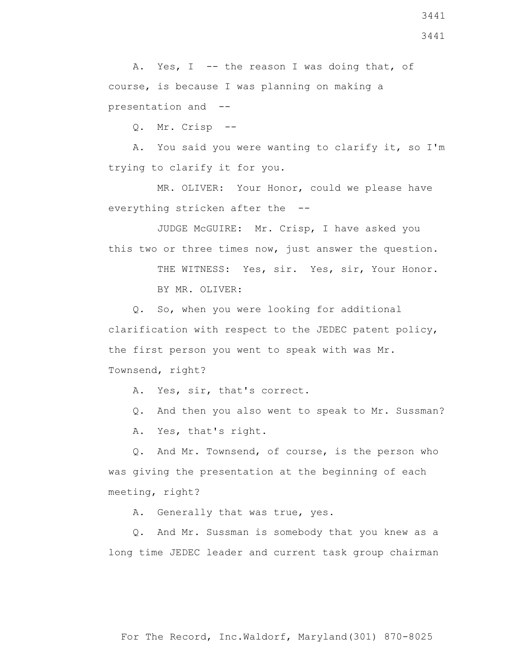Q. And Mr. Sussman is somebody that you knew as a

For The Record, Inc.Waldorf, Maryland(301) 870-8025

A. Generally that was true, yes.

was giving the presentation at the beginning of each meeting, right?

long time JEDEC leader and current task group chairman

 A. Yes, that's right. Q. And Mr. Townsend, of course, is the person who

Q. And then you also went to speak to Mr. Sussman?

clarification with respect to the JEDEC patent policy, the first person you went to speak with was Mr. Townsend, right? A. Yes, sir, that's correct.

Q. So, when you were looking for additional

this two or three times now, just answer the question. THE WITNESS: Yes, sir. Yes, sir, Your Honor.

 MR. OLIVER: Your Honor, could we please have everything stricken after the --

JUDGE McGUIRE: Mr. Crisp, I have asked you

 Q. Mr. Crisp -- A. You said you were wanting to clarify it, so I'm

trying to clarify it for you.

BY MR. OLIVER:

A. Yes, I -- the reason I was doing that, of course, is because I was planning on making a presentation and --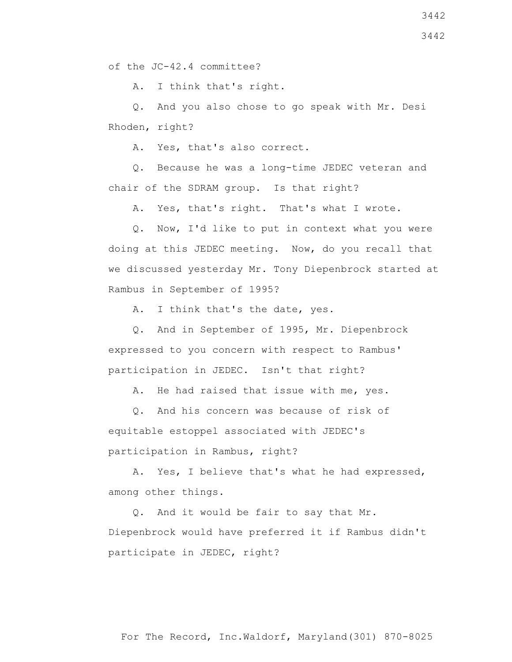of the JC-42.4 committee?

A. I think that's right.

 Q. And you also chose to go speak with Mr. Desi Rhoden, right?

A. Yes, that's also correct.

 Q. Because he was a long-time JEDEC veteran and chair of the SDRAM group. Is that right?

A. Yes, that's right. That's what I wrote.

 Q. Now, I'd like to put in context what you were doing at this JEDEC meeting. Now, do you recall that we discussed yesterday Mr. Tony Diepenbrock started at Rambus in September of 1995?

A. I think that's the date, yes.

 Q. And in September of 1995, Mr. Diepenbrock expressed to you concern with respect to Rambus' participation in JEDEC. Isn't that right?

A. He had raised that issue with me, yes.

 Q. And his concern was because of risk of equitable estoppel associated with JEDEC's participation in Rambus, right?

 A. Yes, I believe that's what he had expressed, among other things.

 Q. And it would be fair to say that Mr. Diepenbrock would have preferred it if Rambus didn't participate in JEDEC, right?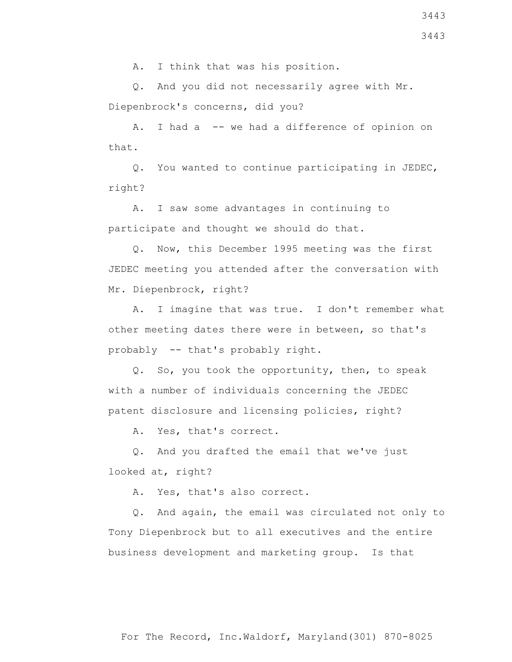Q. And you did not necessarily agree with Mr. Diepenbrock's concerns, did you?

A. I had a -- we had a difference of opinion on that.

 Q. You wanted to continue participating in JEDEC, right?

 A. I saw some advantages in continuing to participate and thought we should do that.

 Q. Now, this December 1995 meeting was the first JEDEC meeting you attended after the conversation with Mr. Diepenbrock, right?

 A. I imagine that was true. I don't remember what other meeting dates there were in between, so that's probably -- that's probably right.

 Q. So, you took the opportunity, then, to speak with a number of individuals concerning the JEDEC patent disclosure and licensing policies, right?

A. Yes, that's correct.

 Q. And you drafted the email that we've just looked at, right?

A. Yes, that's also correct.

 Q. And again, the email was circulated not only to Tony Diepenbrock but to all executives and the entire business development and marketing group. Is that

3443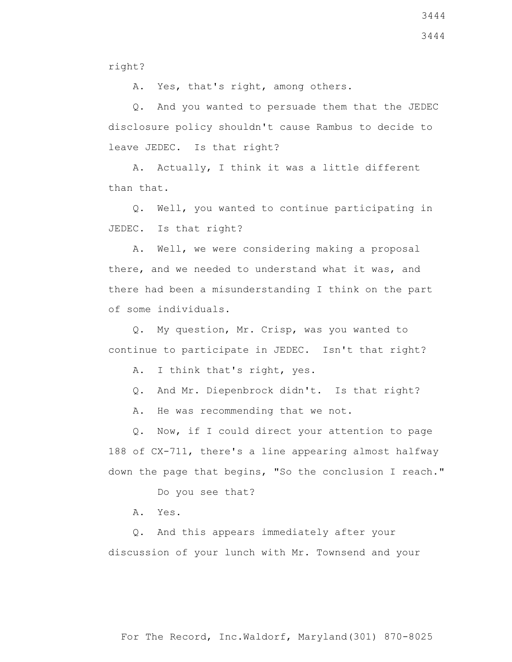A. Yes, that's right, among others.

 Q. And you wanted to persuade them that the JEDEC disclosure policy shouldn't cause Rambus to decide to leave JEDEC. Is that right?

 A. Actually, I think it was a little different than that.

 Q. Well, you wanted to continue participating in JEDEC. Is that right?

 A. Well, we were considering making a proposal there, and we needed to understand what it was, and there had been a misunderstanding I think on the part of some individuals.

 Q. My question, Mr. Crisp, was you wanted to continue to participate in JEDEC. Isn't that right?

A. I think that's right, yes.

Q. And Mr. Diepenbrock didn't. Is that right?

A. He was recommending that we not.

 Q. Now, if I could direct your attention to page 188 of CX-711, there's a line appearing almost halfway down the page that begins, "So the conclusion I reach."

Do you see that?

A. Yes.

 Q. And this appears immediately after your discussion of your lunch with Mr. Townsend and your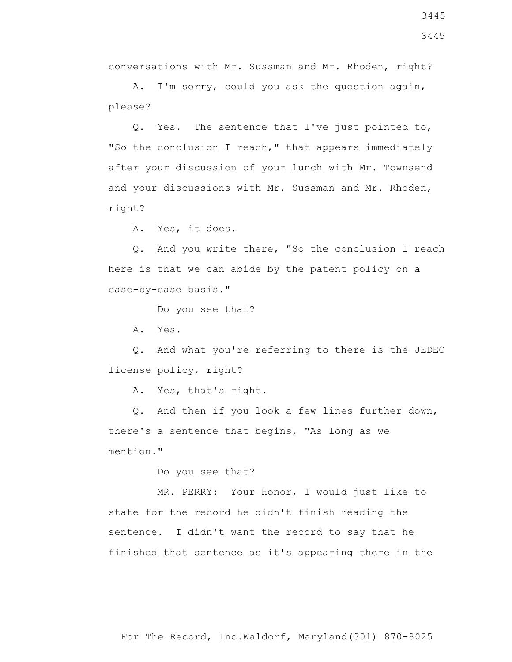conversations with Mr. Sussman and Mr. Rhoden, right?

 A. I'm sorry, could you ask the question again, please?

 Q. Yes. The sentence that I've just pointed to, "So the conclusion I reach," that appears immediately after your discussion of your lunch with Mr. Townsend and your discussions with Mr. Sussman and Mr. Rhoden, right?

A. Yes, it does.

 Q. And you write there, "So the conclusion I reach here is that we can abide by the patent policy on a case-by-case basis."

Do you see that?

A. Yes.

 Q. And what you're referring to there is the JEDEC license policy, right?

A. Yes, that's right.

 Q. And then if you look a few lines further down, there's a sentence that begins, "As long as we mention."

Do you see that?

 MR. PERRY: Your Honor, I would just like to state for the record he didn't finish reading the sentence. I didn't want the record to say that he finished that sentence as it's appearing there in the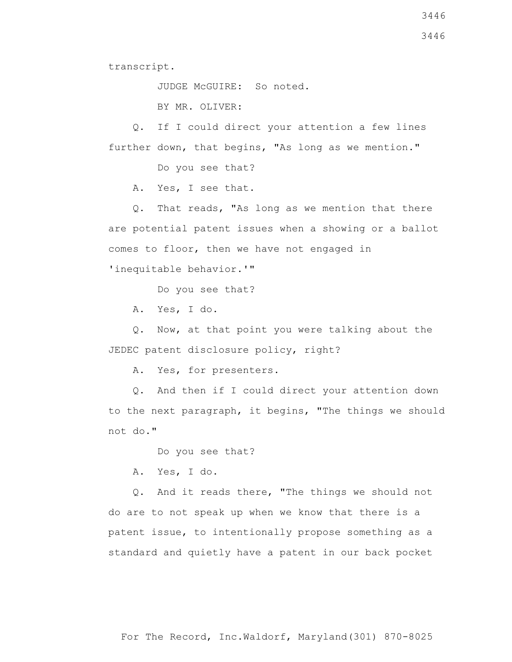3446

transcript.

JUDGE McGUIRE: So noted.

BY MR. OLIVER:

 Q. If I could direct your attention a few lines further down, that begins, "As long as we mention."

Do you see that?

A. Yes, I see that.

 Q. That reads, "As long as we mention that there are potential patent issues when a showing or a ballot comes to floor, then we have not engaged in

'inequitable behavior.'"

Do you see that?

A. Yes, I do.

 Q. Now, at that point you were talking about the JEDEC patent disclosure policy, right?

A. Yes, for presenters.

 Q. And then if I could direct your attention down to the next paragraph, it begins, "The things we should not do."

Do you see that?

A. Yes, I do.

 Q. And it reads there, "The things we should not do are to not speak up when we know that there is a patent issue, to intentionally propose something as a standard and quietly have a patent in our back pocket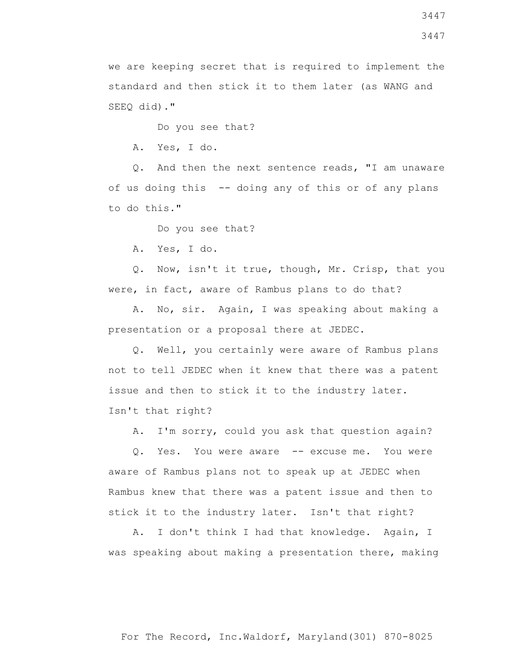we are keeping secret that is required to implement the standard and then stick it to them later (as WANG and SEEQ did)."

Do you see that?

A. Yes, I do.

 Q. And then the next sentence reads, "I am unaware of us doing this -- doing any of this or of any plans to do this."

Do you see that?

A. Yes, I do.

 Q. Now, isn't it true, though, Mr. Crisp, that you were, in fact, aware of Rambus plans to do that?

 A. No, sir. Again, I was speaking about making a presentation or a proposal there at JEDEC.

 Q. Well, you certainly were aware of Rambus plans not to tell JEDEC when it knew that there was a patent issue and then to stick it to the industry later. Isn't that right?

A. I'm sorry, could you ask that question again?

 Q. Yes. You were aware -- excuse me. You were aware of Rambus plans not to speak up at JEDEC when Rambus knew that there was a patent issue and then to stick it to the industry later. Isn't that right?

 A. I don't think I had that knowledge. Again, I was speaking about making a presentation there, making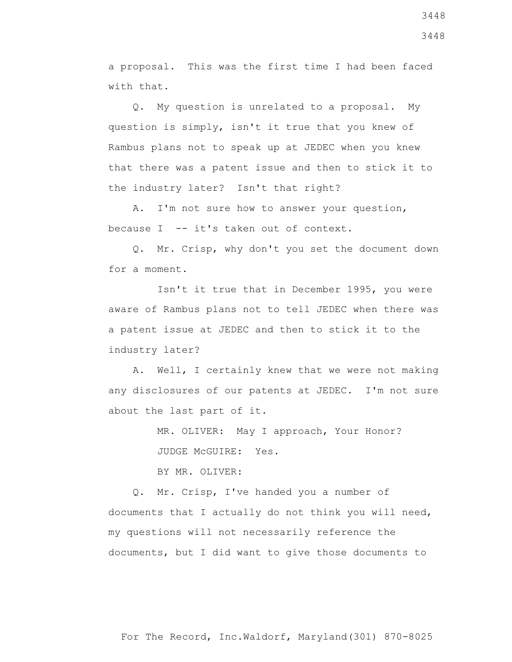a proposal. This was the first time I had been faced with that.

 Q. My question is unrelated to a proposal. My question is simply, isn't it true that you knew of Rambus plans not to speak up at JEDEC when you knew that there was a patent issue and then to stick it to the industry later? Isn't that right?

 A. I'm not sure how to answer your question, because I -- it's taken out of context.

 Q. Mr. Crisp, why don't you set the document down for a moment.

 Isn't it true that in December 1995, you were aware of Rambus plans not to tell JEDEC when there was a patent issue at JEDEC and then to stick it to the industry later?

 A. Well, I certainly knew that we were not making any disclosures of our patents at JEDEC. I'm not sure about the last part of it.

> MR. OLIVER: May I approach, Your Honor? JUDGE McGUIRE: Yes.

BY MR. OLIVER:

 Q. Mr. Crisp, I've handed you a number of documents that I actually do not think you will need, my questions will not necessarily reference the documents, but I did want to give those documents to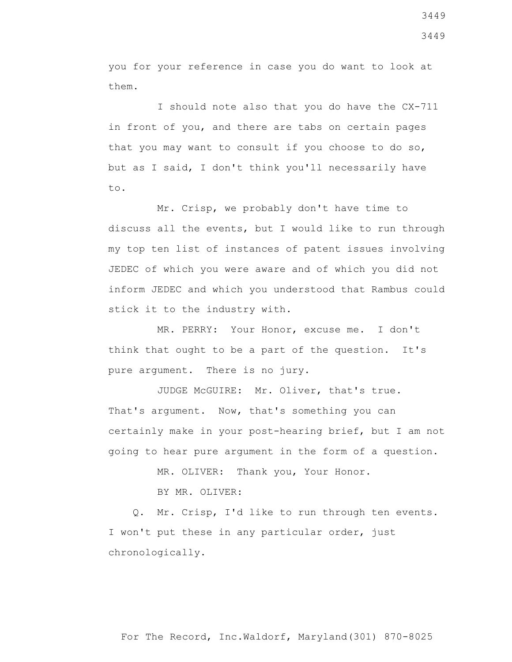you for your reference in case you do want to look at them.

 I should note also that you do have the CX-711 in front of you, and there are tabs on certain pages that you may want to consult if you choose to do so, but as I said, I don't think you'll necessarily have to.

 Mr. Crisp, we probably don't have time to discuss all the events, but I would like to run through my top ten list of instances of patent issues involving JEDEC of which you were aware and of which you did not inform JEDEC and which you understood that Rambus could stick it to the industry with.

 MR. PERRY: Your Honor, excuse me. I don't think that ought to be a part of the question. It's pure argument. There is no jury.

 JUDGE McGUIRE: Mr. Oliver, that's true. That's argument. Now, that's something you can certainly make in your post-hearing brief, but I am not going to hear pure argument in the form of a question.

MR. OLIVER: Thank you, Your Honor.

BY MR. OLIVER:

 Q. Mr. Crisp, I'd like to run through ten events. I won't put these in any particular order, just chronologically.

3449 3449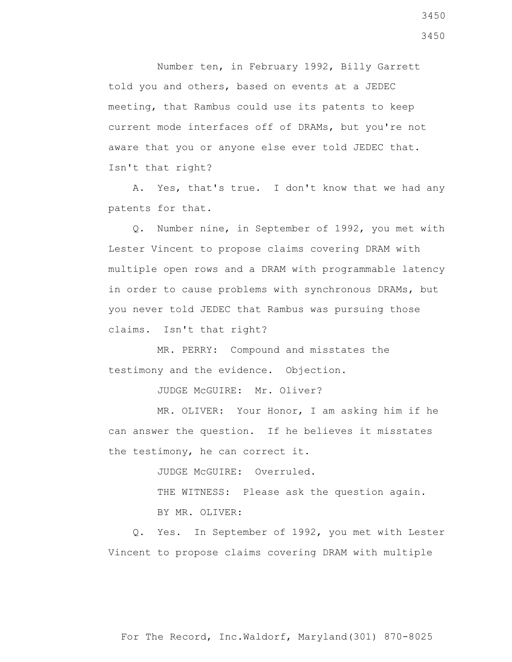Number ten, in February 1992, Billy Garrett told you and others, based on events at a JEDEC meeting, that Rambus could use its patents to keep current mode interfaces off of DRAMs, but you're not aware that you or anyone else ever told JEDEC that. Isn't that right?

 A. Yes, that's true. I don't know that we had any patents for that.

 Q. Number nine, in September of 1992, you met with Lester Vincent to propose claims covering DRAM with multiple open rows and a DRAM with programmable latency in order to cause problems with synchronous DRAMs, but you never told JEDEC that Rambus was pursuing those claims. Isn't that right?

 MR. PERRY: Compound and misstates the testimony and the evidence. Objection.

JUDGE McGUIRE: Mr. Oliver?

 MR. OLIVER: Your Honor, I am asking him if he can answer the question. If he believes it misstates the testimony, he can correct it.

JUDGE McGUIRE: Overruled.

THE WITNESS: Please ask the question again.

BY MR. OLIVER:

 Q. Yes. In September of 1992, you met with Lester Vincent to propose claims covering DRAM with multiple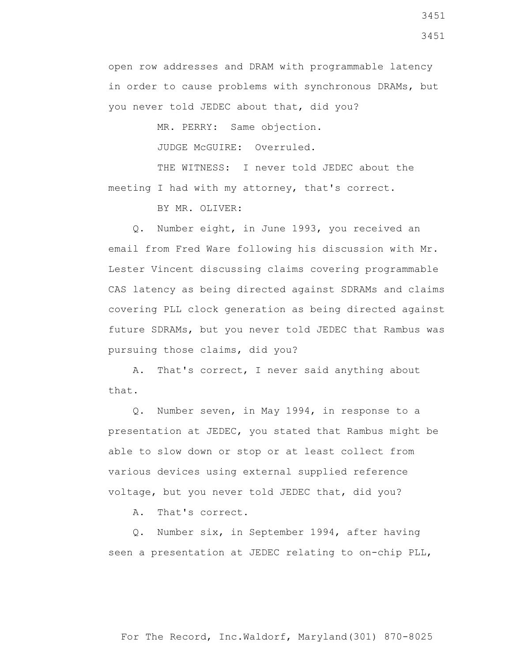open row addresses and DRAM with programmable latency in order to cause problems with synchronous DRAMs, but you never told JEDEC about that, did you?

MR. PERRY: Same objection.

JUDGE McGUIRE: Overruled.

THE WITNESS: I never told JEDEC about the meeting I had with my attorney, that's correct.

BY MR. OLIVER:

 Q. Number eight, in June 1993, you received an email from Fred Ware following his discussion with Mr. Lester Vincent discussing claims covering programmable CAS latency as being directed against SDRAMs and claims covering PLL clock generation as being directed against future SDRAMs, but you never told JEDEC that Rambus was pursuing those claims, did you?

 A. That's correct, I never said anything about that.

 Q. Number seven, in May 1994, in response to a presentation at JEDEC, you stated that Rambus might be able to slow down or stop or at least collect from various devices using external supplied reference voltage, but you never told JEDEC that, did you?

A. That's correct.

 Q. Number six, in September 1994, after having seen a presentation at JEDEC relating to on-chip PLL,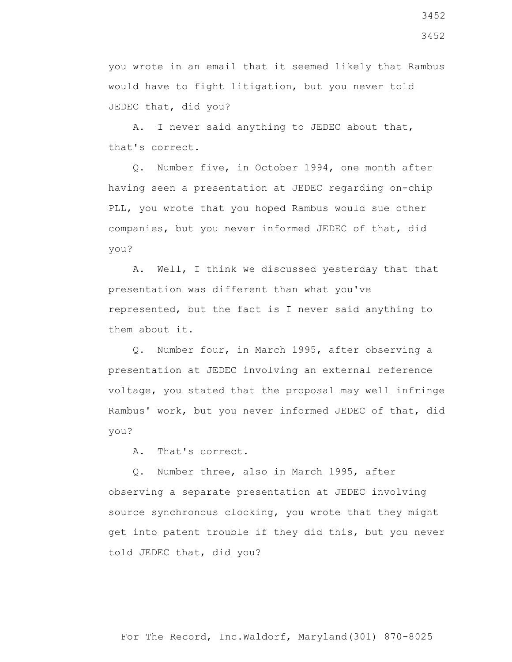you wrote in an email that it seemed likely that Rambus would have to fight litigation, but you never told JEDEC that, did you?

 A. I never said anything to JEDEC about that, that's correct.

 Q. Number five, in October 1994, one month after having seen a presentation at JEDEC regarding on-chip PLL, you wrote that you hoped Rambus would sue other companies, but you never informed JEDEC of that, did you?

 A. Well, I think we discussed yesterday that that presentation was different than what you've represented, but the fact is I never said anything to them about it.

 Q. Number four, in March 1995, after observing a presentation at JEDEC involving an external reference voltage, you stated that the proposal may well infringe Rambus' work, but you never informed JEDEC of that, did you?

A. That's correct.

 Q. Number three, also in March 1995, after observing a separate presentation at JEDEC involving source synchronous clocking, you wrote that they might get into patent trouble if they did this, but you never told JEDEC that, did you?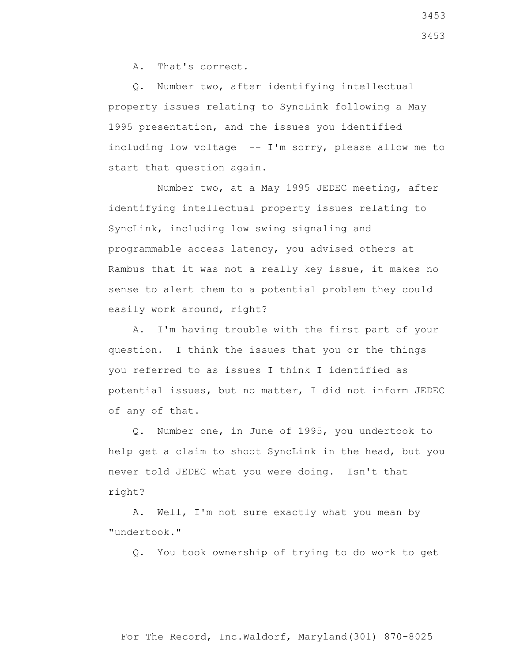A. That's correct.

 Q. Number two, after identifying intellectual property issues relating to SyncLink following a May 1995 presentation, and the issues you identified including low voltage -- I'm sorry, please allow me to start that question again.

 Number two, at a May 1995 JEDEC meeting, after identifying intellectual property issues relating to SyncLink, including low swing signaling and programmable access latency, you advised others at Rambus that it was not a really key issue, it makes no sense to alert them to a potential problem they could easily work around, right?

 A. I'm having trouble with the first part of your question. I think the issues that you or the things you referred to as issues I think I identified as potential issues, but no matter, I did not inform JEDEC of any of that.

 Q. Number one, in June of 1995, you undertook to help get a claim to shoot SyncLink in the head, but you never told JEDEC what you were doing. Isn't that right?

 A. Well, I'm not sure exactly what you mean by "undertook."

Q. You took ownership of trying to do work to get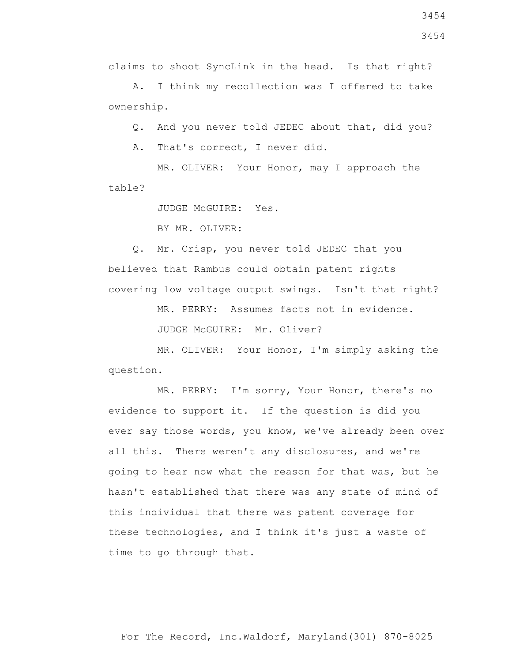3454

claims to shoot SyncLink in the head. Is that right?

 A. I think my recollection was I offered to take ownership.

Q. And you never told JEDEC about that, did you?

A. That's correct, I never did.

 MR. OLIVER: Your Honor, may I approach the table?

JUDGE McGUIRE: Yes.

BY MR. OLIVER:

 Q. Mr. Crisp, you never told JEDEC that you believed that Rambus could obtain patent rights covering low voltage output swings. Isn't that right?

MR. PERRY: Assumes facts not in evidence.

JUDGE McGUIRE: Mr. Oliver?

 MR. OLIVER: Your Honor, I'm simply asking the question.

 MR. PERRY: I'm sorry, Your Honor, there's no evidence to support it. If the question is did you ever say those words, you know, we've already been over all this. There weren't any disclosures, and we're going to hear now what the reason for that was, but he hasn't established that there was any state of mind of this individual that there was patent coverage for these technologies, and I think it's just a waste of time to go through that.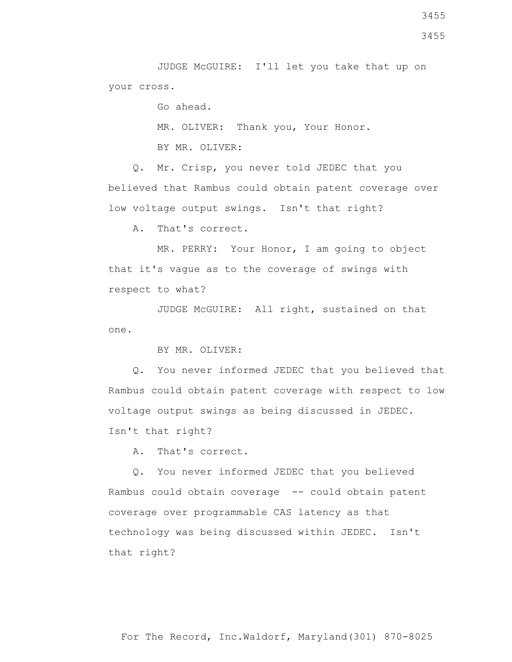JUDGE McGUIRE: I'll let you take that up on your cross.

Go ahead.

MR. OLIVER: Thank you, Your Honor.

BY MR. OLIVER:

 Q. Mr. Crisp, you never told JEDEC that you believed that Rambus could obtain patent coverage over low voltage output swings. Isn't that right?

A. That's correct.

 MR. PERRY: Your Honor, I am going to object that it's vague as to the coverage of swings with respect to what?

 JUDGE McGUIRE: All right, sustained on that one.

BY MR. OLIVER:

 Q. You never informed JEDEC that you believed that Rambus could obtain patent coverage with respect to low voltage output swings as being discussed in JEDEC. Isn't that right?

A. That's correct.

 Q. You never informed JEDEC that you believed Rambus could obtain coverage -- could obtain patent coverage over programmable CAS latency as that technology was being discussed within JEDEC. Isn't that right?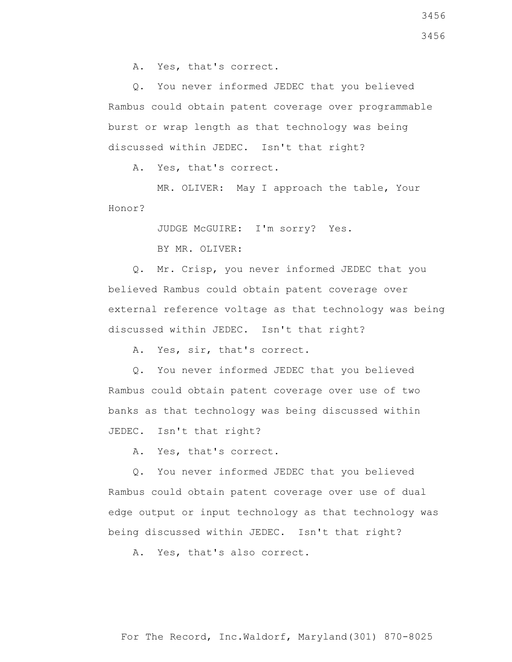A. Yes, that's correct.

 Q. You never informed JEDEC that you believed Rambus could obtain patent coverage over programmable burst or wrap length as that technology was being discussed within JEDEC. Isn't that right?

A. Yes, that's correct.

 MR. OLIVER: May I approach the table, Your Honor?

JUDGE McGUIRE: I'm sorry? Yes.

BY MR. OLIVER:

 Q. Mr. Crisp, you never informed JEDEC that you believed Rambus could obtain patent coverage over external reference voltage as that technology was being discussed within JEDEC. Isn't that right?

A. Yes, sir, that's correct.

 Q. You never informed JEDEC that you believed Rambus could obtain patent coverage over use of two banks as that technology was being discussed within JEDEC. Isn't that right?

A. Yes, that's correct.

 Q. You never informed JEDEC that you believed Rambus could obtain patent coverage over use of dual edge output or input technology as that technology was being discussed within JEDEC. Isn't that right?

A. Yes, that's also correct.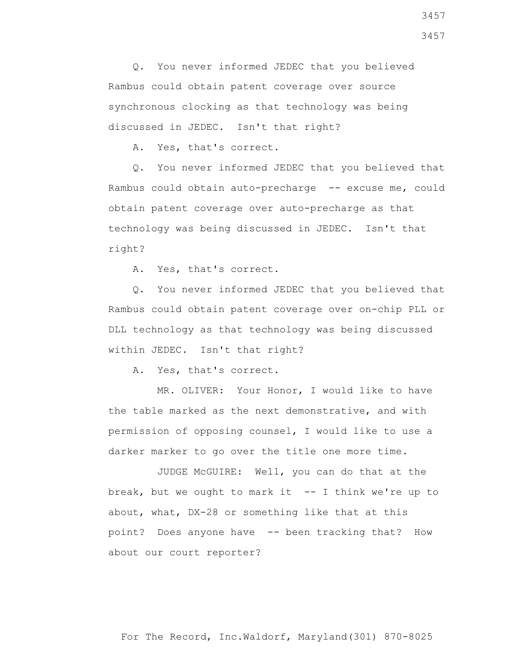Q. You never informed JEDEC that you believed Rambus could obtain patent coverage over source synchronous clocking as that technology was being discussed in JEDEC. Isn't that right?

A. Yes, that's correct.

 Q. You never informed JEDEC that you believed that Rambus could obtain auto-precharge -- excuse me, could obtain patent coverage over auto-precharge as that technology was being discussed in JEDEC. Isn't that right?

A. Yes, that's correct.

 Q. You never informed JEDEC that you believed that Rambus could obtain patent coverage over on-chip PLL or DLL technology as that technology was being discussed within JEDEC. Isn't that right?

A. Yes, that's correct.

 MR. OLIVER: Your Honor, I would like to have the table marked as the next demonstrative, and with permission of opposing counsel, I would like to use a darker marker to go over the title one more time.

 JUDGE McGUIRE: Well, you can do that at the break, but we ought to mark it  $-$ - I think we're up to about, what, DX-28 or something like that at this point? Does anyone have -- been tracking that? How about our court reporter?

3457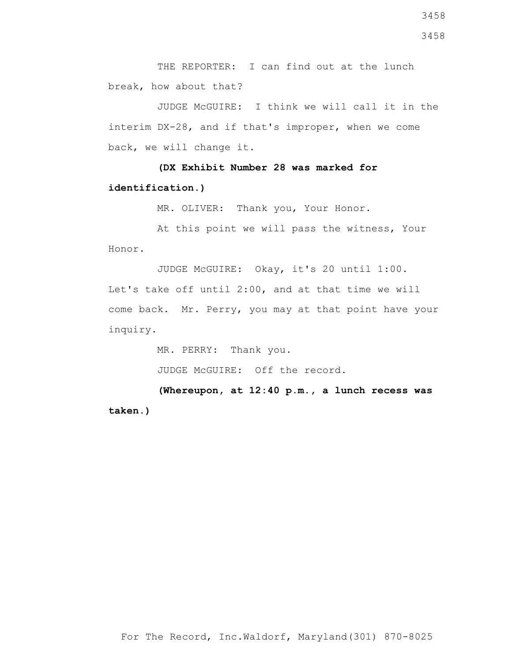THE REPORTER: I can find out at the lunch break, how about that?

 JUDGE McGUIRE: I think we will call it in the interim DX-28, and if that's improper, when we come back, we will change it.

 **(DX Exhibit Number 28 was marked for identification.)**

MR. OLIVER: Thank you, Your Honor.

 At this point we will pass the witness, Your Honor.

 JUDGE McGUIRE: Okay, it's 20 until 1:00. Let's take off until 2:00, and at that time we will come back. Mr. Perry, you may at that point have your inquiry.

MR. PERRY: Thank you.

JUDGE McGUIRE: Off the record.

 **(Whereupon, at 12:40 p.m., a lunch recess was taken.)**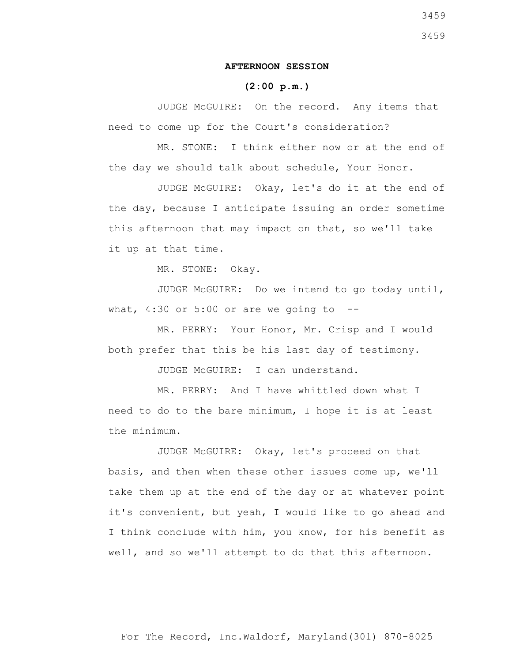## **AFTERNOON SESSION**

## **(2:00 p.m.)**

 JUDGE McGUIRE: On the record. Any items that need to come up for the Court's consideration?

 MR. STONE: I think either now or at the end of the day we should talk about schedule, Your Honor.

 JUDGE McGUIRE: Okay, let's do it at the end of the day, because I anticipate issuing an order sometime this afternoon that may impact on that, so we'll take it up at that time.

MR. STONE: Okay.

 JUDGE McGUIRE: Do we intend to go today until, what,  $4:30$  or  $5:00$  or are we going to  $-$ 

 MR. PERRY: Your Honor, Mr. Crisp and I would both prefer that this be his last day of testimony.

JUDGE McGUIRE: I can understand.

 MR. PERRY: And I have whittled down what I need to do to the bare minimum, I hope it is at least the minimum.

 JUDGE McGUIRE: Okay, let's proceed on that basis, and then when these other issues come up, we'll take them up at the end of the day or at whatever point it's convenient, but yeah, I would like to go ahead and I think conclude with him, you know, for his benefit as well, and so we'll attempt to do that this afternoon.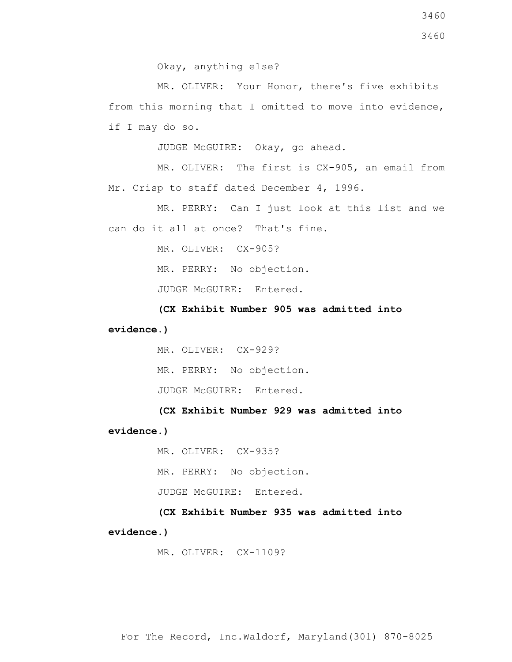3460

Okay, anything else?

 MR. OLIVER: Your Honor, there's five exhibits from this morning that I omitted to move into evidence, if I may do so.

JUDGE McGUIRE: Okay, go ahead.

 MR. OLIVER: The first is CX-905, an email from Mr. Crisp to staff dated December 4, 1996.

 MR. PERRY: Can I just look at this list and we can do it all at once? That's fine.

MR. OLIVER: CX-905?

MR. PERRY: No objection.

JUDGE McGUIRE: Entered.

 **(CX Exhibit Number 905 was admitted into evidence.)**

> MR. OLIVER: CX-929? MR. PERRY: No objection. JUDGE McGUIRE: Entered.

 **(CX Exhibit Number 929 was admitted into evidence.)**

> MR. OLIVER: CX-935? MR. PERRY: No objection. JUDGE McGUIRE: Entered.

 **(CX Exhibit Number 935 was admitted into evidence.)**

MR. OLIVER: CX-1109?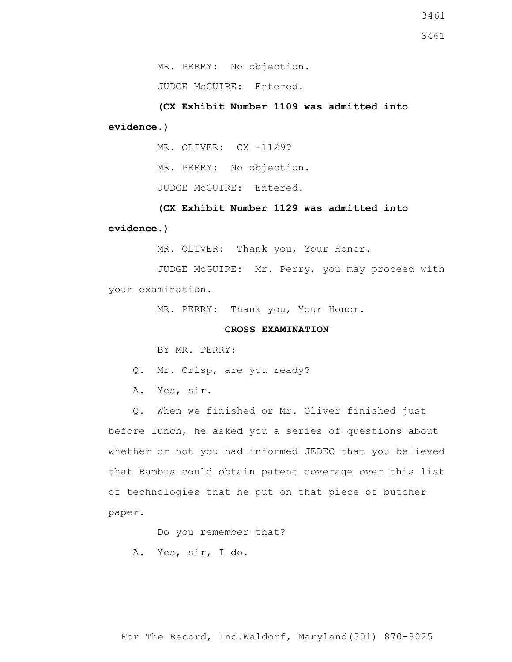MR. PERRY: No objection.

JUDGE McGUIRE: Entered.

 **(CX Exhibit Number 1109 was admitted into evidence.)**

MR. OLIVER: CX -1129?

MR. PERRY: No objection.

JUDGE McGUIRE: Entered.

 **(CX Exhibit Number 1129 was admitted into evidence.)**

MR. OLIVER: Thank you, Your Honor.

 JUDGE McGUIRE: Mr. Perry, you may proceed with your examination.

MR. PERRY: Thank you, Your Honor.

## **CROSS EXAMINATION**

BY MR. PERRY:

Q. Mr. Crisp, are you ready?

A. Yes, sir.

 Q. When we finished or Mr. Oliver finished just before lunch, he asked you a series of questions about whether or not you had informed JEDEC that you believed that Rambus could obtain patent coverage over this list of technologies that he put on that piece of butcher paper.

Do you remember that?

A. Yes, sir, I do.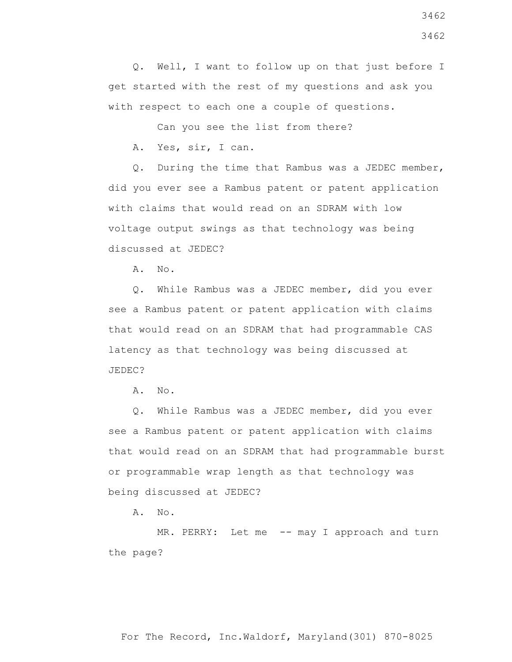Q. Well, I want to follow up on that just before I get started with the rest of my questions and ask you with respect to each one a couple of questions.

Can you see the list from there?

A. Yes, sir, I can.

 Q. During the time that Rambus was a JEDEC member, did you ever see a Rambus patent or patent application with claims that would read on an SDRAM with low voltage output swings as that technology was being discussed at JEDEC?

A. No.

 Q. While Rambus was a JEDEC member, did you ever see a Rambus patent or patent application with claims that would read on an SDRAM that had programmable CAS latency as that technology was being discussed at JEDEC?

A. No.

 Q. While Rambus was a JEDEC member, did you ever see a Rambus patent or patent application with claims that would read on an SDRAM that had programmable burst or programmable wrap length as that technology was being discussed at JEDEC?

A. No.

MR. PERRY: Let me -- may I approach and turn the page?

For The Record, Inc.Waldorf, Maryland(301) 870-8025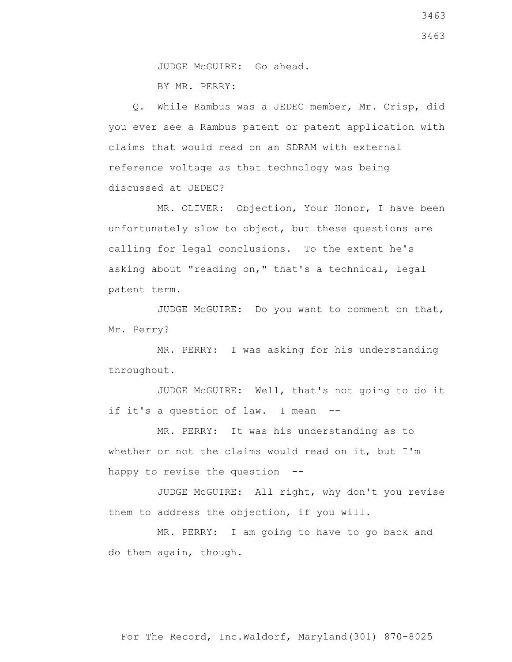JUDGE McGUIRE: Go ahead. BY MR. PERRY:

 Q. While Rambus was a JEDEC member, Mr. Crisp, did you ever see a Rambus patent or patent application with claims that would read on an SDRAM with external reference voltage as that technology was being discussed at JEDEC?

 MR. OLIVER: Objection, Your Honor, I have been unfortunately slow to object, but these questions are calling for legal conclusions. To the extent he's asking about "reading on," that's a technical, legal patent term.

 JUDGE McGUIRE: Do you want to comment on that, Mr. Perry?

 MR. PERRY: I was asking for his understanding throughout.

 JUDGE McGUIRE: Well, that's not going to do it if it's a question of law. I mean --

 MR. PERRY: It was his understanding as to whether or not the claims would read on it, but I'm happy to revise the question --

 JUDGE McGUIRE: All right, why don't you revise them to address the objection, if you will.

 MR. PERRY: I am going to have to go back and do them again, though.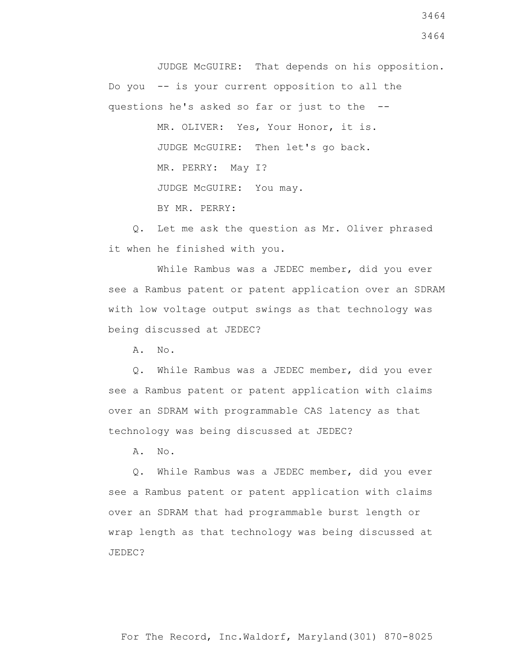JUDGE McGUIRE: That depends on his opposition. Do you -- is your current opposition to all the questions he's asked so far or just to the --

> MR. OLIVER: Yes, Your Honor, it is. JUDGE McGUIRE: Then let's go back. MR. PERRY: May I? JUDGE McGUIRE: You may.

BY MR. PERRY:

 Q. Let me ask the question as Mr. Oliver phrased it when he finished with you.

 While Rambus was a JEDEC member, did you ever see a Rambus patent or patent application over an SDRAM with low voltage output swings as that technology was being discussed at JEDEC?

A. No.

 Q. While Rambus was a JEDEC member, did you ever see a Rambus patent or patent application with claims over an SDRAM with programmable CAS latency as that technology was being discussed at JEDEC?

A. No.

 Q. While Rambus was a JEDEC member, did you ever see a Rambus patent or patent application with claims over an SDRAM that had programmable burst length or wrap length as that technology was being discussed at JEDEC?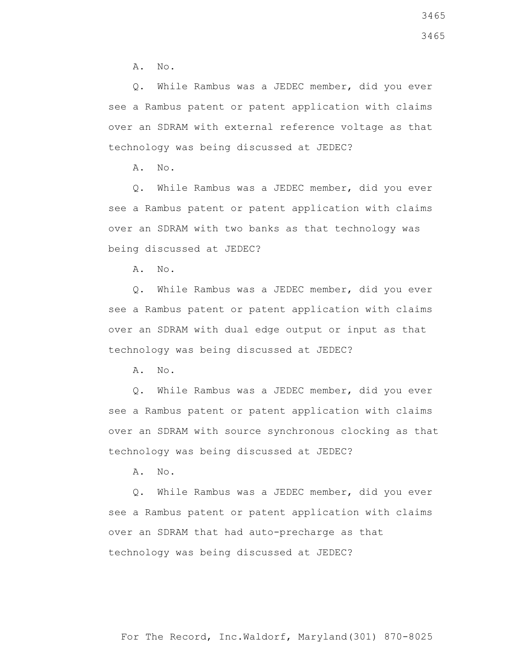A. No.

 Q. While Rambus was a JEDEC member, did you ever see a Rambus patent or patent application with claims over an SDRAM with external reference voltage as that technology was being discussed at JEDEC?

A. No.

 Q. While Rambus was a JEDEC member, did you ever see a Rambus patent or patent application with claims over an SDRAM with two banks as that technology was being discussed at JEDEC?

A. No.

 Q. While Rambus was a JEDEC member, did you ever see a Rambus patent or patent application with claims over an SDRAM with dual edge output or input as that technology was being discussed at JEDEC?

 $A. \tNo.$ 

 Q. While Rambus was a JEDEC member, did you ever see a Rambus patent or patent application with claims over an SDRAM with source synchronous clocking as that technology was being discussed at JEDEC?

A. No.

 Q. While Rambus was a JEDEC member, did you ever see a Rambus patent or patent application with claims over an SDRAM that had auto-precharge as that technology was being discussed at JEDEC?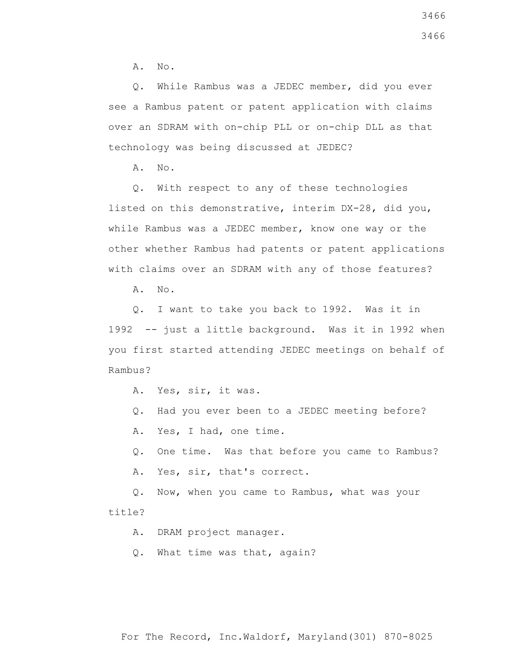A. No.

 Q. While Rambus was a JEDEC member, did you ever see a Rambus patent or patent application with claims over an SDRAM with on-chip PLL or on-chip DLL as that technology was being discussed at JEDEC?

A. No.

 Q. With respect to any of these technologies listed on this demonstrative, interim DX-28, did you, while Rambus was a JEDEC member, know one way or the other whether Rambus had patents or patent applications with claims over an SDRAM with any of those features?

A. No.

 Q. I want to take you back to 1992. Was it in 1992 -- just a little background. Was it in 1992 when you first started attending JEDEC meetings on behalf of Rambus?

- A. Yes, sir, it was.
- Q. Had you ever been to a JEDEC meeting before?
- A. Yes, I had, one time.
- Q. One time. Was that before you came to Rambus?
- A. Yes, sir, that's correct.

 Q. Now, when you came to Rambus, what was your title?

A. DRAM project manager.

Q. What time was that, again?

For The Record, Inc.Waldorf, Maryland(301) 870-8025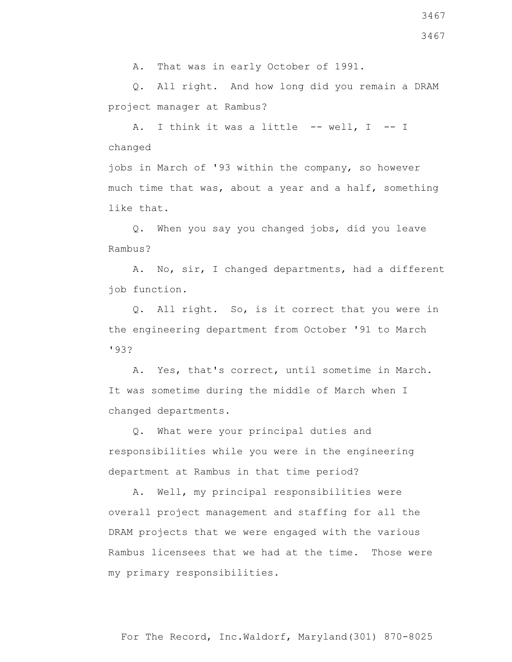A. That was in early October of 1991.

 Q. All right. And how long did you remain a DRAM project manager at Rambus?

A. I think it was a little -- well, I -- I changed

jobs in March of '93 within the company, so however much time that was, about a year and a half, something like that.

 Q. When you say you changed jobs, did you leave Rambus?

 A. No, sir, I changed departments, had a different job function.

 Q. All right. So, is it correct that you were in the engineering department from October '91 to March '93?

 A. Yes, that's correct, until sometime in March. It was sometime during the middle of March when I changed departments.

 Q. What were your principal duties and responsibilities while you were in the engineering department at Rambus in that time period?

 A. Well, my principal responsibilities were overall project management and staffing for all the DRAM projects that we were engaged with the various Rambus licensees that we had at the time. Those were my primary responsibilities.

3467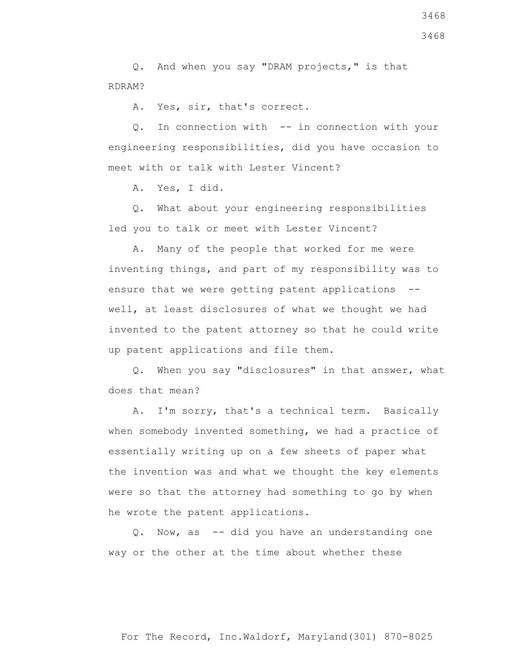Q. And when you say "DRAM projects," is that RDRAM?

A. Yes, sir, that's correct.

 Q. In connection with -- in connection with your engineering responsibilities, did you have occasion to meet with or talk with Lester Vincent?

A. Yes, I did.

 Q. What about your engineering responsibilities led you to talk or meet with Lester Vincent?

 A. Many of the people that worked for me were inventing things, and part of my responsibility was to ensure that we were getting patent applications - well, at least disclosures of what we thought we had invented to the patent attorney so that he could write up patent applications and file them.

 Q. When you say "disclosures" in that answer, what does that mean?

 A. I'm sorry, that's a technical term. Basically when somebody invented something, we had a practice of essentially writing up on a few sheets of paper what the invention was and what we thought the key elements were so that the attorney had something to go by when he wrote the patent applications.

 Q. Now, as -- did you have an understanding one way or the other at the time about whether these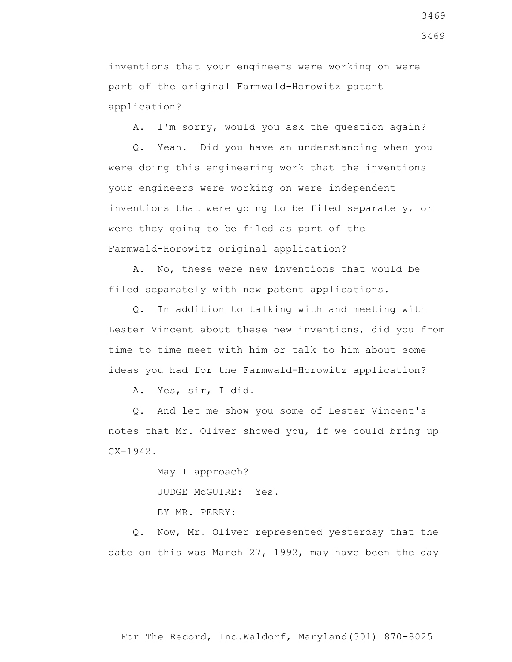inventions that your engineers were working on were part of the original Farmwald-Horowitz patent application?

A. I'm sorry, would you ask the question again?

 Q. Yeah. Did you have an understanding when you were doing this engineering work that the inventions your engineers were working on were independent inventions that were going to be filed separately, or were they going to be filed as part of the Farmwald-Horowitz original application?

 A. No, these were new inventions that would be filed separately with new patent applications.

 Q. In addition to talking with and meeting with Lester Vincent about these new inventions, did you from time to time meet with him or talk to him about some ideas you had for the Farmwald-Horowitz application?

A. Yes, sir, I did.

 Q. And let me show you some of Lester Vincent's notes that Mr. Oliver showed you, if we could bring up CX-1942.

> May I approach? JUDGE McGUIRE: Yes. BY MR. PERRY:

 Q. Now, Mr. Oliver represented yesterday that the date on this was March 27, 1992, may have been the day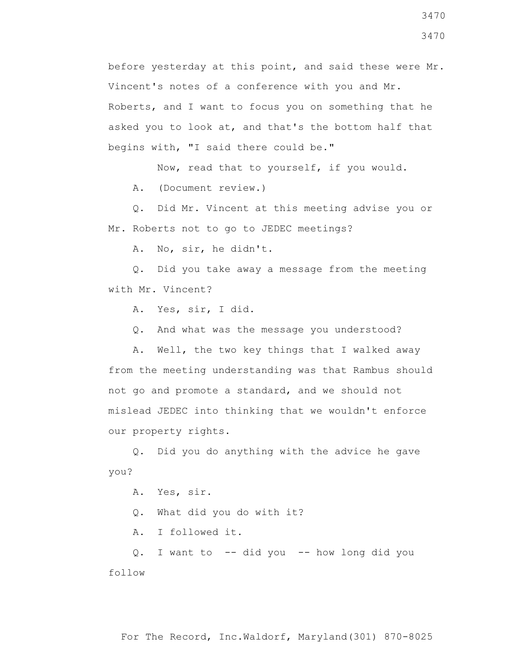before yesterday at this point, and said these were Mr. Vincent's notes of a conference with you and Mr. Roberts, and I want to focus you on something that he asked you to look at, and that's the bottom half that begins with, "I said there could be."

Now, read that to yourself, if you would.

A. (Document review.)

 Q. Did Mr. Vincent at this meeting advise you or Mr. Roberts not to go to JEDEC meetings?

A. No, sir, he didn't.

 Q. Did you take away a message from the meeting with Mr. Vincent?

A. Yes, sir, I did.

Q. And what was the message you understood?

 A. Well, the two key things that I walked away from the meeting understanding was that Rambus should not go and promote a standard, and we should not mislead JEDEC into thinking that we wouldn't enforce our property rights.

 Q. Did you do anything with the advice he gave you?

A. Yes, sir.

Q. What did you do with it?

A. I followed it.

 Q. I want to -- did you -- how long did you follow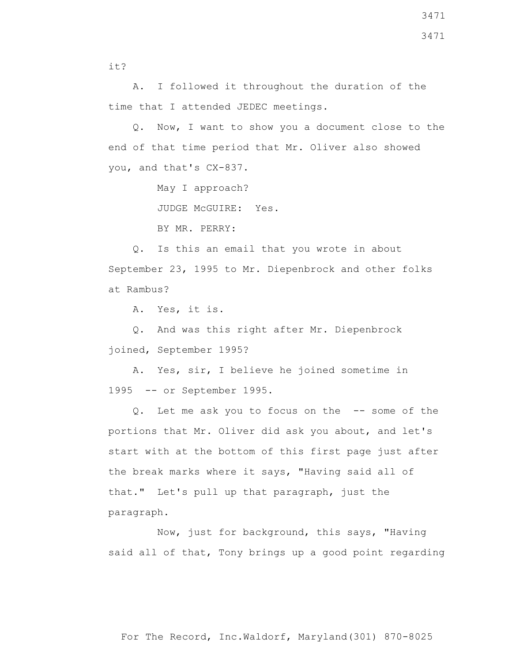it?

 A. I followed it throughout the duration of the time that I attended JEDEC meetings.

 Q. Now, I want to show you a document close to the end of that time period that Mr. Oliver also showed you, and that's CX-837.

May I approach?

JUDGE McGUIRE: Yes.

BY MR. PERRY:

 Q. Is this an email that you wrote in about September 23, 1995 to Mr. Diepenbrock and other folks at Rambus?

A. Yes, it is.

 Q. And was this right after Mr. Diepenbrock joined, September 1995?

 A. Yes, sir, I believe he joined sometime in 1995 -- or September 1995.

 Q. Let me ask you to focus on the -- some of the portions that Mr. Oliver did ask you about, and let's start with at the bottom of this first page just after the break marks where it says, "Having said all of that." Let's pull up that paragraph, just the paragraph.

 Now, just for background, this says, "Having said all of that, Tony brings up a good point regarding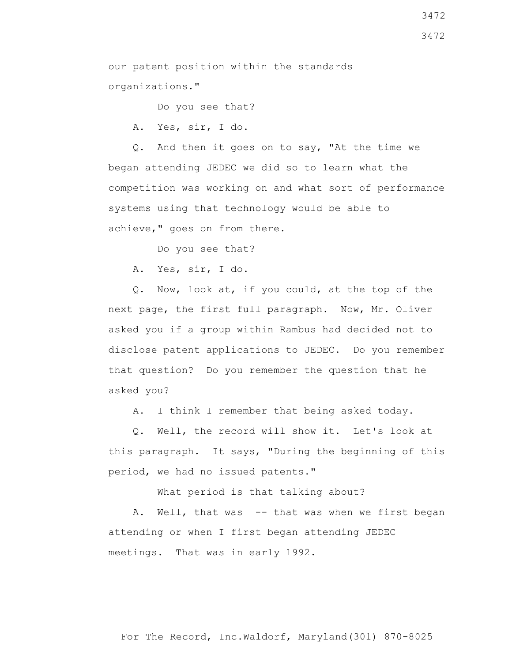our patent position within the standards organizations."

Do you see that?

A. Yes, sir, I do.

 Q. And then it goes on to say, "At the time we began attending JEDEC we did so to learn what the competition was working on and what sort of performance systems using that technology would be able to achieve," goes on from there.

Do you see that?

A. Yes, sir, I do.

 Q. Now, look at, if you could, at the top of the next page, the first full paragraph. Now, Mr. Oliver asked you if a group within Rambus had decided not to disclose patent applications to JEDEC. Do you remember that question? Do you remember the question that he asked you?

A. I think I remember that being asked today.

 Q. Well, the record will show it. Let's look at this paragraph. It says, "During the beginning of this period, we had no issued patents."

What period is that talking about?

A. Well, that was -- that was when we first began attending or when I first began attending JEDEC meetings. That was in early 1992.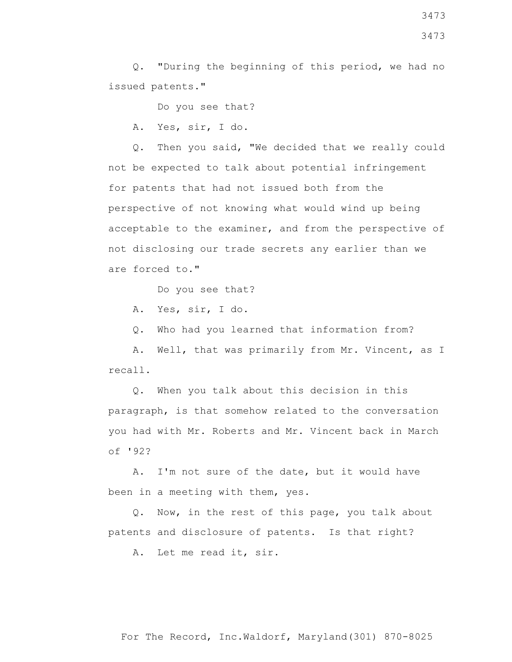Q. "During the beginning of this period, we had no issued patents."

Do you see that?

A. Yes, sir, I do.

 Q. Then you said, "We decided that we really could not be expected to talk about potential infringement for patents that had not issued both from the perspective of not knowing what would wind up being acceptable to the examiner, and from the perspective of not disclosing our trade secrets any earlier than we are forced to."

Do you see that?

A. Yes, sir, I do.

Q. Who had you learned that information from?

 A. Well, that was primarily from Mr. Vincent, as I recall.

 Q. When you talk about this decision in this paragraph, is that somehow related to the conversation you had with Mr. Roberts and Mr. Vincent back in March of '92?

 A. I'm not sure of the date, but it would have been in a meeting with them, yes.

 Q. Now, in the rest of this page, you talk about patents and disclosure of patents. Is that right?

A. Let me read it, sir.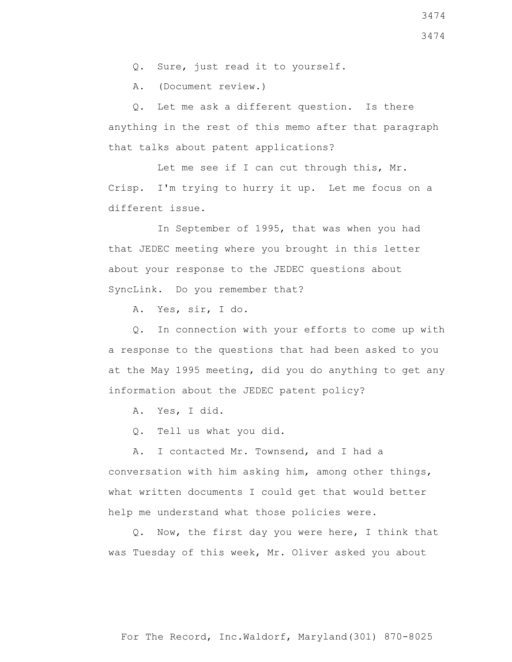Q. Sure, just read it to yourself.

A. (Document review.)

 Q. Let me ask a different question. Is there anything in the rest of this memo after that paragraph that talks about patent applications?

 Let me see if I can cut through this, Mr. Crisp. I'm trying to hurry it up. Let me focus on a different issue.

 In September of 1995, that was when you had that JEDEC meeting where you brought in this letter about your response to the JEDEC questions about SyncLink. Do you remember that?

A. Yes, sir, I do.

 Q. In connection with your efforts to come up with a response to the questions that had been asked to you at the May 1995 meeting, did you do anything to get any information about the JEDEC patent policy?

A. Yes, I did.

Q. Tell us what you did.

 A. I contacted Mr. Townsend, and I had a conversation with him asking him, among other things, what written documents I could get that would better help me understand what those policies were.

 Q. Now, the first day you were here, I think that was Tuesday of this week, Mr. Oliver asked you about

3474 3474

For The Record, Inc.Waldorf, Maryland(301) 870-8025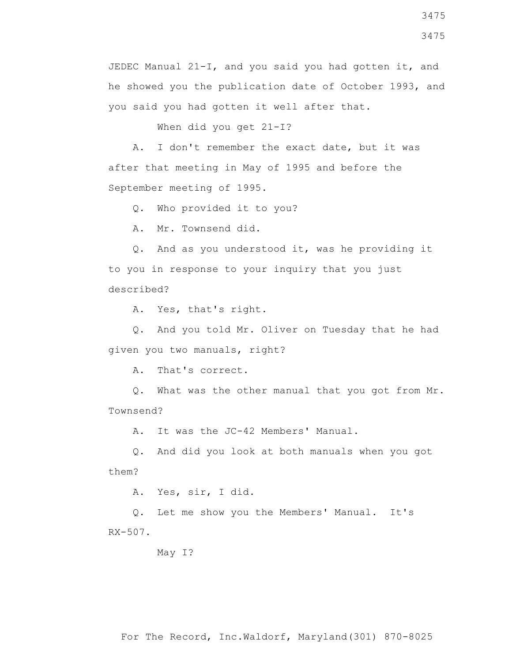When did you get 21-I?

 A. I don't remember the exact date, but it was after that meeting in May of 1995 and before the September meeting of 1995.

Q. Who provided it to you?

A. Mr. Townsend did.

 Q. And as you understood it, was he providing it to you in response to your inquiry that you just described?

A. Yes, that's right.

 Q. And you told Mr. Oliver on Tuesday that he had given you two manuals, right?

A. That's correct.

 Q. What was the other manual that you got from Mr. Townsend?

A. It was the JC-42 Members' Manual.

 Q. And did you look at both manuals when you got them?

A. Yes, sir, I did.

 Q. Let me show you the Members' Manual. It's RX-507.

May I?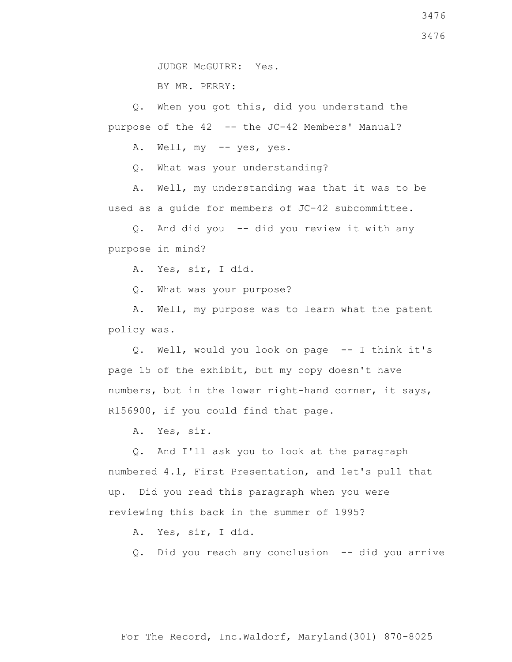BY MR. PERRY:

 Q. When you got this, did you understand the purpose of the 42 -- the JC-42 Members' Manual?

A. Well, my -- yes, yes.

Q. What was your understanding?

 A. Well, my understanding was that it was to be used as a guide for members of JC-42 subcommittee.

 Q. And did you -- did you review it with any purpose in mind?

A. Yes, sir, I did.

Q. What was your purpose?

 A. Well, my purpose was to learn what the patent policy was.

 Q. Well, would you look on page -- I think it's page 15 of the exhibit, but my copy doesn't have numbers, but in the lower right-hand corner, it says, R156900, if you could find that page.

A. Yes, sir.

 Q. And I'll ask you to look at the paragraph numbered 4.1, First Presentation, and let's pull that up. Did you read this paragraph when you were reviewing this back in the summer of 1995?

A. Yes, sir, I did.

Q. Did you reach any conclusion -- did you arrive

3476

For The Record, Inc.Waldorf, Maryland(301) 870-8025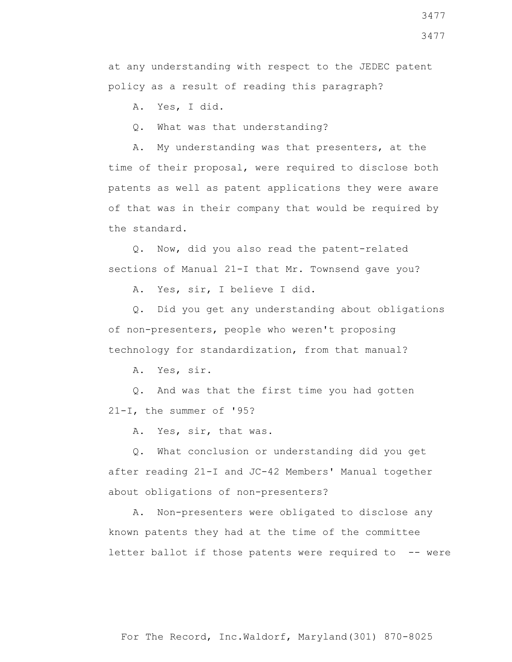3477

at any understanding with respect to the JEDEC patent policy as a result of reading this paragraph?

A. Yes, I did.

Q. What was that understanding?

 A. My understanding was that presenters, at the time of their proposal, were required to disclose both patents as well as patent applications they were aware of that was in their company that would be required by the standard.

 Q. Now, did you also read the patent-related sections of Manual 21-I that Mr. Townsend gave you?

A. Yes, sir, I believe I did.

 Q. Did you get any understanding about obligations of non-presenters, people who weren't proposing technology for standardization, from that manual?

A. Yes, sir.

 Q. And was that the first time you had gotten 21-I, the summer of '95?

A. Yes, sir, that was.

 Q. What conclusion or understanding did you get after reading 21-I and JC-42 Members' Manual together about obligations of non-presenters?

 A. Non-presenters were obligated to disclose any known patents they had at the time of the committee letter ballot if those patents were required to -- were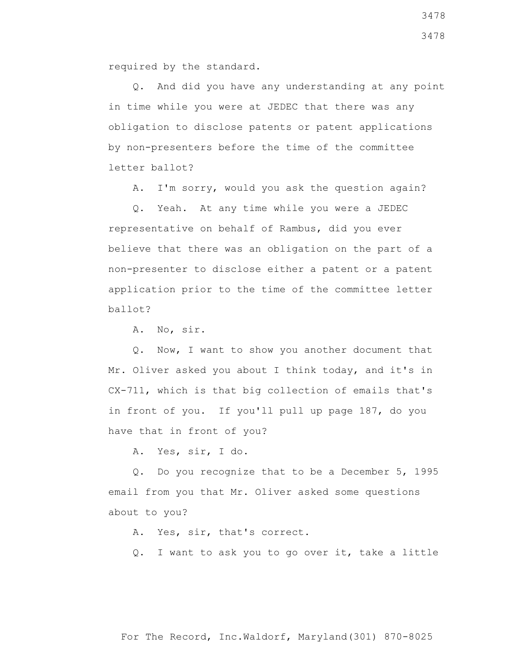required by the standard.

 Q. And did you have any understanding at any point in time while you were at JEDEC that there was any obligation to disclose patents or patent applications by non-presenters before the time of the committee letter ballot?

A. I'm sorry, would you ask the question again?

 Q. Yeah. At any time while you were a JEDEC representative on behalf of Rambus, did you ever believe that there was an obligation on the part of a non-presenter to disclose either a patent or a patent application prior to the time of the committee letter ballot?

A. No, sir.

 Q. Now, I want to show you another document that Mr. Oliver asked you about I think today, and it's in CX-711, which is that big collection of emails that's in front of you. If you'll pull up page 187, do you have that in front of you?

A. Yes, sir, I do.

 Q. Do you recognize that to be a December 5, 1995 email from you that Mr. Oliver asked some questions about to you?

A. Yes, sir, that's correct.

Q. I want to ask you to go over it, take a little

For The Record, Inc.Waldorf, Maryland(301) 870-8025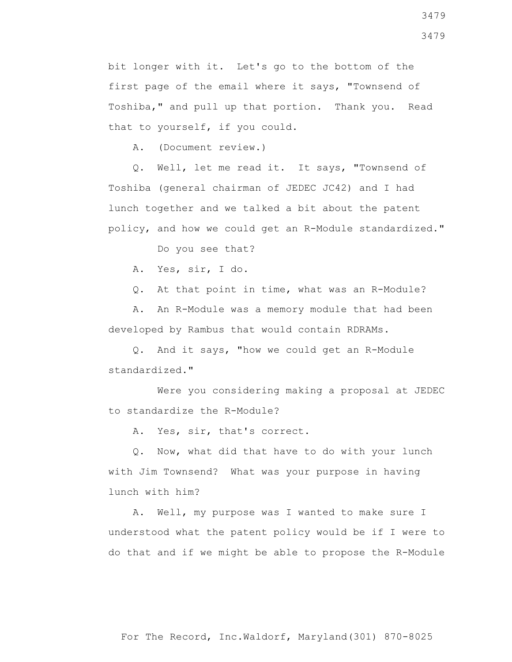bit longer with it. Let's go to the bottom of the first page of the email where it says, "Townsend of Toshiba," and pull up that portion. Thank you. Read that to yourself, if you could.

A. (Document review.)

 Q. Well, let me read it. It says, "Townsend of Toshiba (general chairman of JEDEC JC42) and I had lunch together and we talked a bit about the patent policy, and how we could get an R-Module standardized."

Do you see that?

A. Yes, sir, I do.

Q. At that point in time, what was an R-Module?

 A. An R-Module was a memory module that had been developed by Rambus that would contain RDRAMs.

 Q. And it says, "how we could get an R-Module standardized."

 Were you considering making a proposal at JEDEC to standardize the R-Module?

A. Yes, sir, that's correct.

 Q. Now, what did that have to do with your lunch with Jim Townsend? What was your purpose in having lunch with him?

 A. Well, my purpose was I wanted to make sure I understood what the patent policy would be if I were to do that and if we might be able to propose the R-Module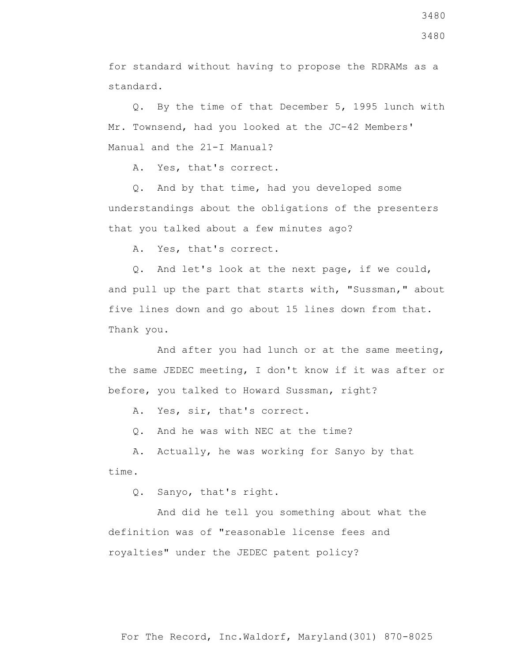for standard without having to propose the RDRAMs as a standard.

 Q. By the time of that December 5, 1995 lunch with Mr. Townsend, had you looked at the JC-42 Members' Manual and the 21-I Manual?

A. Yes, that's correct.

 Q. And by that time, had you developed some understandings about the obligations of the presenters that you talked about a few minutes ago?

A. Yes, that's correct.

 Q. And let's look at the next page, if we could, and pull up the part that starts with, "Sussman," about five lines down and go about 15 lines down from that. Thank you.

 And after you had lunch or at the same meeting, the same JEDEC meeting, I don't know if it was after or before, you talked to Howard Sussman, right?

A. Yes, sir, that's correct.

Q. And he was with NEC at the time?

 A. Actually, he was working for Sanyo by that time.

Q. Sanyo, that's right.

 And did he tell you something about what the definition was of "reasonable license fees and royalties" under the JEDEC patent policy?

3480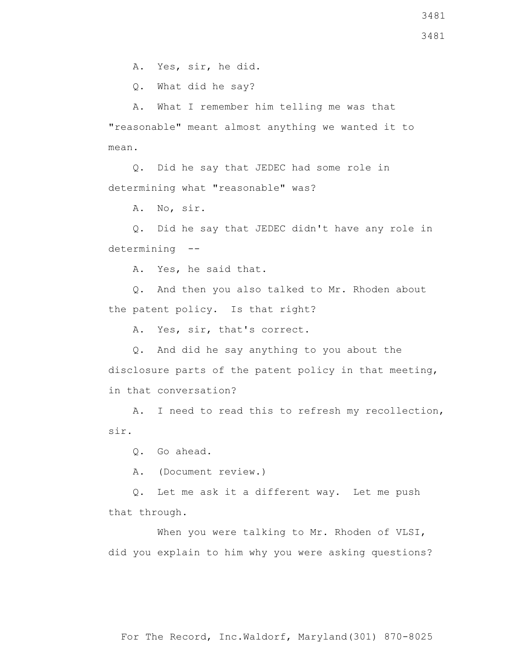A. Yes, sir, he did.

Q. What did he say?

 A. What I remember him telling me was that "reasonable" meant almost anything we wanted it to mean.

 Q. Did he say that JEDEC had some role in determining what "reasonable" was?

A. No, sir.

 Q. Did he say that JEDEC didn't have any role in determining --

A. Yes, he said that.

 Q. And then you also talked to Mr. Rhoden about the patent policy. Is that right?

A. Yes, sir, that's correct.

 Q. And did he say anything to you about the disclosure parts of the patent policy in that meeting, in that conversation?

 A. I need to read this to refresh my recollection, sir.

Q. Go ahead.

A. (Document review.)

 Q. Let me ask it a different way. Let me push that through.

When you were talking to Mr. Rhoden of VLSI, did you explain to him why you were asking questions?

For The Record, Inc.Waldorf, Maryland(301) 870-8025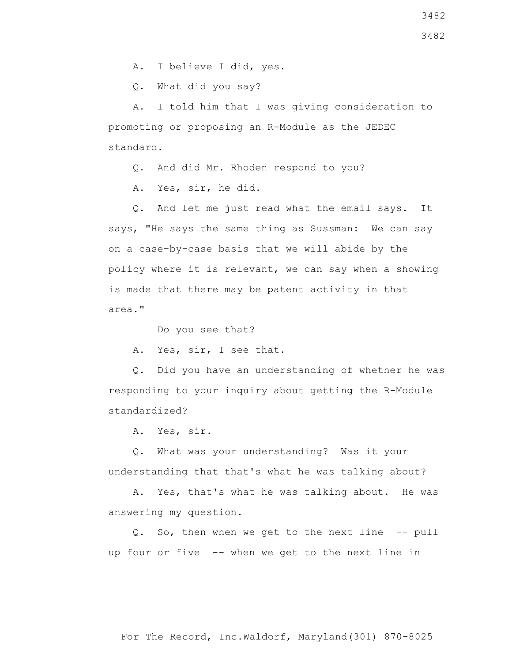A. I believe I did, yes.

Q. What did you say?

 A. I told him that I was giving consideration to promoting or proposing an R-Module as the JEDEC standard.

Q. And did Mr. Rhoden respond to you?

A. Yes, sir, he did.

 Q. And let me just read what the email says. It says, "He says the same thing as Sussman: We can say on a case-by-case basis that we will abide by the policy where it is relevant, we can say when a showing is made that there may be patent activity in that area."

Do you see that?

A. Yes, sir, I see that.

 Q. Did you have an understanding of whether he was responding to your inquiry about getting the R-Module standardized?

A. Yes, sir.

 Q. What was your understanding? Was it your understanding that that's what he was talking about?

 A. Yes, that's what he was talking about. He was answering my question.

 Q. So, then when we get to the next line -- pull up four or five -- when we get to the next line in

For The Record, Inc.Waldorf, Maryland(301) 870-8025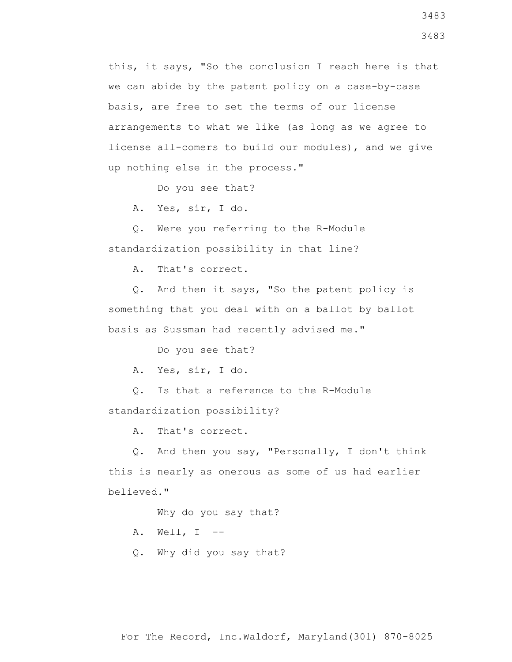this, it says, "So the conclusion I reach here is that we can abide by the patent policy on a case-by-case basis, are free to set the terms of our license arrangements to what we like (as long as we agree to license all-comers to build our modules), and we give up nothing else in the process."

Do you see that?

A. Yes, sir, I do.

 Q. Were you referring to the R-Module standardization possibility in that line?

A. That's correct.

 Q. And then it says, "So the patent policy is something that you deal with on a ballot by ballot basis as Sussman had recently advised me."

Do you see that?

A. Yes, sir, I do.

 Q. Is that a reference to the R-Module standardization possibility?

A. That's correct.

 Q. And then you say, "Personally, I don't think this is nearly as onerous as some of us had earlier believed."

Why do you say that?

A. Well, I --

Q. Why did you say that?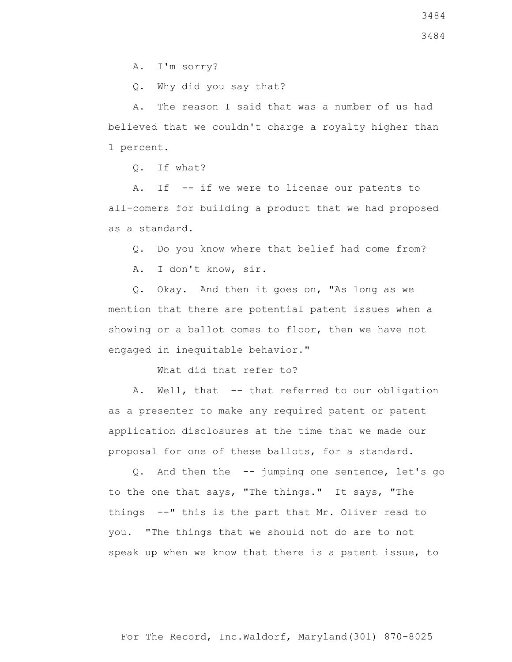A. I'm sorry?

Q. Why did you say that?

 A. The reason I said that was a number of us had believed that we couldn't charge a royalty higher than 1 percent.

Q. If what?

 A. If -- if we were to license our patents to all-comers for building a product that we had proposed as a standard.

Q. Do you know where that belief had come from?

A. I don't know, sir.

 Q. Okay. And then it goes on, "As long as we mention that there are potential patent issues when a showing or a ballot comes to floor, then we have not engaged in inequitable behavior."

What did that refer to?

A. Well, that -- that referred to our obligation as a presenter to make any required patent or patent application disclosures at the time that we made our proposal for one of these ballots, for a standard.

 Q. And then the -- jumping one sentence, let's go to the one that says, "The things." It says, "The things --" this is the part that Mr. Oliver read to you. "The things that we should not do are to not speak up when we know that there is a patent issue, to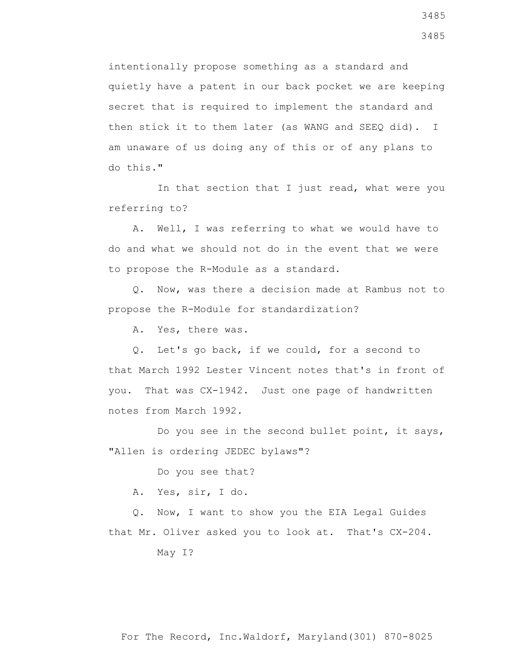intentionally propose something as a standard and quietly have a patent in our back pocket we are keeping secret that is required to implement the standard and then stick it to them later (as WANG and SEEQ did). I am unaware of us doing any of this or of any plans to do this."

 In that section that I just read, what were you referring to?

 A. Well, I was referring to what we would have to do and what we should not do in the event that we were to propose the R-Module as a standard.

 Q. Now, was there a decision made at Rambus not to propose the R-Module for standardization?

A. Yes, there was.

 Q. Let's go back, if we could, for a second to that March 1992 Lester Vincent notes that's in front of you. That was CX-1942. Just one page of handwritten notes from March 1992.

 Do you see in the second bullet point, it says, "Allen is ordering JEDEC bylaws"?

Do you see that?

A. Yes, sir, I do.

 Q. Now, I want to show you the EIA Legal Guides that Mr. Oliver asked you to look at. That's CX-204.

May I?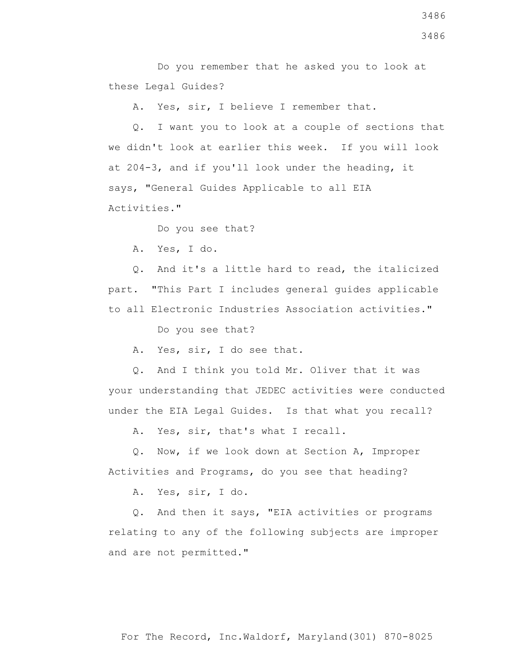Do you remember that he asked you to look at these Legal Guides?

A. Yes, sir, I believe I remember that.

 Q. I want you to look at a couple of sections that we didn't look at earlier this week. If you will look at 204-3, and if you'll look under the heading, it says, "General Guides Applicable to all EIA Activities."

Do you see that?

A. Yes, I do.

 Q. And it's a little hard to read, the italicized part. "This Part I includes general guides applicable to all Electronic Industries Association activities."

Do you see that?

A. Yes, sir, I do see that.

 Q. And I think you told Mr. Oliver that it was your understanding that JEDEC activities were conducted under the EIA Legal Guides. Is that what you recall?

A. Yes, sir, that's what I recall.

 Q. Now, if we look down at Section A, Improper Activities and Programs, do you see that heading?

A. Yes, sir, I do.

 Q. And then it says, "EIA activities or programs relating to any of the following subjects are improper and are not permitted."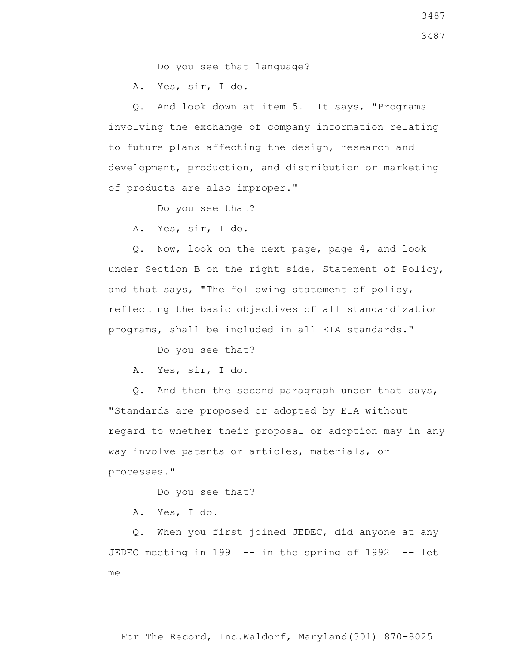Do you see that language?

A. Yes, sir, I do.

 Q. And look down at item 5. It says, "Programs involving the exchange of company information relating to future plans affecting the design, research and development, production, and distribution or marketing of products are also improper."

Do you see that?

A. Yes, sir, I do.

 Q. Now, look on the next page, page 4, and look under Section B on the right side, Statement of Policy, and that says, "The following statement of policy, reflecting the basic objectives of all standardization programs, shall be included in all EIA standards."

Do you see that?

A. Yes, sir, I do.

 Q. And then the second paragraph under that says, "Standards are proposed or adopted by EIA without regard to whether their proposal or adoption may in any way involve patents or articles, materials, or processes."

Do you see that?

A. Yes, I do.

 Q. When you first joined JEDEC, did anyone at any JEDEC meeting in 199 -- in the spring of 1992 -- let me

3487 3487

For The Record, Inc.Waldorf, Maryland(301) 870-8025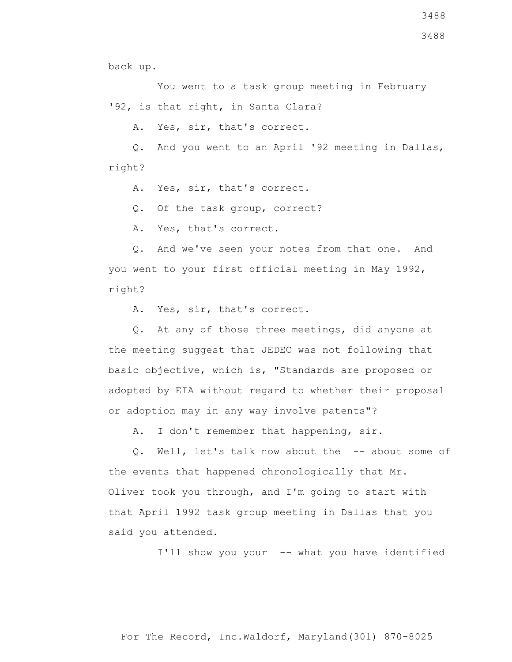3488

back up.

 You went to a task group meeting in February '92, is that right, in Santa Clara?

A. Yes, sir, that's correct.

 Q. And you went to an April '92 meeting in Dallas, right?

A. Yes, sir, that's correct.

Q. Of the task group, correct?

A. Yes, that's correct.

 Q. And we've seen your notes from that one. And you went to your first official meeting in May 1992, right?

A. Yes, sir, that's correct.

 Q. At any of those three meetings, did anyone at the meeting suggest that JEDEC was not following that basic objective, which is, "Standards are proposed or adopted by EIA without regard to whether their proposal or adoption may in any way involve patents"?

A. I don't remember that happening, sir.

 Q. Well, let's talk now about the -- about some of the events that happened chronologically that Mr. Oliver took you through, and I'm going to start with that April 1992 task group meeting in Dallas that you said you attended.

I'll show you your -- what you have identified

For The Record, Inc.Waldorf, Maryland(301) 870-8025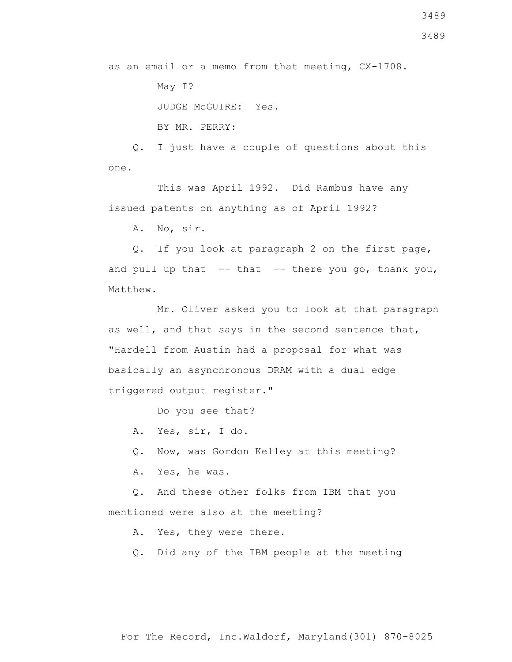as an email or a memo from that meeting, CX-1708. May I? JUDGE McGUIRE: Yes.

BY MR. PERRY:

 Q. I just have a couple of questions about this one.

 This was April 1992. Did Rambus have any issued patents on anything as of April 1992?

A. No, sir.

 Q. If you look at paragraph 2 on the first page, and pull up that  $-$ - that  $-$ - there you go, thank you, Matthew.

 Mr. Oliver asked you to look at that paragraph as well, and that says in the second sentence that, "Hardell from Austin had a proposal for what was basically an asynchronous DRAM with a dual edge triggered output register."

Do you see that?

A. Yes, sir, I do.

Q. Now, was Gordon Kelley at this meeting?

A. Yes, he was.

 Q. And these other folks from IBM that you mentioned were also at the meeting?

A. Yes, they were there.

Q. Did any of the IBM people at the meeting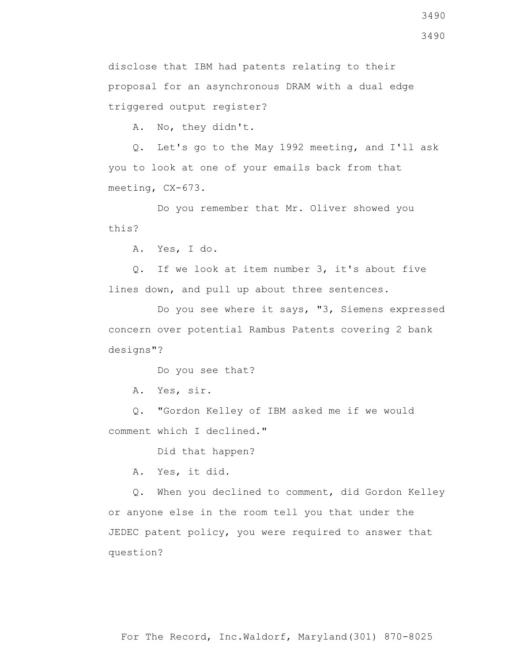3490

disclose that IBM had patents relating to their proposal for an asynchronous DRAM with a dual edge triggered output register?

A. No, they didn't.

 Q. Let's go to the May 1992 meeting, and I'll ask you to look at one of your emails back from that meeting, CX-673.

 Do you remember that Mr. Oliver showed you this?

A. Yes, I do.

 Q. If we look at item number 3, it's about five lines down, and pull up about three sentences.

 Do you see where it says, "3, Siemens expressed concern over potential Rambus Patents covering 2 bank designs"?

Do you see that?

A. Yes, sir.

 Q. "Gordon Kelley of IBM asked me if we would comment which I declined."

Did that happen?

A. Yes, it did.

 Q. When you declined to comment, did Gordon Kelley or anyone else in the room tell you that under the JEDEC patent policy, you were required to answer that question?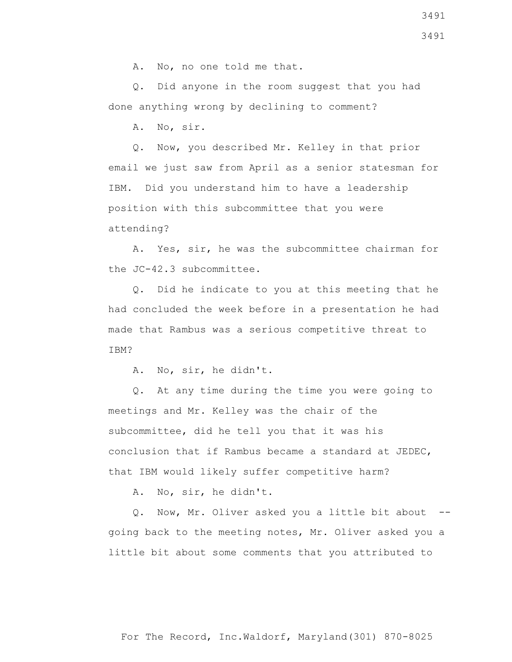A. No, no one told me that.

 Q. Did anyone in the room suggest that you had done anything wrong by declining to comment?

A. No, sir.

 Q. Now, you described Mr. Kelley in that prior email we just saw from April as a senior statesman for IBM. Did you understand him to have a leadership position with this subcommittee that you were attending?

 A. Yes, sir, he was the subcommittee chairman for the JC-42.3 subcommittee.

 Q. Did he indicate to you at this meeting that he had concluded the week before in a presentation he had made that Rambus was a serious competitive threat to TBM?

A. No, sir, he didn't.

 Q. At any time during the time you were going to meetings and Mr. Kelley was the chair of the subcommittee, did he tell you that it was his conclusion that if Rambus became a standard at JEDEC, that IBM would likely suffer competitive harm?

A. No, sir, he didn't.

 Q. Now, Mr. Oliver asked you a little bit about - going back to the meeting notes, Mr. Oliver asked you a little bit about some comments that you attributed to

3491 3491

For The Record, Inc.Waldorf, Maryland(301) 870-8025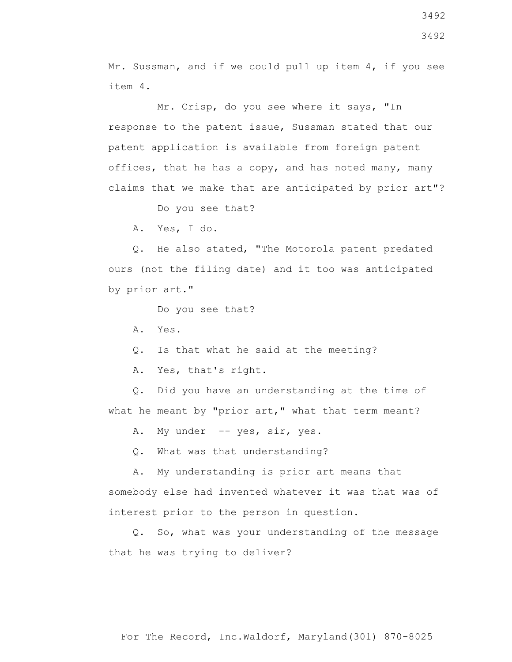Mr. Sussman, and if we could pull up item 4, if you see item 4.

 Mr. Crisp, do you see where it says, "In response to the patent issue, Sussman stated that our patent application is available from foreign patent offices, that he has a copy, and has noted many, many claims that we make that are anticipated by prior art"?

Do you see that?

A. Yes, I do.

 Q. He also stated, "The Motorola patent predated ours (not the filing date) and it too was anticipated by prior art."

Do you see that?

A. Yes.

Q. Is that what he said at the meeting?

A. Yes, that's right.

 Q. Did you have an understanding at the time of what he meant by "prior art," what that term meant?

A. My under -- yes, sir, yes.

Q. What was that understanding?

 A. My understanding is prior art means that somebody else had invented whatever it was that was of interest prior to the person in question.

 Q. So, what was your understanding of the message that he was trying to deliver?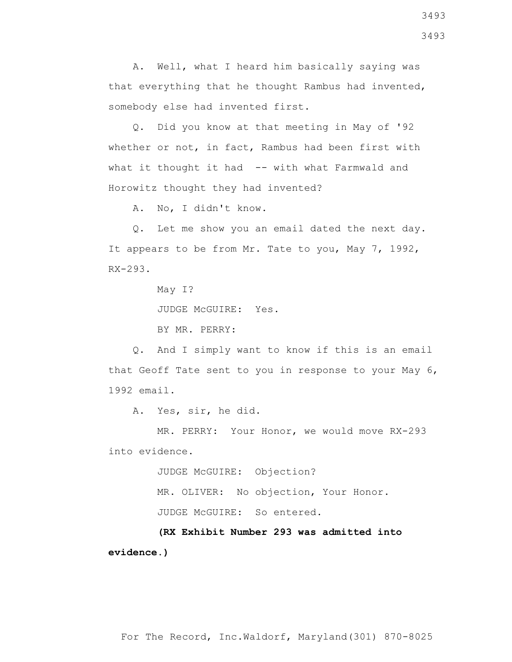A. Well, what I heard him basically saying was that everything that he thought Rambus had invented, somebody else had invented first.

 Q. Did you know at that meeting in May of '92 whether or not, in fact, Rambus had been first with what it thought it had -- with what Farmwald and Horowitz thought they had invented?

A. No, I didn't know.

 Q. Let me show you an email dated the next day. It appears to be from Mr. Tate to you, May 7, 1992, RX-293.

May I?

JUDGE McGUIRE: Yes.

BY MR. PERRY:

 Q. And I simply want to know if this is an email that Geoff Tate sent to you in response to your May 6, 1992 email.

A. Yes, sir, he did.

 MR. PERRY: Your Honor, we would move RX-293 into evidence.

> JUDGE McGUIRE: Objection? MR. OLIVER: No objection, Your Honor. JUDGE McGUIRE: So entered.

 **(RX Exhibit Number 293 was admitted into evidence.)**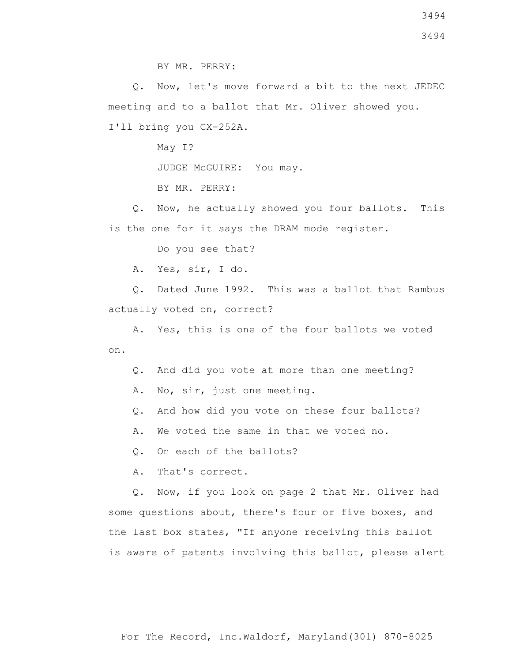Q. Now, let's move forward a bit to the next JEDEC meeting and to a ballot that Mr. Oliver showed you. I'll bring you CX-252A.

May I?

JUDGE McGUIRE: You may.

BY MR. PERRY:

 Q. Now, he actually showed you four ballots. This is the one for it says the DRAM mode register.

Do you see that?

A. Yes, sir, I do.

 Q. Dated June 1992. This was a ballot that Rambus actually voted on, correct?

 A. Yes, this is one of the four ballots we voted on.

Q. And did you vote at more than one meeting?

- A. No, sir, just one meeting.
- Q. And how did you vote on these four ballots?

A. We voted the same in that we voted no.

Q. On each of the ballots?

A. That's correct.

 Q. Now, if you look on page 2 that Mr. Oliver had some questions about, there's four or five boxes, and the last box states, "If anyone receiving this ballot is aware of patents involving this ballot, please alert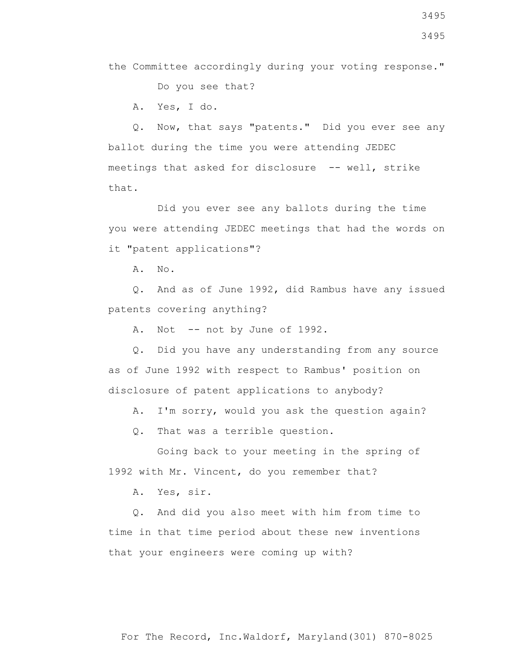3495

the Committee accordingly during your voting response."

Do you see that?

A. Yes, I do.

 Q. Now, that says "patents." Did you ever see any ballot during the time you were attending JEDEC meetings that asked for disclosure -- well, strike that.

 Did you ever see any ballots during the time you were attending JEDEC meetings that had the words on it "patent applications"?

A. No.

 Q. And as of June 1992, did Rambus have any issued patents covering anything?

A. Not -- not by June of 1992.

 Q. Did you have any understanding from any source as of June 1992 with respect to Rambus' position on disclosure of patent applications to anybody?

A. I'm sorry, would you ask the question again?

Q. That was a terrible question.

 Going back to your meeting in the spring of 1992 with Mr. Vincent, do you remember that?

A. Yes, sir.

 Q. And did you also meet with him from time to time in that time period about these new inventions that your engineers were coming up with?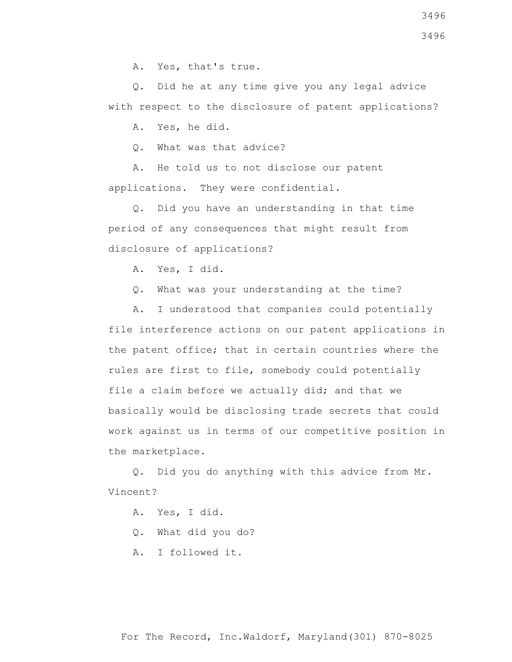A. Yes, that's true.

 Q. Did he at any time give you any legal advice with respect to the disclosure of patent applications?

A. Yes, he did.

Q. What was that advice?

 A. He told us to not disclose our patent applications. They were confidential.

 Q. Did you have an understanding in that time period of any consequences that might result from disclosure of applications?

A. Yes, I did.

Q. What was your understanding at the time?

 A. I understood that companies could potentially file interference actions on our patent applications in the patent office; that in certain countries where the rules are first to file, somebody could potentially file a claim before we actually did; and that we basically would be disclosing trade secrets that could work against us in terms of our competitive position in the marketplace.

 Q. Did you do anything with this advice from Mr. Vincent?

A. Yes, I did.

Q. What did you do?

A. I followed it.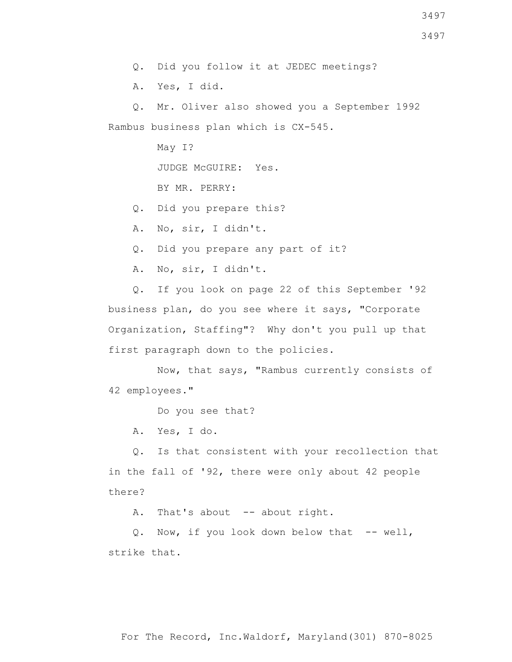Q. Did you follow it at JEDEC meetings?

A. Yes, I did.

 Q. Mr. Oliver also showed you a September 1992 Rambus business plan which is CX-545.

May I?

JUDGE McGUIRE: Yes.

BY MR. PERRY:

Q. Did you prepare this?

A. No, sir, I didn't.

Q. Did you prepare any part of it?

A. No, sir, I didn't.

 Q. If you look on page 22 of this September '92 business plan, do you see where it says, "Corporate Organization, Staffing"? Why don't you pull up that first paragraph down to the policies.

 Now, that says, "Rambus currently consists of 42 employees."

Do you see that?

A. Yes, I do.

 Q. Is that consistent with your recollection that in the fall of '92, there were only about 42 people there?

A. That's about -- about right.

Q. Now, if you look down below that -- well, strike that.

For The Record, Inc.Waldorf, Maryland(301) 870-8025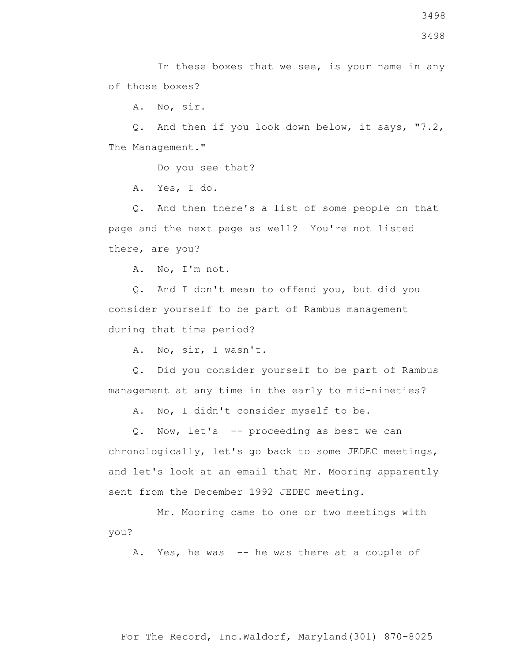A. No, sir.

 Q. And then if you look down below, it says, "7.2, The Management."

Do you see that?

A. Yes, I do.

 Q. And then there's a list of some people on that page and the next page as well? You're not listed there, are you?

A. No, I'm not.

 Q. And I don't mean to offend you, but did you consider yourself to be part of Rambus management during that time period?

A. No, sir, I wasn't.

 Q. Did you consider yourself to be part of Rambus management at any time in the early to mid-nineties?

A. No, I didn't consider myself to be.

 Q. Now, let's -- proceeding as best we can chronologically, let's go back to some JEDEC meetings, and let's look at an email that Mr. Mooring apparently sent from the December 1992 JEDEC meeting.

 Mr. Mooring came to one or two meetings with you?

A. Yes, he was -- he was there at a couple of

For The Record, Inc.Waldorf, Maryland(301) 870-8025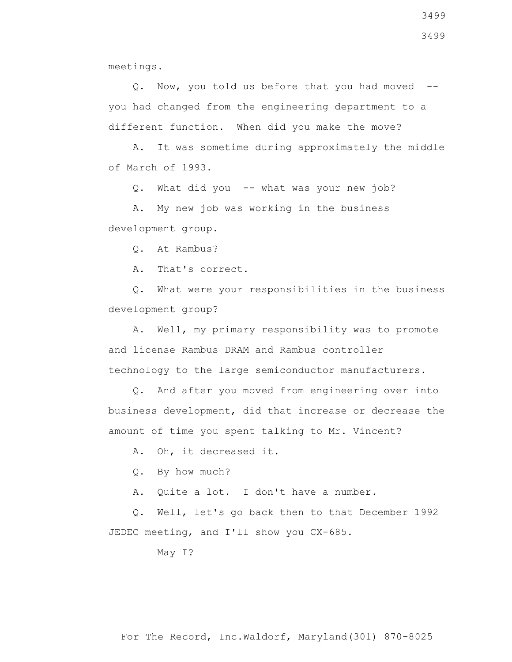meetings.

 Q. Now, you told us before that you had moved - you had changed from the engineering department to a different function. When did you make the move?

 A. It was sometime during approximately the middle of March of 1993.

Q. What did you -- what was your new job?

 A. My new job was working in the business development group.

Q. At Rambus?

A. That's correct.

 Q. What were your responsibilities in the business development group?

 A. Well, my primary responsibility was to promote and license Rambus DRAM and Rambus controller technology to the large semiconductor manufacturers.

 Q. And after you moved from engineering over into business development, did that increase or decrease the amount of time you spent talking to Mr. Vincent?

A. Oh, it decreased it.

Q. By how much?

A. Quite a lot. I don't have a number.

 Q. Well, let's go back then to that December 1992 JEDEC meeting, and I'll show you CX-685.

May I?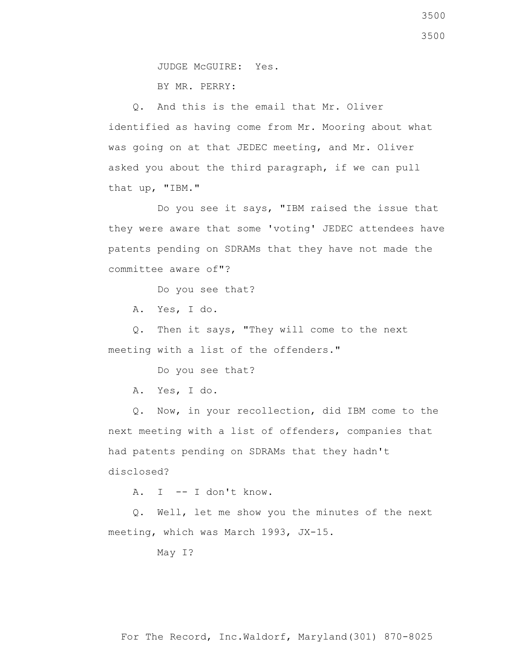JUDGE McGUIRE: Yes.

BY MR. PERRY:

 Q. And this is the email that Mr. Oliver identified as having come from Mr. Mooring about what was going on at that JEDEC meeting, and Mr. Oliver asked you about the third paragraph, if we can pull that up, "IBM."

 Do you see it says, "IBM raised the issue that they were aware that some 'voting' JEDEC attendees have patents pending on SDRAMs that they have not made the committee aware of"?

Do you see that?

A. Yes, I do.

 Q. Then it says, "They will come to the next meeting with a list of the offenders."

Do you see that?

A. Yes, I do.

 Q. Now, in your recollection, did IBM come to the next meeting with a list of offenders, companies that had patents pending on SDRAMs that they hadn't disclosed?

A. I -- I don't know.

 Q. Well, let me show you the minutes of the next meeting, which was March 1993, JX-15.

May I?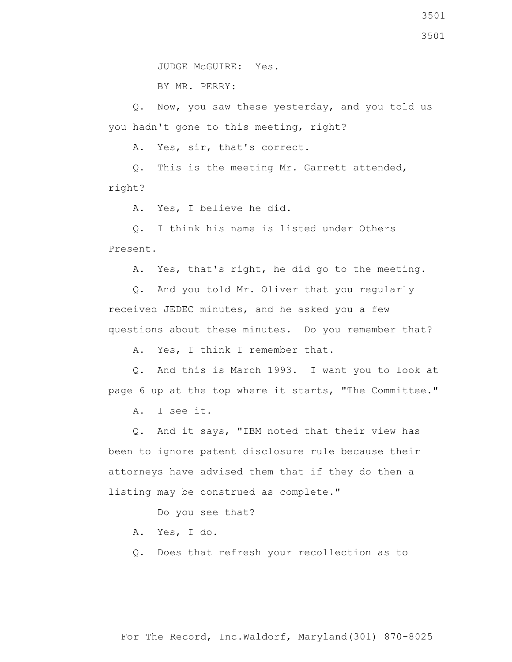JUDGE McGUIRE: Yes.

BY MR. PERRY:

 Q. Now, you saw these yesterday, and you told us you hadn't gone to this meeting, right?

A. Yes, sir, that's correct.

 Q. This is the meeting Mr. Garrett attended, right?

A. Yes, I believe he did.

 Q. I think his name is listed under Others Present.

A. Yes, that's right, he did go to the meeting.

 Q. And you told Mr. Oliver that you regularly received JEDEC minutes, and he asked you a few questions about these minutes. Do you remember that?

A. Yes, I think I remember that.

 Q. And this is March 1993. I want you to look at page 6 up at the top where it starts, "The Committee."

A. I see it.

 Q. And it says, "IBM noted that their view has been to ignore patent disclosure rule because their attorneys have advised them that if they do then a listing may be construed as complete."

Do you see that?

- A. Yes, I do.
- Q. Does that refresh your recollection as to

3501 3501

For The Record, Inc.Waldorf, Maryland(301) 870-8025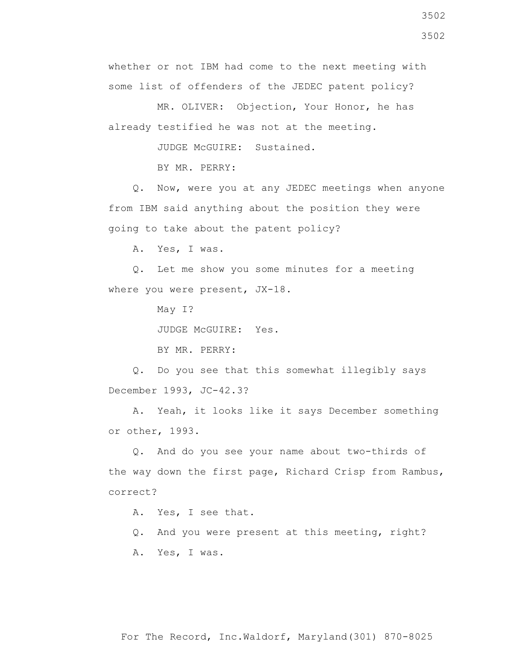3502 3502

whether or not IBM had come to the next meeting with some list of offenders of the JEDEC patent policy?

 MR. OLIVER: Objection, Your Honor, he has already testified he was not at the meeting.

JUDGE McGUIRE: Sustained.

BY MR. PERRY:

 Q. Now, were you at any JEDEC meetings when anyone from IBM said anything about the position they were going to take about the patent policy?

A. Yes, I was.

 Q. Let me show you some minutes for a meeting where you were present, JX-18.

May I?

JUDGE McGUIRE: Yes.

BY MR. PERRY:

 Q. Do you see that this somewhat illegibly says December 1993, JC-42.3?

 A. Yeah, it looks like it says December something or other, 1993.

 Q. And do you see your name about two-thirds of the way down the first page, Richard Crisp from Rambus, correct?

A. Yes, I see that.

Q. And you were present at this meeting, right?

A. Yes, I was.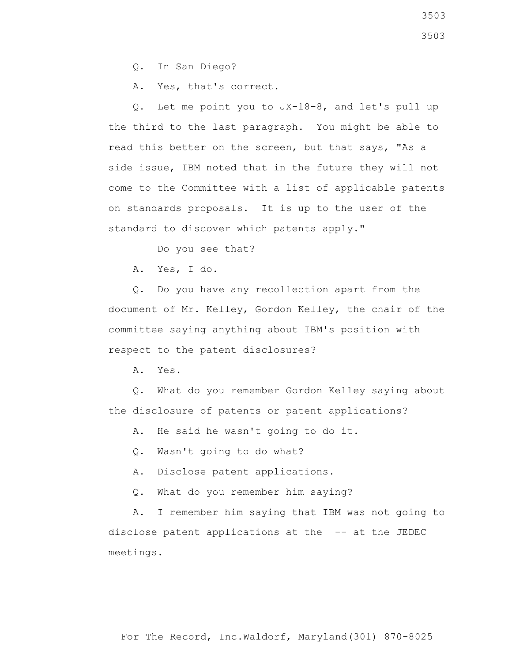Q. In San Diego?

A. Yes, that's correct.

 Q. Let me point you to JX-18-8, and let's pull up the third to the last paragraph. You might be able to read this better on the screen, but that says, "As a side issue, IBM noted that in the future they will not come to the Committee with a list of applicable patents on standards proposals. It is up to the user of the standard to discover which patents apply."

Do you see that?

A. Yes, I do.

 Q. Do you have any recollection apart from the document of Mr. Kelley, Gordon Kelley, the chair of the committee saying anything about IBM's position with respect to the patent disclosures?

A. Yes.

 Q. What do you remember Gordon Kelley saying about the disclosure of patents or patent applications?

A. He said he wasn't going to do it.

Q. Wasn't going to do what?

A. Disclose patent applications.

Q. What do you remember him saying?

 A. I remember him saying that IBM was not going to disclose patent applications at the -- at the JEDEC meetings.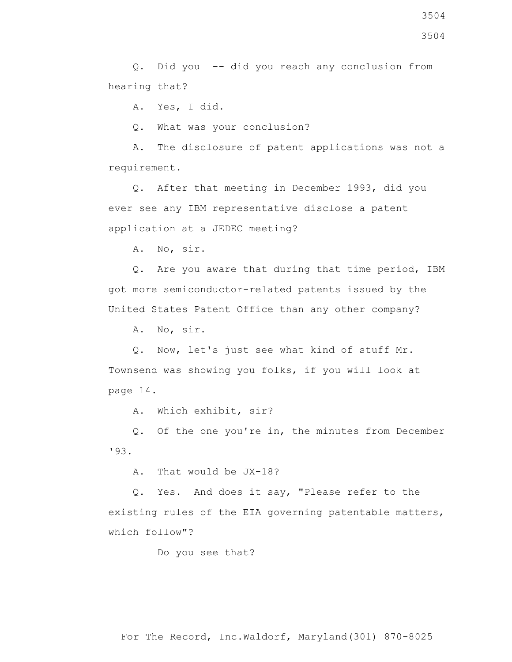Q. Did you -- did you reach any conclusion from hearing that?

A. Yes, I did.

Q. What was your conclusion?

 A. The disclosure of patent applications was not a requirement.

 Q. After that meeting in December 1993, did you ever see any IBM representative disclose a patent application at a JEDEC meeting?

A. No, sir.

 Q. Are you aware that during that time period, IBM got more semiconductor-related patents issued by the United States Patent Office than any other company?

A. No, sir.

 Q. Now, let's just see what kind of stuff Mr. Townsend was showing you folks, if you will look at page 14.

A. Which exhibit, sir?

 Q. Of the one you're in, the minutes from December '93.

A. That would be JX-18?

 Q. Yes. And does it say, "Please refer to the existing rules of the EIA governing patentable matters, which follow"?

Do you see that?

For The Record, Inc.Waldorf, Maryland(301) 870-8025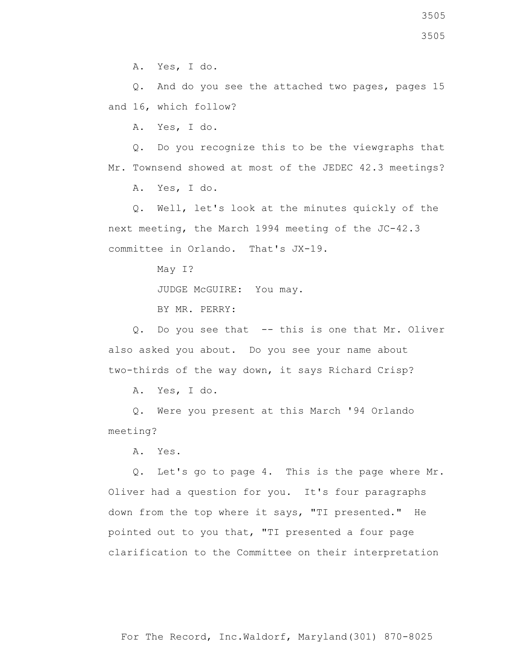3505

A. Yes, I do.

 Q. And do you see the attached two pages, pages 15 and 16, which follow?

A. Yes, I do.

 Q. Do you recognize this to be the viewgraphs that Mr. Townsend showed at most of the JEDEC 42.3 meetings?

A. Yes, I do.

 Q. Well, let's look at the minutes quickly of the next meeting, the March 1994 meeting of the JC-42.3 committee in Orlando. That's JX-19.

May I?

JUDGE McGUIRE: You may.

BY MR. PERRY:

 Q. Do you see that -- this is one that Mr. Oliver also asked you about. Do you see your name about two-thirds of the way down, it says Richard Crisp?

A. Yes, I do.

 Q. Were you present at this March '94 Orlando meeting?

A. Yes.

 Q. Let's go to page 4. This is the page where Mr. Oliver had a question for you. It's four paragraphs down from the top where it says, "TI presented." He pointed out to you that, "TI presented a four page clarification to the Committee on their interpretation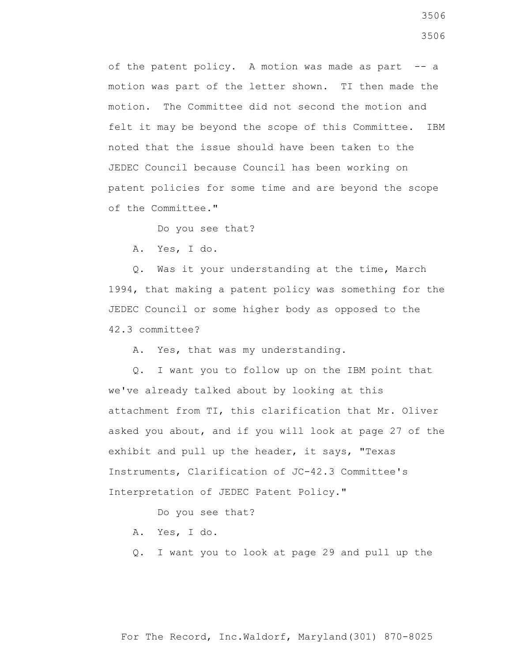of the patent policy. A motion was made as part -- a motion was part of the letter shown. TI then made the motion. The Committee did not second the motion and felt it may be beyond the scope of this Committee. IBM noted that the issue should have been taken to the JEDEC Council because Council has been working on patent policies for some time and are beyond the scope of the Committee."

Do you see that?

A. Yes, I do.

 Q. Was it your understanding at the time, March 1994, that making a patent policy was something for the JEDEC Council or some higher body as opposed to the 42.3 committee?

A. Yes, that was my understanding.

 Q. I want you to follow up on the IBM point that we've already talked about by looking at this attachment from TI, this clarification that Mr. Oliver asked you about, and if you will look at page 27 of the exhibit and pull up the header, it says, "Texas Instruments, Clarification of JC-42.3 Committee's Interpretation of JEDEC Patent Policy."

Do you see that?

- A. Yes, I do.
- Q. I want you to look at page 29 and pull up the

For The Record, Inc.Waldorf, Maryland(301) 870-8025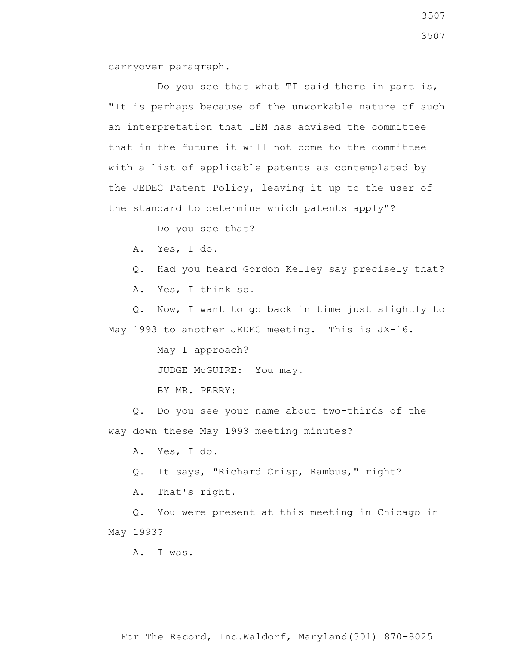carryover paragraph.

Do you see that what TI said there in part is, "It is perhaps because of the unworkable nature of such an interpretation that IBM has advised the committee that in the future it will not come to the committee with a list of applicable patents as contemplated by the JEDEC Patent Policy, leaving it up to the user of the standard to determine which patents apply"?

Do you see that?

A. Yes, I do.

Q. Had you heard Gordon Kelley say precisely that?

A. Yes, I think so.

 Q. Now, I want to go back in time just slightly to May 1993 to another JEDEC meeting. This is JX-16.

May I approach?

JUDGE McGUIRE: You may.

BY MR. PERRY:

 Q. Do you see your name about two-thirds of the way down these May 1993 meeting minutes?

A. Yes, I do.

Q. It says, "Richard Crisp, Rambus," right?

A. That's right.

 Q. You were present at this meeting in Chicago in May 1993?

A. I was.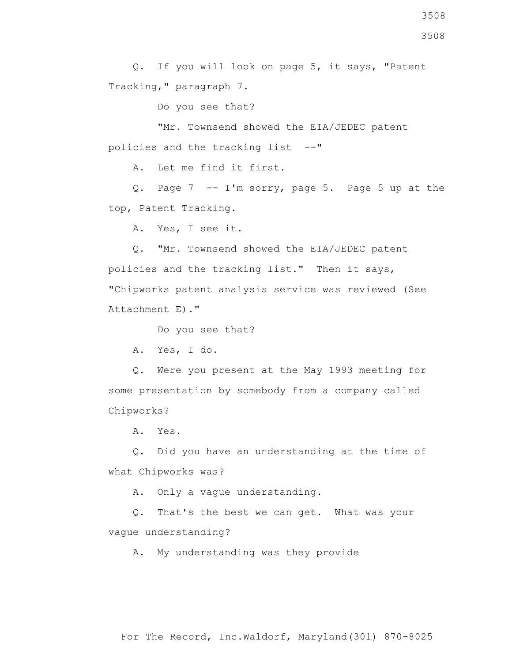Q. If you will look on page 5, it says, "Patent Tracking," paragraph 7.

Do you see that?

 "Mr. Townsend showed the EIA/JEDEC patent policies and the tracking list --"

A. Let me find it first.

 Q. Page 7 -- I'm sorry, page 5. Page 5 up at the top, Patent Tracking.

A. Yes, I see it.

 Q. "Mr. Townsend showed the EIA/JEDEC patent policies and the tracking list." Then it says, "Chipworks patent analysis service was reviewed (See Attachment E)."

Do you see that?

A. Yes, I do.

 Q. Were you present at the May 1993 meeting for some presentation by somebody from a company called Chipworks?

A. Yes.

 Q. Did you have an understanding at the time of what Chipworks was?

A. Only a vague understanding.

 Q. That's the best we can get. What was your vague understanding?

A. My understanding was they provide

3508

For The Record, Inc.Waldorf, Maryland(301) 870-8025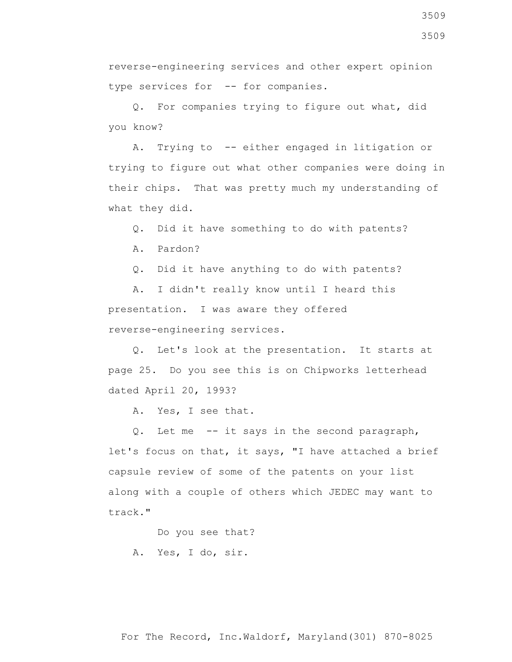3509

reverse-engineering services and other expert opinion type services for -- for companies.

 Q. For companies trying to figure out what, did you know?

 A. Trying to -- either engaged in litigation or trying to figure out what other companies were doing in their chips. That was pretty much my understanding of what they did.

Q. Did it have something to do with patents?

A. Pardon?

Q. Did it have anything to do with patents?

 A. I didn't really know until I heard this presentation. I was aware they offered reverse-engineering services.

 Q. Let's look at the presentation. It starts at page 25. Do you see this is on Chipworks letterhead dated April 20, 1993?

A. Yes, I see that.

 Q. Let me -- it says in the second paragraph, let's focus on that, it says, "I have attached a brief capsule review of some of the patents on your list along with a couple of others which JEDEC may want to track."

Do you see that?

A. Yes, I do, sir.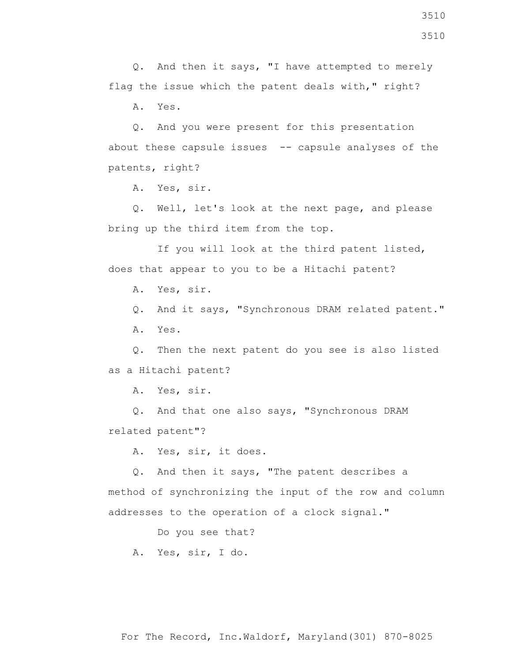3510

 Q. And then it says, "I have attempted to merely flag the issue which the patent deals with," right?

A. Yes.

 Q. And you were present for this presentation about these capsule issues -- capsule analyses of the patents, right?

A. Yes, sir.

 Q. Well, let's look at the next page, and please bring up the third item from the top.

 If you will look at the third patent listed, does that appear to you to be a Hitachi patent?

A. Yes, sir.

 Q. And it says, "Synchronous DRAM related patent." A. Yes.

 Q. Then the next patent do you see is also listed as a Hitachi patent?

A. Yes, sir.

 Q. And that one also says, "Synchronous DRAM related patent"?

A. Yes, sir, it does.

 Q. And then it says, "The patent describes a method of synchronizing the input of the row and column addresses to the operation of a clock signal."

Do you see that?

A. Yes, sir, I do.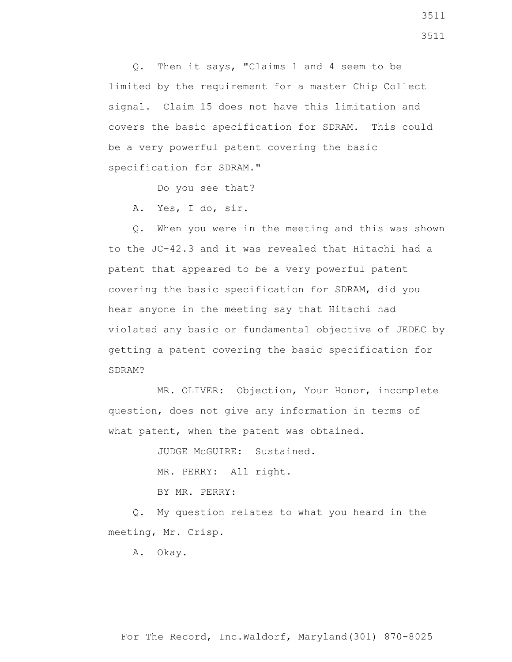Q. Then it says, "Claims 1 and 4 seem to be limited by the requirement for a master Chip Collect signal. Claim 15 does not have this limitation and covers the basic specification for SDRAM. This could be a very powerful patent covering the basic specification for SDRAM."

Do you see that?

A. Yes, I do, sir.

 Q. When you were in the meeting and this was shown to the JC-42.3 and it was revealed that Hitachi had a patent that appeared to be a very powerful patent covering the basic specification for SDRAM, did you hear anyone in the meeting say that Hitachi had violated any basic or fundamental objective of JEDEC by getting a patent covering the basic specification for SDRAM?

 MR. OLIVER: Objection, Your Honor, incomplete question, does not give any information in terms of what patent, when the patent was obtained.

JUDGE McGUIRE: Sustained.

MR. PERRY: All right.

BY MR. PERRY:

 Q. My question relates to what you heard in the meeting, Mr. Crisp.

A. Okay.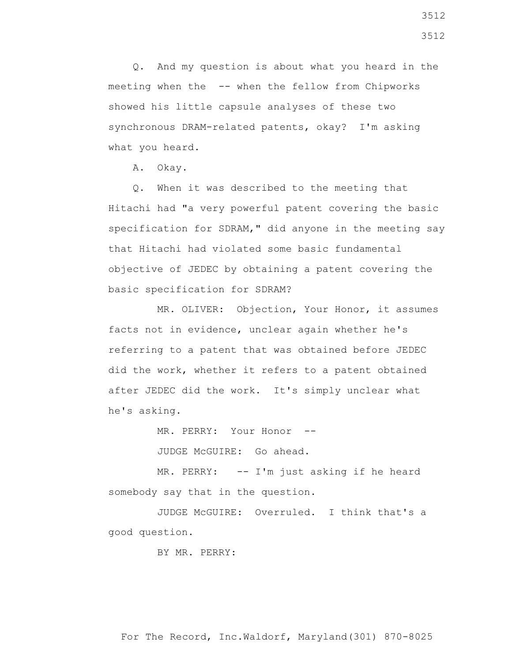Q. And my question is about what you heard in the meeting when the -- when the fellow from Chipworks showed his little capsule analyses of these two synchronous DRAM-related patents, okay? I'm asking what you heard.

A. Okay.

 Q. When it was described to the meeting that Hitachi had "a very powerful patent covering the basic specification for SDRAM," did anyone in the meeting say that Hitachi had violated some basic fundamental objective of JEDEC by obtaining a patent covering the basic specification for SDRAM?

 MR. OLIVER: Objection, Your Honor, it assumes facts not in evidence, unclear again whether he's referring to a patent that was obtained before JEDEC did the work, whether it refers to a patent obtained after JEDEC did the work. It's simply unclear what he's asking.

MR. PERRY: Your Honor --

JUDGE McGUIRE: Go ahead.

 MR. PERRY: -- I'm just asking if he heard somebody say that in the question.

 JUDGE McGUIRE: Overruled. I think that's a good question.

BY MR. PERRY: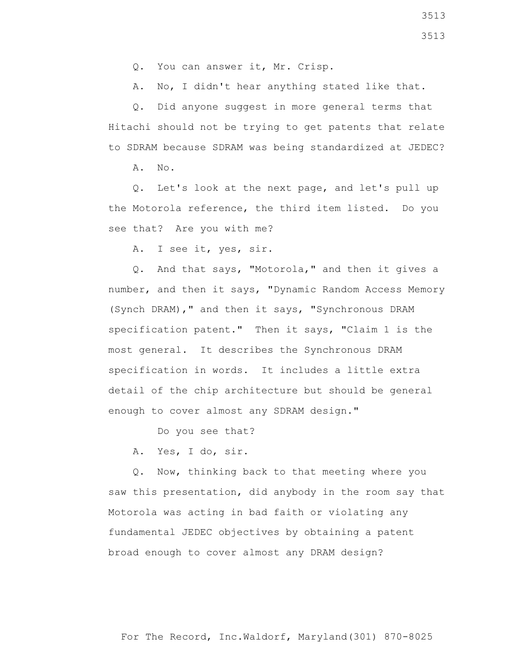Q. You can answer it, Mr. Crisp.

A. No, I didn't hear anything stated like that.

 Q. Did anyone suggest in more general terms that Hitachi should not be trying to get patents that relate to SDRAM because SDRAM was being standardized at JEDEC?

A. No.

 Q. Let's look at the next page, and let's pull up the Motorola reference, the third item listed. Do you see that? Are you with me?

A. I see it, yes, sir.

 Q. And that says, "Motorola," and then it gives a number, and then it says, "Dynamic Random Access Memory (Synch DRAM)," and then it says, "Synchronous DRAM specification patent." Then it says, "Claim 1 is the most general. It describes the Synchronous DRAM specification in words. It includes a little extra detail of the chip architecture but should be general enough to cover almost any SDRAM design."

Do you see that?

A. Yes, I do, sir.

 Q. Now, thinking back to that meeting where you saw this presentation, did anybody in the room say that Motorola was acting in bad faith or violating any fundamental JEDEC objectives by obtaining a patent broad enough to cover almost any DRAM design?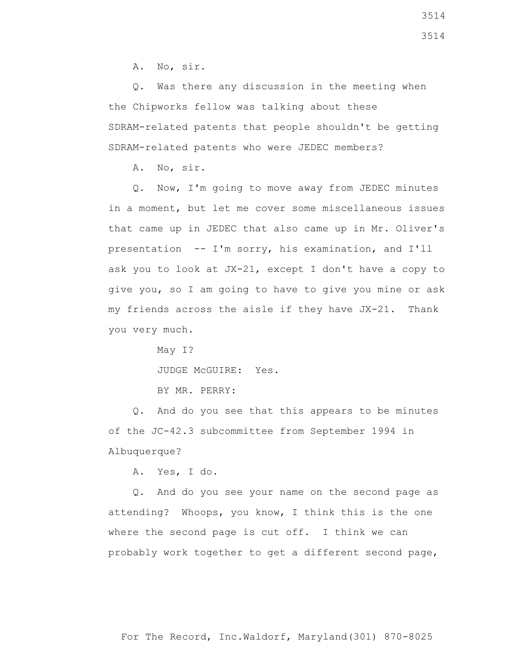A. No, sir.

 Q. Was there any discussion in the meeting when the Chipworks fellow was talking about these SDRAM-related patents that people shouldn't be getting SDRAM-related patents who were JEDEC members?

A. No, sir.

 Q. Now, I'm going to move away from JEDEC minutes in a moment, but let me cover some miscellaneous issues that came up in JEDEC that also came up in Mr. Oliver's presentation -- I'm sorry, his examination, and I'll ask you to look at JX-21, except I don't have a copy to give you, so I am going to have to give you mine or ask my friends across the aisle if they have JX-21. Thank you very much.

May I?

JUDGE McGUIRE: Yes.

BY MR. PERRY:

 Q. And do you see that this appears to be minutes of the JC-42.3 subcommittee from September 1994 in Albuquerque?

A. Yes, I do.

 Q. And do you see your name on the second page as attending? Whoops, you know, I think this is the one where the second page is cut off. I think we can probably work together to get a different second page,

3514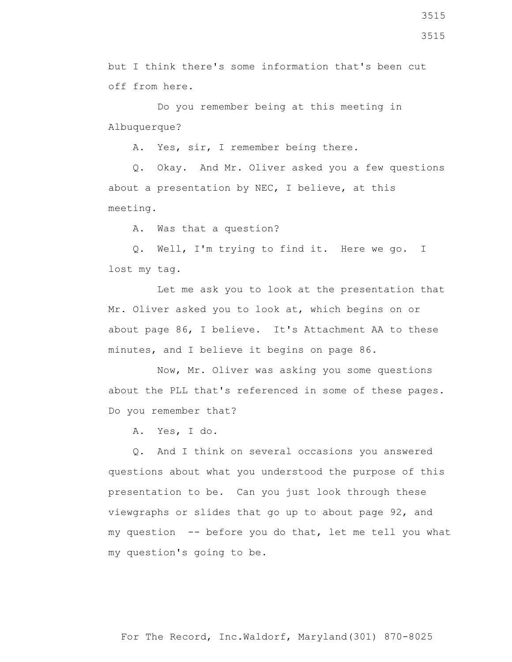but I think there's some information that's been cut off from here.

 Do you remember being at this meeting in Albuquerque?

A. Yes, sir, I remember being there.

 Q. Okay. And Mr. Oliver asked you a few questions about a presentation by NEC, I believe, at this meeting.

A. Was that a question?

 Q. Well, I'm trying to find it. Here we go. I lost my tag.

 Let me ask you to look at the presentation that Mr. Oliver asked you to look at, which begins on or about page 86, I believe. It's Attachment AA to these minutes, and I believe it begins on page 86.

 Now, Mr. Oliver was asking you some questions about the PLL that's referenced in some of these pages. Do you remember that?

A. Yes, I do.

 Q. And I think on several occasions you answered questions about what you understood the purpose of this presentation to be. Can you just look through these viewgraphs or slides that go up to about page 92, and my question -- before you do that, let me tell you what my question's going to be.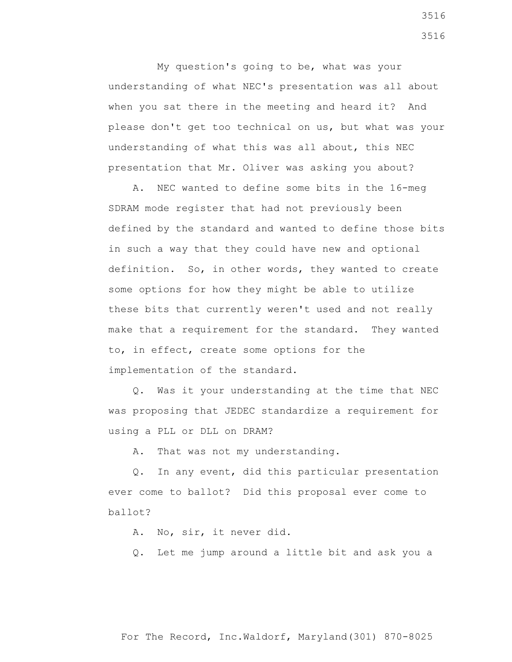My question's going to be, what was your understanding of what NEC's presentation was all about when you sat there in the meeting and heard it? And please don't get too technical on us, but what was your understanding of what this was all about, this NEC presentation that Mr. Oliver was asking you about?

 A. NEC wanted to define some bits in the 16-meg SDRAM mode register that had not previously been defined by the standard and wanted to define those bits in such a way that they could have new and optional definition. So, in other words, they wanted to create some options for how they might be able to utilize these bits that currently weren't used and not really make that a requirement for the standard. They wanted to, in effect, create some options for the implementation of the standard.

 Q. Was it your understanding at the time that NEC was proposing that JEDEC standardize a requirement for using a PLL or DLL on DRAM?

A. That was not my understanding.

 Q. In any event, did this particular presentation ever come to ballot? Did this proposal ever come to ballot?

A. No, sir, it never did.

Q. Let me jump around a little bit and ask you a

3516 3516

For The Record, Inc.Waldorf, Maryland(301) 870-8025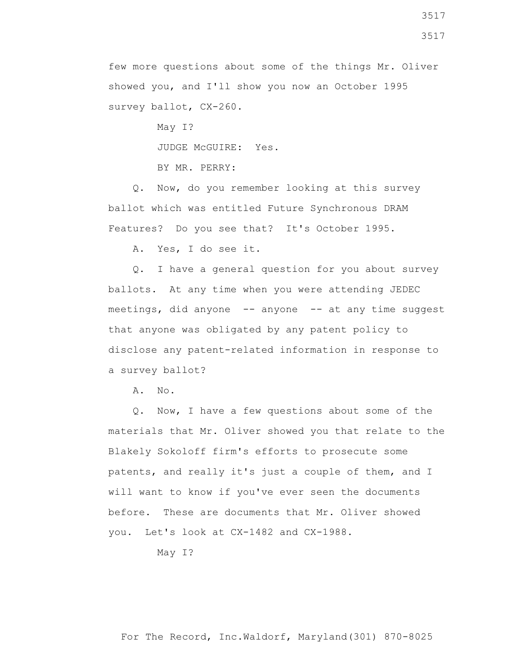few more questions about some of the things Mr. Oliver showed you, and I'll show you now an October 1995 survey ballot, CX-260.

> May I? JUDGE McGUIRE: Yes. BY MR. PERRY:

 Q. Now, do you remember looking at this survey ballot which was entitled Future Synchronous DRAM Features? Do you see that? It's October 1995.

A. Yes, I do see it.

 Q. I have a general question for you about survey ballots. At any time when you were attending JEDEC meetings, did anyone -- anyone -- at any time suggest that anyone was obligated by any patent policy to disclose any patent-related information in response to a survey ballot?

A. No.

 Q. Now, I have a few questions about some of the materials that Mr. Oliver showed you that relate to the Blakely Sokoloff firm's efforts to prosecute some patents, and really it's just a couple of them, and I will want to know if you've ever seen the documents before. These are documents that Mr. Oliver showed you. Let's look at CX-1482 and CX-1988.

May I?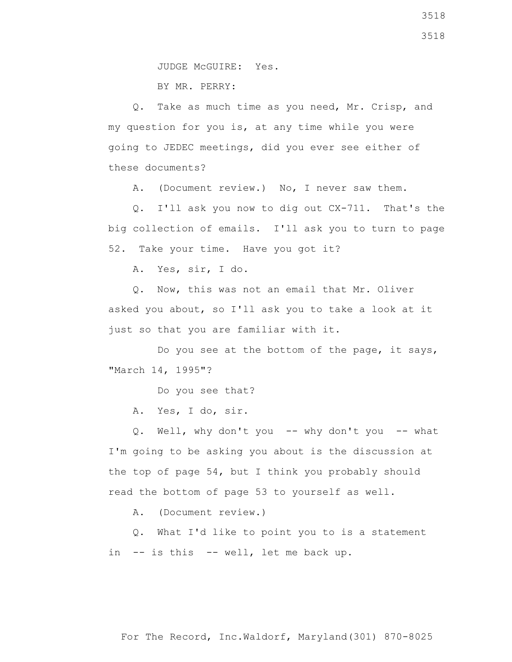BY MR. PERRY:

 Q. Take as much time as you need, Mr. Crisp, and my question for you is, at any time while you were going to JEDEC meetings, did you ever see either of these documents?

A. (Document review.) No, I never saw them.

 Q. I'll ask you now to dig out CX-711. That's the big collection of emails. I'll ask you to turn to page 52. Take your time. Have you got it?

A. Yes, sir, I do.

 Q. Now, this was not an email that Mr. Oliver asked you about, so I'll ask you to take a look at it just so that you are familiar with it.

 Do you see at the bottom of the page, it says, "March 14, 1995"?

Do you see that?

A. Yes, I do, sir.

Q. Well, why don't you -- why don't you -- what I'm going to be asking you about is the discussion at the top of page 54, but I think you probably should read the bottom of page 53 to yourself as well.

A. (Document review.)

 Q. What I'd like to point you to is a statement in -- is this -- well, let me back up.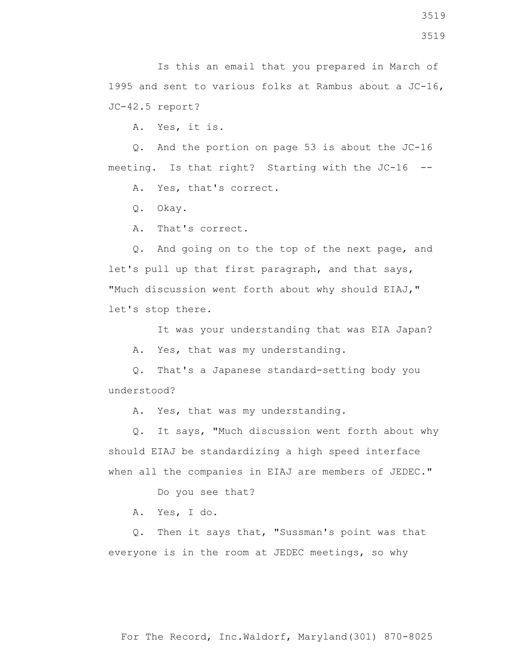A. Yes, it is.

 Q. And the portion on page 53 is about the JC-16 meeting. Is that right? Starting with the JC-16 --

A. Yes, that's correct.

Q. Okay.

A. That's correct.

 Q. And going on to the top of the next page, and let's pull up that first paragraph, and that says, "Much discussion went forth about why should EIAJ," let's stop there.

It was your understanding that was EIA Japan?

A. Yes, that was my understanding.

 Q. That's a Japanese standard-setting body you understood?

A. Yes, that was my understanding.

 Q. It says, "Much discussion went forth about why should EIAJ be standardizing a high speed interface when all the companies in EIAJ are members of JEDEC."

Do you see that?

A. Yes, I do.

 Q. Then it says that, "Sussman's point was that everyone is in the room at JEDEC meetings, so why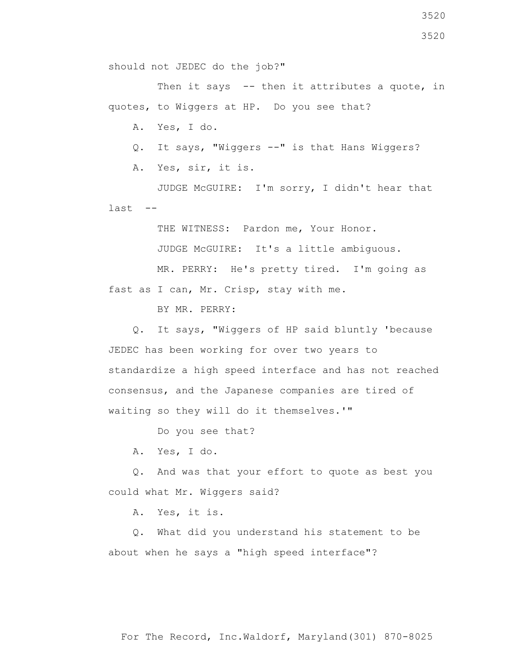Then it says -- then it attributes a quote, in quotes, to Wiggers at HP. Do you see that?

A. Yes, I do.

Q. It says, "Wiggers --" is that Hans Wiggers?

A. Yes, sir, it is.

 JUDGE McGUIRE: I'm sorry, I didn't hear that last --

THE WITNESS: Pardon me, Your Honor.

JUDGE McGUIRE: It's a little ambiguous.

 MR. PERRY: He's pretty tired. I'm going as fast as I can, Mr. Crisp, stay with me.

BY MR. PERRY:

 Q. It says, "Wiggers of HP said bluntly 'because JEDEC has been working for over two years to standardize a high speed interface and has not reached consensus, and the Japanese companies are tired of waiting so they will do it themselves.'"

Do you see that?

A. Yes, I do.

 Q. And was that your effort to quote as best you could what Mr. Wiggers said?

A. Yes, it is.

 Q. What did you understand his statement to be about when he says a "high speed interface"?

3520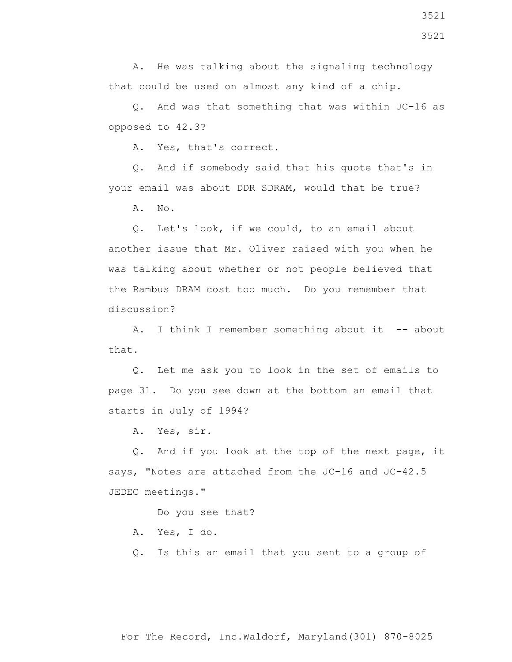A. He was talking about the signaling technology that could be used on almost any kind of a chip.

 Q. And was that something that was within JC-16 as opposed to 42.3?

A. Yes, that's correct.

 Q. And if somebody said that his quote that's in your email was about DDR SDRAM, would that be true?

A. No.

 Q. Let's look, if we could, to an email about another issue that Mr. Oliver raised with you when he was talking about whether or not people believed that the Rambus DRAM cost too much. Do you remember that discussion?

A. I think I remember something about it -- about that.

 Q. Let me ask you to look in the set of emails to page 31. Do you see down at the bottom an email that starts in July of 1994?

A. Yes, sir.

 Q. And if you look at the top of the next page, it says, "Notes are attached from the JC-16 and JC-42.5 JEDEC meetings."

Do you see that?

- A. Yes, I do.
- Q. Is this an email that you sent to a group of

For The Record, Inc.Waldorf, Maryland(301) 870-8025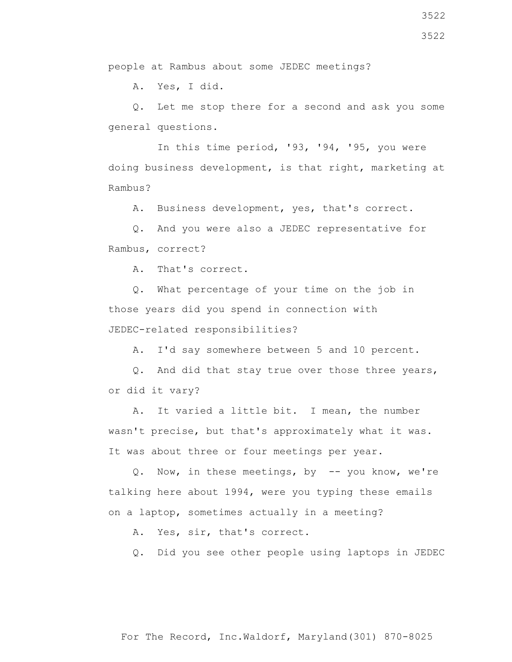people at Rambus about some JEDEC meetings?

A. Yes, I did.

 Q. Let me stop there for a second and ask you some general questions.

 In this time period, '93, '94, '95, you were doing business development, is that right, marketing at Rambus?

A. Business development, yes, that's correct.

 Q. And you were also a JEDEC representative for Rambus, correct?

A. That's correct.

 Q. What percentage of your time on the job in those years did you spend in connection with JEDEC-related responsibilities?

A. I'd say somewhere between 5 and 10 percent.

 Q. And did that stay true over those three years, or did it vary?

 A. It varied a little bit. I mean, the number wasn't precise, but that's approximately what it was. It was about three or four meetings per year.

 Q. Now, in these meetings, by -- you know, we're talking here about 1994, were you typing these emails on a laptop, sometimes actually in a meeting?

A. Yes, sir, that's correct.

Q. Did you see other people using laptops in JEDEC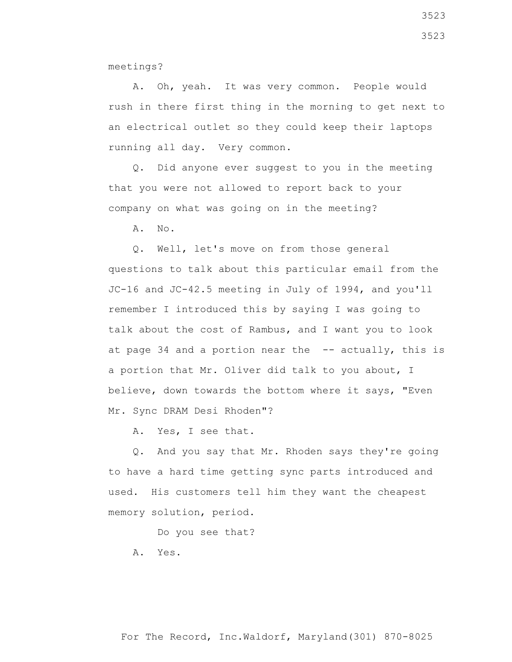meetings?

 A. Oh, yeah. It was very common. People would rush in there first thing in the morning to get next to an electrical outlet so they could keep their laptops running all day. Very common.

 Q. Did anyone ever suggest to you in the meeting that you were not allowed to report back to your company on what was going on in the meeting?

A. No.

 Q. Well, let's move on from those general questions to talk about this particular email from the JC-16 and JC-42.5 meeting in July of 1994, and you'll remember I introduced this by saying I was going to talk about the cost of Rambus, and I want you to look at page 34 and a portion near the  $-$ - actually, this is a portion that Mr. Oliver did talk to you about, I believe, down towards the bottom where it says, "Even Mr. Sync DRAM Desi Rhoden"?

A. Yes, I see that.

 Q. And you say that Mr. Rhoden says they're going to have a hard time getting sync parts introduced and used. His customers tell him they want the cheapest memory solution, period.

Do you see that?

A. Yes.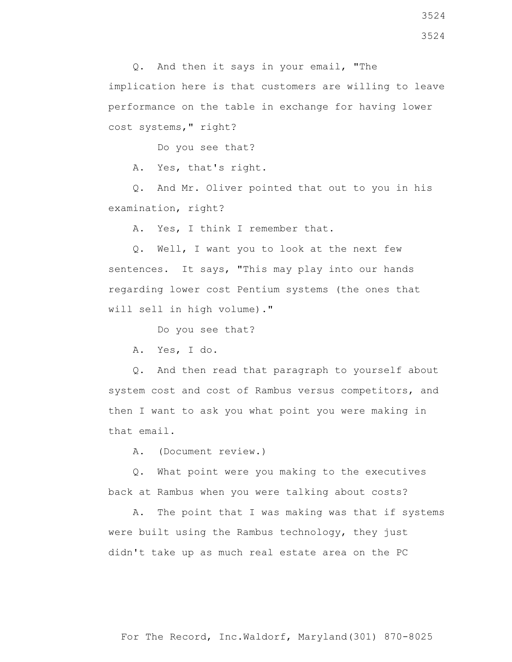Q. And then it says in your email, "The implication here is that customers are willing to leave performance on the table in exchange for having lower cost systems," right?

Do you see that?

A. Yes, that's right.

 Q. And Mr. Oliver pointed that out to you in his examination, right?

A. Yes, I think I remember that.

 Q. Well, I want you to look at the next few sentences. It says, "This may play into our hands regarding lower cost Pentium systems (the ones that will sell in high volume)."

Do you see that?

A. Yes, I do.

 Q. And then read that paragraph to yourself about system cost and cost of Rambus versus competitors, and then I want to ask you what point you were making in that email.

A. (Document review.)

 Q. What point were you making to the executives back at Rambus when you were talking about costs?

 A. The point that I was making was that if systems were built using the Rambus technology, they just didn't take up as much real estate area on the PC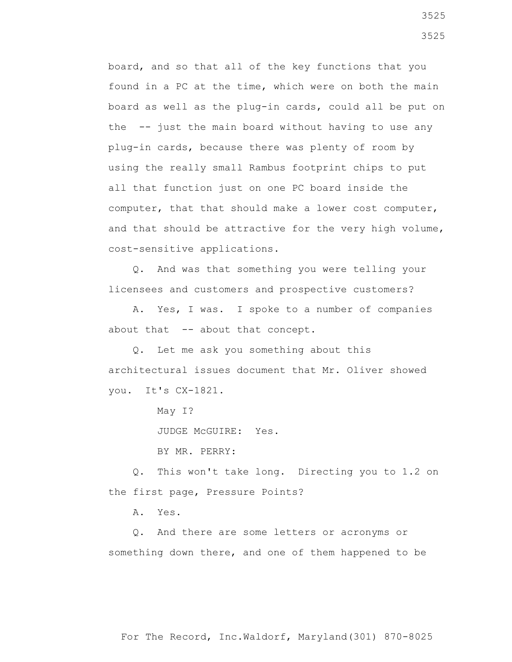board, and so that all of the key functions that you found in a PC at the time, which were on both the main board as well as the plug-in cards, could all be put on the -- just the main board without having to use any plug-in cards, because there was plenty of room by using the really small Rambus footprint chips to put all that function just on one PC board inside the computer, that that should make a lower cost computer, and that should be attractive for the very high volume, cost-sensitive applications.

 Q. And was that something you were telling your licensees and customers and prospective customers?

 A. Yes, I was. I spoke to a number of companies about that -- about that concept.

 Q. Let me ask you something about this architectural issues document that Mr. Oliver showed you. It's CX-1821.

May I?

JUDGE McGUIRE: Yes.

BY MR. PERRY:

 Q. This won't take long. Directing you to 1.2 on the first page, Pressure Points?

A. Yes.

 Q. And there are some letters or acronyms or something down there, and one of them happened to be

For The Record, Inc.Waldorf, Maryland(301) 870-8025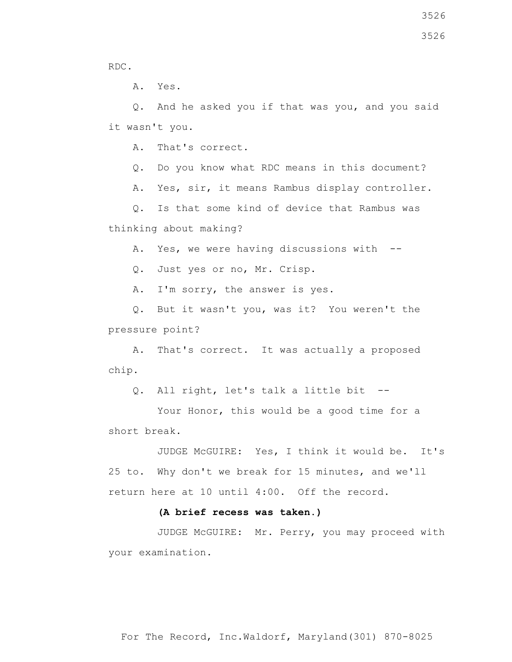3526

RDC.

A. Yes.

 Q. And he asked you if that was you, and you said it wasn't you.

A. That's correct.

Q. Do you know what RDC means in this document?

A. Yes, sir, it means Rambus display controller.

 Q. Is that some kind of device that Rambus was thinking about making?

A. Yes, we were having discussions with --

Q. Just yes or no, Mr. Crisp.

A. I'm sorry, the answer is yes.

 Q. But it wasn't you, was it? You weren't the pressure point?

 A. That's correct. It was actually a proposed chip.

Q. All right, let's talk a little bit --

Your Honor, this would be a good time for a short break.

 JUDGE McGUIRE: Yes, I think it would be. It's 25 to. Why don't we break for 15 minutes, and we'll return here at 10 until 4:00. Off the record.

## **(A brief recess was taken.)**

 JUDGE McGUIRE: Mr. Perry, you may proceed with your examination.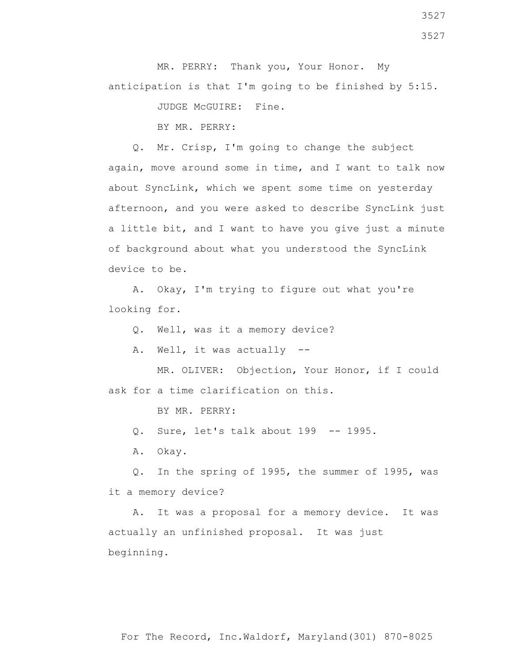MR. PERRY: Thank you, Your Honor. My anticipation is that I'm going to be finished by 5:15.

JUDGE McGUIRE: Fine.

BY MR. PERRY:

 Q. Mr. Crisp, I'm going to change the subject again, move around some in time, and I want to talk now about SyncLink, which we spent some time on yesterday afternoon, and you were asked to describe SyncLink just a little bit, and I want to have you give just a minute of background about what you understood the SyncLink device to be.

 A. Okay, I'm trying to figure out what you're looking for.

Q. Well, was it a memory device?

A. Well, it was actually --

 MR. OLIVER: Objection, Your Honor, if I could ask for a time clarification on this.

BY MR. PERRY:

Q. Sure, let's talk about 199 -- 1995.

A. Okay.

 Q. In the spring of 1995, the summer of 1995, was it a memory device?

 A. It was a proposal for a memory device. It was actually an unfinished proposal. It was just beginning.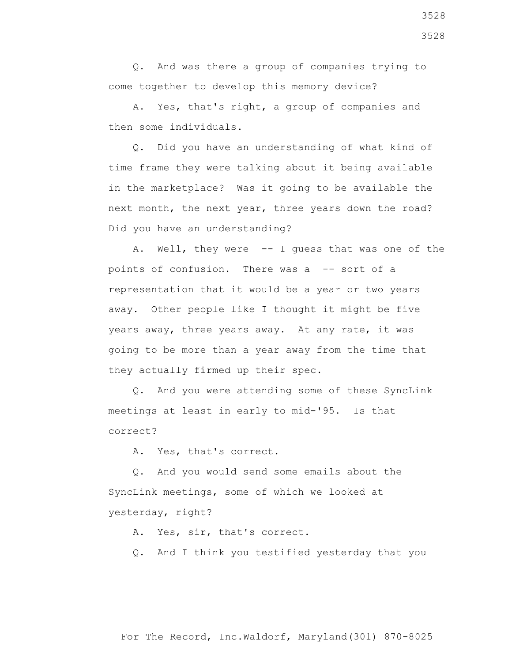Q. And was there a group of companies trying to come together to develop this memory device?

 A. Yes, that's right, a group of companies and then some individuals.

 Q. Did you have an understanding of what kind of time frame they were talking about it being available in the marketplace? Was it going to be available the next month, the next year, three years down the road? Did you have an understanding?

A. Well, they were -- I quess that was one of the points of confusion. There was a -- sort of a representation that it would be a year or two years away. Other people like I thought it might be five years away, three years away. At any rate, it was going to be more than a year away from the time that they actually firmed up their spec.

 Q. And you were attending some of these SyncLink meetings at least in early to mid-'95. Is that correct?

A. Yes, that's correct.

 Q. And you would send some emails about the SyncLink meetings, some of which we looked at yesterday, right?

A. Yes, sir, that's correct.

Q. And I think you testified yesterday that you

3528 3528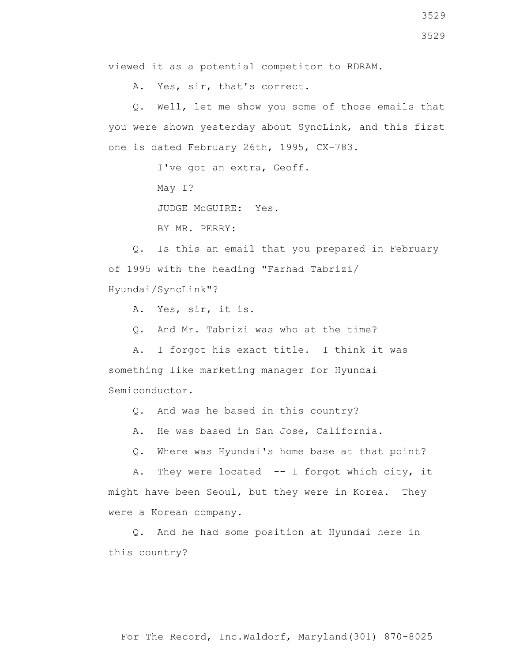A. Yes, sir, that's correct.

 Q. Well, let me show you some of those emails that you were shown yesterday about SyncLink, and this first one is dated February 26th, 1995, CX-783.

I've got an extra, Geoff.

May I?

JUDGE McGUIRE: Yes.

BY MR. PERRY:

 Q. Is this an email that you prepared in February of 1995 with the heading "Farhad Tabrizi/ Hyundai/SyncLink"?

A. Yes, sir, it is.

Q. And Mr. Tabrizi was who at the time?

 A. I forgot his exact title. I think it was something like marketing manager for Hyundai Semiconductor.

Q. And was he based in this country?

A. He was based in San Jose, California.

Q. Where was Hyundai's home base at that point?

 A. They were located -- I forgot which city, it might have been Seoul, but they were in Korea. They were a Korean company.

 Q. And he had some position at Hyundai here in this country?

3529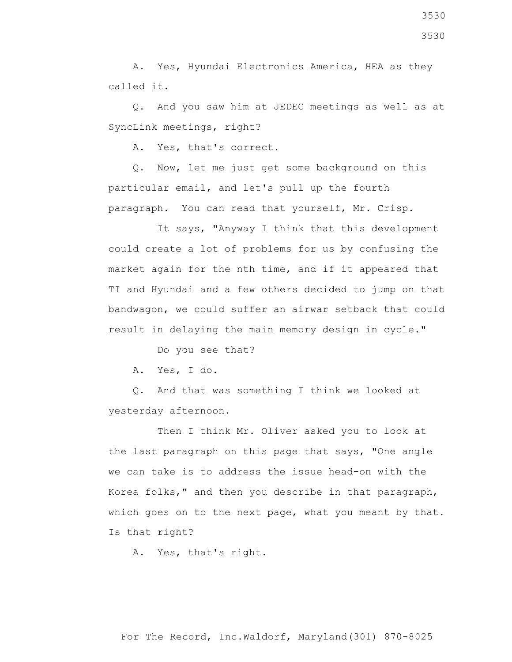A. Yes, Hyundai Electronics America, HEA as they called it.

 Q. And you saw him at JEDEC meetings as well as at SyncLink meetings, right?

A. Yes, that's correct.

 Q. Now, let me just get some background on this particular email, and let's pull up the fourth paragraph. You can read that yourself, Mr. Crisp.

 It says, "Anyway I think that this development could create a lot of problems for us by confusing the market again for the nth time, and if it appeared that TI and Hyundai and a few others decided to jump on that bandwagon, we could suffer an airwar setback that could result in delaying the main memory design in cycle."

Do you see that?

A. Yes, I do.

 Q. And that was something I think we looked at yesterday afternoon.

Then I think Mr. Oliver asked you to look at the last paragraph on this page that says, "One angle we can take is to address the issue head-on with the Korea folks," and then you describe in that paragraph, which goes on to the next page, what you meant by that. Is that right?

A. Yes, that's right.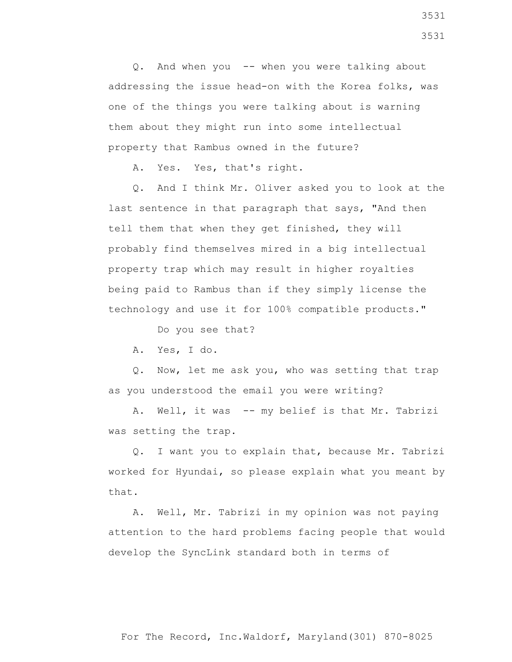Q. And when you -- when you were talking about addressing the issue head-on with the Korea folks, was one of the things you were talking about is warning them about they might run into some intellectual property that Rambus owned in the future?

A. Yes. Yes, that's right.

 Q. And I think Mr. Oliver asked you to look at the last sentence in that paragraph that says, "And then tell them that when they get finished, they will probably find themselves mired in a big intellectual property trap which may result in higher royalties being paid to Rambus than if they simply license the technology and use it for 100% compatible products."

Do you see that?

A. Yes, I do.

 Q. Now, let me ask you, who was setting that trap as you understood the email you were writing?

A. Well, it was -- my belief is that Mr. Tabrizi was setting the trap.

 Q. I want you to explain that, because Mr. Tabrizi worked for Hyundai, so please explain what you meant by that.

 A. Well, Mr. Tabrizi in my opinion was not paying attention to the hard problems facing people that would develop the SyncLink standard both in terms of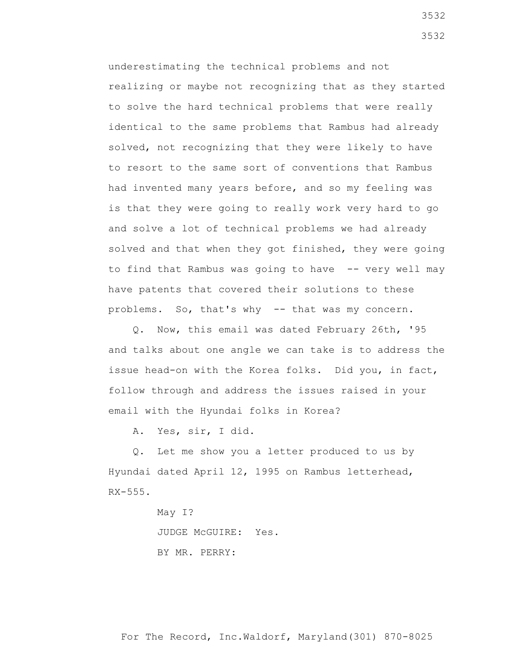underestimating the technical problems and not realizing or maybe not recognizing that as they started to solve the hard technical problems that were really identical to the same problems that Rambus had already solved, not recognizing that they were likely to have to resort to the same sort of conventions that Rambus had invented many years before, and so my feeling was is that they were going to really work very hard to go and solve a lot of technical problems we had already solved and that when they got finished, they were going to find that Rambus was going to have -- very well may have patents that covered their solutions to these problems. So, that's why -- that was my concern.

 Q. Now, this email was dated February 26th, '95 and talks about one angle we can take is to address the issue head-on with the Korea folks. Did you, in fact, follow through and address the issues raised in your email with the Hyundai folks in Korea?

A. Yes, sir, I did.

 Q. Let me show you a letter produced to us by Hyundai dated April 12, 1995 on Rambus letterhead, RX-555.

> May I? JUDGE McGUIRE: Yes. BY MR. PERRY: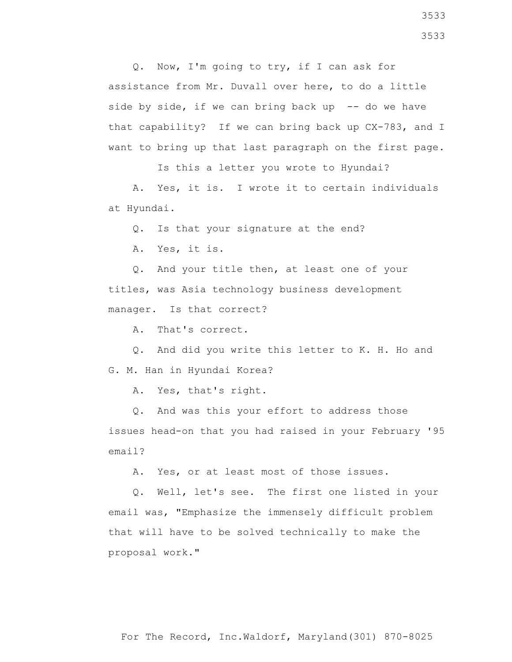Q. Now, I'm going to try, if I can ask for assistance from Mr. Duvall over here, to do a little side by side, if we can bring back up  $-$ - do we have that capability? If we can bring back up CX-783, and I want to bring up that last paragraph on the first page.

Is this a letter you wrote to Hyundai?

 A. Yes, it is. I wrote it to certain individuals at Hyundai.

Q. Is that your signature at the end?

A. Yes, it is.

 Q. And your title then, at least one of your titles, was Asia technology business development manager. Is that correct?

A. That's correct.

 Q. And did you write this letter to K. H. Ho and G. M. Han in Hyundai Korea?

A. Yes, that's right.

 Q. And was this your effort to address those issues head-on that you had raised in your February '95 email?

A. Yes, or at least most of those issues.

 Q. Well, let's see. The first one listed in your email was, "Emphasize the immensely difficult problem that will have to be solved technically to make the proposal work."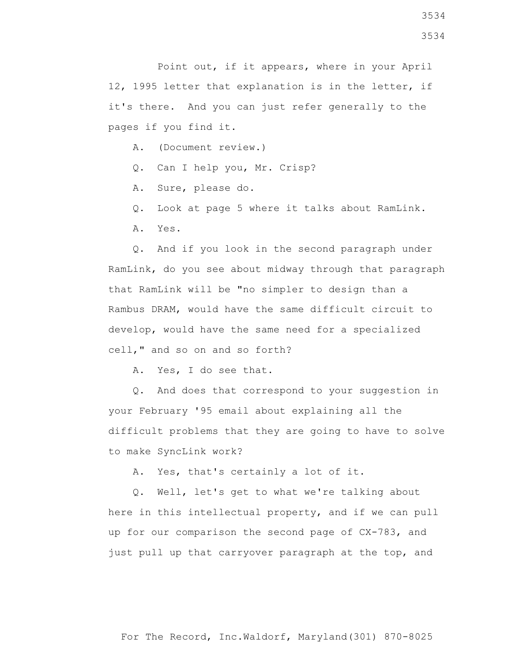Point out, if it appears, where in your April 12, 1995 letter that explanation is in the letter, if it's there. And you can just refer generally to the pages if you find it.

A. (Document review.)

Q. Can I help you, Mr. Crisp?

A. Sure, please do.

Q. Look at page 5 where it talks about RamLink.

A. Yes.

 Q. And if you look in the second paragraph under RamLink, do you see about midway through that paragraph that RamLink will be "no simpler to design than a Rambus DRAM, would have the same difficult circuit to develop, would have the same need for a specialized cell," and so on and so forth?

A. Yes, I do see that.

 Q. And does that correspond to your suggestion in your February '95 email about explaining all the difficult problems that they are going to have to solve to make SyncLink work?

A. Yes, that's certainly a lot of it.

 Q. Well, let's get to what we're talking about here in this intellectual property, and if we can pull up for our comparison the second page of CX-783, and just pull up that carryover paragraph at the top, and

3534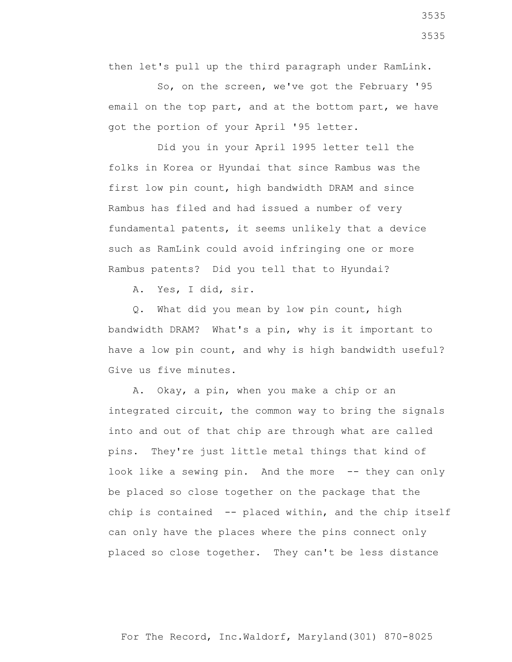then let's pull up the third paragraph under RamLink.

 So, on the screen, we've got the February '95 email on the top part, and at the bottom part, we have got the portion of your April '95 letter.

 Did you in your April 1995 letter tell the folks in Korea or Hyundai that since Rambus was the first low pin count, high bandwidth DRAM and since Rambus has filed and had issued a number of very fundamental patents, it seems unlikely that a device such as RamLink could avoid infringing one or more Rambus patents? Did you tell that to Hyundai?

A. Yes, I did, sir.

 Q. What did you mean by low pin count, high bandwidth DRAM? What's a pin, why is it important to have a low pin count, and why is high bandwidth useful? Give us five minutes.

 A. Okay, a pin, when you make a chip or an integrated circuit, the common way to bring the signals into and out of that chip are through what are called pins. They're just little metal things that kind of look like a sewing pin. And the more -- they can only be placed so close together on the package that the chip is contained -- placed within, and the chip itself can only have the places where the pins connect only placed so close together. They can't be less distance

For The Record, Inc.Waldorf, Maryland(301) 870-8025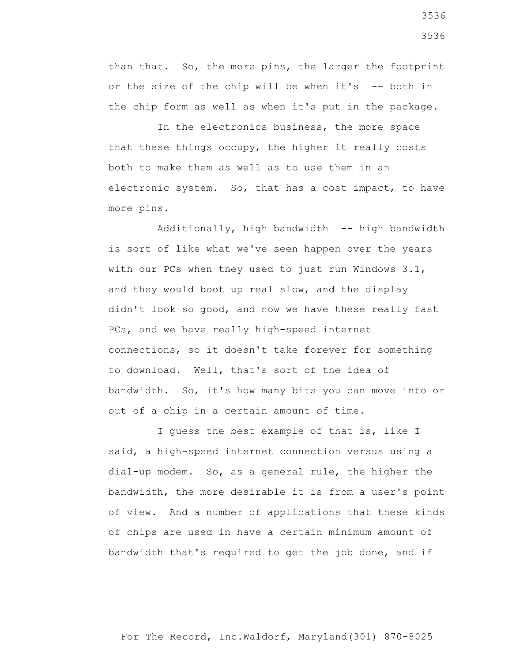than that. So, the more pins, the larger the footprint or the size of the chip will be when it's  $-$ - both in the chip form as well as when it's put in the package.

 In the electronics business, the more space that these things occupy, the higher it really costs both to make them as well as to use them in an electronic system. So, that has a cost impact, to have more pins.

 Additionally, high bandwidth -- high bandwidth is sort of like what we've seen happen over the years with our PCs when they used to just run Windows 3.1, and they would boot up real slow, and the display didn't look so good, and now we have these really fast PCs, and we have really high-speed internet connections, so it doesn't take forever for something to download. Well, that's sort of the idea of bandwidth. So, it's how many bits you can move into or out of a chip in a certain amount of time.

 I guess the best example of that is, like I said, a high-speed internet connection versus using a dial-up modem. So, as a general rule, the higher the bandwidth, the more desirable it is from a user's point of view. And a number of applications that these kinds of chips are used in have a certain minimum amount of bandwidth that's required to get the job done, and if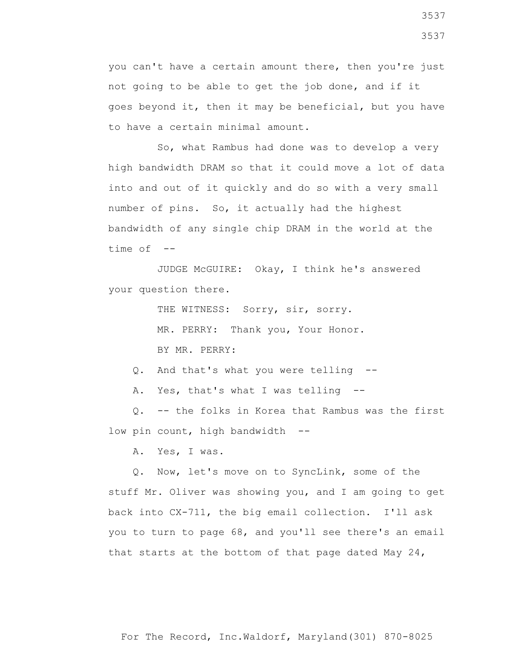you can't have a certain amount there, then you're just not going to be able to get the job done, and if it goes beyond it, then it may be beneficial, but you have to have a certain minimal amount.

 So, what Rambus had done was to develop a very high bandwidth DRAM so that it could move a lot of data into and out of it quickly and do so with a very small number of pins. So, it actually had the highest bandwidth of any single chip DRAM in the world at the time of --

 JUDGE McGUIRE: Okay, I think he's answered your question there.

THE WITNESS: Sorry, sir, sorry.

MR. PERRY: Thank you, Your Honor.

BY MR. PERRY:

Q. And that's what you were telling --

A. Yes, that's what I was telling --

 Q. -- the folks in Korea that Rambus was the first low pin count, high bandwidth --

A. Yes, I was.

 Q. Now, let's move on to SyncLink, some of the stuff Mr. Oliver was showing you, and I am going to get back into CX-711, the big email collection. I'll ask you to turn to page 68, and you'll see there's an email that starts at the bottom of that page dated May 24,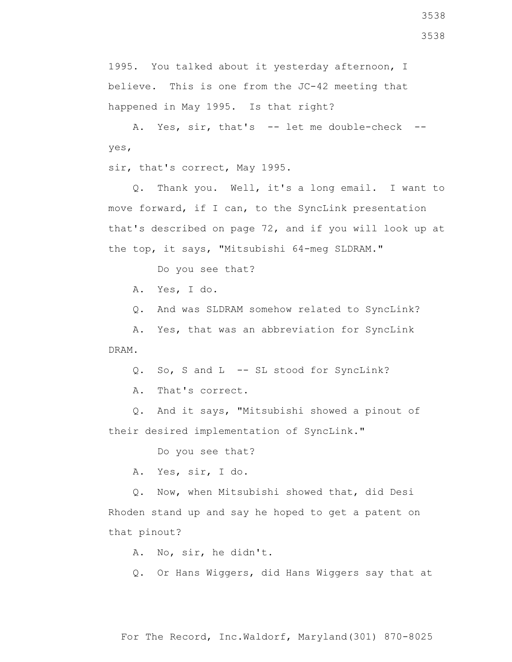1995. You talked about it yesterday afternoon, I believe. This is one from the JC-42 meeting that happened in May 1995. Is that right?

A. Yes, sir, that's -- let me double-check -yes,

sir, that's correct, May 1995.

 Q. Thank you. Well, it's a long email. I want to move forward, if I can, to the SyncLink presentation that's described on page 72, and if you will look up at the top, it says, "Mitsubishi 64-meg SLDRAM."

Do you see that?

A. Yes, I do.

Q. And was SLDRAM somehow related to SyncLink?

 A. Yes, that was an abbreviation for SyncLink DRAM.

Q. So, S and L -- SL stood for SyncLink?

A. That's correct.

 Q. And it says, "Mitsubishi showed a pinout of their desired implementation of SyncLink."

Do you see that?

A. Yes, sir, I do.

 Q. Now, when Mitsubishi showed that, did Desi Rhoden stand up and say he hoped to get a patent on that pinout?

A. No, sir, he didn't.

Q. Or Hans Wiggers, did Hans Wiggers say that at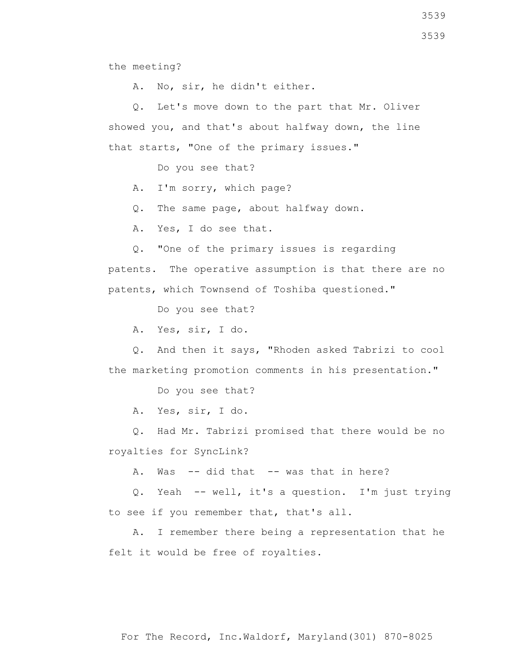the meeting?

A. No, sir, he didn't either.

 Q. Let's move down to the part that Mr. Oliver showed you, and that's about halfway down, the line that starts, "One of the primary issues."

Do you see that?

A. I'm sorry, which page?

Q. The same page, about halfway down.

A. Yes, I do see that.

Q. "One of the primary issues is regarding

patents. The operative assumption is that there are no patents, which Townsend of Toshiba questioned."

Do you see that?

A. Yes, sir, I do.

 Q. And then it says, "Rhoden asked Tabrizi to cool the marketing promotion comments in his presentation."

Do you see that?

A. Yes, sir, I do.

 Q. Had Mr. Tabrizi promised that there would be no royalties for SyncLink?

A. Was -- did that -- was that in here?

 Q. Yeah -- well, it's a question. I'm just trying to see if you remember that, that's all.

 A. I remember there being a representation that he felt it would be free of royalties.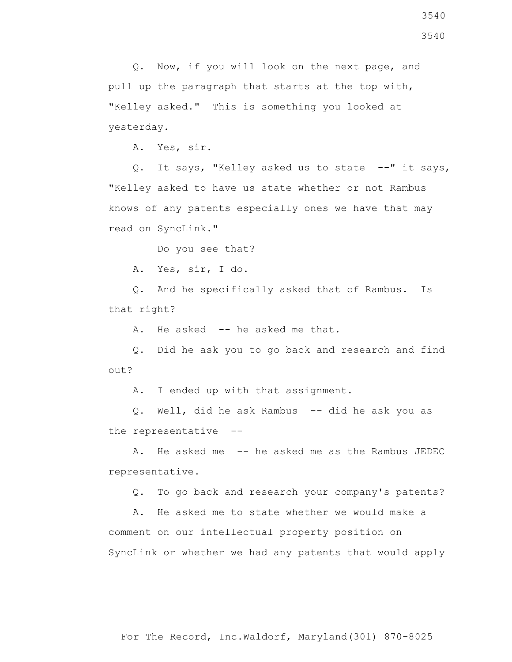Q. Now, if you will look on the next page, and pull up the paragraph that starts at the top with, "Kelley asked." This is something you looked at yesterday.

A. Yes, sir.

Q. It says, "Kelley asked us to state --" it says, "Kelley asked to have us state whether or not Rambus knows of any patents especially ones we have that may read on SyncLink."

Do you see that?

A. Yes, sir, I do.

 Q. And he specifically asked that of Rambus. Is that right?

A. He asked -- he asked me that.

 Q. Did he ask you to go back and research and find out?

A. I ended up with that assignment.

 Q. Well, did he ask Rambus -- did he ask you as the representative --

 A. He asked me -- he asked me as the Rambus JEDEC representative.

Q. To go back and research your company's patents?

 A. He asked me to state whether we would make a comment on our intellectual property position on SyncLink or whether we had any patents that would apply

3540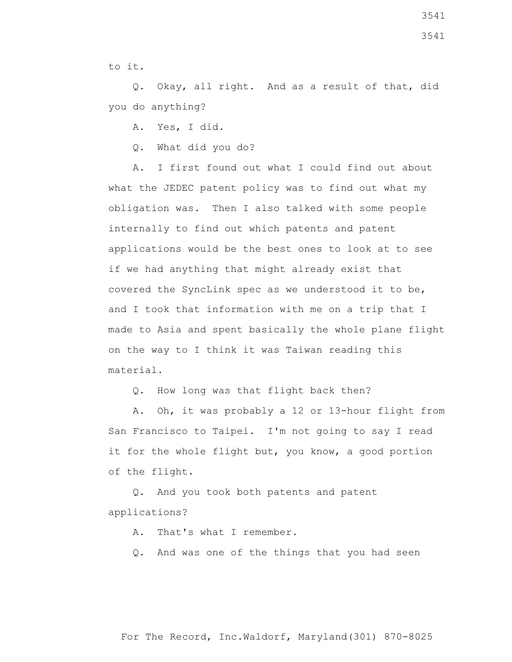3541

to it.

 Q. Okay, all right. And as a result of that, did you do anything?

A. Yes, I did.

Q. What did you do?

 A. I first found out what I could find out about what the JEDEC patent policy was to find out what my obligation was. Then I also talked with some people internally to find out which patents and patent applications would be the best ones to look at to see if we had anything that might already exist that covered the SyncLink spec as we understood it to be, and I took that information with me on a trip that I made to Asia and spent basically the whole plane flight on the way to I think it was Taiwan reading this material.

Q. How long was that flight back then?

 A. Oh, it was probably a 12 or 13-hour flight from San Francisco to Taipei. I'm not going to say I read it for the whole flight but, you know, a good portion of the flight.

 Q. And you took both patents and patent applications?

A. That's what I remember.

Q. And was one of the things that you had seen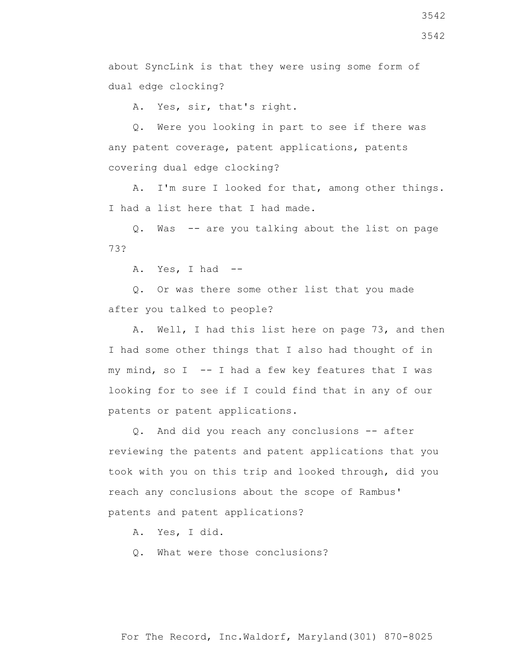about SyncLink is that they were using some form of dual edge clocking?

A. Yes, sir, that's right.

 Q. Were you looking in part to see if there was any patent coverage, patent applications, patents covering dual edge clocking?

 A. I'm sure I looked for that, among other things. I had a list here that I had made.

 Q. Was -- are you talking about the list on page 73?

A. Yes, I had --

 Q. Or was there some other list that you made after you talked to people?

 A. Well, I had this list here on page 73, and then I had some other things that I also had thought of in my mind, so  $I$  -- I had a few key features that I was looking for to see if I could find that in any of our patents or patent applications.

 Q. And did you reach any conclusions -- after reviewing the patents and patent applications that you took with you on this trip and looked through, did you reach any conclusions about the scope of Rambus' patents and patent applications?

A. Yes, I did.

Q. What were those conclusions?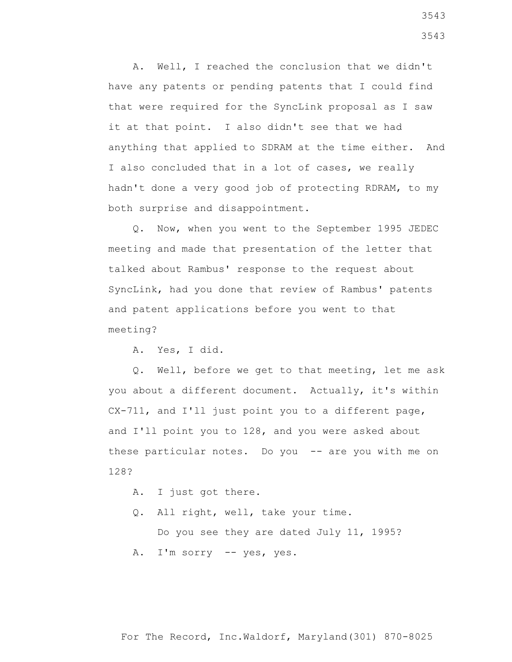A. Well, I reached the conclusion that we didn't have any patents or pending patents that I could find that were required for the SyncLink proposal as I saw it at that point. I also didn't see that we had anything that applied to SDRAM at the time either. And I also concluded that in a lot of cases, we really hadn't done a very good job of protecting RDRAM, to my both surprise and disappointment.

 Q. Now, when you went to the September 1995 JEDEC meeting and made that presentation of the letter that talked about Rambus' response to the request about SyncLink, had you done that review of Rambus' patents and patent applications before you went to that meeting?

A. Yes, I did.

 Q. Well, before we get to that meeting, let me ask you about a different document. Actually, it's within CX-711, and I'll just point you to a different page, and I'll point you to 128, and you were asked about these particular notes. Do you -- are you with me on 128?

- A. I just got there.
- Q. All right, well, take your time. Do you see they are dated July 11, 1995? A. I'm sorry -- yes, yes.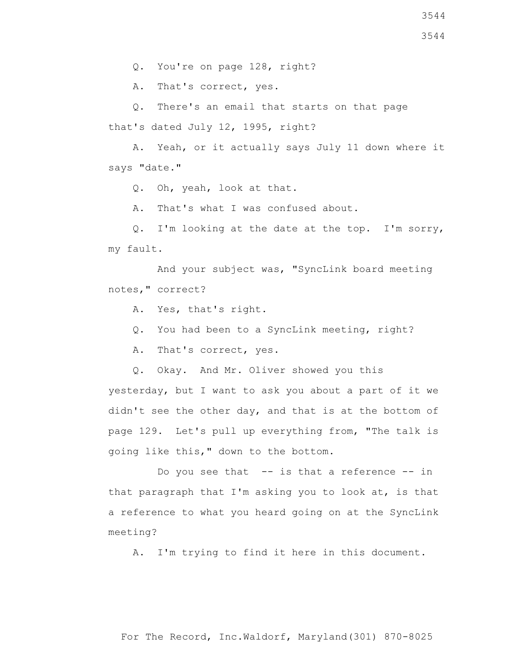Q. You're on page 128, right?

A. That's correct, yes.

Q. There's an email that starts on that page

that's dated July 12, 1995, right?

 A. Yeah, or it actually says July 11 down where it says "date."

Q. Oh, yeah, look at that.

A. That's what I was confused about.

 Q. I'm looking at the date at the top. I'm sorry, my fault.

 And your subject was, "SyncLink board meeting notes," correct?

- A. Yes, that's right.
- Q. You had been to a SyncLink meeting, right?

A. That's correct, yes.

Q. Okay. And Mr. Oliver showed you this

yesterday, but I want to ask you about a part of it we didn't see the other day, and that is at the bottom of page 129. Let's pull up everything from, "The talk is going like this," down to the bottom.

Do you see that -- is that a reference -- in that paragraph that I'm asking you to look at, is that a reference to what you heard going on at the SyncLink meeting?

A. I'm trying to find it here in this document.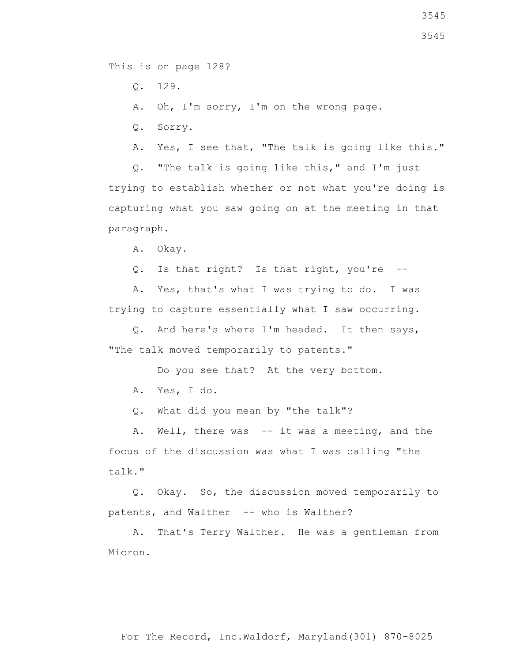This is on page 128?

Q. 129.

A. Oh, I'm sorry, I'm on the wrong page.

Q. Sorry.

A. Yes, I see that, "The talk is going like this."

 Q. "The talk is going like this," and I'm just trying to establish whether or not what you're doing is capturing what you saw going on at the meeting in that paragraph.

A. Okay.

Q. Is that right? Is that right, you're --

 A. Yes, that's what I was trying to do. I was trying to capture essentially what I saw occurring.

 Q. And here's where I'm headed. It then says, "The talk moved temporarily to patents."

Do you see that? At the very bottom.

A. Yes, I do.

Q. What did you mean by "the talk"?

A. Well, there was -- it was a meeting, and the focus of the discussion was what I was calling "the talk."

 Q. Okay. So, the discussion moved temporarily to patents, and Walther -- who is Walther?

 A. That's Terry Walther. He was a gentleman from Micron.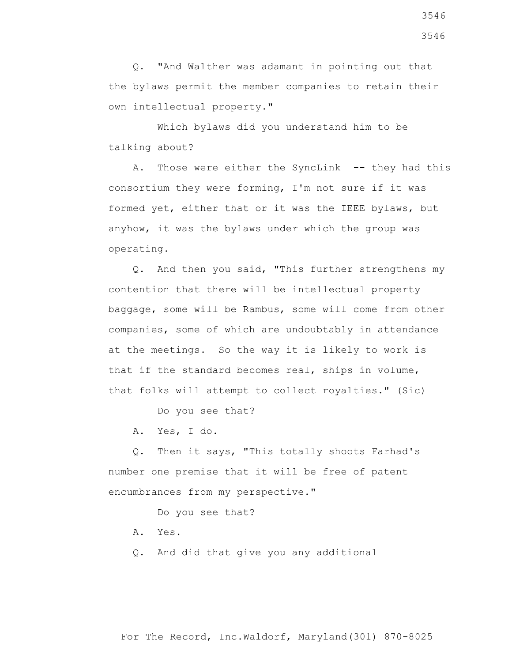Q. "And Walther was adamant in pointing out that the bylaws permit the member companies to retain their own intellectual property."

 Which bylaws did you understand him to be talking about?

 A. Those were either the SyncLink -- they had this consortium they were forming, I'm not sure if it was formed yet, either that or it was the IEEE bylaws, but anyhow, it was the bylaws under which the group was operating.

 Q. And then you said, "This further strengthens my contention that there will be intellectual property baggage, some will be Rambus, some will come from other companies, some of which are undoubtably in attendance at the meetings. So the way it is likely to work is that if the standard becomes real, ships in volume, that folks will attempt to collect royalties." (Sic)

Do you see that?

A. Yes, I do.

 Q. Then it says, "This totally shoots Farhad's number one premise that it will be free of patent encumbrances from my perspective."

Do you see that?

- A. Yes.
- Q. And did that give you any additional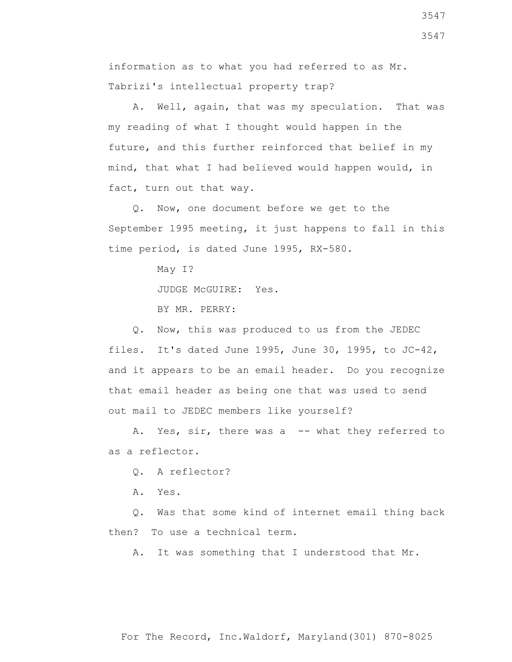information as to what you had referred to as Mr. Tabrizi's intellectual property trap?

 A. Well, again, that was my speculation. That was my reading of what I thought would happen in the future, and this further reinforced that belief in my mind, that what I had believed would happen would, in fact, turn out that way.

 Q. Now, one document before we get to the September 1995 meeting, it just happens to fall in this time period, is dated June 1995, RX-580.

> May I? JUDGE McGUIRE: Yes. BY MR. PERRY:

 Q. Now, this was produced to us from the JEDEC files. It's dated June 1995, June 30, 1995, to JC-42, and it appears to be an email header. Do you recognize that email header as being one that was used to send out mail to JEDEC members like yourself?

A. Yes, sir, there was a -- what they referred to as a reflector.

Q. A reflector?

A. Yes.

 Q. Was that some kind of internet email thing back then? To use a technical term.

A. It was something that I understood that Mr.

3547

3547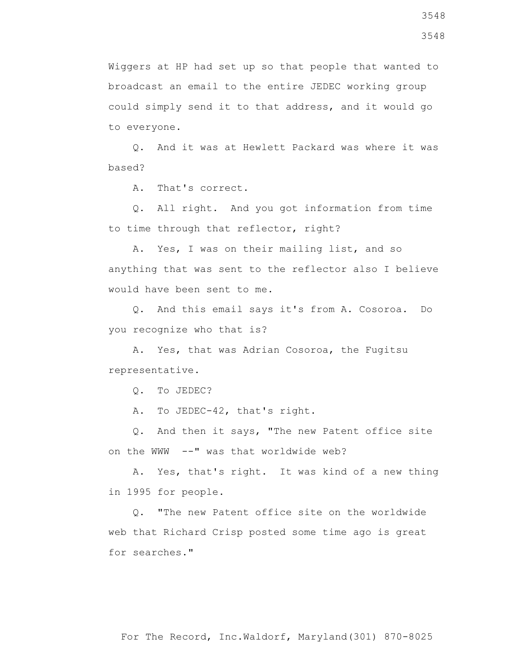Wiggers at HP had set up so that people that wanted to broadcast an email to the entire JEDEC working group could simply send it to that address, and it would go to everyone.

 Q. And it was at Hewlett Packard was where it was based?

A. That's correct.

 Q. All right. And you got information from time to time through that reflector, right?

 A. Yes, I was on their mailing list, and so anything that was sent to the reflector also I believe would have been sent to me.

 Q. And this email says it's from A. Cosoroa. Do you recognize who that is?

 A. Yes, that was Adrian Cosoroa, the Fugitsu representative.

Q. To JEDEC?

A. To JEDEC-42, that's right.

 Q. And then it says, "The new Patent office site on the WWW --" was that worldwide web?

 A. Yes, that's right. It was kind of a new thing in 1995 for people.

 Q. "The new Patent office site on the worldwide web that Richard Crisp posted some time ago is great for searches."

3548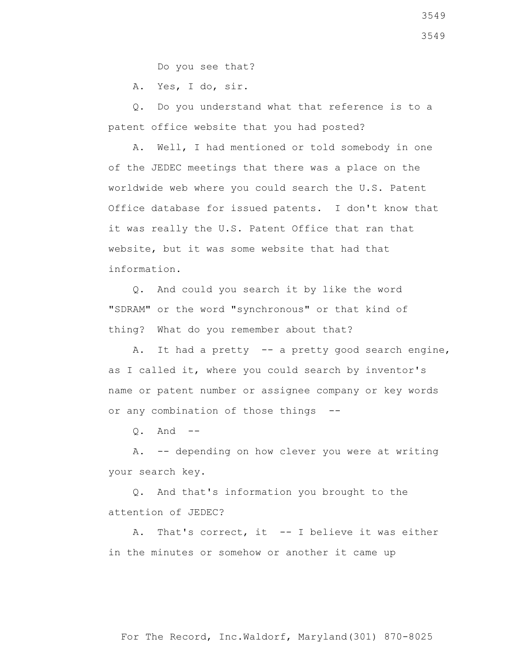Do you see that?

A. Yes, I do, sir.

 Q. Do you understand what that reference is to a patent office website that you had posted?

 A. Well, I had mentioned or told somebody in one of the JEDEC meetings that there was a place on the worldwide web where you could search the U.S. Patent Office database for issued patents. I don't know that it was really the U.S. Patent Office that ran that website, but it was some website that had that information.

 Q. And could you search it by like the word "SDRAM" or the word "synchronous" or that kind of thing? What do you remember about that?

A. It had a pretty -- a pretty good search engine, as I called it, where you could search by inventor's name or patent number or assignee company or key words or any combination of those things --

 $Q_1$  And  $-$ 

 A. -- depending on how clever you were at writing your search key.

 Q. And that's information you brought to the attention of JEDEC?

 A. That's correct, it -- I believe it was either in the minutes or somehow or another it came up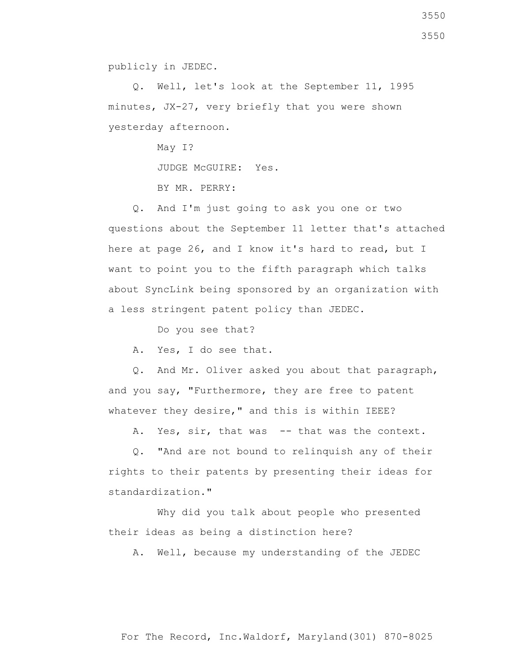publicly in JEDEC.

 Q. Well, let's look at the September 11, 1995 minutes, JX-27, very briefly that you were shown yesterday afternoon.

> May I? JUDGE McGUIRE: Yes. BY MR. PERRY:

 Q. And I'm just going to ask you one or two questions about the September 11 letter that's attached here at page 26, and I know it's hard to read, but I want to point you to the fifth paragraph which talks about SyncLink being sponsored by an organization with a less stringent patent policy than JEDEC.

Do you see that?

A. Yes, I do see that.

 Q. And Mr. Oliver asked you about that paragraph, and you say, "Furthermore, they are free to patent whatever they desire," and this is within IEEE?

A. Yes, sir, that was -- that was the context.

 Q. "And are not bound to relinquish any of their rights to their patents by presenting their ideas for standardization."

 Why did you talk about people who presented their ideas as being a distinction here?

A. Well, because my understanding of the JEDEC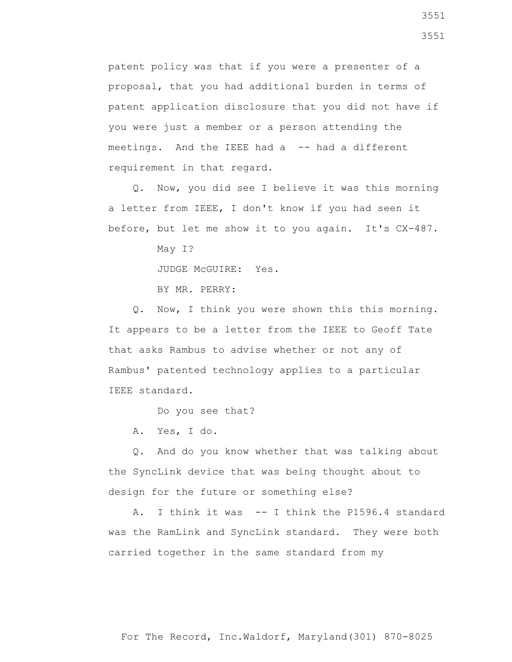patent policy was that if you were a presenter of a proposal, that you had additional burden in terms of patent application disclosure that you did not have if you were just a member or a person attending the meetings. And the IEEE had a -- had a different requirement in that regard.

 Q. Now, you did see I believe it was this morning a letter from IEEE, I don't know if you had seen it before, but let me show it to you again. It's CX-487.

May I?

JUDGE McGUIRE: Yes.

BY MR. PERRY:

 Q. Now, I think you were shown this this morning. It appears to be a letter from the IEEE to Geoff Tate that asks Rambus to advise whether or not any of Rambus' patented technology applies to a particular IEEE standard.

Do you see that?

A. Yes, I do.

 Q. And do you know whether that was talking about the SyncLink device that was being thought about to design for the future or something else?

 A. I think it was -- I think the P1596.4 standard was the RamLink and SyncLink standard. They were both carried together in the same standard from my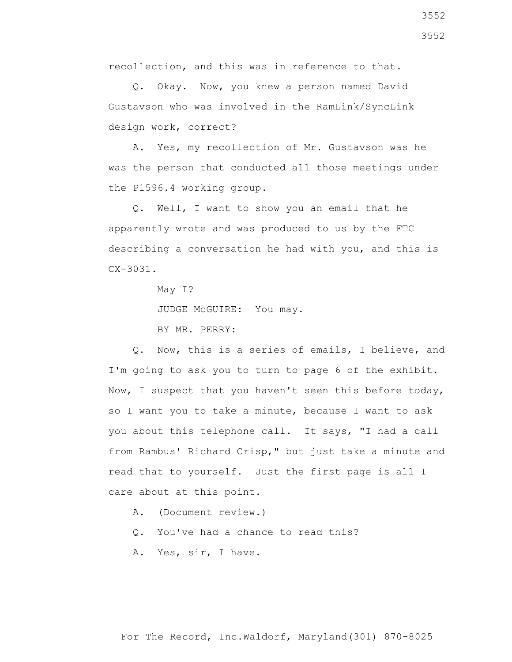recollection, and this was in reference to that.

 Q. Okay. Now, you knew a person named David Gustavson who was involved in the RamLink/SyncLink design work, correct?

 A. Yes, my recollection of Mr. Gustavson was he was the person that conducted all those meetings under the P1596.4 working group.

 Q. Well, I want to show you an email that he apparently wrote and was produced to us by the FTC describing a conversation he had with you, and this is CX-3031.

May I?

JUDGE McGUIRE: You may.

BY MR. PERRY:

 Q. Now, this is a series of emails, I believe, and I'm going to ask you to turn to page 6 of the exhibit. Now, I suspect that you haven't seen this before today, so I want you to take a minute, because I want to ask you about this telephone call. It says, "I had a call from Rambus' Richard Crisp," but just take a minute and read that to yourself. Just the first page is all I care about at this point.

A. (Document review.)

Q. You've had a chance to read this?

A. Yes, sir, I have.

3552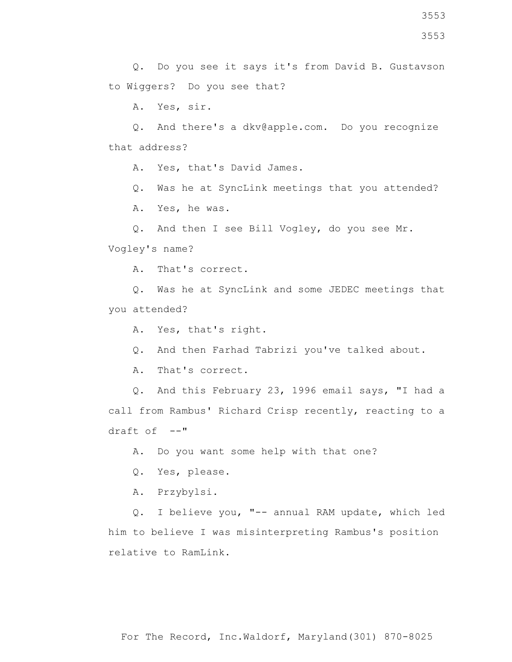3553

3553

 Q. Do you see it says it's from David B. Gustavson to Wiggers? Do you see that?

A. Yes, sir.

 Q. And there's a dkv@apple.com. Do you recognize that address?

A. Yes, that's David James.

Q. Was he at SyncLink meetings that you attended?

A. Yes, he was.

Q. And then I see Bill Vogley, do you see Mr.

Vogley's name?

A. That's correct.

 Q. Was he at SyncLink and some JEDEC meetings that you attended?

A. Yes, that's right.

Q. And then Farhad Tabrizi you've talked about.

A. That's correct.

 Q. And this February 23, 1996 email says, "I had a call from Rambus' Richard Crisp recently, reacting to a  $draff of -**"**$ 

A. Do you want some help with that one?

Q. Yes, please.

A. Przybylsi.

 Q. I believe you, "-- annual RAM update, which led him to believe I was misinterpreting Rambus's position relative to RamLink.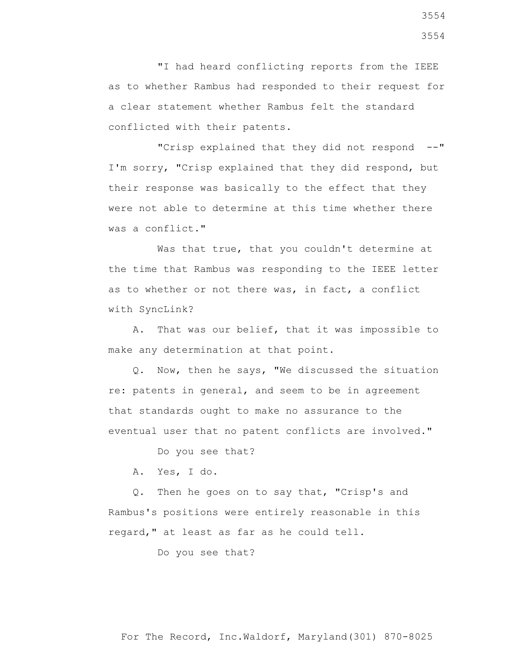"I had heard conflicting reports from the IEEE as to whether Rambus had responded to their request for a clear statement whether Rambus felt the standard conflicted with their patents.

 "Crisp explained that they did not respond --" I'm sorry, "Crisp explained that they did respond, but their response was basically to the effect that they were not able to determine at this time whether there was a conflict."

Was that true, that you couldn't determine at the time that Rambus was responding to the IEEE letter as to whether or not there was, in fact, a conflict with SyncLink?

 A. That was our belief, that it was impossible to make any determination at that point.

 Q. Now, then he says, "We discussed the situation re: patents in general, and seem to be in agreement that standards ought to make no assurance to the eventual user that no patent conflicts are involved."

Do you see that?

A. Yes, I do.

 Q. Then he goes on to say that, "Crisp's and Rambus's positions were entirely reasonable in this regard," at least as far as he could tell.

Do you see that?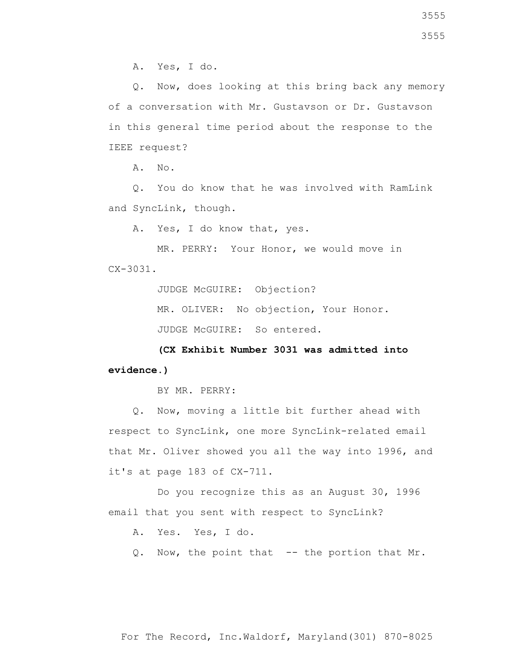A. Yes, I do.

 Q. Now, does looking at this bring back any memory of a conversation with Mr. Gustavson or Dr. Gustavson in this general time period about the response to the IEEE request?

A. No.

 Q. You do know that he was involved with RamLink and SyncLink, though.

A. Yes, I do know that, yes.

 MR. PERRY: Your Honor, we would move in  $CX - 3031$ .

JUDGE McGUIRE: Objection?

MR. OLIVER: No objection, Your Honor.

JUDGE McGUIRE: So entered.

 **(CX Exhibit Number 3031 was admitted into evidence.)**

BY MR. PERRY:

 Q. Now, moving a little bit further ahead with respect to SyncLink, one more SyncLink-related email that Mr. Oliver showed you all the way into 1996, and it's at page 183 of CX-711.

 Do you recognize this as an August 30, 1996 email that you sent with respect to SyncLink?

A. Yes. Yes, I do.

Q. Now, the point that -- the portion that Mr.

For The Record, Inc.Waldorf, Maryland(301) 870-8025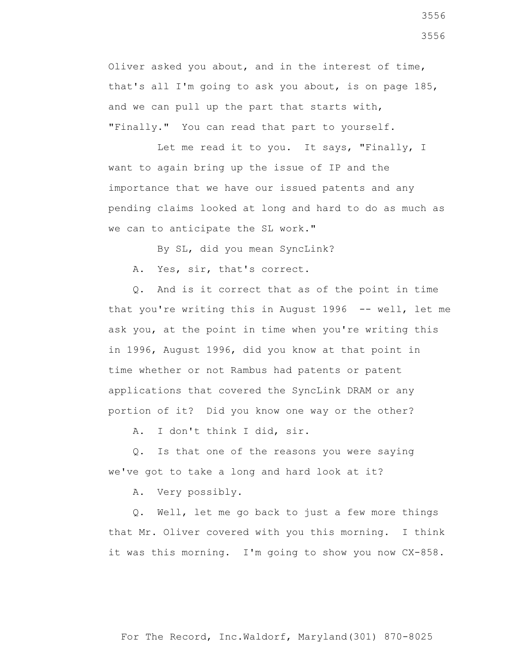Oliver asked you about, and in the interest of time, that's all I'm going to ask you about, is on page 185, and we can pull up the part that starts with, "Finally." You can read that part to yourself.

 Let me read it to you. It says, "Finally, I want to again bring up the issue of IP and the importance that we have our issued patents and any pending claims looked at long and hard to do as much as we can to anticipate the SL work."

By SL, did you mean SyncLink?

A. Yes, sir, that's correct.

 Q. And is it correct that as of the point in time that you're writing this in August 1996 -- well, let me ask you, at the point in time when you're writing this in 1996, August 1996, did you know at that point in time whether or not Rambus had patents or patent applications that covered the SyncLink DRAM or any portion of it? Did you know one way or the other?

A. I don't think I did, sir.

 Q. Is that one of the reasons you were saying we've got to take a long and hard look at it?

A. Very possibly.

 Q. Well, let me go back to just a few more things that Mr. Oliver covered with you this morning. I think it was this morning. I'm going to show you now CX-858.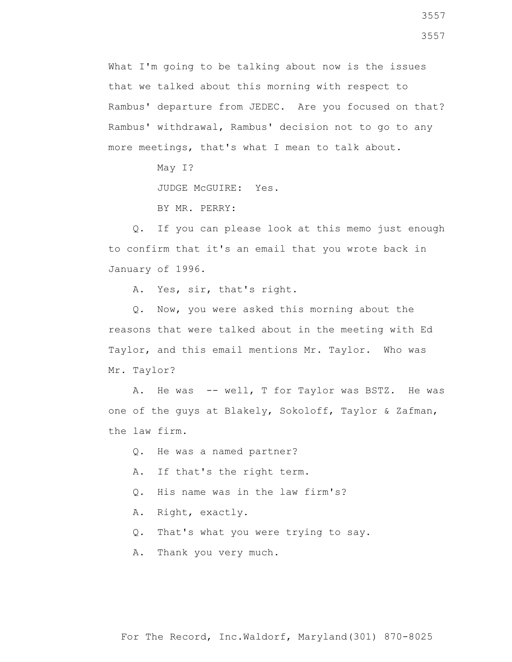What I'm going to be talking about now is the issues that we talked about this morning with respect to Rambus' departure from JEDEC. Are you focused on that? Rambus' withdrawal, Rambus' decision not to go to any more meetings, that's what I mean to talk about.

May I?

JUDGE McGUIRE: Yes.

BY MR. PERRY:

 Q. If you can please look at this memo just enough to confirm that it's an email that you wrote back in January of 1996.

A. Yes, sir, that's right.

 Q. Now, you were asked this morning about the reasons that were talked about in the meeting with Ed Taylor, and this email mentions Mr. Taylor. Who was Mr. Taylor?

 A. He was -- well, T for Taylor was BSTZ. He was one of the guys at Blakely, Sokoloff, Taylor & Zafman, the law firm.

Q. He was a named partner?

A. If that's the right term.

Q. His name was in the law firm's?

A. Right, exactly.

Q. That's what you were trying to say.

A. Thank you very much.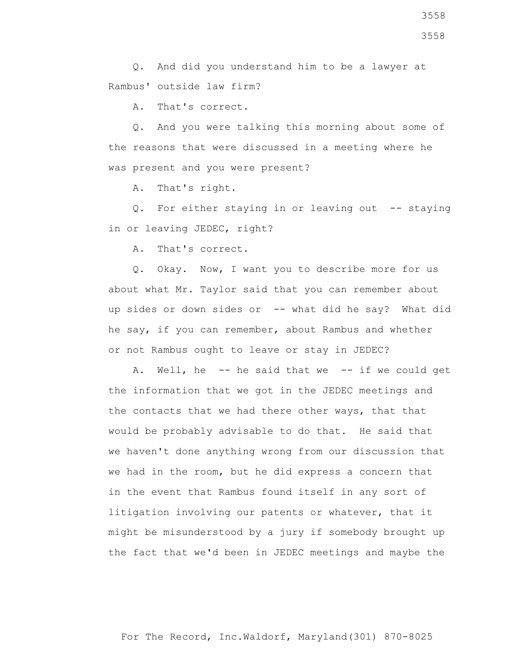Q. And did you understand him to be a lawyer at Rambus' outside law firm?

A. That's correct.

 Q. And you were talking this morning about some of the reasons that were discussed in a meeting where he was present and you were present?

A. That's right.

 Q. For either staying in or leaving out -- staying in or leaving JEDEC, right?

A. That's correct.

 Q. Okay. Now, I want you to describe more for us about what Mr. Taylor said that you can remember about up sides or down sides or -- what did he say? What did he say, if you can remember, about Rambus and whether or not Rambus ought to leave or stay in JEDEC?

 A. Well, he -- he said that we -- if we could get the information that we got in the JEDEC meetings and the contacts that we had there other ways, that that would be probably advisable to do that. He said that we haven't done anything wrong from our discussion that we had in the room, but he did express a concern that in the event that Rambus found itself in any sort of litigation involving our patents or whatever, that it might be misunderstood by a jury if somebody brought up the fact that we'd been in JEDEC meetings and maybe the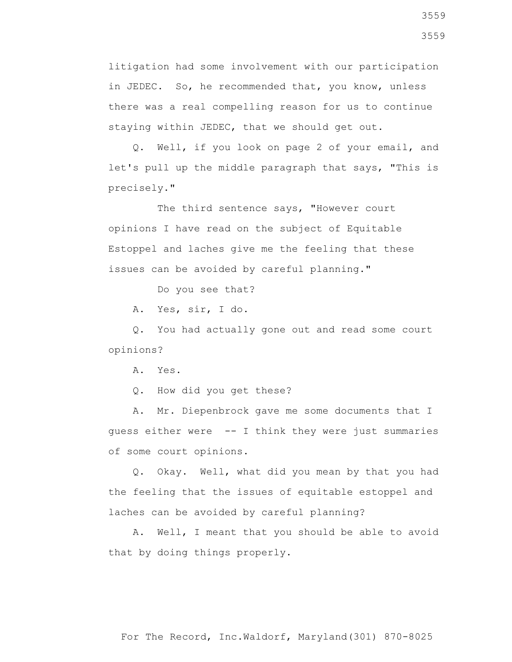litigation had some involvement with our participation in JEDEC. So, he recommended that, you know, unless there was a real compelling reason for us to continue staying within JEDEC, that we should get out.

 Q. Well, if you look on page 2 of your email, and let's pull up the middle paragraph that says, "This is precisely."

 The third sentence says, "However court opinions I have read on the subject of Equitable Estoppel and laches give me the feeling that these issues can be avoided by careful planning."

Do you see that?

A. Yes, sir, I do.

 Q. You had actually gone out and read some court opinions?

A. Yes.

Q. How did you get these?

 A. Mr. Diepenbrock gave me some documents that I guess either were -- I think they were just summaries of some court opinions.

 Q. Okay. Well, what did you mean by that you had the feeling that the issues of equitable estoppel and laches can be avoided by careful planning?

 A. Well, I meant that you should be able to avoid that by doing things properly.

3559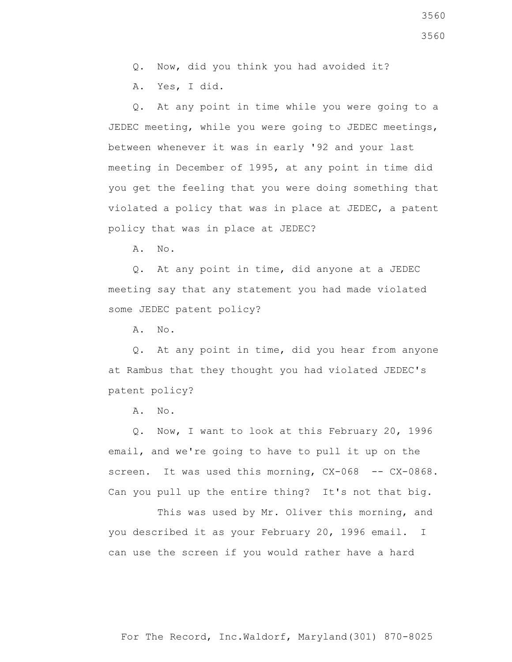Q. Now, did you think you had avoided it?

A. Yes, I did.

 Q. At any point in time while you were going to a JEDEC meeting, while you were going to JEDEC meetings, between whenever it was in early '92 and your last meeting in December of 1995, at any point in time did you get the feeling that you were doing something that violated a policy that was in place at JEDEC, a patent policy that was in place at JEDEC?

A. No.

 Q. At any point in time, did anyone at a JEDEC meeting say that any statement you had made violated some JEDEC patent policy?

A. No.

 Q. At any point in time, did you hear from anyone at Rambus that they thought you had violated JEDEC's patent policy?

A. No.

 Q. Now, I want to look at this February 20, 1996 email, and we're going to have to pull it up on the screen. It was used this morning, CX-068 -- CX-0868. Can you pull up the entire thing? It's not that big.

 This was used by Mr. Oliver this morning, and you described it as your February 20, 1996 email. I can use the screen if you would rather have a hard

3560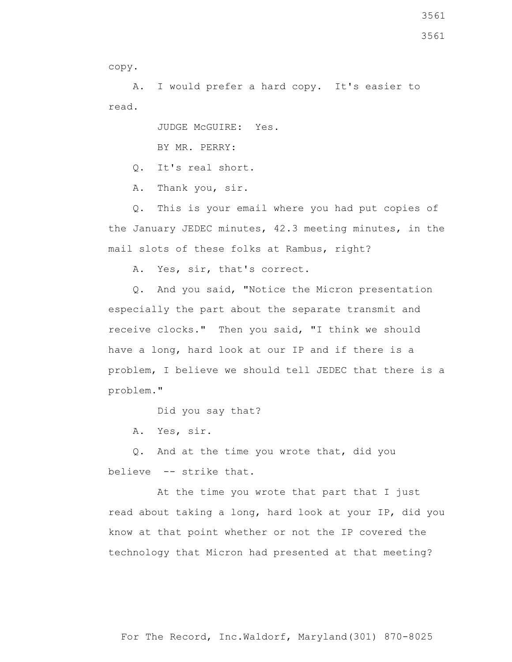copy.

 A. I would prefer a hard copy. It's easier to read.

JUDGE McGUIRE: Yes.

BY MR. PERRY:

Q. It's real short.

A. Thank you, sir.

 Q. This is your email where you had put copies of the January JEDEC minutes, 42.3 meeting minutes, in the mail slots of these folks at Rambus, right?

A. Yes, sir, that's correct.

 Q. And you said, "Notice the Micron presentation especially the part about the separate transmit and receive clocks." Then you said, "I think we should have a long, hard look at our IP and if there is a problem, I believe we should tell JEDEC that there is a problem."

Did you say that?

A. Yes, sir.

 Q. And at the time you wrote that, did you believe -- strike that.

At the time you wrote that part that I just read about taking a long, hard look at your IP, did you know at that point whether or not the IP covered the technology that Micron had presented at that meeting?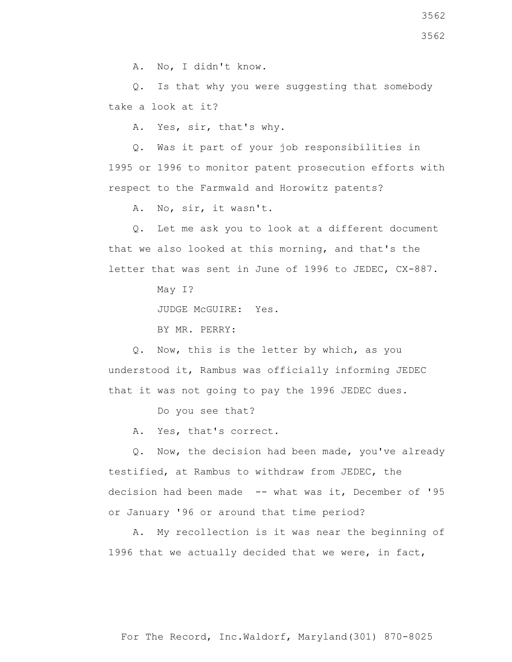A. No, I didn't know.

 Q. Is that why you were suggesting that somebody take a look at it?

A. Yes, sir, that's why.

 Q. Was it part of your job responsibilities in 1995 or 1996 to monitor patent prosecution efforts with respect to the Farmwald and Horowitz patents?

A. No, sir, it wasn't.

 Q. Let me ask you to look at a different document that we also looked at this morning, and that's the letter that was sent in June of 1996 to JEDEC, CX-887.

May I?

JUDGE McGUIRE: Yes.

BY MR. PERRY:

 Q. Now, this is the letter by which, as you understood it, Rambus was officially informing JEDEC that it was not going to pay the 1996 JEDEC dues.

Do you see that?

A. Yes, that's correct.

 Q. Now, the decision had been made, you've already testified, at Rambus to withdraw from JEDEC, the decision had been made -- what was it, December of '95 or January '96 or around that time period?

 A. My recollection is it was near the beginning of 1996 that we actually decided that we were, in fact,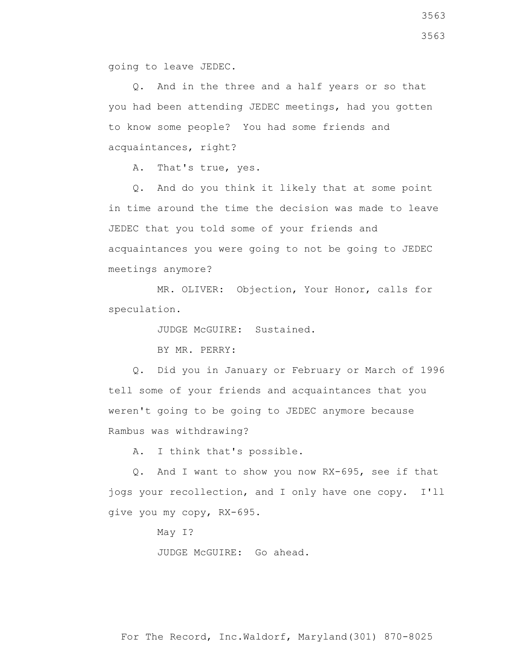going to leave JEDEC.

 Q. And in the three and a half years or so that you had been attending JEDEC meetings, had you gotten to know some people? You had some friends and acquaintances, right?

A. That's true, yes.

 Q. And do you think it likely that at some point in time around the time the decision was made to leave JEDEC that you told some of your friends and acquaintances you were going to not be going to JEDEC meetings anymore?

 MR. OLIVER: Objection, Your Honor, calls for speculation.

JUDGE McGUIRE: Sustained.

BY MR. PERRY:

 Q. Did you in January or February or March of 1996 tell some of your friends and acquaintances that you weren't going to be going to JEDEC anymore because Rambus was withdrawing?

A. I think that's possible.

 Q. And I want to show you now RX-695, see if that jogs your recollection, and I only have one copy. I'll give you my copy, RX-695.

May I?

JUDGE McGUIRE: Go ahead.

3563 3563

For The Record, Inc.Waldorf, Maryland(301) 870-8025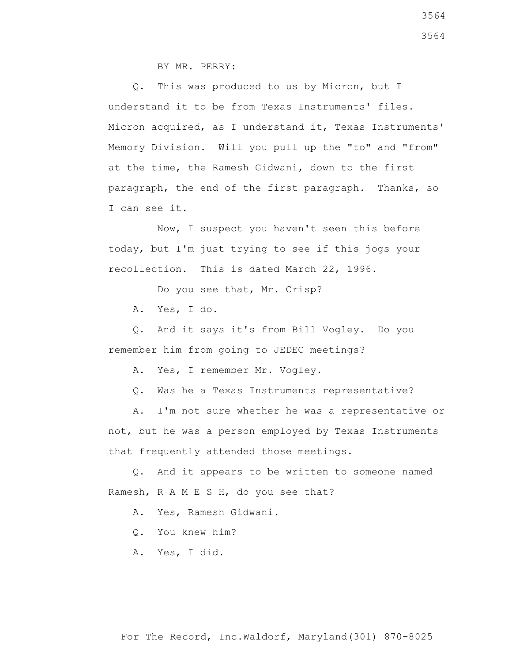BY MR. PERRY:

 Q. This was produced to us by Micron, but I understand it to be from Texas Instruments' files. Micron acquired, as I understand it, Texas Instruments' Memory Division. Will you pull up the "to" and "from" at the time, the Ramesh Gidwani, down to the first paragraph, the end of the first paragraph. Thanks, so I can see it.

 Now, I suspect you haven't seen this before today, but I'm just trying to see if this jogs your recollection. This is dated March 22, 1996.

Do you see that, Mr. Crisp?

A. Yes, I do.

 Q. And it says it's from Bill Vogley. Do you remember him from going to JEDEC meetings?

A. Yes, I remember Mr. Vogley.

Q. Was he a Texas Instruments representative?

 A. I'm not sure whether he was a representative or not, but he was a person employed by Texas Instruments that frequently attended those meetings.

 Q. And it appears to be written to someone named Ramesh, R A M E S H, do you see that?

A. Yes, Ramesh Gidwani.

Q. You knew him?

A. Yes, I did.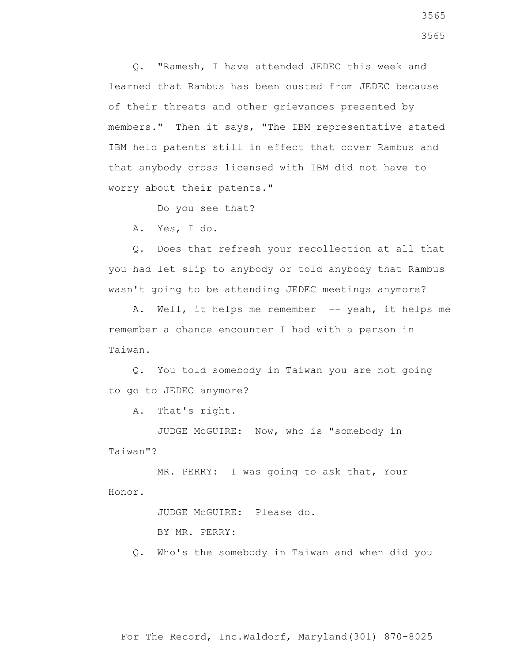Q. "Ramesh, I have attended JEDEC this week and learned that Rambus has been ousted from JEDEC because of their threats and other grievances presented by members." Then it says, "The IBM representative stated IBM held patents still in effect that cover Rambus and that anybody cross licensed with IBM did not have to worry about their patents."

Do you see that?

A. Yes, I do.

 Q. Does that refresh your recollection at all that you had let slip to anybody or told anybody that Rambus wasn't going to be attending JEDEC meetings anymore?

A. Well, it helps me remember -- yeah, it helps me remember a chance encounter I had with a person in Taiwan.

 Q. You told somebody in Taiwan you are not going to go to JEDEC anymore?

A. That's right.

 JUDGE McGUIRE: Now, who is "somebody in Taiwan"?

 MR. PERRY: I was going to ask that, Your Honor.

JUDGE McGUIRE: Please do.

BY MR. PERRY:

Q. Who's the somebody in Taiwan and when did you

3565 3565

For The Record, Inc.Waldorf, Maryland(301) 870-8025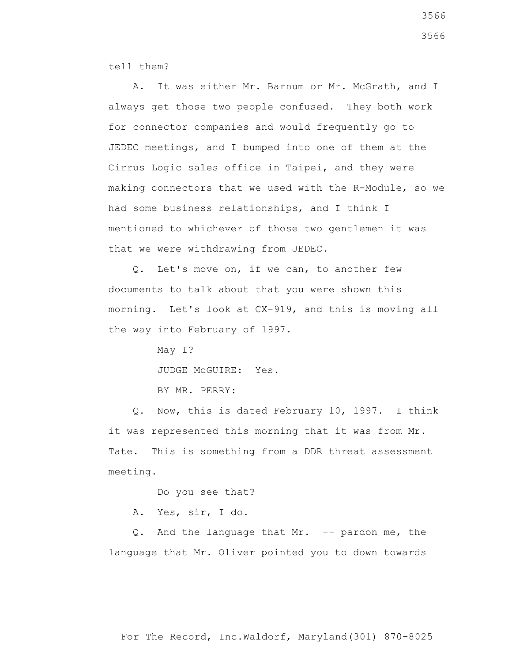tell them?

A. It was either Mr. Barnum or Mr. McGrath, and I always get those two people confused. They both work for connector companies and would frequently go to JEDEC meetings, and I bumped into one of them at the Cirrus Logic sales office in Taipei, and they were making connectors that we used with the R-Module, so we had some business relationships, and I think I mentioned to whichever of those two gentlemen it was that we were withdrawing from JEDEC.

 Q. Let's move on, if we can, to another few documents to talk about that you were shown this morning. Let's look at CX-919, and this is moving all the way into February of 1997.

> May I? JUDGE McGUIRE: Yes. BY MR. PERRY:

 Q. Now, this is dated February 10, 1997. I think it was represented this morning that it was from Mr. Tate. This is something from a DDR threat assessment meeting.

Do you see that?

A. Yes, sir, I do.

 Q. And the language that Mr. -- pardon me, the language that Mr. Oliver pointed you to down towards

For The Record, Inc.Waldorf, Maryland(301) 870-8025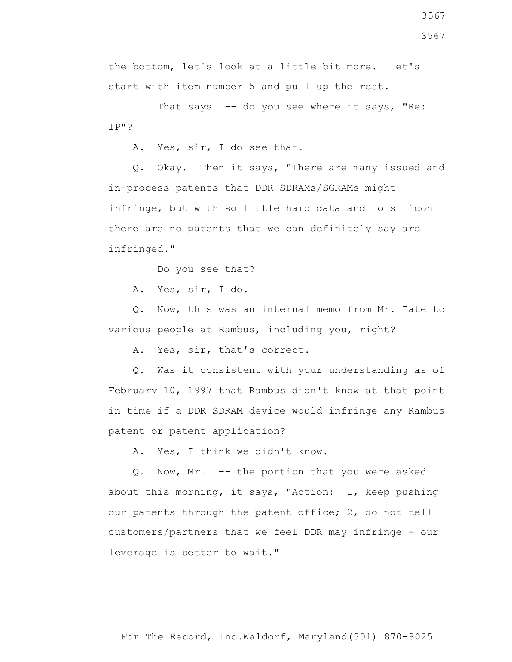3567 3567

the bottom, let's look at a little bit more. Let's start with item number 5 and pull up the rest.

That says -- do you see where it says, "Re: IP"?

A. Yes, sir, I do see that.

 Q. Okay. Then it says, "There are many issued and in-process patents that DDR SDRAMs/SGRAMs might infringe, but with so little hard data and no silicon there are no patents that we can definitely say are infringed."

Do you see that?

A. Yes, sir, I do.

 Q. Now, this was an internal memo from Mr. Tate to various people at Rambus, including you, right?

A. Yes, sir, that's correct.

 Q. Was it consistent with your understanding as of February 10, 1997 that Rambus didn't know at that point in time if a DDR SDRAM device would infringe any Rambus patent or patent application?

A. Yes, I think we didn't know.

 Q. Now, Mr. -- the portion that you were asked about this morning, it says, "Action: 1, keep pushing our patents through the patent office; 2, do not tell customers/partners that we feel DDR may infringe - our leverage is better to wait."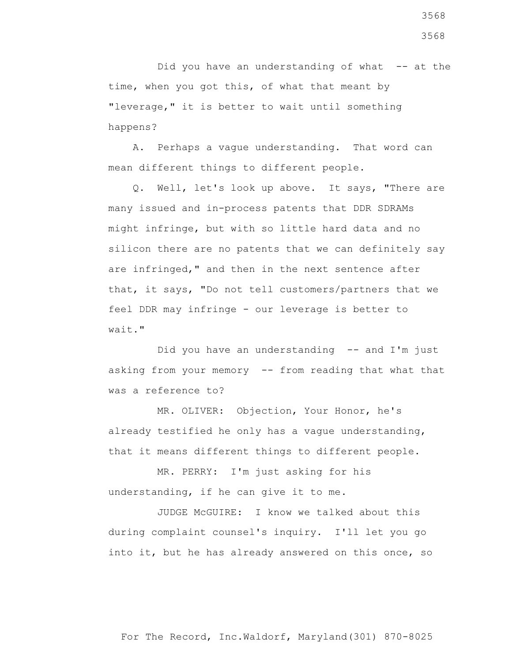Did you have an understanding of what -- at the time, when you got this, of what that meant by "leverage," it is better to wait until something happens?

 A. Perhaps a vague understanding. That word can mean different things to different people.

 Q. Well, let's look up above. It says, "There are many issued and in-process patents that DDR SDRAMs might infringe, but with so little hard data and no silicon there are no patents that we can definitely say are infringed," and then in the next sentence after that, it says, "Do not tell customers/partners that we feel DDR may infringe - our leverage is better to wait."

Did you have an understanding -- and I'm just asking from your memory -- from reading that what that was a reference to?

 MR. OLIVER: Objection, Your Honor, he's already testified he only has a vague understanding, that it means different things to different people.

 MR. PERRY: I'm just asking for his understanding, if he can give it to me.

 JUDGE McGUIRE: I know we talked about this during complaint counsel's inquiry. I'll let you go into it, but he has already answered on this once, so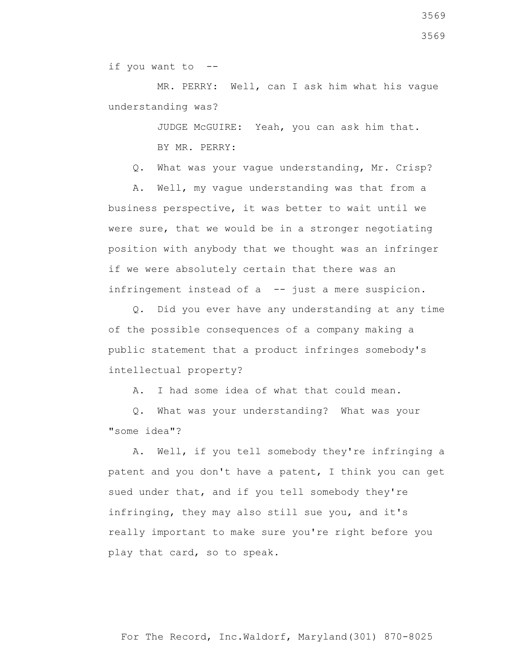if you want to --

 MR. PERRY: Well, can I ask him what his vague understanding was?

JUDGE McGUIRE: Yeah, you can ask him that.

BY MR. PERRY:

Q. What was your vague understanding, Mr. Crisp?

 A. Well, my vague understanding was that from a business perspective, it was better to wait until we were sure, that we would be in a stronger negotiating position with anybody that we thought was an infringer if we were absolutely certain that there was an infringement instead of a -- just a mere suspicion.

 Q. Did you ever have any understanding at any time of the possible consequences of a company making a public statement that a product infringes somebody's intellectual property?

A. I had some idea of what that could mean.

 Q. What was your understanding? What was your "some idea"?

 A. Well, if you tell somebody they're infringing a patent and you don't have a patent, I think you can get sued under that, and if you tell somebody they're infringing, they may also still sue you, and it's really important to make sure you're right before you play that card, so to speak.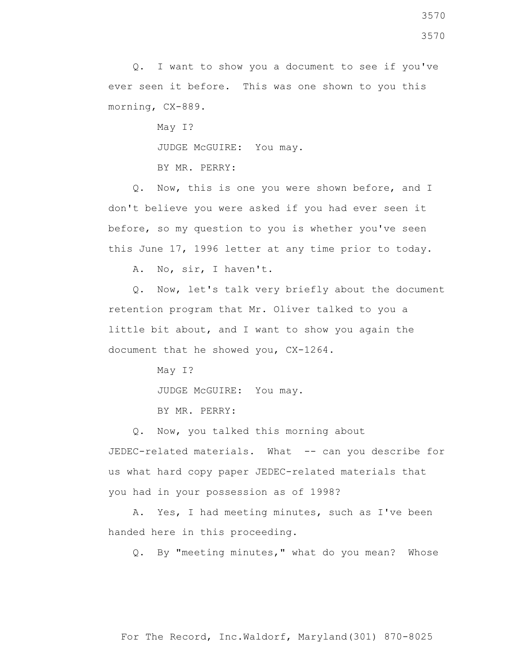May I?

JUDGE McGUIRE: You may.

BY MR. PERRY:

 Q. Now, this is one you were shown before, and I don't believe you were asked if you had ever seen it before, so my question to you is whether you've seen this June 17, 1996 letter at any time prior to today.

A. No, sir, I haven't.

 Q. Now, let's talk very briefly about the document retention program that Mr. Oliver talked to you a little bit about, and I want to show you again the document that he showed you, CX-1264.

May I?

JUDGE McGUIRE: You may.

BY MR. PERRY:

Q. Now, you talked this morning about

JEDEC-related materials. What -- can you describe for us what hard copy paper JEDEC-related materials that you had in your possession as of 1998?

 A. Yes, I had meeting minutes, such as I've been handed here in this proceeding.

Q. By "meeting minutes," what do you mean? Whose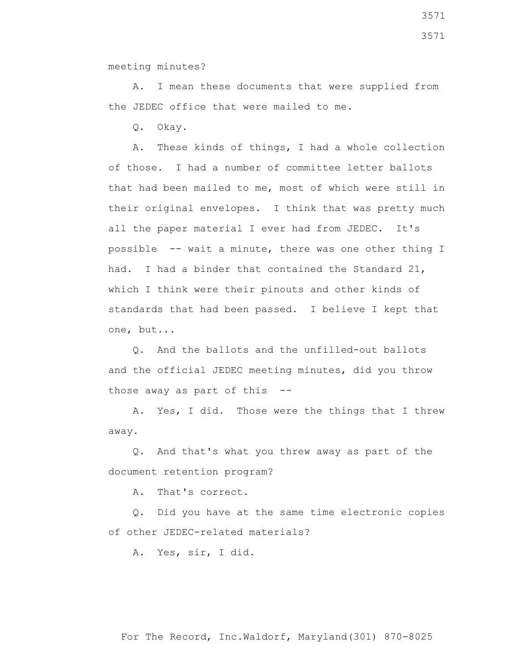A. I mean these documents that were supplied from the JEDEC office that were mailed to me.

Q. Okay.

 A. These kinds of things, I had a whole collection of those. I had a number of committee letter ballots that had been mailed to me, most of which were still in their original envelopes. I think that was pretty much all the paper material I ever had from JEDEC. It's possible -- wait a minute, there was one other thing I had. I had a binder that contained the Standard 21, which I think were their pinouts and other kinds of standards that had been passed. I believe I kept that one, but...

 Q. And the ballots and the unfilled-out ballots and the official JEDEC meeting minutes, did you throw those away as part of this --

 A. Yes, I did. Those were the things that I threw away.

 Q. And that's what you threw away as part of the document retention program?

A. That's correct.

 Q. Did you have at the same time electronic copies of other JEDEC-related materials?

A. Yes, sir, I did.

For The Record, Inc.Waldorf, Maryland(301) 870-8025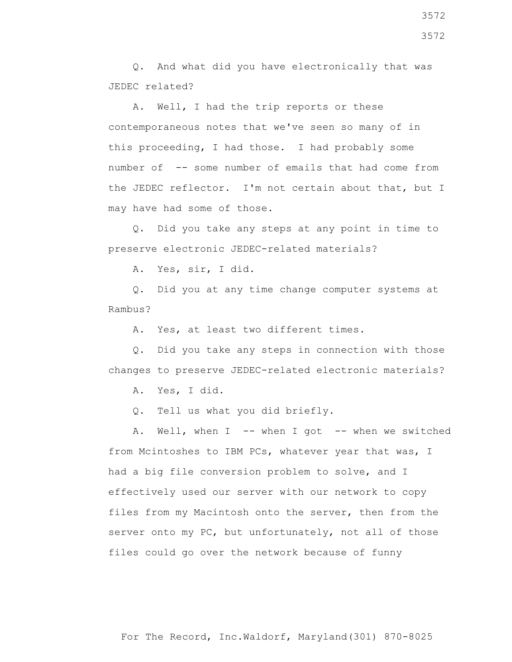Q. And what did you have electronically that was JEDEC related?

 A. Well, I had the trip reports or these contemporaneous notes that we've seen so many of in this proceeding, I had those. I had probably some number of -- some number of emails that had come from the JEDEC reflector. I'm not certain about that, but I may have had some of those.

 Q. Did you take any steps at any point in time to preserve electronic JEDEC-related materials?

A. Yes, sir, I did.

 Q. Did you at any time change computer systems at Rambus?

A. Yes, at least two different times.

 Q. Did you take any steps in connection with those changes to preserve JEDEC-related electronic materials?

A. Yes, I did.

Q. Tell us what you did briefly.

A. Well, when I -- when I got -- when we switched from Mcintoshes to IBM PCs, whatever year that was, I had a big file conversion problem to solve, and I effectively used our server with our network to copy files from my Macintosh onto the server, then from the server onto my PC, but unfortunately, not all of those files could go over the network because of funny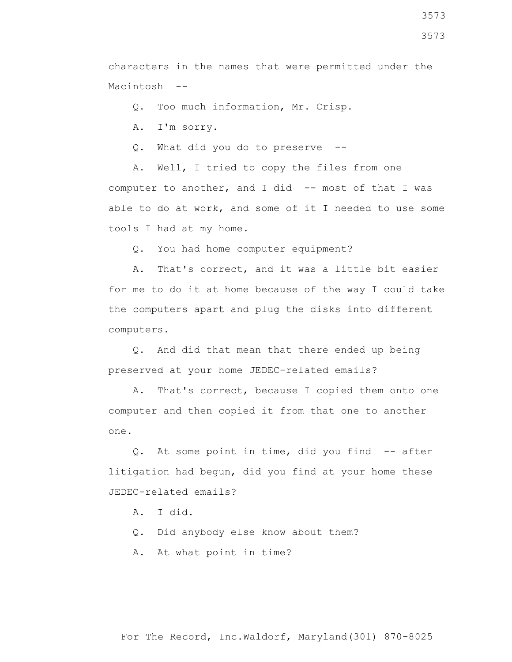Q. Too much information, Mr. Crisp.

A. I'm sorry.

Q. What did you do to preserve --

 A. Well, I tried to copy the files from one computer to another, and I did -- most of that I was able to do at work, and some of it I needed to use some tools I had at my home.

Q. You had home computer equipment?

 A. That's correct, and it was a little bit easier for me to do it at home because of the way I could take the computers apart and plug the disks into different computers.

 Q. And did that mean that there ended up being preserved at your home JEDEC-related emails?

 A. That's correct, because I copied them onto one computer and then copied it from that one to another one.

 Q. At some point in time, did you find -- after litigation had begun, did you find at your home these JEDEC-related emails?

- A. I did.
- Q. Did anybody else know about them?
- A. At what point in time?

For The Record, Inc.Waldorf, Maryland(301) 870-8025

3573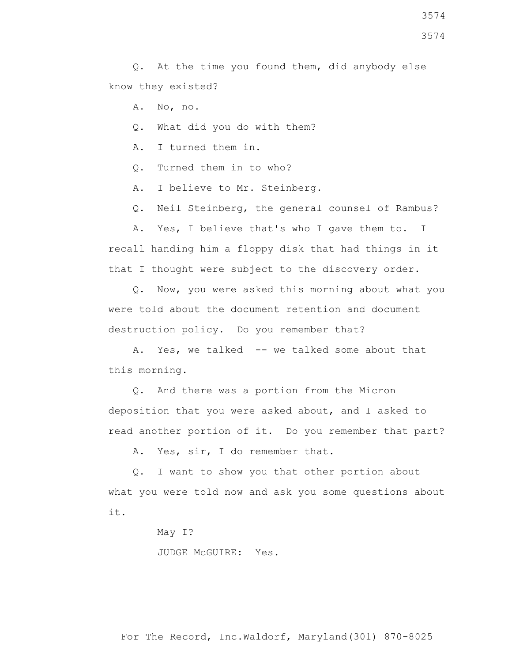- A. No, no.
- Q. What did you do with them?
- A. I turned them in.
- Q. Turned them in to who?
- A. I believe to Mr. Steinberg.
- Q. Neil Steinberg, the general counsel of Rambus?

 A. Yes, I believe that's who I gave them to. I recall handing him a floppy disk that had things in it that I thought were subject to the discovery order.

 Q. Now, you were asked this morning about what you were told about the document retention and document destruction policy. Do you remember that?

A. Yes, we talked -- we talked some about that this morning.

 Q. And there was a portion from the Micron deposition that you were asked about, and I asked to read another portion of it. Do you remember that part?

A. Yes, sir, I do remember that.

 Q. I want to show you that other portion about what you were told now and ask you some questions about it.

May I?

JUDGE McGUIRE: Yes.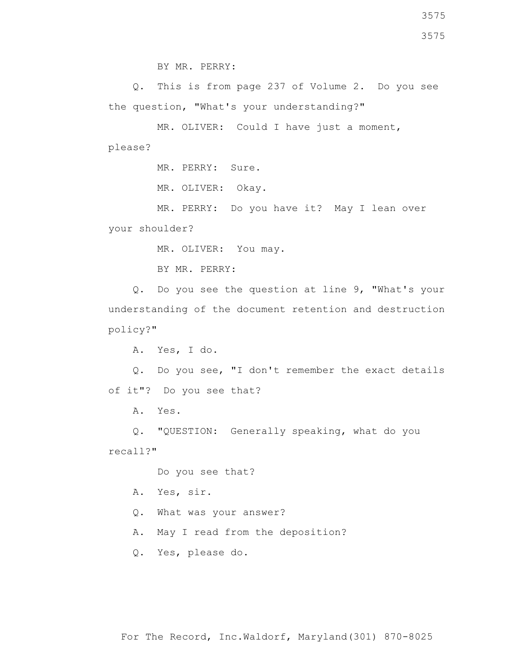Q. This is from page 237 of Volume 2. Do you see the question, "What's your understanding?"

 MR. OLIVER: Could I have just a moment, please?

MR. PERRY: Sure.

MR. OLIVER: Okay.

 MR. PERRY: Do you have it? May I lean over your shoulder?

MR. OLIVER: You may.

BY MR. PERRY:

 Q. Do you see the question at line 9, "What's your understanding of the document retention and destruction policy?"

A. Yes, I do.

 Q. Do you see, "I don't remember the exact details of it"? Do you see that?

A. Yes.

 Q. "QUESTION: Generally speaking, what do you recall?"

Do you see that?

A. Yes, sir.

Q. What was your answer?

A. May I read from the deposition?

Q. Yes, please do.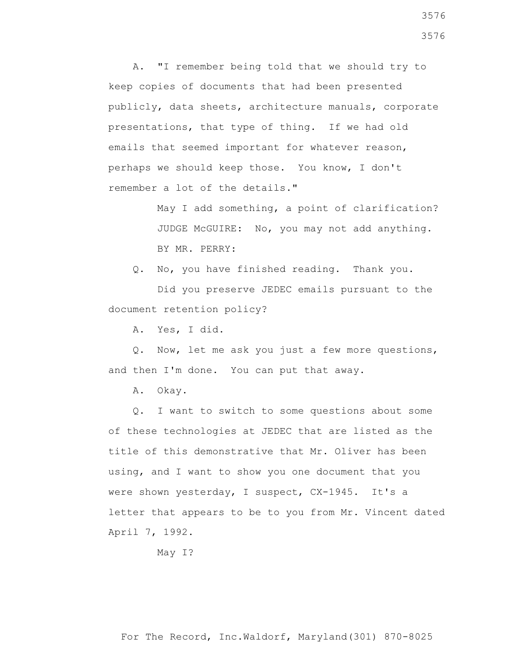A. "I remember being told that we should try to keep copies of documents that had been presented publicly, data sheets, architecture manuals, corporate presentations, that type of thing. If we had old emails that seemed important for whatever reason, perhaps we should keep those. You know, I don't remember a lot of the details."

> May I add something, a point of clarification? JUDGE McGUIRE: No, you may not add anything. BY MR. PERRY:

Q. No, you have finished reading. Thank you.

 Did you preserve JEDEC emails pursuant to the document retention policy?

A. Yes, I did.

 Q. Now, let me ask you just a few more questions, and then I'm done. You can put that away.

A. Okay.

 Q. I want to switch to some questions about some of these technologies at JEDEC that are listed as the title of this demonstrative that Mr. Oliver has been using, and I want to show you one document that you were shown yesterday, I suspect, CX-1945. It's a letter that appears to be to you from Mr. Vincent dated April 7, 1992.

May I?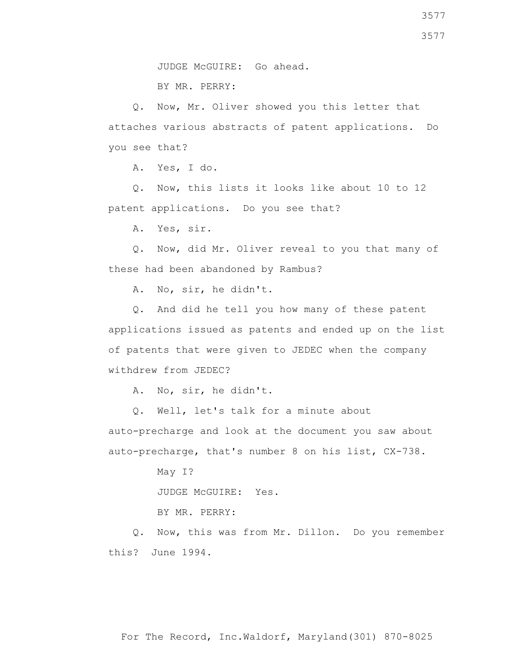BY MR. PERRY:

 Q. Now, Mr. Oliver showed you this letter that attaches various abstracts of patent applications. Do you see that?

A. Yes, I do.

 Q. Now, this lists it looks like about 10 to 12 patent applications. Do you see that?

A. Yes, sir.

 Q. Now, did Mr. Oliver reveal to you that many of these had been abandoned by Rambus?

A. No, sir, he didn't.

 Q. And did he tell you how many of these patent applications issued as patents and ended up on the list of patents that were given to JEDEC when the company withdrew from JEDEC?

A. No, sir, he didn't.

 Q. Well, let's talk for a minute about auto-precharge and look at the document you saw about auto-precharge, that's number 8 on his list, CX-738.

May I?

JUDGE McGUIRE: Yes.

BY MR. PERRY:

 Q. Now, this was from Mr. Dillon. Do you remember this? June 1994.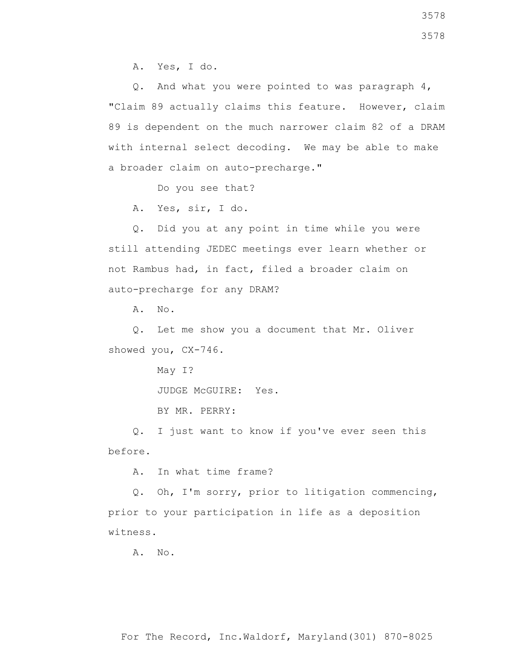A. Yes, I do.

 Q. And what you were pointed to was paragraph 4, "Claim 89 actually claims this feature. However, claim 89 is dependent on the much narrower claim 82 of a DRAM with internal select decoding. We may be able to make a broader claim on auto-precharge."

Do you see that?

A. Yes, sir, I do.

 Q. Did you at any point in time while you were still attending JEDEC meetings ever learn whether or not Rambus had, in fact, filed a broader claim on auto-precharge for any DRAM?

A. No.

 Q. Let me show you a document that Mr. Oliver showed you, CX-746.

May I?

JUDGE McGUIRE: Yes.

BY MR. PERRY:

 Q. I just want to know if you've ever seen this before.

A. In what time frame?

 Q. Oh, I'm sorry, prior to litigation commencing, prior to your participation in life as a deposition witness.

A. No.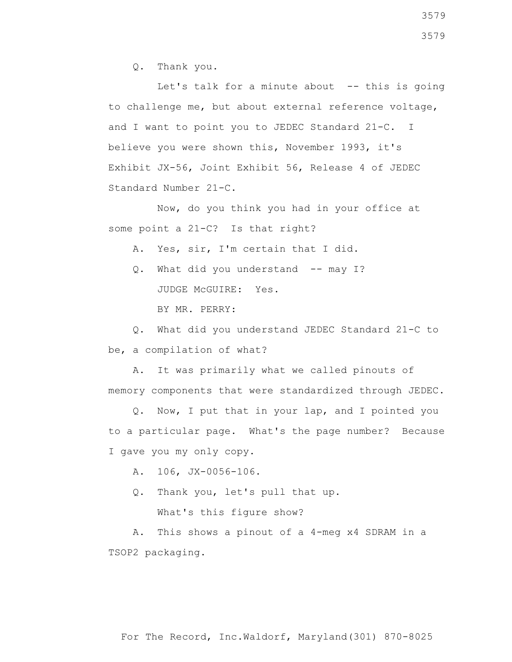Q. Thank you.

Let's talk for a minute about  $-$ - this is going to challenge me, but about external reference voltage, and I want to point you to JEDEC Standard 21-C. I believe you were shown this, November 1993, it's Exhibit JX-56, Joint Exhibit 56, Release 4 of JEDEC Standard Number 21-C.

 Now, do you think you had in your office at some point a 21-C? Is that right?

A. Yes, sir, I'm certain that I did.

Q. What did you understand -- may I? JUDGE McGUIRE: Yes.

BY MR. PERRY:

 Q. What did you understand JEDEC Standard 21-C to be, a compilation of what?

 A. It was primarily what we called pinouts of memory components that were standardized through JEDEC.

 Q. Now, I put that in your lap, and I pointed you to a particular page. What's the page number? Because I gave you my only copy.

A. 106, JX-0056-106.

Q. Thank you, let's pull that up.

What's this figure show?

 A. This shows a pinout of a 4-meg x4 SDRAM in a TSOP2 packaging.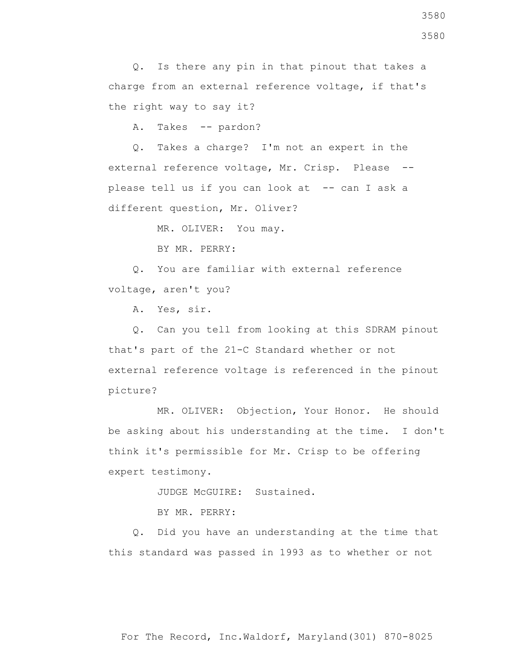A. Takes -- pardon?

 Q. Takes a charge? I'm not an expert in the external reference voltage, Mr. Crisp. Please - please tell us if you can look at -- can I ask a different question, Mr. Oliver?

MR. OLIVER: You may.

BY MR. PERRY:

 Q. You are familiar with external reference voltage, aren't you?

A. Yes, sir.

 Q. Can you tell from looking at this SDRAM pinout that's part of the 21-C Standard whether or not external reference voltage is referenced in the pinout picture?

 MR. OLIVER: Objection, Your Honor. He should be asking about his understanding at the time. I don't think it's permissible for Mr. Crisp to be offering expert testimony.

JUDGE McGUIRE: Sustained.

BY MR. PERRY:

 Q. Did you have an understanding at the time that this standard was passed in 1993 as to whether or not

For The Record, Inc.Waldorf, Maryland(301) 870-8025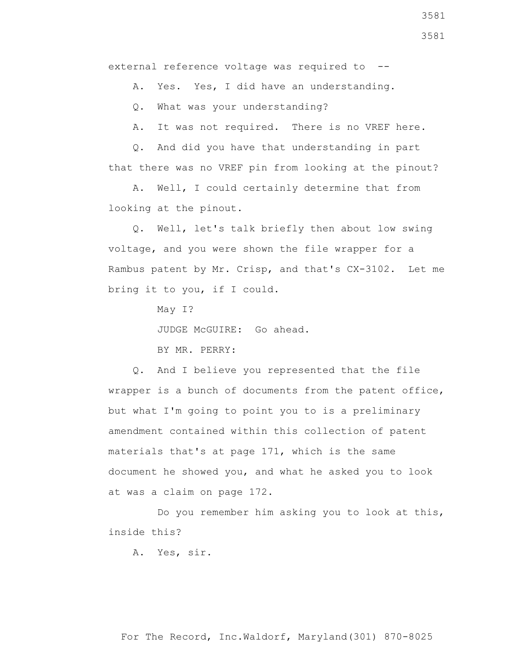external reference voltage was required to --

A. Yes. Yes, I did have an understanding.

Q. What was your understanding?

A. It was not required. There is no VREF here.

 Q. And did you have that understanding in part that there was no VREF pin from looking at the pinout?

 A. Well, I could certainly determine that from looking at the pinout.

 Q. Well, let's talk briefly then about low swing voltage, and you were shown the file wrapper for a Rambus patent by Mr. Crisp, and that's CX-3102. Let me bring it to you, if I could.

May I?

JUDGE McGUIRE: Go ahead.

BY MR. PERRY:

 Q. And I believe you represented that the file wrapper is a bunch of documents from the patent office, but what I'm going to point you to is a preliminary amendment contained within this collection of patent materials that's at page 171, which is the same document he showed you, and what he asked you to look at was a claim on page 172.

 Do you remember him asking you to look at this, inside this?

A. Yes, sir.

For The Record, Inc.Waldorf, Maryland(301) 870-8025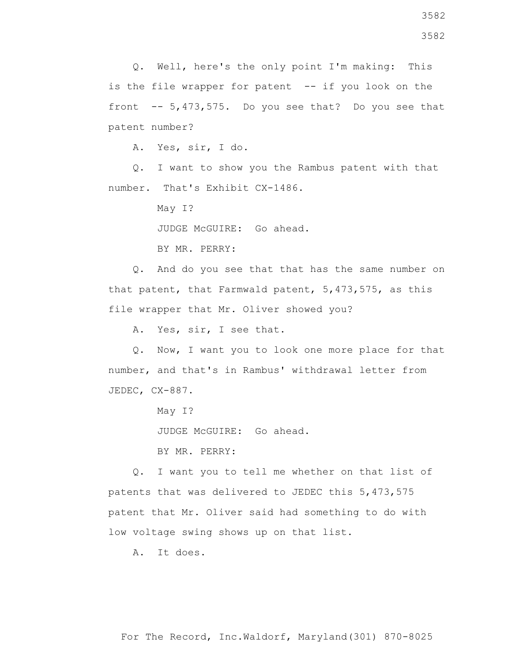Q. Well, here's the only point I'm making: This is the file wrapper for patent -- if you look on the front  $-5,473,575$ . Do you see that? Do you see that patent number?

A. Yes, sir, I do.

 Q. I want to show you the Rambus patent with that number. That's Exhibit CX-1486.

May I?

JUDGE McGUIRE: Go ahead.

BY MR. PERRY:

 Q. And do you see that that has the same number on that patent, that Farmwald patent, 5,473,575, as this file wrapper that Mr. Oliver showed you?

A. Yes, sir, I see that.

 Q. Now, I want you to look one more place for that number, and that's in Rambus' withdrawal letter from JEDEC, CX-887.

May I?

JUDGE McGUIRE: Go ahead.

BY MR. PERRY:

 Q. I want you to tell me whether on that list of patents that was delivered to JEDEC this 5,473,575 patent that Mr. Oliver said had something to do with low voltage swing shows up on that list.

A. It does.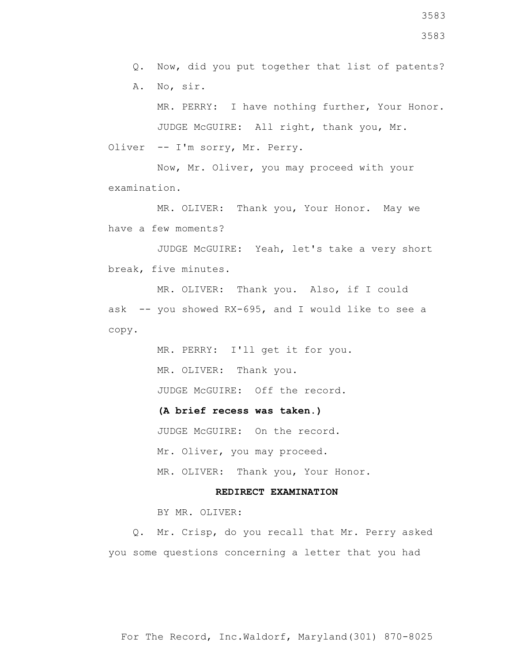Q. Now, did you put together that list of patents?

A. No, sir.

 MR. PERRY: I have nothing further, Your Honor. JUDGE McGUIRE: All right, thank you, Mr.

Oliver -- I'm sorry, Mr. Perry.

 Now, Mr. Oliver, you may proceed with your examination.

 MR. OLIVER: Thank you, Your Honor. May we have a few moments?

 JUDGE McGUIRE: Yeah, let's take a very short break, five minutes.

 MR. OLIVER: Thank you. Also, if I could ask -- you showed RX-695, and I would like to see a copy.

> MR. PERRY: I'll get it for you. MR. OLIVER: Thank you. JUDGE McGUIRE: Off the record.

 **(A brief recess was taken.)**

JUDGE McGUIRE: On the record.

Mr. Oliver, you may proceed.

MR. OLIVER: Thank you, Your Honor.

## **REDIRECT EXAMINATION**

BY MR. OLIVER:

 Q. Mr. Crisp, do you recall that Mr. Perry asked you some questions concerning a letter that you had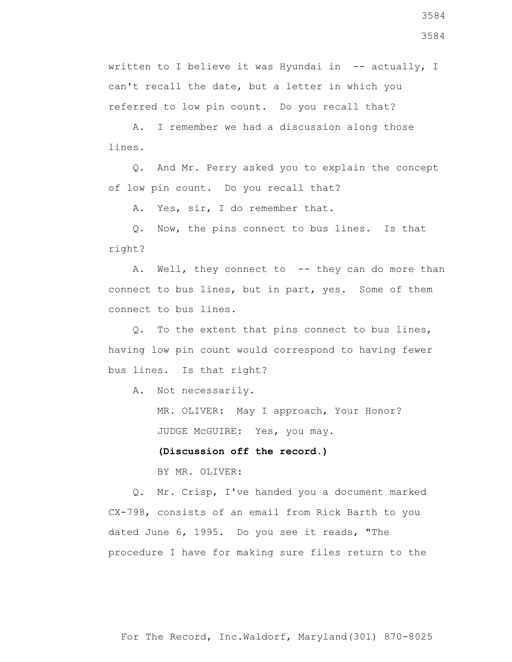written to I believe it was Hyundai in -- actually, I can't recall the date, but a letter in which you referred to low pin count. Do you recall that?

 A. I remember we had a discussion along those lines.

 Q. And Mr. Perry asked you to explain the concept of low pin count. Do you recall that?

A. Yes, sir, I do remember that.

 Q. Now, the pins connect to bus lines. Is that right?

A. Well, they connect to -- they can do more than connect to bus lines, but in part, yes. Some of them connect to bus lines.

 Q. To the extent that pins connect to bus lines, having low pin count would correspond to having fewer bus lines. Is that right?

A. Not necessarily.

 MR. OLIVER: May I approach, Your Honor? JUDGE McGUIRE: Yes, you may.

 **(Discussion off the record.)**

BY MR. OLIVER:

 Q. Mr. Crisp, I've handed you a document marked CX-798, consists of an email from Rick Barth to you dated June 6, 1995. Do you see it reads, "The procedure I have for making sure files return to the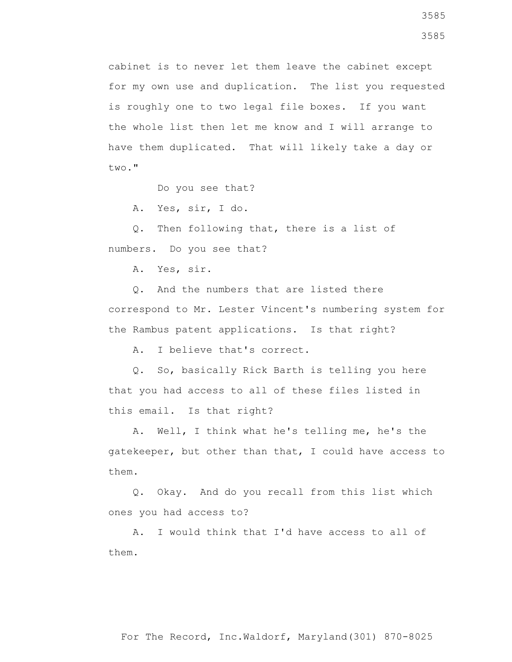cabinet is to never let them leave the cabinet except for my own use and duplication. The list you requested is roughly one to two legal file boxes. If you want the whole list then let me know and I will arrange to have them duplicated. That will likely take a day or two."

Do you see that?

A. Yes, sir, I do.

 Q. Then following that, there is a list of numbers. Do you see that?

A. Yes, sir.

 Q. And the numbers that are listed there correspond to Mr. Lester Vincent's numbering system for the Rambus patent applications. Is that right?

A. I believe that's correct.

 Q. So, basically Rick Barth is telling you here that you had access to all of these files listed in this email. Is that right?

 A. Well, I think what he's telling me, he's the gatekeeper, but other than that, I could have access to them.

 Q. Okay. And do you recall from this list which ones you had access to?

 A. I would think that I'd have access to all of them.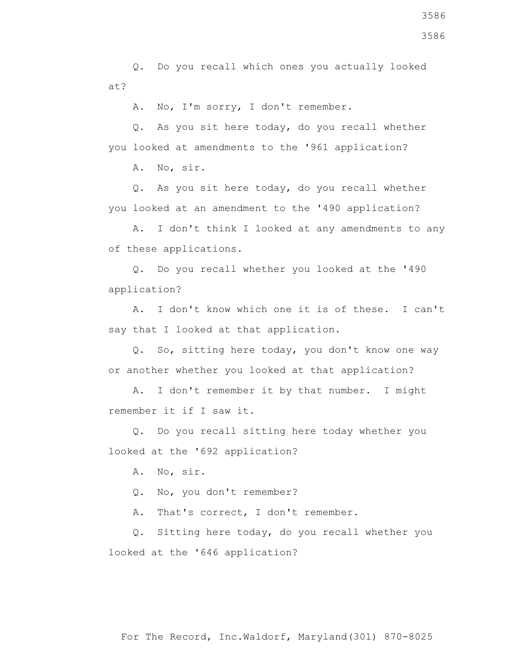Q. Do you recall which ones you actually looked at?

A. No, I'm sorry, I don't remember.

 Q. As you sit here today, do you recall whether you looked at amendments to the '961 application?

A. No, sir.

 Q. As you sit here today, do you recall whether you looked at an amendment to the '490 application?

 A. I don't think I looked at any amendments to any of these applications.

 Q. Do you recall whether you looked at the '490 application?

 A. I don't know which one it is of these. I can't say that I looked at that application.

 Q. So, sitting here today, you don't know one way or another whether you looked at that application?

 A. I don't remember it by that number. I might remember it if I saw it.

 Q. Do you recall sitting here today whether you looked at the '692 application?

A. No, sir.

Q. No, you don't remember?

A. That's correct, I don't remember.

 Q. Sitting here today, do you recall whether you looked at the '646 application?

For The Record, Inc.Waldorf, Maryland(301) 870-8025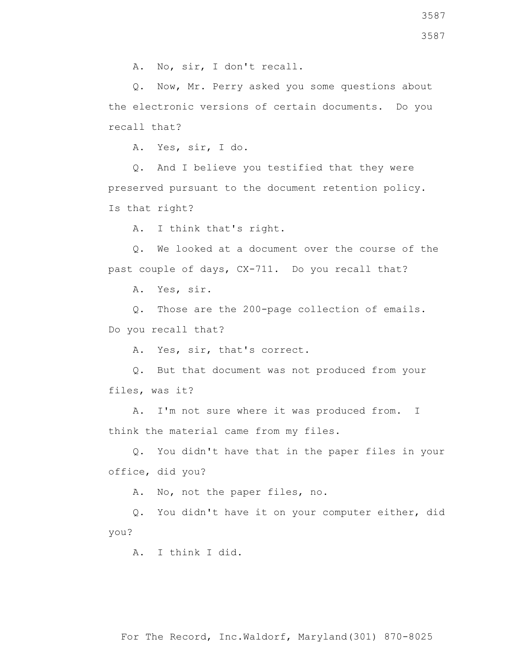A. No, sir, I don't recall.

 Q. Now, Mr. Perry asked you some questions about the electronic versions of certain documents. Do you recall that?

A. Yes, sir, I do.

 Q. And I believe you testified that they were preserved pursuant to the document retention policy. Is that right?

A. I think that's right.

 Q. We looked at a document over the course of the past couple of days, CX-711. Do you recall that?

A. Yes, sir.

 Q. Those are the 200-page collection of emails. Do you recall that?

A. Yes, sir, that's correct.

 Q. But that document was not produced from your files, was it?

 A. I'm not sure where it was produced from. I think the material came from my files.

 Q. You didn't have that in the paper files in your office, did you?

A. No, not the paper files, no.

 Q. You didn't have it on your computer either, did you?

A. I think I did.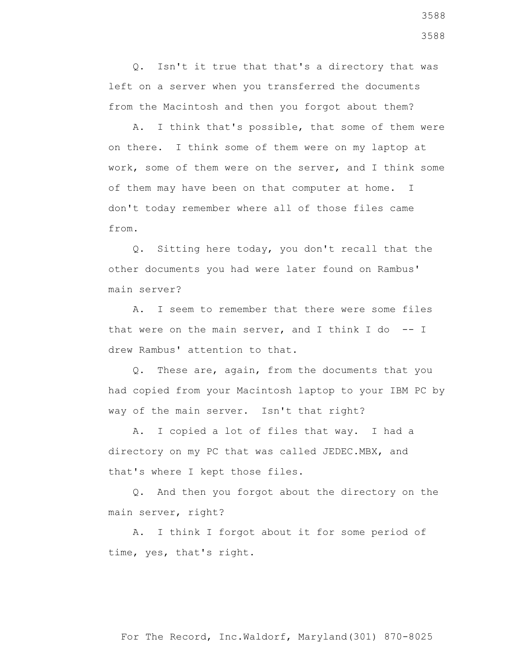Q. Isn't it true that that's a directory that was left on a server when you transferred the documents from the Macintosh and then you forgot about them?

 A. I think that's possible, that some of them were on there. I think some of them were on my laptop at work, some of them were on the server, and I think some of them may have been on that computer at home. I don't today remember where all of those files came from.

 Q. Sitting here today, you don't recall that the other documents you had were later found on Rambus' main server?

 A. I seem to remember that there were some files that were on the main server, and I think I do  $-$ - I drew Rambus' attention to that.

 Q. These are, again, from the documents that you had copied from your Macintosh laptop to your IBM PC by way of the main server. Isn't that right?

 A. I copied a lot of files that way. I had a directory on my PC that was called JEDEC.MBX, and that's where I kept those files.

 Q. And then you forgot about the directory on the main server, right?

 A. I think I forgot about it for some period of time, yes, that's right.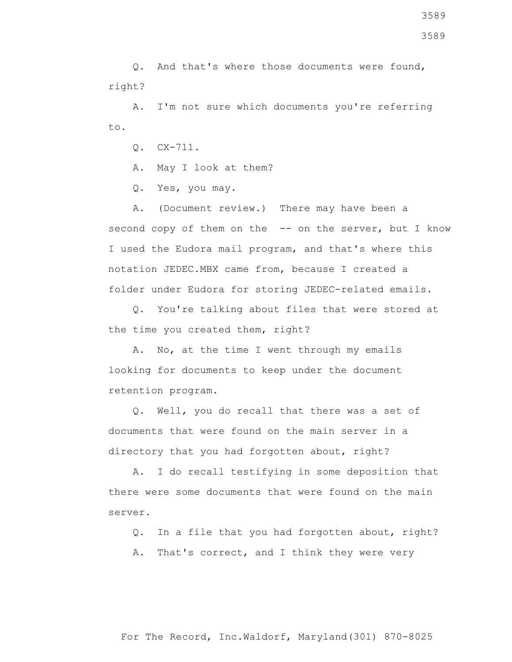Q. And that's where those documents were found, right?

 A. I'm not sure which documents you're referring to.

Q. CX-711.

A. May I look at them?

Q. Yes, you may.

 A. (Document review.) There may have been a second copy of them on the -- on the server, but I know I used the Eudora mail program, and that's where this notation JEDEC.MBX came from, because I created a folder under Eudora for storing JEDEC-related emails.

 Q. You're talking about files that were stored at the time you created them, right?

 A. No, at the time I went through my emails looking for documents to keep under the document retention program.

 Q. Well, you do recall that there was a set of documents that were found on the main server in a directory that you had forgotten about, right?

 A. I do recall testifying in some deposition that there were some documents that were found on the main server.

Q. In a file that you had forgotten about, right?

A. That's correct, and I think they were very

3589

3589

## For The Record, Inc.Waldorf, Maryland(301) 870-8025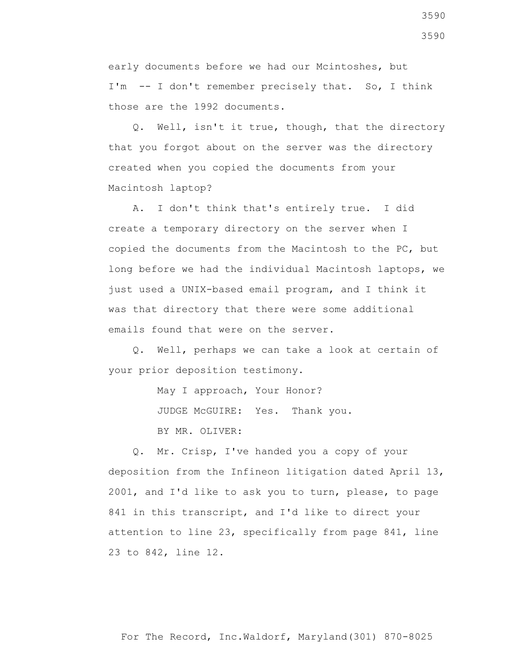early documents before we had our Mcintoshes, but I'm -- I don't remember precisely that. So, I think those are the 1992 documents.

 Q. Well, isn't it true, though, that the directory that you forgot about on the server was the directory created when you copied the documents from your Macintosh laptop?

 A. I don't think that's entirely true. I did create a temporary directory on the server when I copied the documents from the Macintosh to the PC, but long before we had the individual Macintosh laptops, we just used a UNIX-based email program, and I think it was that directory that there were some additional emails found that were on the server.

 Q. Well, perhaps we can take a look at certain of your prior deposition testimony.

> May I approach, Your Honor? JUDGE McGUIRE: Yes. Thank you. BY MR. OLIVER:

 Q. Mr. Crisp, I've handed you a copy of your deposition from the Infineon litigation dated April 13, 2001, and I'd like to ask you to turn, please, to page 841 in this transcript, and I'd like to direct your attention to line 23, specifically from page 841, line 23 to 842, line 12.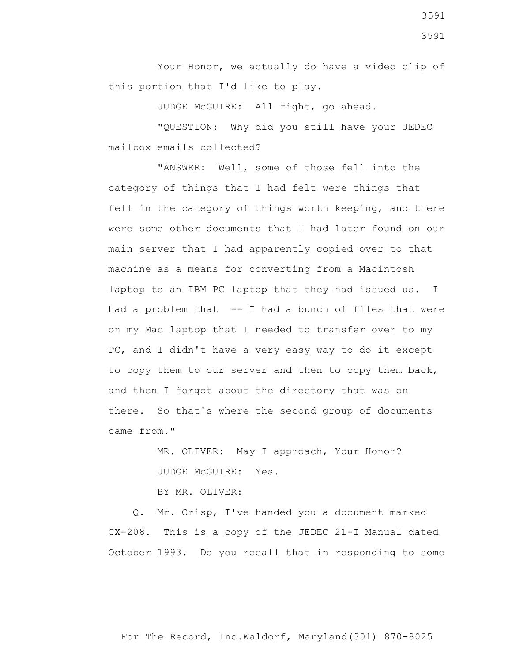Your Honor, we actually do have a video clip of this portion that I'd like to play.

JUDGE McGUIRE: All right, go ahead.

 "QUESTION: Why did you still have your JEDEC mailbox emails collected?

 "ANSWER: Well, some of those fell into the category of things that I had felt were things that fell in the category of things worth keeping, and there were some other documents that I had later found on our main server that I had apparently copied over to that machine as a means for converting from a Macintosh laptop to an IBM PC laptop that they had issued us. I had a problem that -- I had a bunch of files that were on my Mac laptop that I needed to transfer over to my PC, and I didn't have a very easy way to do it except to copy them to our server and then to copy them back, and then I forgot about the directory that was on there. So that's where the second group of documents came from."

> MR. OLIVER: May I approach, Your Honor? JUDGE McGUIRE: Yes.

BY MR. OLIVER:

 Q. Mr. Crisp, I've handed you a document marked CX-208. This is a copy of the JEDEC 21-I Manual dated October 1993. Do you recall that in responding to some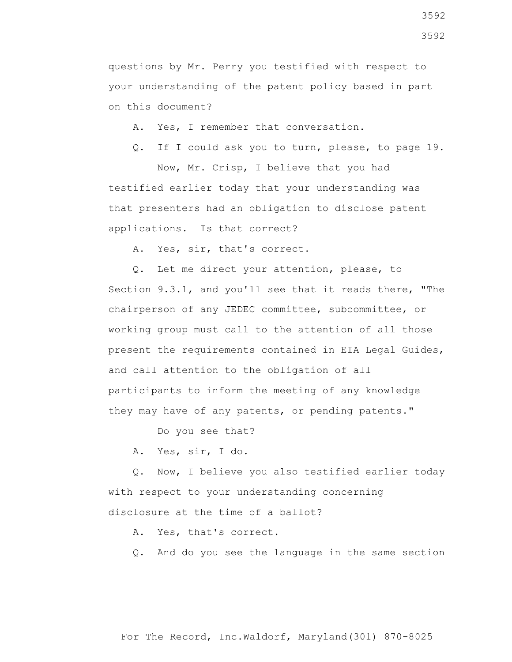questions by Mr. Perry you testified with respect to your understanding of the patent policy based in part on this document?

A. Yes, I remember that conversation.

Q. If I could ask you to turn, please, to page 19.

 Now, Mr. Crisp, I believe that you had testified earlier today that your understanding was that presenters had an obligation to disclose patent applications. Is that correct?

A. Yes, sir, that's correct.

 Q. Let me direct your attention, please, to Section 9.3.1, and you'll see that it reads there, "The chairperson of any JEDEC committee, subcommittee, or working group must call to the attention of all those present the requirements contained in EIA Legal Guides, and call attention to the obligation of all participants to inform the meeting of any knowledge they may have of any patents, or pending patents."

Do you see that?

A. Yes, sir, I do.

 Q. Now, I believe you also testified earlier today with respect to your understanding concerning disclosure at the time of a ballot?

A. Yes, that's correct.

Q. And do you see the language in the same section

For The Record, Inc.Waldorf, Maryland(301) 870-8025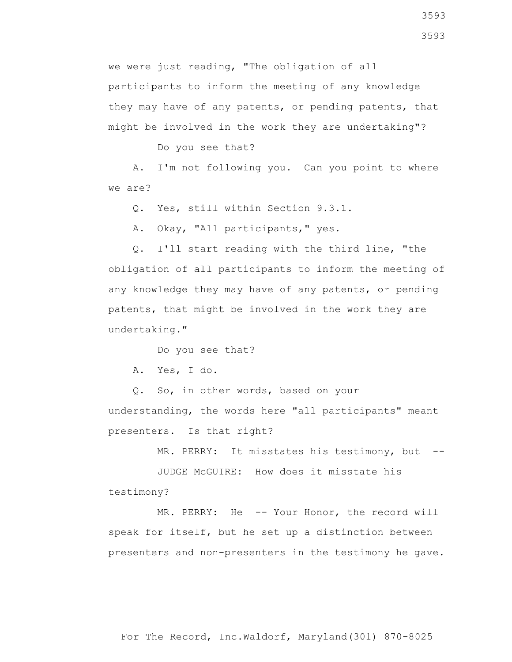we were just reading, "The obligation of all participants to inform the meeting of any knowledge they may have of any patents, or pending patents, that might be involved in the work they are undertaking"?

Do you see that?

 A. I'm not following you. Can you point to where we are?

Q. Yes, still within Section 9.3.1.

A. Okay, "All participants," yes.

 Q. I'll start reading with the third line, "the obligation of all participants to inform the meeting of any knowledge they may have of any patents, or pending patents, that might be involved in the work they are undertaking."

Do you see that?

A. Yes, I do.

 Q. So, in other words, based on your understanding, the words here "all participants" meant presenters. Is that right?

MR. PERRY: It misstates his testimony, but --

 JUDGE McGUIRE: How does it misstate his testimony?

MR. PERRY: He -- Your Honor, the record will speak for itself, but he set up a distinction between presenters and non-presenters in the testimony he gave.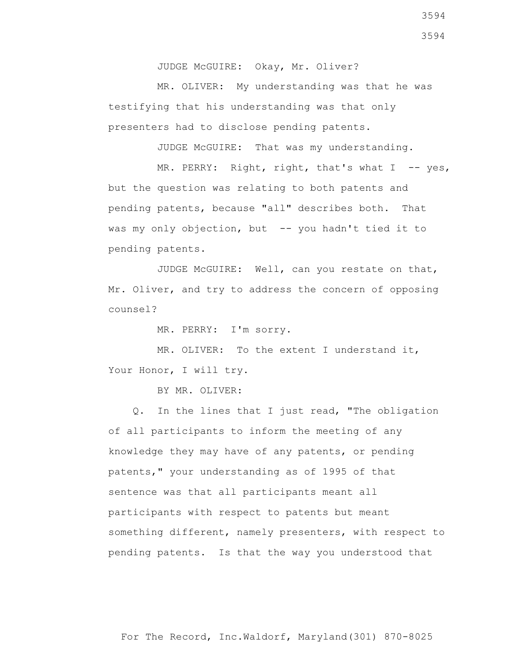JUDGE McGUIRE: Okay, Mr. Oliver?

 MR. OLIVER: My understanding was that he was testifying that his understanding was that only presenters had to disclose pending patents.

JUDGE McGUIRE: That was my understanding.

MR. PERRY: Right, right, that's what  $I$  -- yes, but the question was relating to both patents and pending patents, because "all" describes both. That was my only objection, but -- you hadn't tied it to pending patents.

 JUDGE McGUIRE: Well, can you restate on that, Mr. Oliver, and try to address the concern of opposing counsel?

MR. PERRY: I'm sorry.

MR. OLIVER: To the extent I understand it, Your Honor, I will try.

BY MR. OLIVER:

 Q. In the lines that I just read, "The obligation of all participants to inform the meeting of any knowledge they may have of any patents, or pending patents," your understanding as of 1995 of that sentence was that all participants meant all participants with respect to patents but meant something different, namely presenters, with respect to pending patents. Is that the way you understood that

3594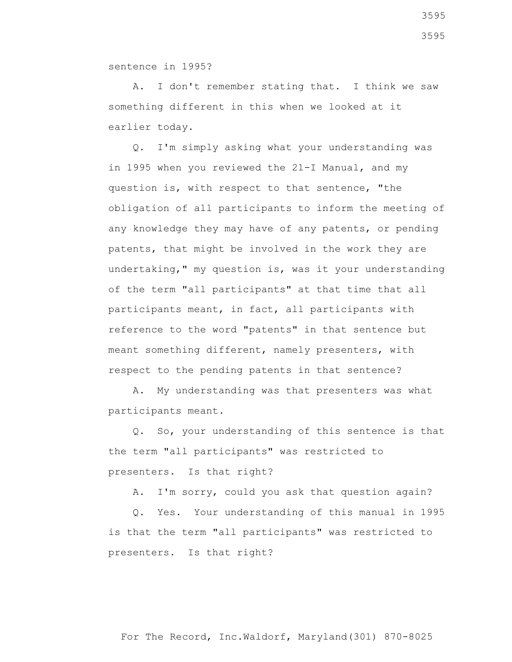sentence in 1995?

 A. I don't remember stating that. I think we saw something different in this when we looked at it earlier today.

 Q. I'm simply asking what your understanding was in 1995 when you reviewed the 21-I Manual, and my question is, with respect to that sentence, "the obligation of all participants to inform the meeting of any knowledge they may have of any patents, or pending patents, that might be involved in the work they are undertaking," my question is, was it your understanding of the term "all participants" at that time that all participants meant, in fact, all participants with reference to the word "patents" in that sentence but meant something different, namely presenters, with respect to the pending patents in that sentence?

 A. My understanding was that presenters was what participants meant.

 Q. So, your understanding of this sentence is that the term "all participants" was restricted to presenters. Is that right?

A. I'm sorry, could you ask that question again?

 Q. Yes. Your understanding of this manual in 1995 is that the term "all participants" was restricted to presenters. Is that right?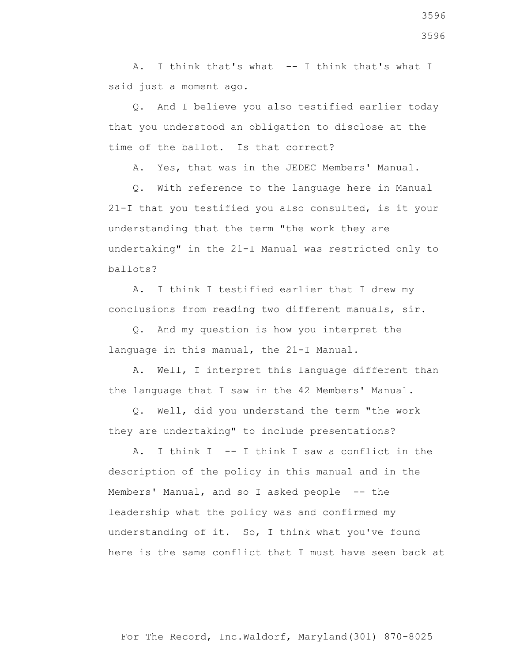A. I think that's what -- I think that's what I said just a moment ago.

 Q. And I believe you also testified earlier today that you understood an obligation to disclose at the time of the ballot. Is that correct?

A. Yes, that was in the JEDEC Members' Manual.

 Q. With reference to the language here in Manual 21-I that you testified you also consulted, is it your understanding that the term "the work they are undertaking" in the 21-I Manual was restricted only to ballots?

 A. I think I testified earlier that I drew my conclusions from reading two different manuals, sir.

 Q. And my question is how you interpret the language in this manual, the 21-I Manual.

 A. Well, I interpret this language different than the language that I saw in the 42 Members' Manual.

 Q. Well, did you understand the term "the work they are undertaking" to include presentations?

 A. I think I -- I think I saw a conflict in the description of the policy in this manual and in the Members' Manual, and so I asked people -- the leadership what the policy was and confirmed my understanding of it. So, I think what you've found here is the same conflict that I must have seen back at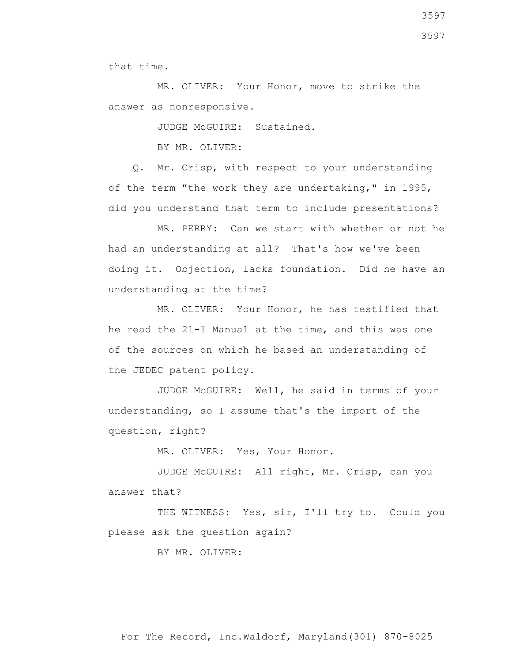MR. OLIVER: Your Honor, move to strike the answer as nonresponsive.

JUDGE McGUIRE: Sustained.

BY MR. OLIVER:

 Q. Mr. Crisp, with respect to your understanding of the term "the work they are undertaking," in 1995, did you understand that term to include presentations?

 MR. PERRY: Can we start with whether or not he had an understanding at all? That's how we've been doing it. Objection, lacks foundation. Did he have an understanding at the time?

 MR. OLIVER: Your Honor, he has testified that he read the 21-I Manual at the time, and this was one of the sources on which he based an understanding of the JEDEC patent policy.

 JUDGE McGUIRE: Well, he said in terms of your understanding, so I assume that's the import of the question, right?

MR. OLIVER: Yes, Your Honor.

 JUDGE McGUIRE: All right, Mr. Crisp, can you answer that?

THE WITNESS: Yes, sir, I'll try to. Could you please ask the question again?

BY MR. OLIVER:

For The Record, Inc.Waldorf, Maryland(301) 870-8025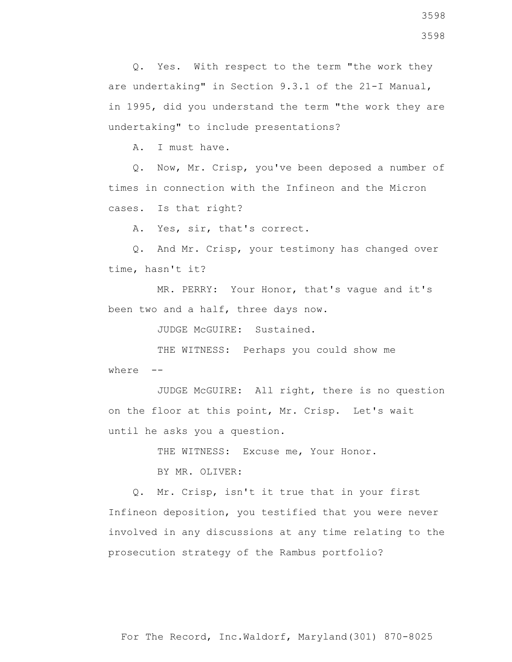Q. Yes. With respect to the term "the work they are undertaking" in Section 9.3.1 of the 21-I Manual, in 1995, did you understand the term "the work they are undertaking" to include presentations?

A. I must have.

 Q. Now, Mr. Crisp, you've been deposed a number of times in connection with the Infineon and the Micron cases. Is that right?

A. Yes, sir, that's correct.

 Q. And Mr. Crisp, your testimony has changed over time, hasn't it?

 MR. PERRY: Your Honor, that's vague and it's been two and a half, three days now.

JUDGE McGUIRE: Sustained.

 THE WITNESS: Perhaps you could show me where  $--$ 

 JUDGE McGUIRE: All right, there is no question on the floor at this point, Mr. Crisp. Let's wait until he asks you a question.

THE WITNESS: Excuse me, Your Honor.

BY MR. OLIVER:

 Q. Mr. Crisp, isn't it true that in your first Infineon deposition, you testified that you were never involved in any discussions at any time relating to the prosecution strategy of the Rambus portfolio?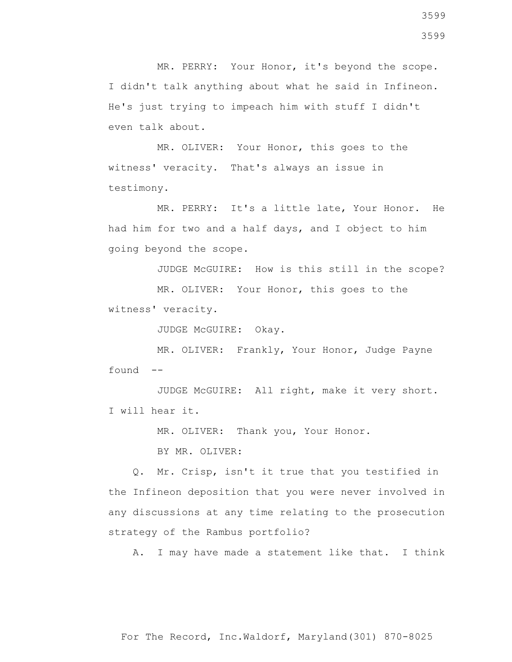MR. PERRY: Your Honor, it's beyond the scope. I didn't talk anything about what he said in Infineon. He's just trying to impeach him with stuff I didn't even talk about.

 MR. OLIVER: Your Honor, this goes to the witness' veracity. That's always an issue in testimony.

 MR. PERRY: It's a little late, Your Honor. He had him for two and a half days, and I object to him going beyond the scope.

JUDGE McGUIRE: How is this still in the scope?

 MR. OLIVER: Your Honor, this goes to the witness' veracity.

JUDGE McGUIRE: Okay.

 MR. OLIVER: Frankly, Your Honor, Judge Payne found --

 JUDGE McGUIRE: All right, make it very short. I will hear it.

MR. OLIVER: Thank you, Your Honor.

BY MR. OLIVER:

 Q. Mr. Crisp, isn't it true that you testified in the Infineon deposition that you were never involved in any discussions at any time relating to the prosecution strategy of the Rambus portfolio?

A. I may have made a statement like that. I think

3599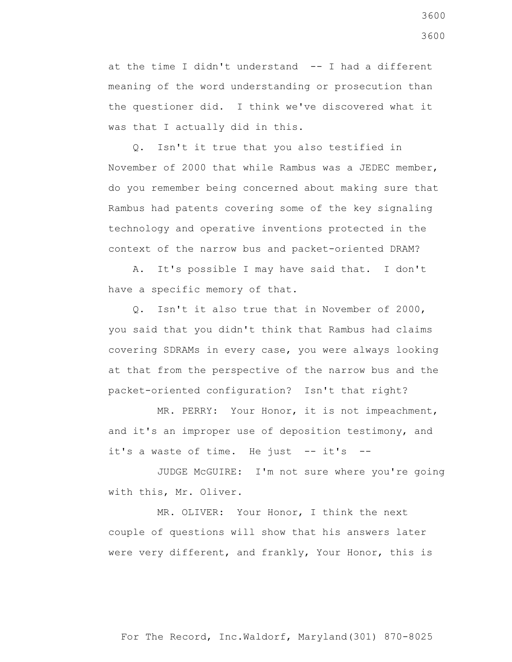at the time I didn't understand  $--$  I had a different meaning of the word understanding or prosecution than the questioner did. I think we've discovered what it was that I actually did in this.

 Q. Isn't it true that you also testified in November of 2000 that while Rambus was a JEDEC member, do you remember being concerned about making sure that Rambus had patents covering some of the key signaling technology and operative inventions protected in the context of the narrow bus and packet-oriented DRAM?

 A. It's possible I may have said that. I don't have a specific memory of that.

 Q. Isn't it also true that in November of 2000, you said that you didn't think that Rambus had claims covering SDRAMs in every case, you were always looking at that from the perspective of the narrow bus and the packet-oriented configuration? Isn't that right?

 MR. PERRY: Your Honor, it is not impeachment, and it's an improper use of deposition testimony, and it's a waste of time. He just  $-$  it's  $-$ 

 JUDGE McGUIRE: I'm not sure where you're going with this, Mr. Oliver.

 MR. OLIVER: Your Honor, I think the next couple of questions will show that his answers later were very different, and frankly, Your Honor, this is

3600 3600

For The Record, Inc.Waldorf, Maryland(301) 870-8025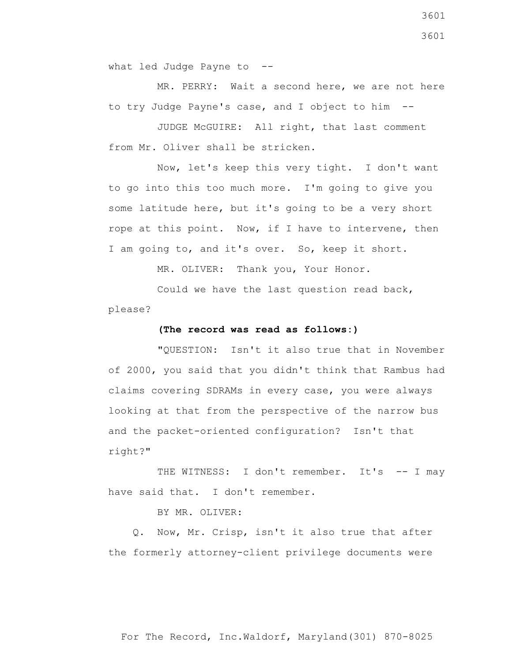what led Judge Payne to --

 MR. PERRY: Wait a second here, we are not here to try Judge Payne's case, and I object to him --

 JUDGE McGUIRE: All right, that last comment from Mr. Oliver shall be stricken.

 Now, let's keep this very tight. I don't want to go into this too much more. I'm going to give you some latitude here, but it's going to be a very short rope at this point. Now, if I have to intervene, then I am going to, and it's over. So, keep it short.

MR. OLIVER: Thank you, Your Honor.

 Could we have the last question read back, please?

## **(The record was read as follows:)**

 "QUESTION: Isn't it also true that in November of 2000, you said that you didn't think that Rambus had claims covering SDRAMs in every case, you were always looking at that from the perspective of the narrow bus and the packet-oriented configuration? Isn't that right?"

THE WITNESS: I don't remember. It's -- I may have said that. I don't remember.

BY MR. OLIVER:

 Q. Now, Mr. Crisp, isn't it also true that after the formerly attorney-client privilege documents were

For The Record, Inc.Waldorf, Maryland(301) 870-8025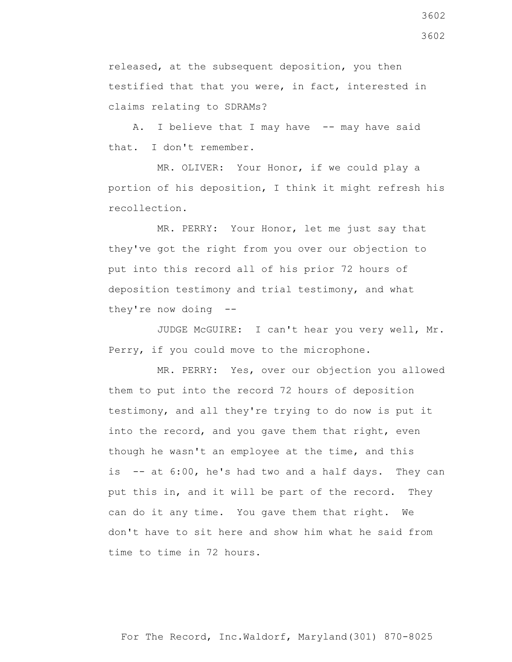released, at the subsequent deposition, you then testified that that you were, in fact, interested in claims relating to SDRAMs?

A. I believe that I may have -- may have said that. I don't remember.

 MR. OLIVER: Your Honor, if we could play a portion of his deposition, I think it might refresh his recollection.

 MR. PERRY: Your Honor, let me just say that they've got the right from you over our objection to put into this record all of his prior 72 hours of deposition testimony and trial testimony, and what they're now doing --

 JUDGE McGUIRE: I can't hear you very well, Mr. Perry, if you could move to the microphone.

 MR. PERRY: Yes, over our objection you allowed them to put into the record 72 hours of deposition testimony, and all they're trying to do now is put it into the record, and you gave them that right, even though he wasn't an employee at the time, and this is -- at 6:00, he's had two and a half days. They can put this in, and it will be part of the record. They can do it any time. You gave them that right. We don't have to sit here and show him what he said from time to time in 72 hours.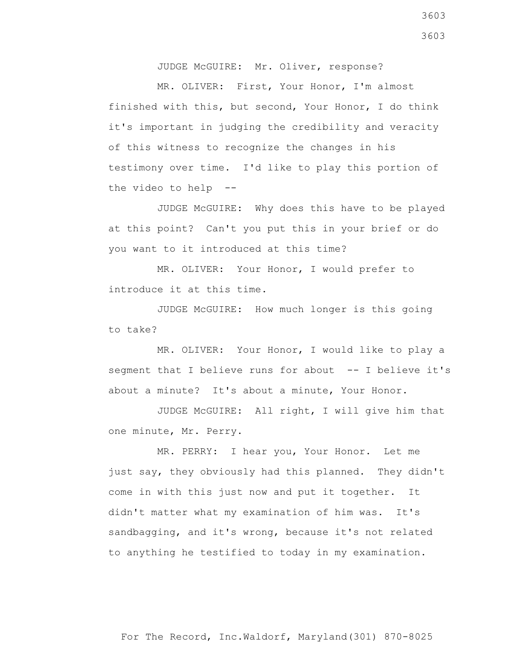JUDGE McGUIRE: Mr. Oliver, response?

 MR. OLIVER: First, Your Honor, I'm almost finished with this, but second, Your Honor, I do think it's important in judging the credibility and veracity of this witness to recognize the changes in his testimony over time. I'd like to play this portion of the video to help --

 JUDGE McGUIRE: Why does this have to be played at this point? Can't you put this in your brief or do you want to it introduced at this time?

 MR. OLIVER: Your Honor, I would prefer to introduce it at this time.

 JUDGE McGUIRE: How much longer is this going to take?

 MR. OLIVER: Your Honor, I would like to play a segment that I believe runs for about -- I believe it's about a minute? It's about a minute, Your Honor.

 JUDGE McGUIRE: All right, I will give him that one minute, Mr. Perry.

 MR. PERRY: I hear you, Your Honor. Let me just say, they obviously had this planned. They didn't come in with this just now and put it together. It didn't matter what my examination of him was. It's sandbagging, and it's wrong, because it's not related to anything he testified to today in my examination.

3603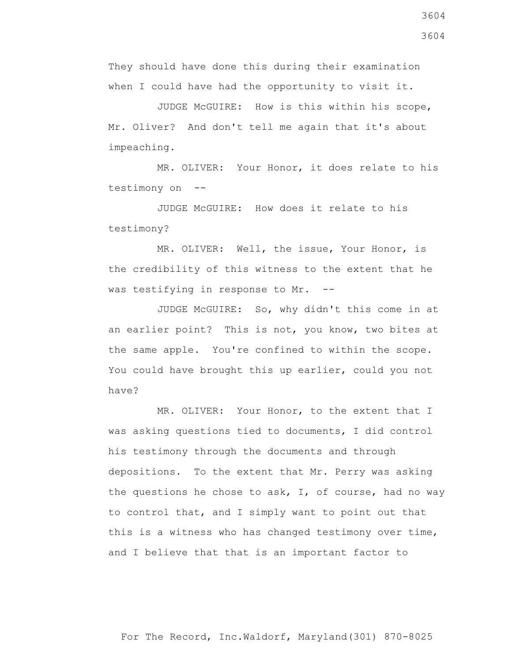They should have done this during their examination when I could have had the opportunity to visit it.

 JUDGE McGUIRE: How is this within his scope, Mr. Oliver? And don't tell me again that it's about impeaching.

 MR. OLIVER: Your Honor, it does relate to his testimony on --

 JUDGE McGUIRE: How does it relate to his testimony?

 MR. OLIVER: Well, the issue, Your Honor, is the credibility of this witness to the extent that he was testifying in response to Mr. --

 JUDGE McGUIRE: So, why didn't this come in at an earlier point? This is not, you know, two bites at the same apple. You're confined to within the scope. You could have brought this up earlier, could you not have?

MR. OLIVER: Your Honor, to the extent that I was asking questions tied to documents, I did control his testimony through the documents and through depositions. To the extent that Mr. Perry was asking the questions he chose to ask, I, of course, had no way to control that, and I simply want to point out that this is a witness who has changed testimony over time, and I believe that that is an important factor to

For The Record, Inc.Waldorf, Maryland(301) 870-8025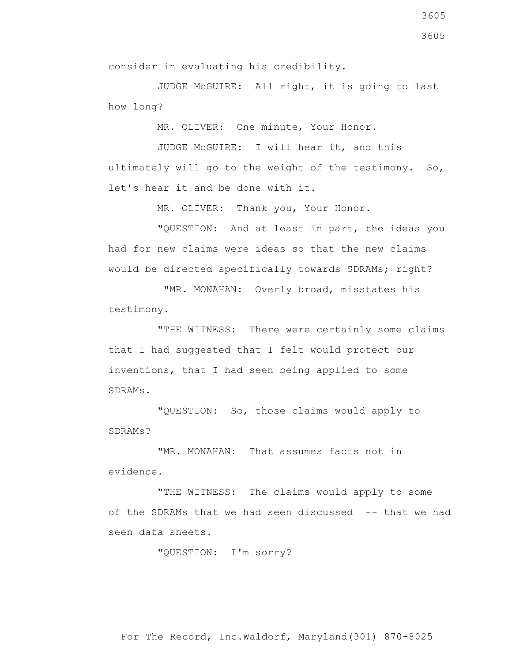JUDGE McGUIRE: All right, it is going to last how long?

MR. OLIVER: One minute, Your Honor.

 JUDGE McGUIRE: I will hear it, and this ultimately will go to the weight of the testimony. So, let's hear it and be done with it.

MR. OLIVER: Thank you, Your Honor.

 "QUESTION: And at least in part, the ideas you had for new claims were ideas so that the new claims would be directed specifically towards SDRAMs; right?

 "MR. MONAHAN: Overly broad, misstates his testimony.

 "THE WITNESS: There were certainly some claims that I had suggested that I felt would protect our inventions, that I had seen being applied to some SDRAMs.

 "QUESTION: So, those claims would apply to SDRAMs?

 "MR. MONAHAN: That assumes facts not in evidence.

 "THE WITNESS: The claims would apply to some of the SDRAMs that we had seen discussed -- that we had seen data sheets.

"QUESTION: I'm sorry?

For The Record, Inc.Waldorf, Maryland(301) 870-8025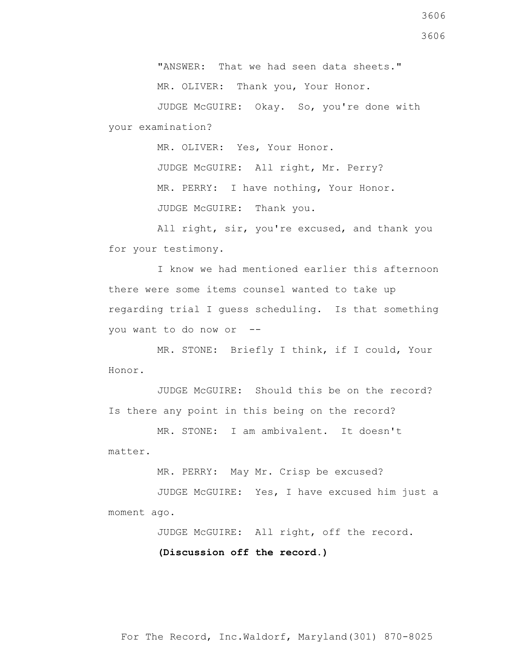"ANSWER: That we had seen data sheets." MR. OLIVER: Thank you, Your Honor.

 JUDGE McGUIRE: Okay. So, you're done with your examination?

MR. OLIVER: Yes, Your Honor.

 JUDGE McGUIRE: All right, Mr. Perry? MR. PERRY: I have nothing, Your Honor. JUDGE McGUIRE: Thank you.

 All right, sir, you're excused, and thank you for your testimony.

 I know we had mentioned earlier this afternoon there were some items counsel wanted to take up regarding trial I guess scheduling. Is that something you want to do now or --

 MR. STONE: Briefly I think, if I could, Your Honor.

 JUDGE McGUIRE: Should this be on the record? Is there any point in this being on the record?

 MR. STONE: I am ambivalent. It doesn't matter.

MR. PERRY: May Mr. Crisp be excused?

 JUDGE McGUIRE: Yes, I have excused him just a moment ago.

JUDGE McGUIRE: All right, off the record.

 **(Discussion off the record.)**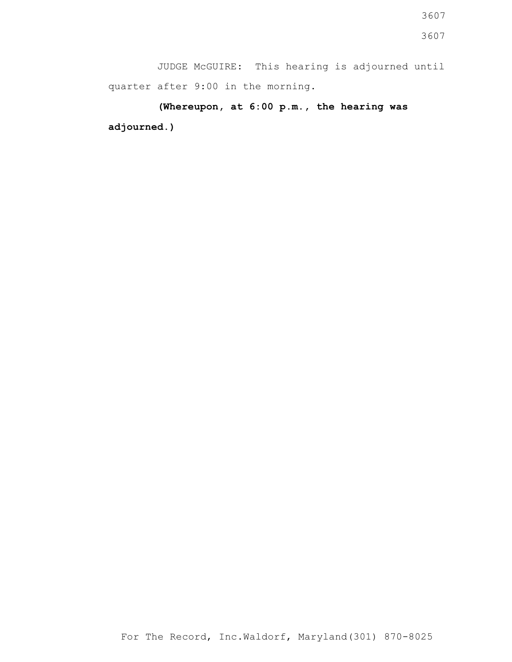JUDGE McGUIRE: This hearing is adjourned until quarter after 9:00 in the morning.

**(Whereupon, at 6:00 p.m., the hearing was adjourned.)**